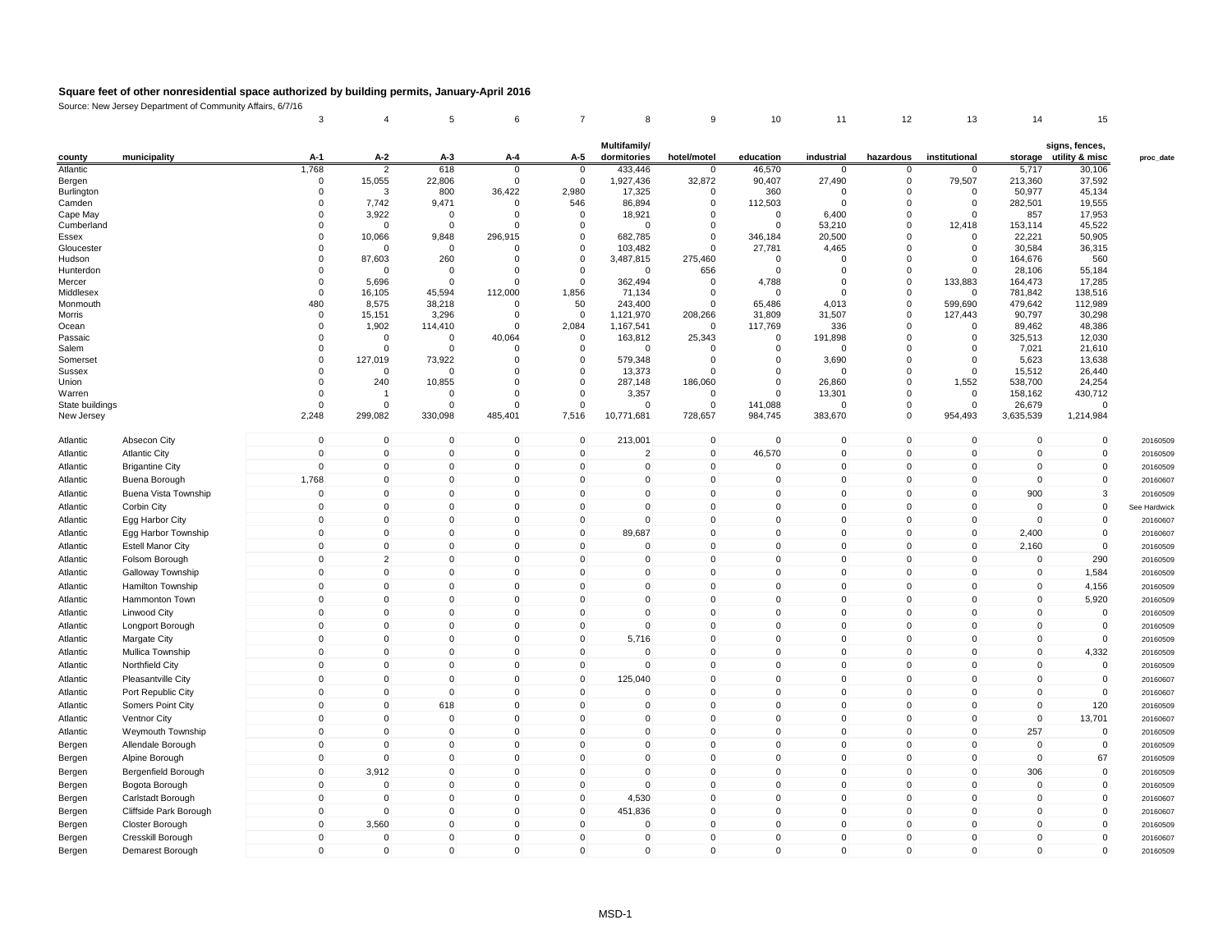|                               |                          | 3                       | 4                   | 5                       | 6                          | $\overline{7}$       | 8                           | 9                    | 10                  | 11                      | 12                      | 13                     | 14                  | 15                                       |              |
|-------------------------------|--------------------------|-------------------------|---------------------|-------------------------|----------------------------|----------------------|-----------------------------|----------------------|---------------------|-------------------------|-------------------------|------------------------|---------------------|------------------------------------------|--------------|
|                               |                          |                         |                     |                         |                            |                      |                             |                      |                     |                         |                         |                        |                     |                                          |              |
| county                        | municipality             | A-1                     | $A-2$               | $A-3$                   | A-4                        | A-5                  | Multifamily/<br>dormitories | hotel/motel          | education           | industrial              | hazardous               | institutional          |                     | signs, fences,<br>storage utility & misc | proc_date    |
| Atlantic                      |                          | 1,768                   | $\overline{2}$      | 618                     | $\mathbf 0$                | $\mathbf 0$          | 433,446                     | $\Omega$             | 46,570              | $\overline{0}$          | $\Omega$                | $\mathbf 0$            | 5,717               | 30,106                                   |              |
| Bergen                        |                          | $\mathbf 0$             | 15,055              | 22,806                  | $\mathbf 0$                | 0                    | 1,927,436                   | 32,872               | 90,407              | 27,490                  | 0                       | 79,507                 | 213,360             | 37,592                                   |              |
| Burlington                    |                          | $\mathbf 0$             | 3                   | 800                     | 36,422                     | 2,980                | 17,325                      | $\mathbf 0$          | 360                 | $\mathbf 0$             | $\Omega$                | $\mathbf 0$            | 50,977              | 45,134                                   |              |
| Camden                        |                          | $\Omega$                | 7,742               | 9,471                   | $\mathbf 0$                | 546                  | 86,894                      | $\mathbf 0$          | 112,503             | $\Omega$                | $\Omega$                | $\mathbf 0$            | 282,501             | 19,555                                   |              |
| Cape May                      |                          | $\mathbf 0$             | 3,922               | $\Omega$                | $\Omega$                   | $\mathbf 0$          | 18,921                      | $\Omega$             | $\mathbf 0$         | 6,400                   | $\Omega$                | $\mathbf 0$            | 857                 | 17,953                                   |              |
| Cumberland                    |                          | $\mathbf 0$             | $\mathbf 0$         | $\Omega$                | $\Omega$                   | 0                    | $\Omega$                    | $\mathbf 0$          | $\mathbf 0$         | 53,210                  | $\Omega$                | 12,418                 | 153,114             | 45,522                                   |              |
| Essex                         |                          | $\Omega$                | 10,066              | 9,848                   | 296,915                    | $\mathbf 0$          | 682,785                     | $\Omega$             | 346,184             | 20,500                  | $\Omega$                | $\mathbf 0$            | 22,221              | 50,905                                   |              |
| Gloucester                    |                          | $\mathbf 0$             | $\mathbf 0$         | 0                       | 0                          | 0                    | 103,482                     | $\mathbf 0$          | 27,781              | 4,465                   | 0                       | $\mathbf 0$            | 30,584              | 36,315                                   |              |
| Hudson                        |                          | $\Omega$                | 87,603              | 260                     | $\mathbf 0$                | $\mathbf 0$          | 3,487,815                   | 275,460              | $\Omega$            | $\Omega$                | $\Omega$                | $\mathbf 0$            | 164,676             | 560                                      |              |
| Hunterdon                     |                          | $\Omega$<br>$\mathbf 0$ | $\Omega$            | $\mathbf 0$<br>$\Omega$ | $\Omega$<br>$\Omega$       | $\mathbf 0$          | $\Omega$                    | 656<br>$\mathbf 0$   | $\Omega$            | $\Omega$<br>$\mathbf 0$ | $\Omega$<br>$\mathbf 0$ | $\mathbf 0$            | 28,106              | 55,184                                   |              |
| Mercer<br>Middlesex           |                          | $\Omega$                | 5,696<br>16,105     | 45,594                  | 112,000                    | 0<br>1,856           | 362,494<br>71,134           | $\mathbf 0$          | 4,788<br>$\Omega$   | $\Omega$                | $\mathbf 0$             | 133,883<br>$\mathbf 0$ | 164,473<br>781,842  | 17,285<br>138,516                        |              |
| Monmouth                      |                          | 480                     | 8,575               | 38,218                  | $\Omega$                   | 50                   | 243.400                     | $\Omega$             | 65,486              | 4.013                   | $\Omega$                | 599,690                | 479,642             | 112,989                                  |              |
| Morris                        |                          | $\mathbf 0$             | 15,151              | 3,296                   | $\mathbf 0$                | $\mathbf 0$          | 1,121,970                   | 208,266              | 31,809              | 31,507                  | $\Omega$                | 127,443                | 90,797              | 30,298                                   |              |
| Ocean                         |                          | $\mathbf 0$             | 1,902               | 114,410                 | $\overline{0}$             | 2,084                | 1,167,541                   | $\Omega$             | 117,769             | 336                     | $\Omega$                | $\overline{0}$         | 89,462              | 48,386                                   |              |
| Passaic                       |                          | $\Omega$                | $\mathbf 0$         | 0                       | 40,064                     | 0                    | 163,812                     | 25,343               | $\mathbf 0$         | 191,898                 | $\Omega$                | $\mathbf 0$            | 325,513             | 12,030                                   |              |
| Salem                         |                          | $\Omega$                | $\mathbf 0$         | $\Omega$                | $\overline{0}$             | 0                    | $\Omega$                    | $\mathbf 0$          | $\mathbf 0$         | $^{\circ}$              | $\Omega$                | $\mathbf 0$            | 7,021               | 21,610                                   |              |
| Somerset                      |                          | $\Omega$                | 127,019             | 73,922                  | $\mathbf 0$                | $\mathbf 0$          | 579,348                     | $\Omega$             | $\Omega$            | 3,690                   | $\Omega$                | $\mathbf 0$            | 5,623               | 13,638                                   |              |
| <b>Sussex</b>                 |                          | $\Omega$                | $\Omega$            | $\mathbf 0$             | $\Omega$                   | $\mathbf 0$          | 13,373                      | $\Omega$             | $\Omega$            | $\Omega$                | $\Omega$                | $\mathbf 0$            | 15,512              | 26,440                                   |              |
| Union                         |                          | $\Omega$                | 240                 | 10,855                  | $\overline{0}$             | $\mathbf 0$          | 287,148                     | 186,060              | $\mathbf 0$         | 26,860                  | $\mathbf 0$             | 1,552                  | 538,700             | 24,254                                   |              |
| Warren                        |                          | $\Omega$<br>$\Omega$    | 1<br>$\Omega$       | $\Omega$<br>$\Omega$    | $\Omega$<br>$\Omega$       | $\Omega$<br>$\Omega$ | 3,357<br>$\Omega$           | $\Omega$<br>$\Omega$ | $\Omega$            | 13,301<br>$\Omega$      | $\Omega$<br>$\Omega$    | $\mathbf 0$            | 158,162             | 430,712<br>$\Omega$                      |              |
| State buildings<br>New Jersey |                          | 2,248                   | 299,082             | 330,098                 | 485,401                    | 7,516                | 10,771,681                  | 728,657              | 141,088<br>984,745  | 383,670                 | $\mathbf 0$             | $\mathbf 0$<br>954,493 | 26,679<br>3,635,539 | 1,214,984                                |              |
|                               |                          |                         |                     |                         |                            |                      |                             |                      |                     |                         |                         |                        |                     |                                          |              |
| Atlantic                      | Absecon City             | $\mathbf 0$             | $\mathsf 0$         | $\mathbf 0$             | $\mathsf 0$                | $\mathbf 0$          | 213,001                     | $\mathbf 0$          | $\mathbf 0$         | $\mathbf 0$             | $\mathbf 0$             | $\mathbf 0$            | $\mathbf 0$         | $\mathbf 0$                              | 20160509     |
| Atlantic                      | <b>Atlantic City</b>     | $\mathbf 0$             | $\mathbf 0$         | $\mathbf 0$             | $\mathsf 0$                | $\mathsf{O}\xspace$  | $\overline{2}$              | $\mathbf 0$          | 46,570              | $\mathbf 0$             | $\Omega$                | $\mathbf 0$            | $\mathsf{O}\xspace$ | $\mathbf 0$                              | 20160509     |
| Atlantic                      | <b>Brigantine City</b>   | $\mathbf 0$             | $\mathbf 0$         | $\mathbf 0$             | $\mathsf 0$                | $\mathbf 0$          | $\mathbf 0$                 | $\mathbf 0$          | $\mathbf 0$         | $\mathbf 0$             | $\mathbf 0$             | $\mathbf 0$            | $\mathbf 0$         | $\mathbf 0$                              | 20160509     |
| Atlantic                      | Buena Borough            | 1,768                   | $\Omega$            | $\Omega$                | $\mathbf 0$                | $\Omega$             | $\mathbf{0}$                | $\Omega$             | $\Omega$            | 0                       | $\Omega$                | $\Omega$               | $\mathbf{0}$        | $\mathbf 0$                              | 20160607     |
| Atlantic                      | Buena Vista Township     | $\mathbf 0$             | $\mathsf{O}\xspace$ | $\mathbf 0$             | $\mathsf 0$                | $\mathbf 0$          | $\mathbf 0$                 | $\mathbf 0$          | $\mathbf 0$         | $\mathsf{O}\xspace$     | $\mathbf 0$             | $\mathbf 0$            | 900                 | 3                                        | 20160509     |
| Atlantic                      | Corbin City              | $\mathbf 0$             | 0                   | $\mathbf 0$             | $\mathsf 0$                | 0                    | $\mathbf 0$                 | $\mathbf 0$          | $\mathbf 0$         | 0                       | $\mathbf 0$             | $\mathbf 0$            | $\mathbf 0$         | $\mathbf 0$                              | See Hardwick |
| Atlantic                      | Egg Harbor City          | $\Omega$                | $\Omega$            | $\Omega$                | $\mathbf 0$                | $\mathbf{0}$         | $\mathbf 0$                 | $\Omega$             | $\Omega$            | $\mathbf{0}$            | $\Omega$                | $\Omega$               | $\mathbf{0}$        | $\mathbf{0}$                             | 20160607     |
| Atlantic                      | Egg Harbor Township      | $\mathsf{O}\xspace$     | $\mathsf{O}\xspace$ | $\mathbf 0$             | $\mathsf 0$                | $\mathsf{O}\xspace$  | 89,687                      | $\mathbf 0$          | $\mathbf 0$         | $\mathsf{O}\xspace$     | $\mathbf 0$             | $\mathsf 0$            | 2,400               | $\mathbf 0$                              | 20160607     |
| Atlantic                      | <b>Estell Manor City</b> | $\mathbf 0$             | $\mathbf 0$         | $\mathbf{0}$            | $\mathsf 0$                | $\mathbf 0$          | $\mathbf{0}$                | $\Omega$             | $\mathbf 0$         | 0                       | $\Omega$                | $\mathbf 0$            | 2,160               | $\mathbf{0}$                             | 20160509     |
| Atlantic                      | Folsom Borough           | $\mathbf 0$             | $\overline{2}$      | $\Omega$                | $\mathbf 0$                | $\Omega$             | $\mathbf{0}$                | $\Omega$             | $\Omega$            | $\mathbf 0$             | $\Omega$                | $\Omega$               | $\mathbf{0}$        | 290                                      | 20160509     |
| Atlantic                      | Galloway Township        | $\mathsf{O}\xspace$     | 0                   | $\mathbf 0$             | $\mathsf 0$                | 0                    | $\mathbf 0$                 | 0                    | $\mathsf{O}\xspace$ | 0                       | $\Omega$                | $\mathbf 0$            | 0                   | 1,584                                    | 20160509     |
| Atlantic                      | Hamilton Township        | $\mathbf 0$             | $\mathsf{O}\xspace$ | $\mathbf 0$             | $\mathsf 0$                | $\mathbf 0$          | $\Omega$                    | $\mathbf 0$          | $\mathsf{O}\xspace$ | 0                       | $\mathbf 0$             | $\mathbf 0$            | $\mathbf 0$         | 4,156                                    | 20160509     |
| Atlantic                      | Hammonton Town           | $\mathbf 0$             | $\mathsf{O}\xspace$ | $\mathbf 0$             | $\mathsf 0$                | $\mathbf 0$          | $\mathbf 0$                 | $\mathbf 0$          | $\mathbf 0$         | $\mathsf{O}\xspace$     | $\mathbf 0$             | $\mathbf 0$            | $\mathbf 0$         | 5,920                                    | 20160509     |
| Atlantic                      | Linwood City             | $\mathsf{O}\xspace$     | 0                   | $\mathbf 0$             | $\mathsf 0$                | $\mathbf 0$          | $\mathbf 0$                 | $\mathbf 0$          | $\mathbf 0$         | $\mathsf{O}\xspace$     | $\Omega$                | $\mathbf 0$            | $\mathbf 0$         | $\mathbf 0$                              | 20160509     |
| Atlantic                      | Longport Borough         | $\mathbf 0$             | $\mathbf 0$         | $\mathbf 0$             | $\mathbf 0$                | $\mathbf 0$          | $\mathbf{0}$                | $\mathbf 0$          | $\mathbf 0$         | $\mathbf 0$             | $\mathbf{0}$            | $\Omega$               | $\mathbf 0$         | $\mathbf 0$                              | 20160509     |
|                               | Margate City             | $\mathbf 0$             | $\mathbf{0}$        | $\Omega$                | $\mathbf 0$                | $\mathbf{0}$         | 5,716                       | $\Omega$             | $\Omega$            | $\mathsf{O}\xspace$     | $\Omega$                | $\Omega$               | $\mathsf{O}\xspace$ | $\mathsf 0$                              |              |
| Atlantic                      |                          | $\mathbf 0$             | 0                   | $\mathbf 0$             |                            | $\mathbf 0$          | $\mathbf 0$                 | $\mathbf 0$          | $\mathbf 0$         | 0                       | $\mathbf 0$             | $\mathbf 0$            | $\mathbf 0$         |                                          | 20160509     |
| Atlantic                      | Mullica Township         | $\mathbf 0$             | $\mathbf 0$         | $\Omega$                | $\mathsf 0$<br>$\mathbf 0$ |                      |                             | $\mathbf 0$          |                     | $\mathbf 0$             | $\Omega$                | $\Omega$               | $\mathbf 0$         | 4,332                                    | 20160509     |
| Atlantic                      | Northfield City          |                         |                     |                         |                            | $\mathbf 0$          | $\mathbf 0$                 |                      | $\mathbf 0$         |                         |                         |                        |                     | $\mathbf 0$                              | 20160509     |
| Atlantic                      | Pleasantville City       | $\mathsf{O}\xspace$     | $\mathsf{O}\xspace$ | $\mathbf 0$             | $\mathsf 0$                | $\mathsf{O}\xspace$  | 125,040                     | $\mathbf 0$          | $\mathbf 0$         | $\mathsf{O}\xspace$     | $\mathbf 0$             | $\mathbf 0$            | $\mathsf{O}\xspace$ | $\mathbf 0$                              | 20160607     |
| Atlantic                      | Port Republic City       | $\mathbf 0$             | 0                   | $\mathbf 0$             | $\mathsf 0$                | $\mathbf 0$          | $\mathbf 0$                 | $\mathbf 0$          | $\mathbf 0$         | $\mathbf 0$             | $\mathbf 0$             | $\mathbf 0$            | $\mathbf 0$         | $\mathbf 0$                              | 20160607     |
| Atlantic                      | Somers Point City        | $\mathsf{O}\xspace$     | $\mathbf 0$         | 618                     | $\mathbf 0$                | $\mathbf{0}$         | $\mathbf{0}$                | $\Omega$             | $\mathbf{0}$        | $\mathbf 0$             | $\Omega$                | $\Omega$               | $\mathbf{0}$        | 120                                      | 20160509     |
| Atlantic                      | Ventnor City             | $\mathbf 0$             | $\mathbf 0$         | $\mathbf 0$             | $\mathsf 0$                | $\mathbf 0$          | $\mathbf{0}$                | $\mathbf 0$          | $\mathbf 0$         | $\mathbf 0$             | $\mathbf 0$             | $\mathbf 0$            | $\mathbf 0$         | 13,701                                   | 20160607     |
| Atlantic                      | Weymouth Township        | $\mathbf 0$             | $\mathbf 0$         | $\mathbf 0$             | $\mathsf 0$                | $\mathbf 0$          | $\mathbf 0$                 | $\mathbf 0$          | $\mathbf 0$         | $\mathsf{O}\xspace$     | $\mathbf 0$             | $\mathbf 0$            | 257                 | $\mathbf 0$                              | 20160509     |
| Bergen                        | Allendale Borough        | $\mathbf 0$             | $\Omega$            | $\Omega$                | $\mathbf 0$                | $\mathbf 0$          | $\mathbf{0}$                | $\mathbf 0$          | $\mathbf 0$         | 0                       | $\Omega$                | $\Omega$               | $\mathbf 0$         | $\mathsf 0$                              | 20160509     |
| Bergen                        | Alpine Borough           | $\mathsf{O}\xspace$     | $\mathbf 0$         | $\mathbf 0$             | $\mathsf 0$                | $\mathbf 0$          | $\mathbf 0$                 | $\mathbf 0$          | $\mathbf 0$         | $\mathsf{O}\xspace$     | $\mathbf 0$             | $\mathsf 0$            | $\mathbf 0$         | 67                                       | 20160509     |
| Bergen                        | Bergenfield Borough      | $\mathsf{O}\xspace$     | 3,912               | $\mathsf 0$             | $\mathsf 0$                | $\mathsf{O}\xspace$  | $\mathbf{0}$                | $\Omega$             | $\Omega$            | $\mathsf{O}\xspace$     | $\Omega$                | $\Omega$               | 306                 | $\mathbf 0$                              | 20160509     |
| Bergen                        | Bogota Borough           | $\mathbf 0$             | $\mathbf 0$         | $\mathbf 0$             | $\mathsf 0$                | $\mathbf 0$          | $\mathbf 0$                 | $\mathbf 0$          | $\mathbf 0$         | $\mathsf{O}\xspace$     | $\mathbf 0$             | $\mathbf 0$            | $\mathbf 0$         | $\mathbf 0$                              | 20160509     |
| Bergen                        | Carlstadt Borough        | $\mathsf{O}\xspace$     | 0                   | $\mathbf 0$             | $\mathsf 0$                | 0                    | 4,530                       | $\Omega$             | $\mathbf 0$         | $\mathsf{O}\xspace$     | $\Omega$                | $\mathbf 0$            | 0                   | $\mathbf 0$                              | 20160607     |
| Bergen                        | Cliffside Park Borough   | $\mathbf 0$             | $\overline{0}$      | $\mathbf{0}$            | $\mathbf 0$                | $\mathbf{0}$         | 451,836                     | $\Omega$             | $\mathbf{0}$        | $\mathbf 0$             | $\Omega$                | $\Omega$               | $\mathbf 0$         | $\mathbf 0$                              | 20160607     |
| Bergen                        | Closter Borough          | $\mathsf{O}\xspace$     | 3,560               | $\mathbf 0$             | $\mathsf 0$                | $\mathsf{O}\xspace$  | $\mathbf 0$                 | $\mathbf 0$          | $\mathbf 0$         | $\mathsf{O}\xspace$     | $\mathbf 0$             | $\mathbf 0$            | $\mathsf{O}\xspace$ | $\mathsf 0$                              | 20160509     |
| Bergen                        | Cresskill Borough        | $\Omega$                | $\mathbf 0$         | $\Omega$                | $\mathbf 0$                | 0                    | $\mathbf{0}$                | $\Omega$             | $\Omega$            | 0                       | $\Omega$                | $\overline{0}$         | $\mathbf 0$         | $\mathbf 0$                              | 20160607     |
| Bergen                        | Demarest Borough         | $\mathbf{0}$            | $\mathbf{0}$        | $\Omega$                | $\mathbf 0$                | $\mathbf 0$          | $\mathbf 0$                 | $\Omega$             | $\mathbf{0}$        | $\mathbf 0$             | $\Omega$                | $\mathbf 0$            | $\mathbf 0$         | $\mathbf{0}$                             | 20160509     |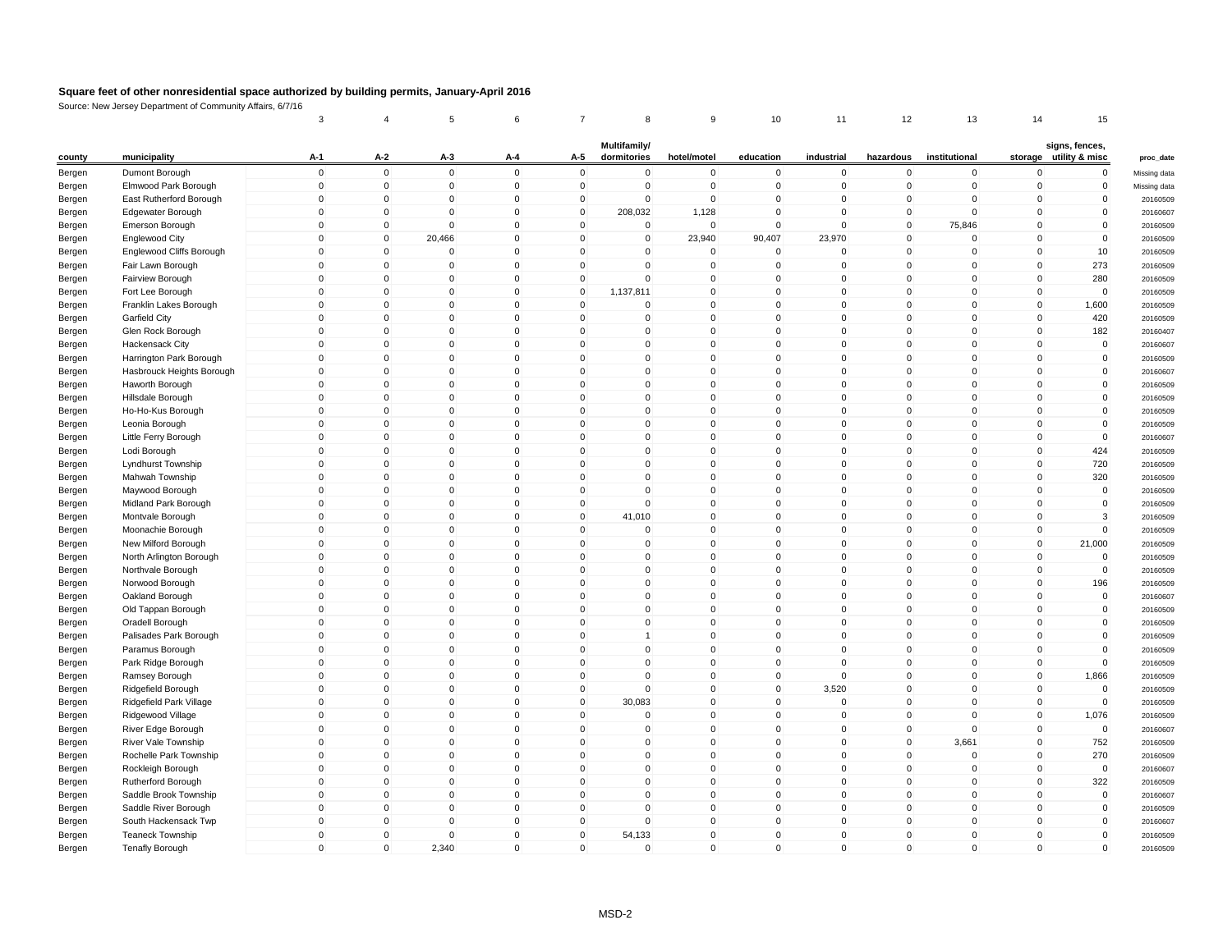|        |                           | 3            | $\overline{4}$      | 5                   | 6            | $\overline{7}$ | 8                           | 9            | 10                  | 11                  | 12          | 13            | 14          | 15                                       |              |
|--------|---------------------------|--------------|---------------------|---------------------|--------------|----------------|-----------------------------|--------------|---------------------|---------------------|-------------|---------------|-------------|------------------------------------------|--------------|
| county | municipality              | A-1          | A-2                 | $A-3$               | A-4          | A-5            | Multifamily/<br>dormitories | hotel/motel  | education           | industrial          | hazardous   | institutional |             | signs, fences,<br>storage utility & misc | proc_date    |
| Bergen | Dumont Borough            | $\mathbf{0}$ | $\mathbf{0}$        | $\mathsf{O}\xspace$ | $\Omega$     | $\mathbf 0$    | $\mathbf{0}$                | $\mathbf{0}$ | $\mathsf{O}\xspace$ | $\mathsf{O}\xspace$ | $\mathbf 0$ | $\mathbf{0}$  | $\mathbf 0$ | $\Omega$                                 | Missing data |
| Bergen | Elmwood Park Borough      | $\mathbf 0$  | $\mathsf{O}\xspace$ | $\mathbf 0$         | $\mathbf 0$  | $\mathsf 0$    | $\mathbf 0$                 | $\mathbf 0$  | $\mathbf 0$         | $\mathsf 0$         | $\mathbf 0$ | $\mathbf 0$   | $\mathsf 0$ | $\mathbf 0$                              | Missing data |
| Bergen | East Rutherford Borough   | $\mathbf 0$  | $\mathbf{0}$        | $\mathsf{O}\xspace$ | $\mathbf{0}$ | $\mathbf 0$    | $\mathbf 0$                 | $\Omega$     | $\mathbf 0$         | $\mathsf 0$         | $\Omega$    | $\Omega$      | $\mathsf 0$ | $\mathbf{0}$                             | 20160509     |
| Bergen | Edgewater Borough         | $\mathbf 0$  | $\mathbf 0$         | $\mathbf 0$         | $\mathbf{0}$ | $\mathbf 0$    | 208,032                     | 1,128        | $\mathbf 0$         | $\mathsf 0$         | $\mathbf 0$ | $\mathbf 0$   | $\mathsf 0$ | $\mathbf 0$                              | 20160607     |
| Bergen | Emerson Borough           | $\mathbf 0$  | $\mathbf 0$         | $\mathsf{O}\xspace$ | $\mathbf 0$  | $\mathbf 0$    | $\mathbf 0$                 | $\mathbf 0$  | $\mathsf 0$         | $\mathsf 0$         | 0           | 75,846        | $\mathsf 0$ | $\mathbf 0$                              | 20160509     |
| Bergen | <b>Englewood City</b>     | $\mathbf 0$  | $\mathsf{O}\xspace$ | 20,466              | $\Omega$     | $\mathbf 0$    | $\mathbf 0$                 | 23,940       | 90,407              | 23,970              | $\mathbf 0$ | $\Omega$      | $\mathsf 0$ | $\mathbf 0$                              | 20160509     |
| Bergen | Englewood Cliffs Borough  | $\mathbf 0$  | $\mathsf{O}\xspace$ | $\mathsf{O}\xspace$ | $\mathsf 0$  | $\mathsf 0$    | $\mathsf{O}\xspace$         | $\Omega$     | $\mathbf 0$         | $\mathsf 0$         | $\mathbf 0$ | $\mathbf 0$   | $\mathsf 0$ | 10                                       | 20160509     |
| Bergen | Fair Lawn Borough         | $\Omega$     | $\Omega$            | $\mathsf{O}\xspace$ | $\Omega$     | $\mathbf 0$    | 0                           | $\Omega$     | $\mathsf 0$         | $\mathbf 0$         | $\Omega$    | $\Omega$      | $\mathsf 0$ | 273                                      | 20160509     |
| Bergen | Fairview Borough          | $\mathbf 0$  | $\mathbf 0$         | $\mathbf 0$         | $\mathbf 0$  | $\mathbf 0$    | $\mathbf 0$                 | $\Omega$     | $\mathbf 0$         | $\mathsf 0$         | $\mathbf 0$ | $\Omega$      | $\mathsf 0$ | 280                                      | 20160509     |
| Bergen | Fort Lee Borough          | $\mathbf 0$  | $\mathbf 0$         | $\mathsf{O}\xspace$ | $\mathbf 0$  | $\mathsf 0$    | 1,137,811                   | $\mathbf{0}$ | $\mathbf 0$         | $\mathsf 0$         | $\mathbf 0$ | $\mathbf 0$   | $\mathsf 0$ | $\mathbf 0$                              | 20160509     |
| Bergen | Franklin Lakes Borough    | $\mathbf 0$  | $\Omega$            | 0                   | $\Omega$     | $\mathbf 0$    | $\Omega$                    | $\Omega$     | $\mathbf 0$         | $\mathsf 0$         | $\Omega$    | $\Omega$      | $\mathsf 0$ | 1,600                                    | 20160509     |
| Bergen | Garfield City             | $\mathbf 0$  | $\mathbf 0$         | 0                   | $\mathbf 0$  | $\mathbf 0$    | $\mathbf 0$                 | $\mathbf{0}$ | $\mathbf 0$         | $\mathbf 0$         | $\mathbf 0$ | $\Omega$      | $\mathsf 0$ | 420                                      | 20160509     |
| Bergen | Glen Rock Borough         | $\mathbf 0$  | $\mathbf 0$         | $\mathsf{O}\xspace$ | $\mathbf 0$  | $\mathsf 0$    | $\mathbf 0$                 | $\mathbf 0$  | $\mathbf 0$         | $\mathsf 0$         | $\mathbf 0$ | $\mathbf 0$   | $\mathsf 0$ | 182                                      | 20160407     |
| Bergen | <b>Hackensack City</b>    | $\Omega$     | $\Omega$            | $\mathsf{O}\xspace$ | $\Omega$     | $\mathbf 0$    | $\mathbf 0$                 | $\Omega$     | $\Omega$            | $\mathsf 0$         | $\Omega$    | $\Omega$      | $\mathsf 0$ | $\mathbf 0$                              | 20160607     |
| Bergen | Harrington Park Borough   | $\Omega$     | $\mathbf 0$         | $\mathsf{O}\xspace$ | $\mathbf 0$  | $\mathbf 0$    | $\mathbf 0$                 | $\Omega$     | $\Omega$            | $\mathsf{O}\xspace$ | $\Omega$    | $\Omega$      | $\mathsf 0$ | $\mathbf 0$                              | 20160509     |
| Bergen | Hasbrouck Heights Borough | $\mathbf 0$  | $\mathbf 0$         | $\mathsf{O}\xspace$ | $\mathbf 0$  | $\mathsf 0$    | $\mathbf 0$                 | $\mathbf 0$  | $\mathbf 0$         | $\mathsf 0$         | $\mathbf 0$ | $\mathbf 0$   | $\mathsf 0$ | $\mathbf 0$                              | 20160607     |
| Bergen | Haworth Borough           | $\mathbf 0$  | $\mathbf 0$         | 0                   | $\Omega$     | $\mathbf 0$    | $\mathbf 0$                 | $\Omega$     | $\mathbf 0$         | $\mathsf{O}\xspace$ | $\Omega$    | $\Omega$      | $\mathsf 0$ | $\mathbf 0$                              | 20160509     |
| Bergen | Hillsdale Borough         | $\mathbf{0}$ | $\mathbf{0}$        | 0                   | $\mathbf{0}$ | $\mathbf 0$    | $\mathbf 0$                 | $\mathbf{0}$ | $\mathbf 0$         | $\mathbf 0$         | $\Omega$    | $\Omega$      | $\mathsf 0$ | $\mathbf 0$                              | 20160509     |
| Bergen | Ho-Ho-Kus Borough         | $\mathbf 0$  | $\mathbf 0$         | $\mathsf{O}\xspace$ | $\mathbf 0$  | $\mathsf 0$    | $\mathbf 0$                 | $\mathbf 0$  | $\mathbf 0$         | $\mathsf 0$         | $\mathbf 0$ | $\mathbf 0$   | $\mathsf 0$ | $\mathbf 0$                              | 20160509     |
| Bergen | Leonia Borough            | $\mathbf 0$  | $\mathbf 0$         | $\mathsf{O}\xspace$ | $\mathbf 0$  | $\mathbf 0$    | $\mathsf{O}\xspace$         | $\mathbf 0$  | $\mathbf 0$         | $\mathsf{O}\xspace$ | $\mathbf 0$ | $\mathbf 0$   | $\mathsf 0$ | $\mathbf 0$                              | 20160509     |
| Bergen | Little Ferry Borough      | $\mathbf{0}$ | $\mathbf{0}$        | $\mathsf{O}\xspace$ | $\mathsf 0$  | $\mathsf 0$    | $\mathsf{O}\xspace$         | $\mathbf{0}$ | $\mathbf 0$         | $\mathbf 0$         | $\Omega$    | $\Omega$      | $\mathsf 0$ | $\mathbf 0$                              | 20160607     |
| Bergen | Lodi Borough              | $\mathbf 0$  | $\Omega$            | $\mathsf{O}\xspace$ | $\Omega$     | $\mathsf 0$    | $\mathbf 0$                 | $\Omega$     | $\mathbf 0$         | $\mathsf 0$         | $\Omega$    | $\Omega$      | $\mathsf 0$ | 424                                      | 20160509     |
| Bergen | Lyndhurst Township        | $\mathbf 0$  | $\mathbf 0$         | $\mathsf{O}\xspace$ | $\mathbf 0$  | $\mathbf 0$    | $\mathsf{O}\xspace$         | $\mathbf 0$  | $\mathbf 0$         | $\mathsf{O}\xspace$ | $\mathbf 0$ | $\mathbf 0$   | $\mathsf 0$ | 720                                      | 20160509     |
| Bergen | Mahwah Township           | $\mathbf{0}$ | $\mathbf{0}$        | $\mathsf{O}\xspace$ | $\mathsf 0$  | $\mathsf 0$    | $\mathsf{O}\xspace$         | $\mathbf{0}$ | $\mathbf 0$         | $\mathbf 0$         | $\Omega$    | $\mathbf 0$   | $\mathsf 0$ | 320                                      | 20160509     |
| Bergen | Maywood Borough           | $\Omega$     | $\Omega$            | $\Omega$            | $\Omega$     | $\mathbf 0$    | $\mathbf{0}$                | $\Omega$     | $\Omega$            | $\mathbf 0$         | $\Omega$    | $\Omega$      | $\mathbf 0$ | $\mathbf{0}$                             | 20160509     |
| Bergen | Midland Park Borough      | $\pmb{0}$    | $\mathsf{O}\xspace$ | $\mathsf{O}\xspace$ | $\mathbf 0$  | $\mathsf 0$    | $\mathsf{O}\xspace$         | $\mathbf 0$  | $\mathsf 0$         | $\mathsf{O}\xspace$ | 0           | $\mathbf 0$   | $\mathsf 0$ | $\mathbf 0$                              | 20160509     |
| Bergen | Montvale Borough          | $\mathbf 0$  | $\mathbf 0$         | 0                   | $\mathbf 0$  | $\mathsf 0$    | 41,010                      | $\Omega$     | $\mathbf 0$         | $\mathsf 0$         | $\mathbf 0$ | $\mathbf 0$   | $\mathsf 0$ | $\mathbf{3}$                             | 20160509     |
| Bergen | Moonachie Borough         | $\Omega$     | $\Omega$            | $\Omega$            | $\Omega$     | $\Omega$       | $\mathbf{0}$                | $\Omega$     | $\Omega$            | $\mathbf 0$         | $\Omega$    | $\Omega$      | $\mathsf 0$ | $\mathbf 0$                              | 20160509     |
| Bergen | New Milford Borough       | $\pmb{0}$    | $\mathsf{O}\xspace$ | $\mathsf{O}\xspace$ | $\pmb{0}$    | $\mathsf 0$    | $\mathsf{O}\xspace$         | $\mathbf 0$  | $\mathbf 0$         | $\mathsf{O}\xspace$ | 0           | $\mathsf 0$   | $\mathsf 0$ | 21,000                                   | 20160509     |
| Bergen | North Arlington Borough   | $\mathbf 0$  | $\mathbf 0$         | 0                   | $\mathbf 0$  | $\mathsf 0$    | 0                           | $\mathbf 0$  | $\mathbf 0$         | $\mathsf 0$         | $\mathbf 0$ | $\mathbf 0$   | $\mathsf 0$ | $\mathbf 0$                              | 20160509     |
| Bergen | Northvale Borough         | $\Omega$     | $\Omega$            | $\mathbf{0}$        | $\Omega$     | $\mathbf 0$    | $\mathbf{0}$                | $\Omega$     | $\Omega$            | $\mathbf 0$         | $\Omega$    | $\Omega$      | $\mathbf 0$ | $\mathbf 0$                              | 20160509     |
| Bergen | Norwood Borough           | $\mathbf 0$  | $\mathbf 0$         | $\mathbf 0$         | $\mathbf 0$  | $\mathbf 0$    | $\mathbf 0$                 | $\mathbf{0}$ | $\mathbf 0$         | $\mathbf 0$         | 0           | $\mathbf 0$   | $\mathsf 0$ | 196                                      | 20160509     |
| Bergen | Oakland Borough           | $\mathbf 0$  | $\mathbf 0$         | 0                   | $\mathbf 0$  | $\mathbf 0$    | 0                           | $\mathbf 0$  | $\mathbf 0$         | $\mathsf 0$         | $\mathbf 0$ | $\mathbf 0$   | $\mathsf 0$ | $\mathbf 0$                              | 20160607     |
| Bergen | Old Tappan Borough        | $\Omega$     | $\Omega$            | $\Omega$            | $\Omega$     | $\Omega$       | $\mathbf{0}$                | $\Omega$     | $\Omega$            | $\mathsf 0$         | $\Omega$    | $\Omega$      | $\mathbf 0$ | $\mathbf{0}$                             | 20160509     |
| Bergen | Oradell Borough           | $\mathbf 0$  | $\mathsf{O}\xspace$ | $\mathsf{O}\xspace$ | $\mathbf 0$  | $\mathsf 0$    | $\mathsf{O}\xspace$         | $\mathbf{0}$ | $\mathbf 0$         | $\mathsf 0$         | $\mathbf 0$ | $\mathbf 0$   | $\mathsf 0$ | $\mathbf 0$                              | 20160509     |
| Bergen | Palisades Park Borough    | $\Omega$     | $\Omega$            | $\Omega$            | $\Omega$     | $\mathbf 0$    | $\overline{1}$              | $\Omega$     | $\Omega$            | $\mathsf 0$         | $\Omega$    | $\Omega$      | $\mathsf 0$ | $\mathbf 0$                              | 20160509     |
| Bergen | Paramus Borough           | $\Omega$     | $\mathbf{0}$        | $\mathsf{O}\xspace$ | $\Omega$     | $\mathbf 0$    | $\mathbf 0$                 | $\mathbf{0}$ | $\mathbf 0$         | $\mathbf 0$         | $\Omega$    | $\Omega$      | $\mathsf 0$ | $\mathbf{0}$                             | 20160509     |
| Bergen | Park Ridge Borough        | $\mathbf 0$  | $\mathbf 0$         | $\mathbf 0$         | $\mathbf 0$  | $\mathsf 0$    | $\mathsf{O}\xspace$         | $\mathbf 0$  | $\mathbf 0$         | $\mathsf 0$         | $\mathbf 0$ | $\mathbf 0$   | $\mathsf 0$ | $\mathbf 0$                              | 20160509     |
| Bergen | Ramsey Borough            | $\Omega$     | $\Omega$            | 0                   | $\Omega$     | $\mathbf 0$    | $\mathbf{0}$                | $\Omega$     | $\mathbf 0$         | $\mathbf 0$         | $\Omega$    | $\Omega$      | $\mathsf 0$ | 1,866                                    | 20160509     |
| Bergen | Ridgefield Borough        | $\mathbf 0$  | $\mathbf 0$         | $\mathsf{O}\xspace$ | $\mathbf 0$  | $\mathbf 0$    | $\mathbf 0$                 | $\Omega$     | $\mathbf 0$         | 3,520               | $\mathbf 0$ | $\Omega$      | $\mathsf 0$ | $\mathbf 0$                              | 20160509     |
| Bergen | Ridgefield Park Village   | $\mathbf 0$  | $\mathbf 0$         | $\mathsf{O}\xspace$ | $\mathbf 0$  | $\mathsf 0$    | 30,083                      | $\mathbf 0$  | $\mathbf 0$         | $\mathbf 0$         | 0           | $\mathbf 0$   | $\mathsf 0$ | $\mathbf 0$                              | 20160509     |
| Bergen | Ridgewood Village         | $\Omega$     | $\Omega$            | 0                   | $\Omega$     | $\mathbf 0$    | $\mathbf 0$                 | $\Omega$     | $\mathbf 0$         | $\mathbf 0$         | $\Omega$    | $\Omega$      | $\mathsf 0$ | 1,076                                    | 20160509     |
| Bergen | River Edge Borough        | $\Omega$     | $\mathbf 0$         | $\mathsf{O}\xspace$ | $\Omega$     | $\mathbf 0$    | $\mathbf 0$                 | $\Omega$     | $\mathbf 0$         | $\mathsf{O}\xspace$ | $\Omega$    | $\Omega$      | $\mathsf 0$ | $\mathbf 0$                              | 20160607     |
| Bergen | River Vale Township       | $\mathbf 0$  | $\mathbf 0$         | $\mathsf{O}\xspace$ | $\mathbf 0$  | $\mathsf 0$    | $\mathbf 0$                 | $\mathbf 0$  | $\mathbf 0$         | $\mathsf 0$         | $\mathbf 0$ | 3,661         | $\mathsf 0$ | 752                                      | 20160509     |
| Bergen | Rochelle Park Township    | $\mathbf 0$  | $\mathbf 0$         | $\mathbf 0$         | $\mathbf 0$  | $\mathbf 0$    | $\mathbf 0$                 | $\Omega$     | $\mathbf 0$         | $\mathsf 0$         | $\mathbf 0$ | $\mathbf 0$   | $\mathsf 0$ | 270                                      | 20160509     |
| Bergen | Rockleigh Borough         | $\Omega$     | $\mathbf{0}$        | $\mathbf 0$         | $\Omega$     | $\mathbf 0$    | $\mathbf 0$                 | $\Omega$     | $\mathbf 0$         | $\mathbf 0$         | $\Omega$    | $\Omega$      | $\mathsf 0$ | $\mathbf 0$                              | 20160607     |
| Bergen | Rutherford Borough        | $\mathbf 0$  | $\mathbf 0$         | 0                   | $\mathbf 0$  | $\mathbf 0$    | $\mathbf 0$                 | $\mathbf 0$  | $\mathbf 0$         | $\mathsf 0$         | $\mathbf 0$ | $\mathbf 0$   | $\mathsf 0$ | 322                                      | 20160509     |
| Bergen | Saddle Brook Township     | $\mathbf 0$  | $\mathbf 0$         | $\mathsf{O}\xspace$ | $\mathbf 0$  | $\mathbf 0$    | $\mathbf 0$                 | $\mathbf 0$  | $\mathsf 0$         | $\mathsf{O}\xspace$ | $\mathbf 0$ | $\mathbf 0$   | $\pmb{0}$   | $\mathbf 0$                              | 20160607     |
| Bergen | Saddle River Borough      | $\Omega$     | $\Omega$            | $\mathsf{O}\xspace$ | $\Omega$     | $\mathbf 0$    | $\mathbf 0$                 | $\Omega$     | $\mathbf 0$         | $\mathbf 0$         | $\Omega$    | $\Omega$      | $\mathsf 0$ | $\mathbf 0$                              | 20160509     |
| Bergen | South Hackensack Twp      | $\Omega$     | $\mathbf 0$         | $\Omega$            | $\Omega$     | $\mathbf 0$    | $\mathbf 0$                 | $\Omega$     | $\mathbf 0$         | $\mathsf 0$         | $\Omega$    | $\Omega$      | $\mathsf 0$ | $\mathbf 0$                              | 20160607     |
| Bergen | <b>Teaneck Township</b>   | $\mathbf 0$  | $\mathbf 0$         | $\mathbf 0$         | $\mathbf 0$  | $\mathbf 0$    | 54,133                      | $\mathbf 0$  | $\mathbf 0$         | $\mathsf{O}\xspace$ | 0           | $\mathbf 0$   | $\mathsf 0$ | $\mathbf 0$                              | 20160509     |
| Bergen | <b>Tenafly Borough</b>    | $\mathbf{0}$ | $\mathbf{0}$        | 2,340               | $\Omega$     | $\mathbf 0$    | $\mathsf{O}\xspace$         | $\Omega$     | $\mathbf 0$         | $\Omega$            | $\Omega$    | $\Omega$      | $\mathbf 0$ | $\mathbf{0}$                             | 20160509     |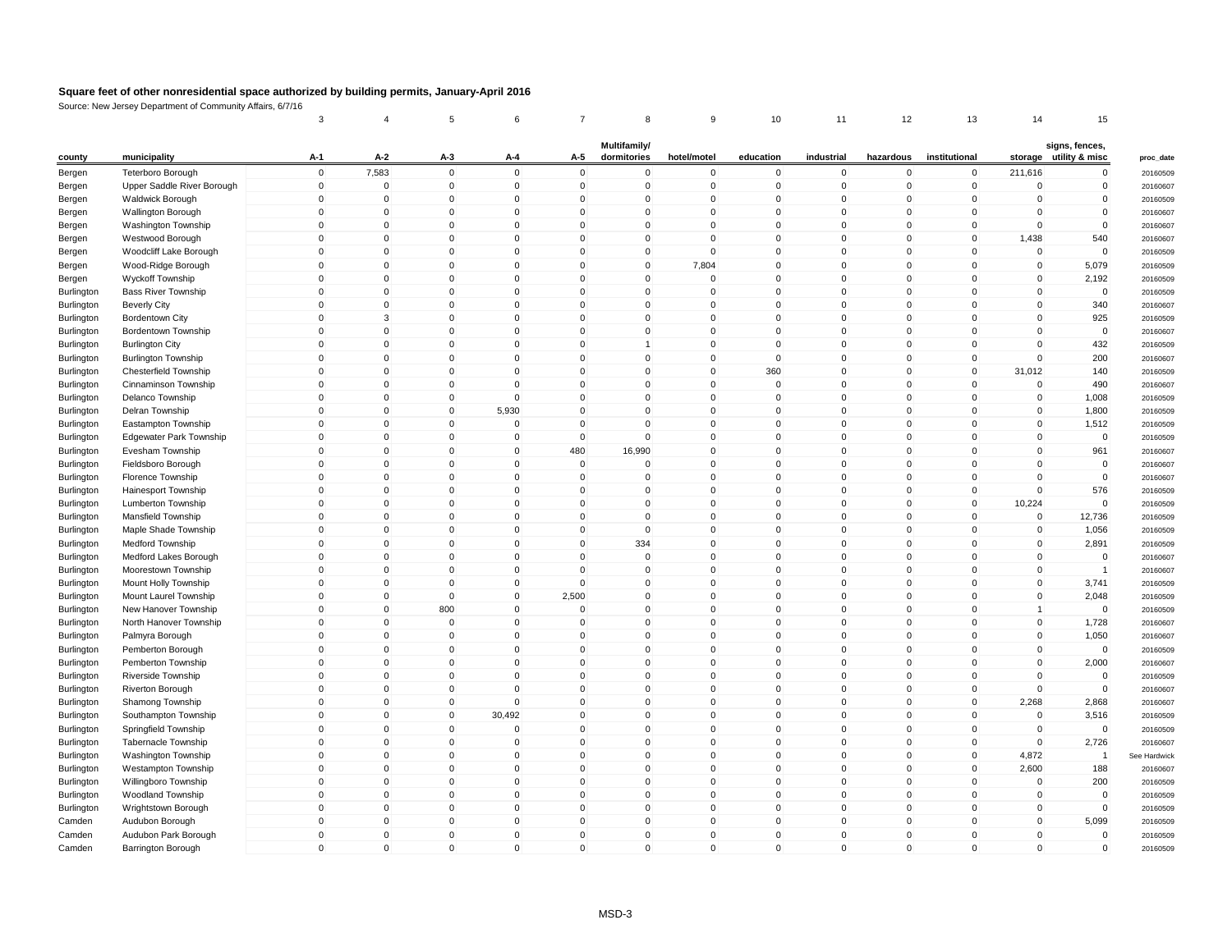|            |                                                | 3                             | 4            | 5            | 6            |              | 8            |             | 10          | 11                  | 12           | 13            | 14                         | 15                     |              |
|------------|------------------------------------------------|-------------------------------|--------------|--------------|--------------|--------------|--------------|-------------|-------------|---------------------|--------------|---------------|----------------------------|------------------------|--------------|
|            |                                                |                               |              |              |              |              | Multifamily/ |             |             |                     |              |               |                            | signs, fences,         |              |
| county     | municipality                                   | A-1                           | A-2          | $A-3$        | A-4          | A-5          | dormitories  | hotel/motel | education   | industrial          | hazardous    | institutional |                            | storage utility & misc | proc_date    |
| Bergen     | <b>Teterboro Borough</b>                       | $\mathbf{0}$                  | 7,583        | $\mathbf 0$  | $\mathbf{0}$ | $\mathbf{0}$ | $\mathbf{0}$ | $\Omega$    | 0           | 0                   | $\mathbf{0}$ | $\mathbf{0}$  | 211.616                    | $\Omega$               | 20160509     |
| Bergen     | Upper Saddle River Borough                     | $\mathbf 0$                   | $\mathbf 0$  | $\mathsf 0$  | $\mathbf 0$  | $\mathbf 0$  | $\mathbf 0$  | $\mathbf 0$ | $\mathsf 0$ | $\mathsf{O}\xspace$ | $\mathbf 0$  | 0             | $\mathbf 0$                | $\mathbf 0$            | 20160607     |
| Bergen     | <b>Waldwick Borough</b>                        | $\mathbf 0$                   | $\mathbf 0$  | $\mathsf 0$  | $\mathbf 0$  | $\mathbf 0$  | 0            | $\mathbf 0$ | $\mathbf 0$ | $\mathbf 0$         | $\mathbf{0}$ | $\mathbf 0$   | $\mathbf 0$                | $\mathbf 0$            | 20160509     |
| Bergen     | Wallington Borough                             | $\mathbf 0$                   | $\mathbf 0$  | $\mathbf 0$  | $\Omega$     | $\Omega$     | $\Omega$     | $\Omega$    | $\mathbf 0$ | $\mathbf 0$         | $\Omega$     | $\Omega$      | $\Omega$                   | $\mathbf 0$            | 20160607     |
| Bergen     | Washington Township                            | $\mathbf 0$                   | $\mathbf 0$  | $\mathbf 0$  | $\Omega$     | $\Omega$     | $\mathbf 0$  | $\Omega$    | $\mathbf 0$ | $\mathbf 0$         | $\mathbf{0}$ | $\mathbf 0$   | $\mathbf 0$                | $\mathsf 0$            | 20160607     |
| Bergen     | Westwood Borough                               | $\mathbf 0$                   | $\mathbf 0$  | $\mathbf 0$  | $\mathbf 0$  | $\mathbf 0$  | 0            | $\Omega$    | $\mathsf 0$ | $\mathsf{O}\xspace$ | $\Omega$     | $\mathbf 0$   | 1,438                      | 540                    | 20160607     |
| Bergen     | Woodcliff Lake Borough                         | $\mathbf 0$                   | $\mathbf 0$  | $\mathbf 0$  | $\mathbf 0$  | $\Omega$     | $\mathbf 0$  | $\Omega$    | $\mathbf 0$ | $\mathbf 0$         | $\Omega$     | $\mathbf 0$   | $\mathbf 0$                | $\mathbf 0$            | 20160509     |
| Bergen     | Wood-Ridge Borough                             | $\mathbf 0$                   | $\mathbf 0$  | $\mathsf 0$  | $\mathbf 0$  | $\mathbf 0$  | 0            | 7,804       | $\mathsf 0$ | $\mathsf{O}\xspace$ | $\Omega$     | $\mathbf 0$   | $\mathbf 0$                | 5,079                  | 20160509     |
| Bergen     | Wyckoff Township                               | $\mathbf 0$                   | $\mathbf 0$  | $\mathbf 0$  | $\mathbf 0$  | $\mathbf 0$  | 0            | $\Omega$    | $\mathbf 0$ | $\mathbf 0$         | $\mathbf 0$  | $\mathbf 0$   | $\mathbf 0$                | 2,192                  | 20160509     |
| Burlington | <b>Bass River Township</b>                     | $\mathbf 0$                   | $\mathbf 0$  | $\mathsf 0$  | $\Omega$     | $\Omega$     | $\mathbf 0$  | $\mathbf 0$ | $\mathsf 0$ | $\mathsf{O}\xspace$ | $\mathbf{0}$ | $\mathbf 0$   | $\mathbf 0$                | $\mathbf 0$            | 20160509     |
| Burlington | <b>Beverly City</b>                            | $\mathbf 0$                   | $\Omega$     | $\mathsf 0$  | $\Omega$     | $\Omega$     | $\Omega$     | $\Omega$    | $\mathsf 0$ | $\mathsf{O}\xspace$ | $\Omega$     | $\Omega$      | $\Omega$                   | 340                    | 20160607     |
| Burlington | <b>Bordentown City</b>                         | $\mathbf 0$                   | 3            | $\mathbf 0$  | $\mathbf 0$  | $\mathbf 0$  | 0            | $\mathbf 0$ | $\mathbf 0$ | $\mathbf 0$         | $\mathbf 0$  | $\mathbf 0$   | $\mathbf 0$                | 925                    | 20160509     |
| Burlington | Bordentown Township                            | $\mathbf 0$                   | $\mathbf 0$  | $\mathsf 0$  | $\Omega$     | $\Omega$     | $\mathbf 0$  | $\mathbf 0$ | $\mathsf 0$ | $\mathsf{O}\xspace$ | $\mathbf{0}$ | $\mathbf 0$   | $\mathbf 0$                | $\mathbf 0$            | 20160607     |
| Burlington | <b>Burlington City</b>                         | $\Omega$                      | $\Omega$     | $\mathbf 0$  | $\mathbf 0$  | $\Omega$     | 1            | $\Omega$    | $\mathsf 0$ | $\mathbf 0$         | $\Omega$     | $\Omega$      | $\Omega$                   | 432                    | 20160509     |
| Burlington | <b>Burlington Township</b>                     | $\overline{0}$                | $\mathbf 0$  | $\mathbf 0$  | $\mathbf 0$  | $\Omega$     | $\mathbf 0$  | $\Omega$    | $\mathbf 0$ | $\mathbf 0$         | $\mathbf{0}$ | $\mathbf 0$   | $\mathbf 0$                | 200                    | 20160607     |
| Burlington | Chesterfield Township                          | $\mathbf 0$                   | $\mathbf 0$  | $\mathbf 0$  | $\mathbf 0$  | $\Omega$     | $\mathbf 0$  | $\mathbf 0$ | 360         | $\mathbf 0$         | $\mathbf{0}$ | $\mathbf 0$   | 31,012                     | 140                    | 20160509     |
| Burlington | Cinnaminson Township                           | $\mathbf 0$                   | $\mathbf 0$  | $\mathbf 0$  | $\Omega$     | $\Omega$     | 0            | $\Omega$    | $\mathbf 0$ | $\mathbf 0$         | $\Omega$     | $\Omega$      | $\Omega$                   | 490                    | 20160607     |
| Burlington | Delanco Township                               | $\overline{0}$                | $\mathbf 0$  | $\mathsf 0$  | $\mathbf 0$  | $\mathbf{0}$ | 0            | $\mathbf 0$ | $\mathbf 0$ | $\mathbf 0$         | $\mathbf{0}$ | $\mathbf 0$   | $\mathbf 0$                | 1,008                  | 20160509     |
| Burlington | Delran Township                                | $\mathbf 0$                   | $\mathbf 0$  | $\mathbf 0$  | 5,930        | $\Omega$     | 0            | $\mathbf 0$ | $\mathsf 0$ | $\mathsf{O}\xspace$ | $\mathbf{0}$ | $\mathbf 0$   | $\mathbf 0$                | 1,800                  | 20160509     |
| Burlington | Eastampton Township                            | $\mathbf 0$                   | $\mathbf 0$  | $\mathbf 0$  | $\mathbf 0$  | $\Omega$     | 0            | $\Omega$    | $\mathsf 0$ | $\mathbf 0$         | $\Omega$     | $\Omega$      | $\mathbf 0$                | 1,512                  | 20160509     |
| Burlington | <b>Edgewater Park Township</b>                 | $\Omega$                      | $\mathbf 0$  | $\mathbf 0$  | $\Omega$     | $\mathbf 0$  | $\Omega$     | $\Omega$    | $\Omega$    | $\mathbf 0$         | $\Omega$     | $\Omega$      | $\mathbf 0$                | $\mathbf 0$            | 20160509     |
| Burlington | Evesham Township                               | $\mathbf 0$                   | $\mathbf 0$  | $\mathsf 0$  | $\mathbf 0$  | 480          | 16,990       | $\mathbf 0$ | $\mathsf 0$ | $\mathsf{O}\xspace$ | $\mathbf{0}$ | $\mathbf 0$   | $\mathbf 0$                | 961                    | 20160607     |
| Burlington | Fieldsboro Borough                             | $\mathbf 0$                   | $\mathbf 0$  | $\mathbf 0$  | $\mathbf 0$  | $\Omega$     | $\mathbf 0$  | $\Omega$    | $\mathsf 0$ | $\mathbf 0$         | $\Omega$     | $\mathbf 0$   | $\mathbf 0$                | $\mathbf 0$            | 20160607     |
| Burlington | Florence Township                              | $\mathbf 0$                   | $\mathbf{0}$ | $\mathbf 0$  | $\Omega$     | $\Omega$     | 0            | $\Omega$    | $\Omega$    | $\mathsf{O}\xspace$ | $\Omega$     | $\Omega$      | $\mathbf{0}$               | $\mathbf 0$            | 20160607     |
| Burlington | Hainesport Township                            | $\mathbf 0$                   | $\mathbf 0$  | $\mathbf 0$  | $\mathbf 0$  | $\mathbf 0$  | 0            | $\mathbf 0$ | $\mathsf 0$ | $\mathbf 0$         | $\mathbf 0$  | $\mathbf 0$   | $\mathbf 0$                | 576                    | 20160509     |
| Burlington | Lumberton Township                             | $\overline{0}$                | $\mathbf 0$  | $\mathbf 0$  | $\mathbf 0$  | $\Omega$     | 0            | $\Omega$    | $\mathbf 0$ | $\mathbf 0$         | $\Omega$     | $\Omega$      | 10,224                     | $\mathbf 0$            | 20160509     |
| Burlington | Mansfield Township                             | $\mathbf 0$                   | $\mathbf{0}$ | $\mathbf 0$  | $\Omega$     | $\mathbf{0}$ | $\Omega$     | $\Omega$    | $\mathbf 0$ | $\mathbf 0$         | $\Omega$     | $\Omega$      | $\mathbf 0$                | 12,736                 | 20160509     |
| Burlington | Maple Shade Township                           | $\mathbf 0$                   | $\mathbf 0$  | $\mathbf 0$  | $\mathbf 0$  | $\mathbf 0$  | $\mathbf 0$  | $\mathbf 0$ | $\mathsf 0$ | $\mathbf 0$         | $\mathbf 0$  | $\mathbf 0$   | $\mathbf 0$                | 1,056                  | 20160509     |
| Burlington | Medford Township                               | $\overline{0}$                | $\mathbf 0$  | $\mathsf 0$  | $\mathbf 0$  | $\mathbf 0$  | 334          | $\mathbf 0$ | $\mathbf 0$ | $\mathsf{O}\xspace$ | $\mathbf{0}$ | $\mathbf 0$   | $\mathbf 0$                | 2,891                  | 20160509     |
| Burlington | Medford Lakes Borough                          | $\mathbf 0$                   | $\mathbf 0$  | $\mathbf 0$  | $\mathbf{0}$ | $\Omega$     | $\Omega$     | $\Omega$    | $\mathbf 0$ | $\mathbf 0$         | $\mathbf{0}$ | $\Omega$      | $\mathbf 0$                | $\mathbf 0$            | 20160607     |
| Burlington | Moorestown Township                            | $\mathbf 0$                   | $\mathbf 0$  | $\mathbf 0$  | $\mathbf 0$  | $\mathbf 0$  | $\mathbf 0$  | $\mathbf 0$ | $\mathbf 0$ | $\mathsf{O}\xspace$ | $\mathbf 0$  | $\mathbf 0$   | $\mathbf 0$                | $\overline{1}$         | 20160607     |
| Burlington | Mount Holly Township                           | $\overline{0}$                | $\mathbf 0$  | $\mathsf 0$  | $\mathbf 0$  | $\mathbf 0$  | 0            | $\mathbf 0$ | $\mathsf 0$ | $\mathbf 0$         | $\mathbf{0}$ | $\mathbf 0$   | $\mathbf 0$                | 3,741                  | 20160509     |
|            |                                                | $\overline{0}$                | $\mathsf 0$  | $\mathsf 0$  | $\mathbf 0$  | 2,500        | $\Omega$     | $\Omega$    | $\mathsf 0$ | $\mathsf{O}\xspace$ | $\Omega$     | $\Omega$      | $\mathbf 0$                | 2,048                  |              |
| Burlington | Mount Laurel Township                          | $\mathsf 0$                   | $\Omega$     | 800          | $\mathbf{0}$ | $\Omega$     | $\Omega$     | $\Omega$    | $\mathbf 0$ | $\mathsf{O}\xspace$ | $\mathbf{0}$ | $\Omega$      | $\overline{1}$             | $\mathbf 0$            | 20160509     |
| Burlington | New Hanover Township<br>North Hanover Township | $\mathbf 0$                   | $\mathbf 0$  | $\mathsf 0$  | $\mathbf 0$  | $\mathbf 0$  | 0            | $\mathbf 0$ | $\mathsf 0$ | $\mathsf{O}\xspace$ | $\mathbf{0}$ | $\mathbf 0$   | $\mathbf 0$                | 1,728                  | 20160509     |
| Burlington |                                                | $\overline{0}$                | $\mathbf 0$  | $\mathsf 0$  | $\mathbf 0$  | $\Omega$     | 0            | $\Omega$    | $\mathsf 0$ | $\mathsf{O}\xspace$ | $\mathbf{0}$ | $\mathbf 0$   | $\mathbf 0$                |                        | 20160607     |
| Burlington | Palmyra Borough                                | $\mathbf 0$                   | $\Omega$     | $\mathbf{0}$ | $\Omega$     | $\Omega$     | $\Omega$     | $\Omega$    | $\mathbf 0$ | $\mathbf{0}$        | $\Omega$     | $\Omega$      | $\Omega$                   | 1,050<br>$\Omega$      | 20160607     |
| Burlington | Pemberton Borough                              |                               |              |              |              | $\mathbf 0$  |              |             |             |                     |              |               |                            |                        | 20160509     |
| Burlington | Pemberton Township                             | $\mathbf 0$<br>$\overline{0}$ | $\mathsf 0$  | $\mathsf 0$  | $\mathbf 0$  | $\Omega$     | 0            | $\mathbf 0$ | $\mathsf 0$ | $\mathsf{O}\xspace$ | $\mathbf{0}$ | $\mathbf 0$   | $\mathbf 0$<br>$\mathbf 0$ | 2,000                  | 20160607     |
| Burlington | Riverside Township                             | $\mathbf 0$                   | $\mathsf 0$  | $\mathsf 0$  | $\mathbf 0$  |              | 0            | $\mathbf 0$ | $\mathsf 0$ | $\mathsf{O}\xspace$ | $\mathbf{0}$ | $\mathbf 0$   |                            | $\mathbf 0$            | 20160509     |
| Burlington | Riverton Borough                               |                               | $\Omega$     | $\mathbf{0}$ | $\mathbf{0}$ | $\Omega$     | $\Omega$     | $\Omega$    | $\mathbf 0$ | $\mathbf{0}$        | $\Omega$     | $\Omega$      | $\Omega$                   | $\mathbf 0$            | 20160607     |
| Burlington | Shamong Township                               | $\mathbf 0$                   | $\mathsf 0$  | $\mathsf 0$  | $\mathbf 0$  | $\mathbf 0$  | 0            | $\mathbf 0$ | $\mathsf 0$ | $\mathsf{O}\xspace$ | $\mathbf 0$  | $\mathbf 0$   | 2,268                      | 2,868                  | 20160607     |
| Burlington | Southampton Township                           | $\overline{0}$                | $\mathbf 0$  | $\mathsf 0$  | 30,492       | $\Omega$     | 0            | $\mathbf 0$ | $\mathsf 0$ | $\mathbf 0$         | $\Omega$     | $\mathbf 0$   | $\mathbf 0$                | 3,516                  | 20160509     |
| Burlington | Springfield Township                           | $\Omega$                      | $\Omega$     | $\Omega$     | $\Omega$     | $\Omega$     | $\Omega$     | $\Omega$    | $\mathbf 0$ | $\mathbf{0}$        | $\Omega$     | $\Omega$      | $\mathbf{0}$               | $\overline{0}$         | 20160509     |
| Burlington | Tabernacle Township                            | $\mathbf 0$                   | $\mathsf 0$  | $\mathsf 0$  | $\pmb{0}$    | $\Omega$     | 0            | $\Omega$    | $\mathsf 0$ | $\mathsf{O}\xspace$ | $\mathbf 0$  | 0             | $\mathsf 0$                | 2,726                  | 20160607     |
| Burlington | Washington Township                            | $\overline{0}$                | $\mathbf 0$  | $\mathbf 0$  | $\mathbf 0$  | $\Omega$     | 0            | $\mathbf 0$ | $\mathsf 0$ | $\mathbf 0$         | $\Omega$     | $\mathbf 0$   | 4,872                      | $\overline{1}$         | See Hardwick |
| Burlington | Westampton Township                            | $\mathbf 0$                   | $\Omega$     | $\Omega$     | $\Omega$     | $\Omega$     | $\Omega$     | $\Omega$    | $\Omega$    | $\mathbf{0}$        | $\Omega$     | $\Omega$      | 2,600                      | 188                    | 20160607     |
| Burlington | Willingboro Township                           | $\mathbf 0$                   | $\mathsf 0$  | $\mathsf 0$  | $\mathbf 0$  | $\Omega$     | 0            | $\Omega$    | $\mathsf 0$ | $\mathsf{O}\xspace$ | $\mathbf{0}$ | 0             | $\mathsf 0$                | 200                    | 20160509     |
| Burlington | Woodland Township                              | $\overline{0}$                | $\mathbf 0$  | $\mathbf 0$  | $\mathbf 0$  | $\mathbf 0$  | 0            | $\mathbf 0$ | $\mathbf 0$ | $\mathbf 0$         | $\Omega$     | $\mathbf 0$   | $\mathbf 0$                | 0                      | 20160509     |
| Burlington | Wrightstown Borough                            | $\overline{0}$                | $\Omega$     | $\mathbf 0$  | $\Omega$     | $\Omega$     | $\Omega$     | $\Omega$    | $\Omega$    | $\mathbf{0}$        | $\Omega$     | $\Omega$      | $\mathbf{0}$               | $\mathbf 0$            | 20160509     |
| Camden     | Audubon Borough                                | $\mathbf 0$                   | $\mathbf 0$  | $\mathbf 0$  | $\mathbf 0$  | $\Omega$     | 0            | $\Omega$    | $\mathbf 0$ | $\mathbf 0$         | $\mathbf{0}$ | $\mathbf 0$   | $\mathbf 0$                | 5,099                  | 20160509     |
| Camden     | Audubon Park Borough                           | $\overline{0}$                | $\mathbf 0$  | $\mathbf 0$  | $\mathbf 0$  | $\mathbf 0$  | 0            | $\mathbf 0$ | $\mathbf 0$ | $\mathbf 0$         | $\Omega$     | $\mathbf 0$   | $\mathbf 0$                | $\mathbf 0$            | 20160509     |
| Camden     | Barrington Borough                             | $\mathbf{0}$                  | $\Omega$     | $\mathbf{0}$ | $\mathbf{0}$ | $\Omega$     | $\Omega$     | $\Omega$    | $\mathbf 0$ | $\Omega$            | $\Omega$     | $\Omega$      | $\Omega$                   | $\Omega$               | 20160509     |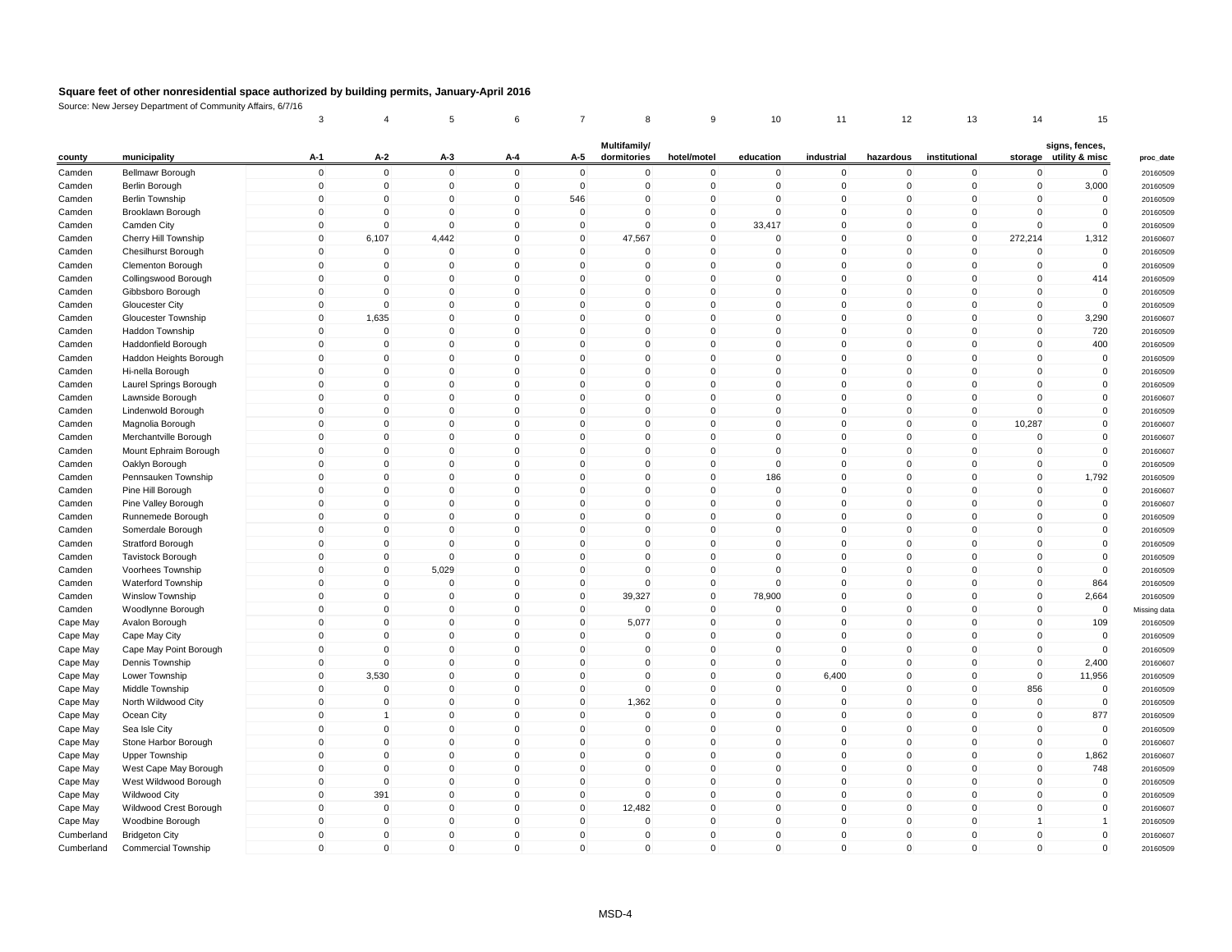|            | opence. New Jersey Department or Community | Alialio, Uli<br>3             |                            | 5                          | 6                           | $\overline{7}$             | 8                           | $\mathbf{q}$                | 10                      | 11                         | 12             | 13                          | 14                            | 15                                       |
|------------|--------------------------------------------|-------------------------------|----------------------------|----------------------------|-----------------------------|----------------------------|-----------------------------|-----------------------------|-------------------------|----------------------------|----------------|-----------------------------|-------------------------------|------------------------------------------|
| county     | municipality                               | A-1                           | A-2                        | $A-3$                      | A-4                         | A-5                        | Multifamily/<br>dormitories | hotel/motel                 | education               | industrial                 | hazardous      | institutional               |                               | signs, fences,<br>storage utility & misc |
|            |                                            | $\mathbf{0}$                  | $\mathbf{0}$               | $\mathbf{0}$               | $\mathbf{0}$                |                            | $\Omega$                    | $\Omega$                    |                         |                            | $\mathbf 0$    |                             |                               | $\mathbf 0$                              |
| Camden     | Bellmawr Borough                           |                               |                            |                            | $\mathbf 0$                 | $\mathsf 0$                | $\mathbf 0$                 | $\mathbf 0$                 | $\overline{0}$          | $\mathbf 0$                | $\mathbf 0$    | $\mathbf 0$<br>$\mathbf 0$  | 0                             |                                          |
| Camden     | Berlin Borough                             | $\overline{0}$                | $\mathsf 0$<br>$\mathbf 0$ | $\mathsf 0$                |                             | $\mathsf 0$                |                             |                             | $\overline{0}$          | $\mathsf 0$                | 0              |                             | $\mathsf 0$                   | 3,000                                    |
| Camden     | <b>Berlin Township</b>                     | $\mathbf 0$<br>$\mathbf 0$    | $\mathbf{0}$               | $\pmb{0}$<br>$\Omega$      | $\mathbf 0$<br>$\mathbf{0}$ | 546                        | 0<br>$\Omega$               | $\mathbf 0$<br>$\mathbf{0}$ | $\mathbf 0$<br>$\Omega$ | $\mathsf 0$                | $\Omega$       | $\mathbf 0$<br>$\mathbf{0}$ | $\mathbf 0$<br>$\mathbf 0$    | 0                                        |
| Camden     | Brooklawn Borough                          |                               | $\mathbf 0$                | $\mathbf 0$                | $\mathbf 0$                 | $\mathsf 0$                | $\mathbf 0$                 | $\mathbf 0$                 |                         | $\mathbf 0$                |                |                             | $\overline{0}$                | $\mathbf 0$                              |
| Camden     | Camden City                                | $\overline{0}$<br>$\mathbf 0$ | 6,107                      | 4,442                      |                             | $\mathsf 0$<br>$\mathsf 0$ |                             | $\Omega$                    | 33,417<br>$\mathbf 0$   | $\mathsf 0$<br>$\mathbf 0$ | 0<br>$\Omega$  | $\mathbf 0$                 | 272,214                       | $\mathbf 0$<br>1,312                     |
| Camden     | Cherry Hill Township                       |                               |                            |                            | $\mathbf 0$                 |                            | 47,567                      |                             |                         |                            |                | $\mathbf 0$                 |                               |                                          |
| Camden     | <b>Chesilhurst Borough</b>                 | $\mathbf 0$                   | $\mathbf 0$                | 0                          | $\mathbf 0$                 | $\mathsf 0$                | 0                           | $\mathbf 0$<br>$\Omega$     | 0                       | $\mathbf 0$                | 0              | $\mathbf 0$<br>$\Omega$     | $\mathbf 0$<br>$\overline{0}$ | $\mathbf 0$                              |
| Camden     | Clementon Borough                          | $\mathsf 0$                   | $\mathbf 0$<br>$\mathbf 0$ | $\mathbf 0$<br>$\mathbf 0$ | $\mathbf 0$<br>$\mathbf{0}$ | $\mathsf 0$<br>$\mathbf 0$ | $\mathbf 0$                 | $\Omega$                    | $\mathsf 0$             | $\mathsf 0$                | 0<br>$\Omega$  | $\Omega$                    |                               | $\mathbf 0$                              |
| Camden     | Collingswood Borough                       | $\mathbf 0$<br>$\mathbf 0$    |                            | $\mathbf 0$                |                             |                            | $\mathbf 0$                 | $\Omega$                    | $\mathbf 0$             | $\mathbf 0$                |                |                             | $\mathsf 0$                   | 414                                      |
| Camden     | Gibbsboro Borough                          |                               | $\mathsf 0$                |                            | $\mathbf 0$                 | $\mathsf 0$                | $\mathbf 0$                 |                             | $\mathbf 0$             | $\mathsf 0$                | 0              | $\mathbf 0$                 | $\mathsf 0$                   | $\mathbf 0$                              |
| Camden     | Gloucester City                            | $\mathbf 0$                   | $\mathbf 0$                | $\pmb{0}$                  | $\mathbf 0$                 | $\mathsf 0$                | $\mathbf 0$                 | $\Omega$<br>$\Omega$        | $\mathbf 0$             | $\mathbf 0$                | 0              | $\mathbf 0$                 | $\mathsf 0$                   | $\mathbf 0$                              |
| Camden     | Gloucester Township                        | $\mathbf 0$                   | 1,635                      | $\mathbf 0$                | $\mathbf{0}$                | $\mathbf 0$                | $\Omega$                    |                             | $\mathbf 0$             | $\mathsf 0$                | $\Omega$       | $\Omega$                    | $\mathsf 0$                   | 3,290                                    |
| Camden     | Haddon Township                            | $\mathbf 0$                   | $\mathbf 0$                | $\pmb{0}$                  | $\mathbf 0$                 | $\mathsf 0$                | $\mathbf 0$                 | $\mathbf 0$                 | $\overline{0}$          | $\mathbf 0$                | $\mathbf 0$    | $\mathbf 0$                 | $\mathsf 0$                   | 720                                      |
| Camden     | Haddonfield Borough                        | $\Omega$                      | $\mathbf 0$                | $\Omega$                   | $\Omega$                    | $\Omega$                   | $\Omega$                    | $\Omega$                    | $\mathbf 0$             | $\mathbf{0}$               | 0              | $\Omega$                    | $\overline{0}$                | 400                                      |
| Camden     | Haddon Heights Borough                     | $\mathbf 0$                   | $\Omega$                   | $\mathbf 0$                | $\mathbf{0}$                | $\mathbf 0$                | $\mathbf{0}$                | $\Omega$                    | $\mathbf 0$             | $\mathsf 0$                | $\Omega$       | $\Omega$                    | $\mathsf 0$                   | $\mathbf 0$                              |
| Camden     | Hi-nella Borough                           | $\mathbf 0$                   | $\mathbf 0$                | $\pmb{0}$                  | $\mathsf{O}\xspace$         | $\mathsf 0$                | $\mathbf 0$                 | $\Omega$                    | $\overline{0}$          | $\mathsf 0$                | 0              | $\Omega$                    | $\mathsf 0$                   | $\mathbf 0$                              |
| Camden     | Laurel Springs Borough                     | $\mathbf 0$                   | $\mathbf 0$                | $\overline{0}$             | $\mathbf 0$                 | $\mathsf 0$                | $\mathbf{0}$                | $\Omega$                    | $\mathbf 0$             | $\mathsf 0$                | 0              | $\mathbf 0$                 | $\overline{0}$                | $\mathbf 0$                              |
| Camden     | Lawnside Borough                           | $\mathbf 0$                   | $\mathbf 0$                | $\mathbf 0$                | $\mathbf{0}$                | $\mathsf 0$                | $\mathbf 0$                 | $\Omega$                    | $\mathbf 0$             | $\mathbf 0$                | $\Omega$       | $\Omega$                    | $\mathsf 0$                   | $\mathbf 0$                              |
| Camden     | Lindenwold Borough                         | $\mathbf 0$                   | $\mathbf 0$                | $\mathbf 0$                | $\mathbf 0$                 | $\mathsf 0$                | $\mathbf 0$                 | $\Omega$                    | $\mathsf{O}\xspace$     | $\mathsf 0$                | $\mathbf 0$    | $\mathbf 0$                 | $\mathsf 0$                   | $\mathbf 0$                              |
| Camden     | Magnolia Borough                           | $\mathbf 0$                   | $\mathbf 0$                | $\pmb{0}$                  | $\mathbf 0$                 | $\mathsf 0$                | 0                           | $\mathbf 0$                 | $\mathsf{O}\xspace$     | $\mathbf 0$                | 0              | $\mathbf 0$                 | 10,287                        | $\mathbf 0$                              |
| Camden     | Merchantville Borough                      | $\mathbf{0}$                  | $\Omega$                   | $\Omega$                   | $\mathbf{0}$                | $\mathbf 0$                | $\Omega$                    | $\Omega$                    | $\mathbf{0}$            | $\mathbf{0}$               | $\Omega$       | $\Omega$                    | $\mathbf 0$                   | $\mathbf{0}$                             |
| Camden     | Mount Ephraim Borough                      | $\mathbf 0$                   | $\mathbf 0$                | $\pmb{0}$                  | $\mathbf 0$                 | $\mathsf 0$                | $\mathbf 0$                 | $\mathbf 0$                 | $\mathsf 0$             | $\mathsf 0$                | 0              | $\mathbf 0$                 | $\mathbf 0$                   | $\mathbf 0$                              |
| Camden     | Oaklyn Borough                             | $\Omega$                      | $\mathbf 0$                | $\mathbf 0$                | $\mathsf{O}\xspace$         | $\mathbf 0$                | $\mathbf{0}$                | $\Omega$                    | $\mathbf 0$             | $\mathsf 0$                | $\Omega$       | $\Omega$                    | $\mathsf 0$                   | $\mathbf 0$                              |
| Camden     | Pennsauken Township                        | $\mathsf{O}\xspace$           | $\mathbf 0$                | 0                          | $\mathbf 0$                 | $\mathsf 0$                | $\mathbf{0}$                | $\Omega$                    | 186                     | $\mathsf 0$                | $\overline{0}$ | $\mathbf 0$                 | $\mathsf 0$                   | 1,792                                    |
| Camden     | Pine Hill Borough                          | $\mathbf 0$                   | $\mathbf 0$                | $\pmb{0}$                  | $\mathbf 0$                 | $\mathbf 0$                | 0                           | $\Omega$                    | $\overline{0}$          | $\mathsf 0$                | 0              | $\mathbf 0$                 | $\mathbf 0$                   | 0                                        |
| Camden     | Pine Valley Borough                        | $\mathbf 0$                   | $\mathsf 0$                | $\mathbf 0$                | $\mathbf 0$                 | $\mathsf 0$                | $\mathbf 0$                 | $\Omega$                    | $\mathbf 0$             | $\mathsf 0$                | $\mathbf 0$    | $\mathbf 0$                 | $\mathsf 0$                   | $\mathbf 0$                              |
| Camden     | Runnemede Borough                          | $\mathsf{O}\xspace$           | $\mathbf{0}$               | $\mathbf 0$                | $\mathbf{0}$                | $\mathbf 0$                | $\mathbf{0}$                | $\mathbf{0}$                | $\mathbf 0$             | $\mathsf 0$                | $\Omega$       | $\Omega$                    | $\mathbf 0$                   | $\mathbf 0$                              |
| Camden     | Somerdale Borough                          | $\mathbf 0$                   | $\mathbf 0$                | $\mathbf 0$                | $\mathbf 0$                 | $\mathsf 0$                | $\mathbf 0$                 | $\Omega$                    | $\mathbf 0$             | $\mathbf 0$                | 0              | $\mathbf 0$                 | $\overline{0}$                | $\mathbf 0$                              |
| Camden     | Stratford Borough                          | $\mathbf 0$                   | $\mathsf 0$                | $\Omega$                   | $\mathsf{O}\xspace$         | $\mathsf 0$                | $\Omega$                    | $\Omega$                    | $\mathsf{O}\xspace$     | $\mathsf 0$                | $\Omega$       | $\Omega$                    | $\mathsf 0$                   | $\mathbf 0$                              |
| Camden     | Tavistock Borough                          | $\mathsf{O}\xspace$           | $\mathsf 0$                | 0                          | $\mathbf 0$                 | $\mathsf 0$                | $\mathbf 0$                 | $\mathbf{0}$                | $\mathbf 0$             | $\mathsf 0$                | $\overline{0}$ | $\mathbf 0$                 | $\mathsf 0$                   | $\mathbf 0$                              |
| Camden     | Voorhees Township                          | 0                             | $\mathbf 0$                | 5,029                      | $\mathbf 0$                 | $\mathbf 0$                | 0                           | $\mathbf 0$                 | $\mathbf 0$             | $\mathsf 0$                | 0              | 0                           | $\overline{0}$                | 0                                        |
| Camden     | Waterford Township                         | $\mathbf 0$                   | $\mathbf 0$                | $\mathbf 0$                | $\mathbf{0}$                | $\mathsf 0$                | $\Omega$                    | $\mathbf{0}$                | $\mathbf 0$             | $\mathbf 0$                | $\Omega$       | $\Omega$                    | $\mathsf 0$                   | 864                                      |
| Camden     | Winslow Township                           | $\mathbf 0$                   | $\mathsf 0$                | $\pmb{0}$                  | $\mathbf 0$                 | $\mathsf 0$                | 39,327                      | $\mathbf 0$                 | 78,900                  | $\mathsf{O}\xspace$        | $\mathbf 0$    | $\mathbf 0$                 | $\mathsf 0$                   | 2,664                                    |
| Camden     | Woodlynne Borough                          | $\mathbf 0$                   | $\mathbf 0$                | $\mathbf 0$                | $\mathbf 0$                 | $\mathsf 0$                | $\mathbf 0$                 | $\Omega$                    | $\mathbf 0$             | $\mathbf 0$                | 0              | $\mathbf 0$                 | $\mathsf 0$                   | $\mathbf 0$                              |
| Cape May   | Avalon Borough                             | $\mathbf 0$                   | $\mathbf 0$                | $\mathbf 0$                | $\mathbf 0$                 | $\mathsf 0$                | 5,077                       | $\mathbf{0}$                | $\mathbf 0$             | $\mathbf 0$                | 0              | $\Omega$                    | $\mathsf 0$                   | 109                                      |
| Cape May   | Cape May City                              | $\mathbf 0$                   | $\mathbf 0$                | $\mathbf 0$                | $\mathsf{O}\xspace$         | $\mathsf 0$                | $\mathbf 0$                 | $\Omega$                    | $\mathbf 0$             | $\mathsf 0$                | $\overline{0}$ | $\mathbf 0$                 | $\mathsf 0$                   | $\mathbf 0$                              |
| Cape May   | Cape May Point Borough                     | $\mathbf 0$                   | $\mathbf 0$                | 0                          | $\mathbf 0$                 | $\mathbf 0$                | $\mathbf 0$                 | $\mathbf 0$                 | $\mathbf 0$             | $\mathbf 0$                | 0              | $\mathbf 0$                 | $\mathsf 0$                   | $\mathbf 0$                              |
| Cape May   | Dennis Township                            | $\mathbf 0$                   | $\Omega$                   | 0                          | $\mathbf{0}$                | $\mathbf 0$                | $\Omega$                    | $\Omega$                    | $\mathbf 0$             | $\mathbf{0}$               | $\Omega$       | $\Omega$                    | $\mathbf 0$                   | 2,400                                    |
| Cape May   | Lower Township                             | $\overline{0}$                | 3,530                      | $\pmb{0}$                  | $\mathbf 0$                 | $\mathsf 0$                | $\mathbf 0$                 | $\mathbf 0$                 | $\mathsf 0$             | 6,400                      | $\mathbf 0$    | $\mathbf 0$                 | $\mathsf 0$                   | 11,956                                   |
|            | Middle Township                            | $\mathbf 0$                   | $\mathbf{0}$               | 0                          | $\Omega$                    | $\mathbf 0$                | $\mathbf{0}$                | $\Omega$                    | $\mathbf 0$             | $\mathsf 0$                | 0              | $\Omega$                    | 856                           | 0                                        |
| Cape May   |                                            | $\mathbf 0$                   | $\mathbf 0$                | 0                          | $\mathbf 0$                 | $\mathsf 0$                |                             | $\Omega$                    | $\mathbf 0$             | $\mathbf 0$                | $\Omega$       | $\Omega$                    | $\mathsf 0$                   | $\mathbf 0$                              |
| Cape May   | North Wildwood City                        |                               | $\overline{1}$             | $\mathbf 0$                | $\Omega$                    |                            | 1,362<br>$\Omega$           | $\Omega$                    |                         |                            | 0              | $\Omega$                    |                               |                                          |
| Cape May   | Ocean City                                 | 0<br>$\mathbf 0$              | $\mathbf 0$                | $\mathbf 0$                |                             | $\mathbf 0$                |                             | $\Omega$                    | 0                       | $\mathsf 0$                | $\Omega$       |                             | $\mathsf 0$                   | 877                                      |
| Cape May   | Sea Isle City                              |                               |                            |                            | $\mathbf 0$                 | $\mathbf 0$                | $\mathbf 0$                 |                             | $\mathsf{O}\xspace$     | $\mathsf 0$                |                | $\mathbf 0$                 | $\mathsf 0$                   | $\mathbf 0$                              |
| Cape May   | Stone Harbor Borough                       | $\mathbf 0$                   | $\mathbf 0$                | 0                          | $\mathbf 0$                 | $\mathsf 0$                | $\mathbf 0$                 | $\mathbf 0$                 | $\mathbf 0$             | $\mathbf 0$                | 0              | $\mathbf 0$                 | $\mathsf 0$                   | $\mathbf 0$                              |
| Cape May   | Upper Township                             | $\mathbf 0$                   | $\mathbf 0$                | 0                          | $\Omega$                    | $\mathsf 0$                | $\Omega$                    | $\Omega$                    | $\mathbf 0$             | $\mathbf 0$                | 0              | $\Omega$                    | $\mathsf 0$                   | 1,862                                    |
| Cape May   | West Cape May Borough                      | $\mathbf 0$                   | $\mathbf 0$                | $\pmb{0}$                  | $\mathbf 0$                 | $\mathsf 0$                | $\mathbf 0$                 | $\Omega$                    | $\mathbf 0$             | $\mathsf 0$                | 0              | $\mathbf 0$                 | $\mathsf 0$                   | 748                                      |
| Cape May   | West Wildwood Borough                      | $\mathbf 0$                   | $\mathsf 0$                | $\mathbf 0$                | $\mathbf 0$                 | $\mathsf 0$                | $\mathbf 0$                 | $\mathbf{0}$                | $\mathbf 0$             | $\mathsf 0$                | 0              | $\mathbf 0$                 | $\mathsf 0$                   | $\mathbf 0$                              |
| Cape May   | Wildwood City                              | $\overline{0}$                | 391                        | $\pmb{0}$                  | $\mathbf 0$                 | $\mathsf 0$                | $\mathbf 0$                 | $\mathbf 0$                 | $\mathbf 0$             | $\mathbf 0$                | 0              | $\mathbf 0$                 | $\mathsf 0$                   | $\mathbf 0$                              |
| Cape May   | Wildwood Crest Borough                     | $\mathbf 0$                   | $\mathbf{0}$               | $\mathbf 0$                | $\mathbf{0}$                | $\mathbf 0$                | 12,482                      | $\Omega$                    | $\mathbf 0$             | $\mathbf 0$                | $\Omega$       | $\mathbf{0}$                | $\mathbf 0$                   | $\mathbf{0}$                             |
| Cape May   | Woodbine Borough                           | $\mathbf 0$                   | $\mathbf 0$                | 0                          | $\mathbf 0$                 | $\mathsf 0$                | $\mathbf 0$                 | $\mathbf 0$                 | $\mathsf{O}\xspace$     | $\mathsf 0$                | 0              | $\mathbf 0$                 | $\overline{1}$                | 1                                        |
| Cumberland | <b>Bridgeton City</b>                      | $\mathbf 0$                   | $\mathbf 0$                | 0                          | $\Omega$                    | $\mathsf 0$                | $\mathbf 0$                 | $\Omega$                    | $\mathbf 0$             | $\mathbf 0$                | $\Omega$       | $\Omega$                    | $\overline{0}$                | $\mathbf 0$                              |
| Cumberland | <b>Commercial Township</b>                 | $\Omega$                      | $\Omega$                   | 0                          | $\Omega$                    | $\mathsf 0$                | $\Omega$                    | $\Omega$                    | $\mathbf 0$             | $\mathbf 0$                | $\Omega$       | $\Omega$                    | $\Omega$                      | $\Omega$                                 |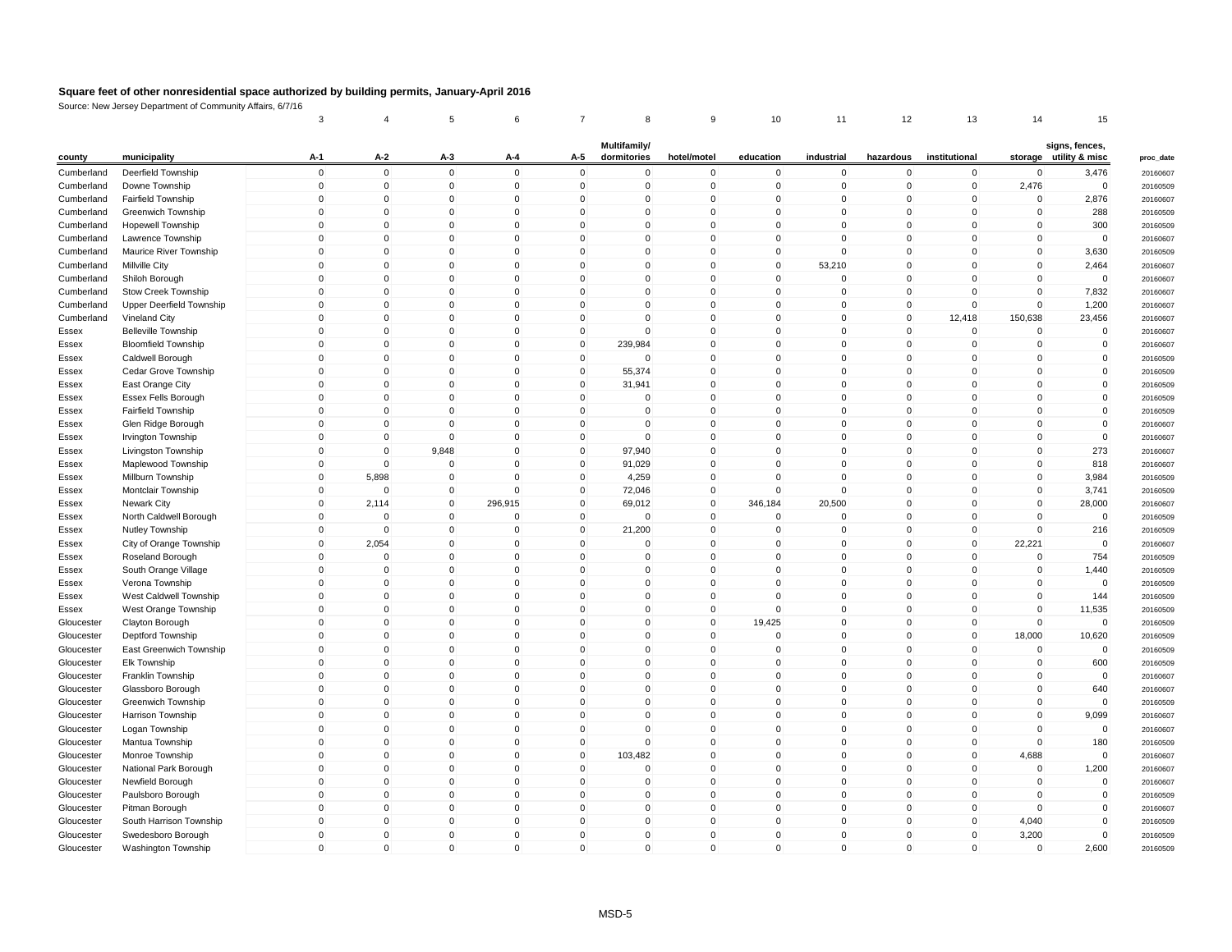|            | Source: New Jersey Department or Community | 3                   | $\overline{4}$ | 5              | 6                   | $\overline{7}$ | 8            | 9            | 10                  | 11           | 12          | 13            | 14             | 15                     |
|------------|--------------------------------------------|---------------------|----------------|----------------|---------------------|----------------|--------------|--------------|---------------------|--------------|-------------|---------------|----------------|------------------------|
|            |                                            |                     |                |                |                     |                | Multifamily/ |              |                     |              |             |               |                | signs, fences,         |
| county     | municipality                               | A-1                 | A-2            | $A-3$          | $A - 4$             | A-5            | dormitories  | hotel/motel  | education           | industrial   | hazardous   | institutional |                | storage utility & misc |
| Cumberland | Deerfield Township                         | $\overline{0}$      | $\mathsf 0$    | $\mathsf 0$    | $\mathbf 0$         | $\mathsf 0$    | 0            | $\mathbf 0$  | $\overline{0}$      | $\mathbf 0$  | $\pmb{0}$   | $\mathbf 0$   | $\mathsf 0$    | 3,476                  |
| Cumberland | Downe Township                             | $\mathbf 0$         | $\mathbf 0$    | $\mathbf 0$    | $\mathbf{0}$        | $\mathsf 0$    | $\mathbf 0$  | $\Omega$     | $\mathbf 0$         | $\mathbf 0$  | $\mathbf 0$ | $\mathbf{0}$  | 2,476          | $\mathbf 0$            |
| Cumberland | Fairfield Township                         | $\mathbf 0$         | $\mathbf 0$    | $\mathbf 0$    | $\mathbf 0$         | 0              | 0            | $\Omega$     | $\mathsf 0$         | $\mathbf 0$  | $\mathbf 0$ | $\mathbf 0$   | $\mathbf 0$    | 2,876                  |
| Cumberland | <b>Greenwich Township</b>                  | $\mathbf 0$         | $\mathbf 0$    | $\overline{0}$ | $\mathbf 0$         | $\overline{0}$ | 0            | $\Omega$     | $\mathbf 0$         | $\mathbf 0$  | 0           | $\mathbf 0$   | $\mathbf 0$    | 288                    |
| Cumberland | <b>Hopewell Township</b>                   | $\mathbf 0$         | $\mathbf 0$    | 0              | $\mathbf 0$         | $\mathbf 0$    | $\mathbf{0}$ | $\Omega$     | $\mathbf 0$         | $\mathbf 0$  | 0           | $\mathbf 0$   | $\mathbf 0$    | 300                    |
| Cumberland | Lawrence Township                          | $\mathbf 0$         | $\mathbf 0$    | $\pmb{0}$      | $\mathbf 0$         | $\mathsf 0$    | $\mathbf 0$  | $\Omega$     | $\mathsf 0$         | $\mathsf 0$  | 0           | $\Omega$      | $\mathsf 0$    | $\mathbf 0$            |
| Cumberland | Maurice River Township                     | $\mathbf 0$         | $\mathbf 0$    | 0              | $\mathbf 0$         | $\mathsf 0$    | $\mathbf 0$  | $\Omega$     | $\mathsf{O}\xspace$ | $\mathsf 0$  | $\mathbf 0$ | $\mathbf 0$   | $\mathsf 0$    | 3,630                  |
| Cumberland | Millville City                             | $\mathbf 0$         | $\mathbf 0$    | $\mathbf 0$    | $\mathbf 0$         | $\mathsf 0$    | 0            | $\mathbf 0$  | $\mathbf 0$         | 53,210       | 0           | $\mathbf 0$   | $\mathsf 0$    | 2,464                  |
| Cumberland | Shiloh Borough                             | $\mathbf 0$         | $\mathbf 0$    | 0              | $\Omega$            | $\mathsf 0$    | $\mathbf 0$  | $\Omega$     | $\mathbf 0$         | $\mathbf 0$  | 0           | $\Omega$      | $\mathsf 0$    | $\mathbf 0$            |
| Cumberland | Stow Creek Township                        | $\mathbf 0$         | $\mathbf 0$    | $\mathbf 0$    | $\mathbf 0$         | $\mathsf 0$    | $\Omega$     | $\Omega$     | $\overline{0}$      | $\mathsf 0$  | $\mathbf 0$ | $\mathbf 0$   | $\mathsf 0$    | 7,832                  |
| Cumberland | <b>Upper Deerfield Township</b>            | $\mathsf{O}\xspace$ | $\mathsf 0$    | $\mathbf 0$    | $\mathbf{0}$        | $\mathbf 0$    | $\mathbf{0}$ | $\Omega$     | $\mathsf{O}\xspace$ | $\mathsf 0$  | $\mathbf 0$ | $\mathbf{0}$  | $\mathsf 0$    | 1,200                  |
| Cumberland | Vineland City                              | $\mathbf 0$         | $\mathbf 0$    | 0              | $\mathbf 0$         | $\mathbf 0$    | 0            | $\Omega$     | $\mathbf 0$         | $\mathbf 0$  | 0           | 12,418        | 150,638        | 23,456                 |
|            |                                            |                     |                | 0              |                     |                | $\mathbf 0$  | $\Omega$     | $\mathbf 0$         |              |             |               |                |                        |
| Essex      | <b>Belleville Township</b>                 | $\mathbf 0$         | $\mathbf 0$    |                | $\mathbf 0$         | $\mathbf 0$    |              |              |                     | $\mathbf 0$  | 0           | $\mathbf 0$   | $\mathbf 0$    | $\mathbf 0$            |
| Essex      | <b>Bloomfield Township</b>                 | $\mathbf 0$         | $\mathbf 0$    | $\mathbf 0$    | $\mathsf{O}\xspace$ | $\mathsf 0$    | 239,984      | $\Omega$     | $\mathbf 0$         | $\mathsf 0$  | $\mathbf 0$ | $\mathbf 0$   | $\mathsf 0$    | $\mathbf 0$            |
| Essex      | Caldwell Borough                           | $\mathbf 0$         | $\mathbf 0$    | $\mathbf 0$    | $\mathbf 0$         | $\mathsf 0$    | $\mathbf 0$  | $\Omega$     | $\mathbf 0$         | $\mathbf 0$  | 0           | $\mathbf 0$   | $\mathbf 0$    | $\mathbf{0}$           |
| Essex      | Cedar Grove Township                       | $\Omega$            | $\mathbf{0}$   | $\Omega$       | $\mathbf{0}$        | $\mathbf 0$    | 55,374       | $\Omega$     | $\Omega$            | $\mathbf{0}$ | 0           | $\Omega$      | $\mathbf 0$    | 0                      |
| Essex      | East Orange City                           | $\mathbf 0$         | $\mathbf 0$    | $\mathbf 0$    | $\mathbf 0$         | $\mathsf 0$    | 31,941       | $\Omega$     | $\mathbf 0$         | $\mathsf 0$  | $\mathbf 0$ | $\mathbf{0}$  | $\mathsf 0$    | $\mathbf 0$            |
| Essex      | Essex Fells Borough                        | $\mathbf 0$         | $\mathbf 0$    | $\pmb{0}$      | $\mathbf 0$         | $\mathsf 0$    | $\mathbf 0$  | $\Omega$     | $\mathbf 0$         | $\mathsf 0$  | 0           | $\mathbf 0$   | $\mathsf 0$    | $\mathbf 0$            |
| Essex      | <b>Fairfield Township</b>                  | $\mathbf 0$         | $\mathbf{0}$   | $\Omega$       | $\mathbf{0}$        | $\mathbf 0$    | $\Omega$     | $\Omega$     | $\Omega$            | $\mathbf 0$  | $\Omega$    | $\Omega$      | $\mathbf 0$    | $\mathbf 0$            |
| Essex      | Glen Ridge Borough                         | $\mathbf 0$         | $\mathbf 0$    | 0              | $\Omega$            | $\mathsf 0$    | $\Omega$     | $\Omega$     | $\mathbf 0$         | $\mathbf 0$  | 0           | $\Omega$      | $\mathsf 0$    | $\mathbf 0$            |
| Essex      | Irvington Township                         | $\mathbf 0$         | $\mathbf 0$    | $\mathbf 0$    | $\mathbf 0$         | $\mathsf 0$    | $\mathbf 0$  | $\Omega$     | $\mathsf{O}\xspace$ | $\mathsf 0$  | $\Omega$    | $\mathbf 0$   | $\mathsf 0$    | $\mathbf 0$            |
| Essex      | Livingston Township                        | $\mathbf 0$         | $\mathsf 0$    | 9,848          | $\mathbf 0$         | $\mathsf 0$    | 97,940       | $\Omega$     | $\mathbf 0$         | $\mathsf 0$  | 0           | $\mathbf 0$   | $\overline{0}$ | 273                    |
| Essex      | Maplewood Township                         | $\mathbf 0$         | $\mathbf 0$    | 0              | $\mathbf 0$         | $\mathbf 0$    | 91,029       | $\mathbf 0$  | $\mathbf 0$         | $\mathbf 0$  | 0           | $\mathbf 0$   | $\mathbf 0$    | 818                    |
| Essex      | Millburn Township                          | $\mathbf{0}$        | 5,898          | $\mathbf 0$    | $\Omega$            | $\mathbf 0$    | 4,259        | $\Omega$     | $\mathbf{0}$        | $\mathbf{0}$ | $\Omega$    | $\Omega$      | $\mathbf 0$    | 3,984                  |
| Essex      | Montclair Township                         | $\mathbf 0$         | $\mathbf 0$    | $\mathbf 0$    | $\mathbf 0$         | $\mathsf 0$    | 72,046       | $\mathbf 0$  | $\mathsf 0$         | $\mathsf 0$  | 0           | $\mathbf 0$   | $\mathsf 0$    | 3,741                  |
| Essex      | Newark City                                | $\mathbf 0$         | 2,114          | 0              | 296,915             | $\mathsf 0$    | 69,012       | $\mathbf 0$  | 346,184             | 20,500       | 0           | $\mathbf 0$   | $\overline{0}$ | 28,000                 |
| Essex      | North Caldwell Borough                     | $\mathbf{0}$        | $\Omega$       | $\Omega$       | $\Omega$            | $\mathbf 0$    | $\Omega$     | $\Omega$     | $\Omega$            | $\mathbf{0}$ | $\Omega$    | $\Omega$      | $\mathbf 0$    | $\mathbf 0$            |
| Essex      | Nutley Township                            | $\mathsf 0$         | $\mathbf 0$    | $\pmb{0}$      | $\mathbf 0$         | $\mathsf 0$    | 21,200       | $\mathbf 0$  | $\mathbf 0$         | $\mathsf 0$  | 0           | $\mathbf 0$   | $\mathsf 0$    | 216                    |
|            |                                            |                     |                | $\pmb{0}$      | $\Omega$            |                | $\Omega$     | $\Omega$     | $\mathbf 0$         |              | 0           | $\Omega$      |                | $\Omega$               |
| Essex      | City of Orange Township                    | $\mathsf{O}\xspace$ | 2,054          |                |                     | $\mathbf 0$    |              |              |                     | $\mathsf 0$  |             |               | 22,221         |                        |
| Essex      | Roseland Borough                           | $\mathbf{0}$        | $\Omega$       | $\Omega$       | $\mathbf{0}$        | $\mathbf 0$    | $\Omega$     | $\Omega$     | $\mathbf{0}$        | $\mathbf{0}$ | $\Omega$    | $\Omega$      | $\mathbf 0$    | 754                    |
| Essex      | South Orange Village                       | 0                   | $\mathbf 0$    | $\pmb{0}$      | $\mathbf 0$         | $\mathbf 0$    | $\mathbf 0$  | $\mathbf 0$  | $\mathsf 0$         | $\mathsf 0$  | 0           | $\mathbf 0$   | 0              | 1,440                  |
| Essex      | Verona Township                            | $\Omega$            | $\Omega$       | $\mathbf 0$    | $\mathbf{0}$        | $\mathbf 0$    | $\Omega$     | $\Omega$     | $\mathbf 0$         | $\mathsf 0$  | $\Omega$    | $\Omega$      | $\mathsf 0$    | $\Omega$               |
| Essex      | West Caldwell Township                     | $\mathsf{O}\xspace$ | $\mathbf 0$    | 0              | $\mathbf 0$         | $\mathsf 0$    | $\mathbf{0}$ | $\mathbf{0}$ | $\mathbf 0$         | $\mathsf 0$  | 0           | $\Omega$      | $\mathsf 0$    | 144                    |
| Essex      | West Orange Township                       | $\mathbf 0$         | $\mathbf 0$    | 0              | $\mathbf 0$         | $\mathbf 0$    | 0            | $\mathbf 0$  | $\mathbf 0$         | $\mathbf 0$  | 0           | $\mathbf 0$   | $\mathbf 0$    | 11,535                 |
| Gloucester | Clayton Borough                            | $\mathbf 0$         | $\mathbf{0}$   | 0              | $\mathbf{0}$        | $\mathbf 0$    | $\Omega$     | $\mathbf{0}$ | 19,425              | $\mathsf 0$  | $\Omega$    | $\Omega$      | $\mathsf 0$    | $\mathbf 0$            |
| Gloucester | Deptford Township                          | $\mathbf 0$         | $\mathsf 0$    | $\pmb{0}$      | $\mathbf 0$         | $\mathsf 0$    | $\mathbf 0$  | $\mathbf 0$  | $\mathbf 0$         | $\mathsf 0$  | 0           | $\mathbf 0$   | 18,000         | 10,620                 |
| Gloucester | East Greenwich Township                    | 0                   | $\Omega$       | $\Omega$       | $\Omega$            | $\mathbf 0$    | 0            | $\Omega$     | $\Omega$            | $\mathsf 0$  | 0           | $\Omega$      | $\mathbf 0$    | 0                      |
| Gloucester | Elk Township                               | $\mathbf 0$         | $\mathbf{0}$   | 0              | $\mathbf{0}$        | $\mathbf 0$    | $\Omega$     | $\Omega$     | $\Omega$            | $\mathbf 0$  | $\Omega$    | $\Omega$      | $\mathbf 0$    | 600                    |
| Gloucester | Franklin Township                          | $\overline{0}$      | $\mathbf 0$    | $\pmb{0}$      | $\mathbf 0$         | $\mathsf 0$    | $\mathbf 0$  | $\mathbf 0$  | $\overline{0}$      | $\mathsf 0$  | 0           | $\mathbf 0$   | $\mathsf 0$    | $\mathbf 0$            |
| Gloucester | Glassboro Borough                          | $\mathbf 0$         | $\mathbf 0$    | $\overline{0}$ | $\mathbf 0$         | $\mathsf 0$    | 0            | $\Omega$     | $\mathbf 0$         | $\mathsf 0$  | $\Omega$    | $\mathbf 0$   | $\mathsf 0$    | 640                    |
| Gloucester | <b>Greenwich Township</b>                  | $\mathbf 0$         | $\mathbf 0$    | 0              | $\mathbf 0$         | $\mathbf 0$    | $\Omega$     | $\Omega$     | $\mathbf 0$         | $\mathbf 0$  | 0           | $\Omega$      | $\mathsf 0$    | $\mathbf 0$            |
| Gloucester | Harrison Township                          | $\mathsf 0$         | $\Omega$       | $\pmb{0}$      | $\Omega$            | $\mathbf 0$    | $\Omega$     | $\Omega$     | 0                   | $\mathsf 0$  | 0           | $\Omega$      | $\mathsf 0$    | 9,099                  |
| Gloucester | Logan Township                             | $\mathbf 0$         | $\mathbf 0$    | $\mathbf 0$    | $\mathbf 0$         | $\mathbf 0$    | $\mathbf 0$  | $\Omega$     | $\mathsf{O}\xspace$ | $\mathsf 0$  | $\Omega$    | $\mathbf 0$   | $\mathbf 0$    | $\mathbf 0$            |
| Gloucester | Mantua Township                            | $\mathbf 0$         | $\mathbf 0$    | 0              | $\mathbf 0$         | $\mathsf 0$    | $\mathbf 0$  | $\mathbf 0$  | $\mathbf 0$         | $\mathbf 0$  | 0           | $\mathbf 0$   | $\mathsf 0$    | 180                    |
| Gloucester | Monroe Township                            | $\Omega$            | $\Omega$       | $\Omega$       | $\Omega$            | $\mathbf 0$    | 103,482      | $\Omega$     | $\mathbf 0$         | $\mathbf{0}$ | $\Omega$    | $\Omega$      | 4,688          | $\mathbf 0$            |
|            |                                            |                     | $\mathbf{0}$   | $\mathbf 0$    | $\mathbf{0}$        | $\mathbf 0$    | $\Omega$     | $\Omega$     |                     | $\mathbf 0$  | $\Omega$    | $\Omega$      |                |                        |
| Gloucester | National Park Borough                      | $\mathbf 0$         |                |                |                     |                |              |              | $\mathbf 0$         |              |             |               | $\mathsf 0$    | 1,200                  |
| Gloucester | Newfield Borough                           | $\mathbf 0$         | $\mathsf 0$    | $\pmb{0}$      | $\mathbf 0$         | $\mathsf 0$    | $\pmb{0}$    | $\mathbf 0$  | $\mathsf{O}\xspace$ | $\mathsf 0$  | 0           | $\mathbf 0$   | $\overline{0}$ | $\pmb{0}$              |
| Gloucester | Paulsboro Borough                          | $\mathbf 0$         | $\Omega$       | 0              | $\Omega$            | $\mathsf 0$    | $\Omega$     | $\Omega$     | $\mathbf 0$         | $\mathbf 0$  | $\Omega$    | $\Omega$      | $\overline{0}$ | $\mathbf 0$            |
| Gloucester | Pitman Borough                             | $\Omega$            | $\Omega$       | 0              | $\Omega$            | $\mathbf 0$    | $\Omega$     | $\Omega$     | $\Omega$            | $\mathbf 0$  | 0           | $\Omega$      | $\mathsf 0$    | $\mathbf{0}$           |
| Gloucester | South Harrison Township                    | $\mathbf 0$         | $\mathsf 0$    | $\pmb{0}$      | $\mathbf 0$         | 0              | $\mathbf 0$  | $\Omega$     | $\overline{0}$      | $\mathsf 0$  | 0           | $\mathbf 0$   | 4,040          | 0                      |
| Gloucester | Swedesboro Borough                         | $\mathbf 0$         | $\mathbf 0$    | 0              | $\Omega$            | $\mathsf 0$    | 0            | $\Omega$     | $\mathbf 0$         | $\mathbf 0$  | $\Omega$    | $\Omega$      | 3,200          | $\mathbf 0$            |
| Gloucester | Washington Township                        | $\mathbf 0$         | $\mathbf 0$    | $\overline{0}$ | $\Omega$            | $\mathsf 0$    | $\mathbf{0}$ | $\mathbf{0}$ | $\mathbf 0$         | $\mathbf 0$  | $\Omega$    | $\Omega$      | $\mathbf 0$    | 2,600                  |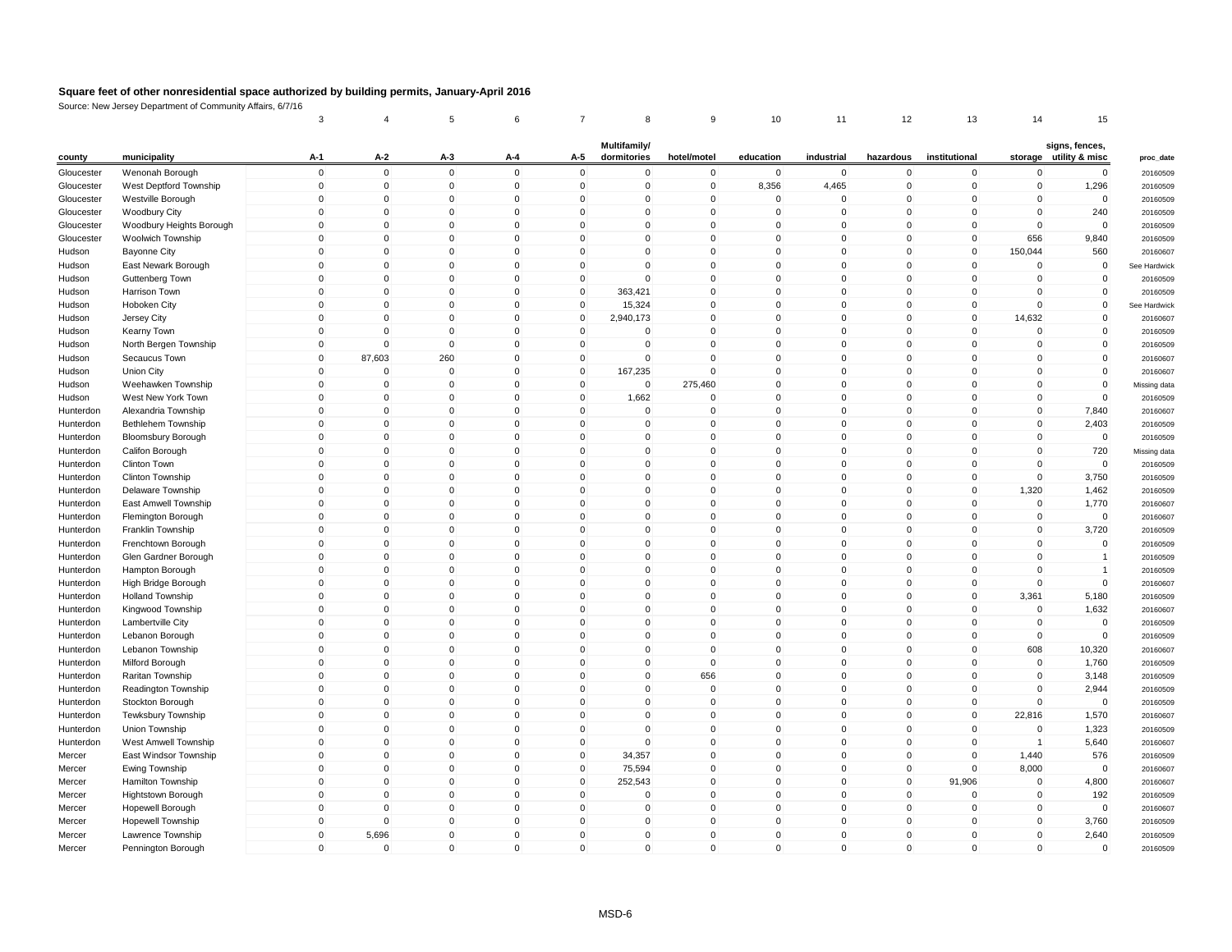|            | Source: New Jersey Department or Community | ATIairs. 6777t<br>3 | $\overline{4}$                  | 5                   | 6            | $\overline{7}$ | 8                   | 9              | 10             | 11                  | 12          | 13            | 14             | 15                     |              |
|------------|--------------------------------------------|---------------------|---------------------------------|---------------------|--------------|----------------|---------------------|----------------|----------------|---------------------|-------------|---------------|----------------|------------------------|--------------|
|            |                                            |                     |                                 |                     |              |                | Multifamily/        |                |                |                     |             |               |                | signs, fences,         |              |
| county     | municipality                               | $A-1$               | A-2                             | A-3                 | $A - 4$      | A-5            | dormitories         | hotel/motel    | education      | industrial          | hazardous   | institutional |                | storage utility & misc | proc_date    |
| Gloucester | Wenonah Borough                            | $\mathbf 0$         | $\mathsf{O}\xspace$             | $\mathbf 0$         | $\mathbf 0$  | $\mathsf 0$    | $\mathbf 0$         | $\mathbf 0$    | $\mathbf 0$    | $\mathsf 0$         | $\mathbf 0$ | $\mathbf 0$   | $\mathsf 0$    | 0                      | 20160509     |
| Gloucester | West Deptford Township                     | $\mathbf 0$         | $\mathbf 0$                     | $\mathbf 0$         | $\mathbf{0}$ | $\mathbf 0$    | $\mathbf 0$         | $\mathbf 0$    | 8,356          | 4,465               | $\mathbf 0$ | $\Omega$      | $\mathbf 0$    | 1,296                  | 20160509     |
| Gloucester | Westville Borough                          | $\mathbf 0$         | $\mathbf 0$                     | $\mathsf{O}\xspace$ | $\mathbf 0$  | $\mathsf 0$    | 0                   | $\mathbf{0}$   | $\mathbf 0$    | $\mathbf 0$         | $\mathbf 0$ | $\mathbf 0$   | $\pmb{0}$      | 0                      | 20160509     |
| Gloucester | Woodbury City                              | $\mathbf 0$         | $\mathbf 0$                     | 0                   | $\mathbf 0$  | $\mathbf 0$    | 0                   | $\mathbf 0$    | $\mathbf 0$    | $\mathbf 0$         | $\mathbf 0$ | $\mathbf 0$   | $\overline{0}$ | 240                    | 20160509     |
| Gloucester | Woodbury Heights Borough                   | $\mathbf 0$         | $\mathbf 0$                     | $\mathbf 0$         | $\mathbf 0$  | $\mathbf 0$    | $\mathbf 0$         | $\Omega$       | $\mathbf 0$    | $\mathsf 0$         | $\mathbf 0$ | $\mathbf 0$   | $\mathsf 0$    | 0                      | 20160509     |
| Gloucester | Woolwich Township                          | $\mathbf 0$         | $\mathbf 0$                     | $\mathsf{O}\xspace$ | $\Omega$     | $\mathbf 0$    | $\mathbf 0$         | $\mathbf 0$    | $\mathbf 0$    | $\pmb{0}$           | $\mathbf 0$ | $\mathbf 0$   | 656            | 9,840                  | 20160509     |
| Hudson     | <b>Bayonne City</b>                        | $\mathbf 0$         | $\mathbf 0$                     | 0                   | $\mathbf 0$  | $\mathbf 0$    | $\mathbf 0$         | $\Omega$       | $\mathbf 0$    | $\mathsf 0$         | $\mathbf 0$ | $\mathbf 0$   | 150,044        | 560                    | 20160607     |
| Hudson     | East Newark Borough                        | $\mathbf 0$         | $\mathbf 0$                     | $\mathbf 0$         | $\mathbf 0$  | $\mathbf 0$    | $\mathbf 0$         | $\mathbf 0$    | $\mathbf 0$    | $\mathsf 0$         | $\mathbf 0$ | $\mathbf 0$   | $\mathsf 0$    | $\mathbf 0$            | See Hardwick |
| Hudson     | Guttenberg Town                            | $\mathbf 0$         | $\mathbf 0$                     | $\mathbf 0$         | $\Omega$     | $\mathbf 0$    | $\mathbf 0$         | $\Omega$       | $\mathbf 0$    | $\mathsf 0$         | $\mathbf 0$ | $\Omega$      | $\overline{0}$ | $\mathbf 0$            | 20160509     |
| Hudson     | Harrison Town                              | $\mathbf 0$         | $\mathbf 0$                     | $\mathsf{O}\xspace$ | $\mathbf 0$  | $\mathbf 0$    | 363,421             | $\mathbf{0}$   | $\mathbf 0$    | $\mathsf{O}\xspace$ | $\mathbf 0$ | $\mathbf 0$   | $\overline{0}$ | $\mathbf 0$            | 20160509     |
| Hudson     | Hoboken City                               | $\mathbf 0$         | $\Omega$                        | $\mathsf{O}\xspace$ | $\mathbf{0}$ | $\mathsf 0$    | 15,324              | $\mathbf{0}$   | $\mathbf 0$    | $\mathsf 0$         | $\Omega$    | $\Omega$      | $\overline{0}$ | $\mathbf 0$            | See Hardwick |
| Hudson     | Jersey City                                | $\mathbf 0$         | $\mathbf 0$                     | $\mathbf 0$         | $\mathbf 0$  | $\mathsf 0$    | 2,940,173           | $\Omega$       | $\mathbf 0$    | $\mathsf 0$         | 0           | $\mathbf 0$   | 14,632         | $\mathbf{0}$           | 20160607     |
| Hudson     | Kearny Town                                | $\mathbf 0$         | $\mathbf 0$                     | $\mathbf 0$         | $\mathbf 0$  | $\mathbf 0$    | $\mathbf 0$         | $\Omega$       | $\mathbf 0$    | $\mathsf 0$         | 0           | $\Omega$      | $\mathbf 0$    | $\mathbf 0$            | 20160509     |
| Hudson     | North Bergen Township                      | $\mathbf 0$         | $\Omega$                        | $\mathbf 0$         | $\mathsf 0$  | $\mathsf 0$    | $\mathsf{O}\xspace$ | $\mathbf{0}$   | $\mathbf 0$    | $\mathsf 0$         | $\mathbf 0$ | $\mathbf 0$   | $\overline{0}$ | $\mathbf 0$            | 20160509     |
| Hudson     | Secaucus Town                              | $\mathbf 0$         | 87,603                          | 260                 | $\mathbf 0$  | $\mathbf 0$    | $\mathbf 0$         | $\Omega$       | $\mathbf 0$    | $\mathsf 0$         | 0           | $\mathbf 0$   | $\overline{0}$ | $\mathbf{0}$           | 20160607     |
| Hudson     | <b>Union City</b>                          | $\Omega$            | $\Omega$                        | $\mathbf 0$         | $\mathbf{0}$ | $\mathbf 0$    | 167,235             | $\Omega$       | $\Omega$       | $\mathbf 0$         | $\Omega$    | $\Omega$      | 0              | $\mathbf{0}$           | 20160607     |
| Hudson     | Weehawken Township                         | $\mathbf 0$         | $\mathbf 0$                     | $\overline{0}$      | $\mathbf 0$  | $\mathbf 0$    | $\mathbf 0$         | 275,460        | $\mathbf 0$    | $\mathbf 0$         | $\mathbf 0$ | $\Omega$      | $\mathsf 0$    | $\mathbf 0$            | Missing data |
| Hudson     | West New York Town                         | $\mathbf 0$         | $\mathbf 0$                     | $\mathsf{O}\xspace$ | $\mathbf 0$  | $\mathbf 0$    | 1,662               | $\Omega$       | $\mathbf 0$    | $\mathsf 0$         | $\mathbf 0$ | $\mathbf 0$   | $\mathsf 0$    | $\mathbf 0$            | 20160509     |
| Hunterdon  | Alexandria Township                        | $\Omega$            | $\Omega$                        | 0                   | $\mathbf{0}$ | $\mathbf 0$    | $\mathbf 0$         | $\Omega$       | $\Omega$       | $\mathsf 0$         | $\Omega$    | $\Omega$      | $\mathsf 0$    | 7,840                  | 20160607     |
| Hunterdon  | <b>Bethlehem Township</b>                  | $\Omega$            | $\Omega$                        | $\mathbf 0$         | $\Omega$     | $\mathbf 0$    | $\mathbf 0$         | $\mathbf 0$    | $\mathbf 0$    | $\mathsf 0$         | $\Omega$    | $\Omega$      | $\mathsf 0$    | 2,403                  | 20160509     |
| Hunterdon  | <b>Bloomsbury Borough</b>                  | $\mathbf 0$         | $\mathbf 0$                     | $\mathsf{O}\xspace$ | $\mathbf 0$  | $\mathbf 0$    | $\mathbf 0$         | $\Omega$       | $\mathbf 0$    | $\mathsf{O}\xspace$ | $\Omega$    | $\mathbf 0$   | $\mathsf 0$    | $\mathbf 0$            | 20160509     |
| Hunterdon  | Califon Borough                            | $\mathbf 0$         | $\mathbf 0$                     | $\mathsf{O}\xspace$ | $\mathbf 0$  | $\mathsf 0$    | $\mathbf 0$         | $\Omega$       | $\mathbf 0$    | $\mathsf 0$         | $\mathbf 0$ | $\mathbf 0$   | $\mathsf 0$    | 720                    | Missing data |
| Hunterdon  | Clinton Town                               | $\mathbf 0$         | $\mathbf 0$                     | $\mathbf 0$         | $\mathbf 0$  | $\mathbf 0$    | $\mathbf 0$         | $\mathbf 0$    | $\mathbf 0$    | $\mathsf 0$         | 0           | $\mathbf 0$   | $\mathsf 0$    | $\mathbf 0$            | 20160509     |
| Hunterdon  | Clinton Township                           | $\Omega$            | $\mathbf{0}$                    | $\mathsf{O}\xspace$ | $\Omega$     | $\Omega$       | $\mathbf{0}$        | $\Omega$       | $\mathbf{0}$   | $\mathbf{0}$        | $\Omega$    | $\Omega$      | $\pmb{0}$      | 3,750                  | 20160509     |
| Hunterdon  | Delaware Township                          | $\mathbf 0$         | $\mathsf{O}\xspace$             | $\mathsf{O}\xspace$ | $\mathbf 0$  | $\mathsf 0$    | $\mathsf{O}\xspace$ | $\mathbf 0$    | $\mathbf 0$    | $\pmb{0}$           | $\mathbf 0$ | $\mathbf 0$   | 1,320          | 1,462                  | 20160509     |
| Hunterdon  | East Amwell Township                       | $\mathbf 0$         | $\mathbf 0$                     | 0                   | $\mathbf 0$  | $\mathbf 0$    | $\mathbf 0$         | $\mathbf 0$    | $\mathbf 0$    | $\mathsf 0$         | 0           | $\mathbf 0$   | 0              | 1,770                  | 20160607     |
| Hunterdon  | Flemington Borough                         | $\Omega$            | $\Omega$                        | $\Omega$            | $\Omega$     | $\Omega$       | $\mathbf{0}$        | $\Omega$       | $\Omega$       | $\mathbf 0$         | $\Omega$    | $\Omega$      | $\mathsf 0$    | $\mathbf 0$            | 20160607     |
|            |                                            | $\mathbf 0$         |                                 |                     | $\mathbf 0$  | $\mathbf 0$    |                     | $\mathbf 0$    | $\mathsf 0$    |                     | $\mathbf 0$ | $\mathbf 0$   |                |                        |              |
| Hunterdon  | Franklin Township                          | $\Omega$            | $\mathsf{O}\xspace$<br>$\Omega$ | $\mathsf{O}\xspace$ | $\Omega$     |                | $\mathsf{O}\xspace$ | $\Omega$       |                | $\mathsf{O}\xspace$ | $\Omega$    | $\Omega$      | $\mathsf 0$    | 3,720                  | 20160509     |
| Hunterdon  | Frenchtown Borough                         |                     |                                 | $\mathsf{O}\xspace$ |              | $\mathbf 0$    | $\mathbf 0$         |                | $\mathsf 0$    | $\mathsf 0$         | $\Omega$    |               | $\mathsf 0$    | 0                      | 20160509     |
| Hunterdon  | Glen Gardner Borough                       | $\Omega$            | $\Omega$                        | $\mathbf{0}$        | $\Omega$     | $\mathbf 0$    | $\mathbf{0}$        | $\mathbf{0}$   | $\Omega$       | $\mathbf 0$         |             | $\Omega$      | $\mathbf 0$    | $\mathbf{1}$           | 20160509     |
| Hunterdon  | Hampton Borough                            | $\mathbf 0$         | $\mathbf 0$                     | $\mathsf{O}\xspace$ | $\mathbf 0$  | $\mathbf 0$    | 0                   | $\mathbf 0$    | $\mathbf 0$    | $\mathsf{O}\xspace$ | 0           | $\mathbf 0$   | $\mathsf 0$    | $\mathbf{1}$           | 20160509     |
| Hunterdon  | High Bridge Borough                        | $\Omega$            | $\mathbf{0}$                    | $\mathsf{O}\xspace$ | $\mathbf{0}$ | $\mathbf 0$    | $\mathsf{O}\xspace$ | $\Omega$       | $\mathbf 0$    | $\mathsf 0$         | $\Omega$    | $\Omega$      | $\mathbf 0$    | $\mathbf 0$            | 20160607     |
| Hunterdon  | <b>Holland Township</b>                    | $\mathbf 0$         | $\mathbf 0$                     | $\mathsf{O}\xspace$ | $\mathbf 0$  | $\mathsf 0$    | $\mathbf 0$         | $\Omega$       | $\mathbf 0$    | $\mathsf 0$         | $\mathbf 0$ | $\Omega$      | 3,361          | 5,180                  | 20160509     |
| Hunterdon  | Kingwood Township                          | $\mathbf 0$         | $\mathbf 0$                     | 0                   | $\mathbf 0$  | $\mathbf 0$    | $\mathbf 0$         | $\mathbf 0$    | $\mathbf 0$    | $\mathsf 0$         | 0           | 0             | $\mathbf 0$    | 1,632                  | 20160607     |
| Hunterdon  | Lambertville City                          | $\mathbf 0$         | $\mathbf{0}$                    | $\mathbf 0$         | $\mathbf{0}$ | $\Omega$       | $\mathbf 0$         | $\mathbf{0}$   | $\mathbf 0$    | $\mathsf 0$         | $\Omega$    | $\Omega$      | $\mathsf 0$    | $\mathbf 0$            | 20160509     |
| Hunterdon  | Lebanon Borough                            | $\mathbf 0$         | $\mathbf 0$                     | $\mathsf{O}\xspace$ | $\mathbf 0$  | $\mathbf 0$    | $\mathbf 0$         | $\mathbf 0$    | $\mathbf 0$    | $\mathsf 0$         | $\mathbf 0$ | $\mathbf 0$   | $\mathsf 0$    | $\mathbf 0$            | 20160509     |
| Hunterdon  | Lebanon Township                           | $\Omega$            | $\Omega$                        | 0                   | $\Omega$     | $\mathbf 0$    | 0                   | $\Omega$       | $\Omega$       | $\mathsf 0$         | $\Omega$    | $\Omega$      | 608            | 10,320                 | 20160607     |
| Hunterdon  | Milford Borough                            | $\mathbf 0$         | $\mathbf{0}$                    | $\mathbf 0$         | $\mathbf{0}$ | $\Omega$       | $\mathbf 0$         | $\Omega$       | $\Omega$       | $\mathsf 0$         | $\Omega$    | $\Omega$      | $\mathsf 0$    | 1,760                  | 20160509     |
| Hunterdon  | Raritan Township                           | $\mathbf 0$         | $\mathbf 0$                     | $\mathsf{O}\xspace$ | $\mathbf 0$  | $\mathbf 0$    | $\mathbf 0$         | 656            | $\overline{0}$ | $\mathsf{O}\xspace$ | $\mathbf 0$ | $\mathbf 0$   | $\mathsf 0$    | 3,148                  | 20160509     |
| Hunterdon  | Readington Township                        | $\mathbf 0$         | $\mathbf 0$                     | $\mathbf 0$         | $\Omega$     | $\mathsf 0$    | $\mathbf 0$         | $\Omega$       | $\mathbf 0$    | $\mathsf 0$         | $\Omega$    | $\mathbf 0$   | $\mathsf 0$    | 2,944                  | 20160509     |
| Hunterdon  | Stockton Borough                           | $\mathbf 0$         | $\mathbf 0$                     | $\mathbf 0$         | $\mathbf{0}$ | $\Omega$       | $\mathbf 0$         | $\Omega$       | $\mathbf 0$    | $\mathsf 0$         | $\Omega$    | $\Omega$      | $\mathsf 0$    | $\mathbf 0$            | 20160509     |
| Hunterdon  | Tewksbury Township                         | $\Omega$            | $\Omega$                        | $\mathsf{O}\xspace$ | $\mathbf 0$  | $\mathbf 0$    | 0                   | $\Omega$       | 0              | $\mathsf{O}\xspace$ | 0           | $\Omega$      | 22,816         | 1,570                  | 20160607     |
| Hunterdon  | Union Township                             | $\Omega$            | $\Omega$                        | $\mathsf{O}\xspace$ | $\mathbf 0$  | $\mathsf 0$    | $\mathbf 0$         | $\Omega$       | $\mathbf 0$    | $\mathsf 0$         | $\Omega$    | $\mathbf 0$   | $\mathsf 0$    | 1,323                  | 20160509     |
| Hunterdon  | West Amwell Township                       | $\mathbf 0$         | $\mathbf 0$                     | $\mathbf 0$         | $\mathbf 0$  | $\mathbf 0$    | $\mathbf 0$         | $\overline{0}$ | $\mathbf 0$    | $\mathsf 0$         | $\mathbf 0$ | $\mathbf 0$   | $\overline{1}$ | 5,640                  | 20160607     |
| Mercer     | East Windsor Township                      | $\Omega$            | $\Omega$                        | $\Omega$            | $\Omega$     | $\mathbf 0$    | 34,357              | $\Omega$       | $\Omega$       | $\mathbf 0$         | $\Omega$    | $\Omega$      | 1,440          | 576                    | 20160509     |
| Mercer     | Ewing Township                             | $\Omega$            | $\mathbf{0}$                    | $\mathbf 0$         | $\mathbf{0}$ | $\mathbf 0$    | 75,594              | $\mathbf{0}$   | $\mathbf 0$    | $\mathbf 0$         | $\mathbf 0$ | $\Omega$      | 8,000          | $\mathbf 0$            | 20160607     |
| Mercer     | Hamilton Township                          | $\pmb{0}$           | $\mathbf 0$                     | $\mathsf{O}\xspace$ | $\mathbf 0$  | $\mathsf 0$    | 252,543             | $\mathbf 0$    | $\mathsf 0$    | $\mathsf 0$         | $\pmb{0}$   | 91,906        | $\mathbf 0$    | 4,800                  | 20160607     |
| Mercer     | <b>Hightstown Borough</b>                  | $\mathbf 0$         | $\mathbf 0$                     | 0                   | $\Omega$     | $\mathbf 0$    | $\mathbf 0$         | $\Omega$       | $\mathbf 0$    | $\mathsf 0$         | $\Omega$    | $\mathbf{0}$  | $\mathsf 0$    | 192                    | 20160509     |
| Mercer     | Hopewell Borough                           | $\Omega$            | $\Omega$                        | 0                   | $\Omega$     | $\Omega$       | $\mathbf 0$         | $\Omega$       | $\Omega$       | $\mathsf 0$         | $\Omega$    | $\Omega$      | $\mathsf 0$    | $\mathbf 0$            | 20160607     |
| Mercer     | <b>Hopewell Township</b>                   | 0                   | $\mathbf 0$                     | $\mathsf{O}\xspace$ | $\Omega$     | $\mathsf 0$    | 0                   | $\mathbf 0$    | $\mathsf 0$    | $\mathsf 0$         | 0           | 0             | $\mathsf 0$    | 3,760                  | 20160509     |
| Mercer     | Lawrence Township                          | $\mathbf 0$         | 5,696                           | $\mathbf 0$         | $\Omega$     | $\mathbf 0$    | $\mathbf 0$         | $\Omega$       | $\mathbf 0$    | $\mathsf 0$         | $\Omega$    | $\mathbf 0$   | $\mathsf 0$    | 2,640                  | 20160509     |
| Mercer     | Pennington Borough                         | 0                   | $\mathbf 0$                     | 0                   | $\Omega$     | $\mathbf 0$    | $\mathbf 0$         | $\Omega$       | $\mathbf 0$    | $\mathbf 0$         | $\Omega$    | $\Omega$      | $\mathsf 0$    | 0                      | 20160509     |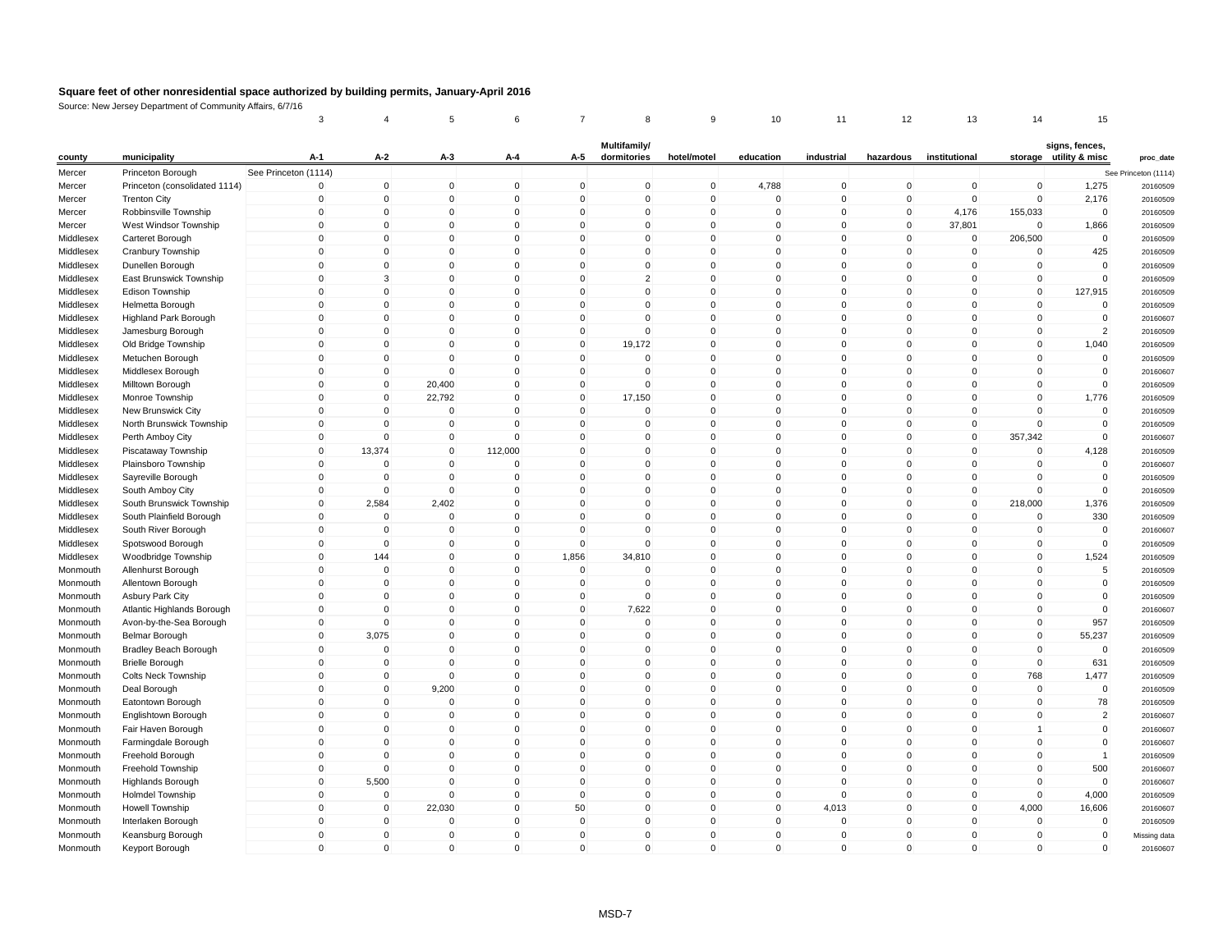|           |                               | 3                    |                | 5            |              |                | 8                   |             | 10           | 11                  | 12          | 13            | 14             | 15                     |                      |
|-----------|-------------------------------|----------------------|----------------|--------------|--------------|----------------|---------------------|-------------|--------------|---------------------|-------------|---------------|----------------|------------------------|----------------------|
|           |                               |                      |                |              |              |                | Multifamily/        |             |              |                     |             |               |                | signs, fences,         |                      |
| county    | municipality                  | A-1                  | A-2            | A-3          | A-4          | A-5            | dormitories         | hotel/motel | education    | industrial          | hazardous   | institutional |                | storage utility & misc | proc_date            |
| Mercer    | Princeton Borough             | See Princeton (1114) |                |              |              |                |                     |             |              |                     |             |               |                |                        | See Princeton (1114) |
| Mercer    | Princeton (consolidated 1114) | $\mathbf 0$          | $\mathbf 0$    | $\mathbf 0$  | $\mathbf 0$  | $\overline{0}$ | $\mathbf 0$         | $\mathsf 0$ | 4,788        | $\mathbf 0$         | $\mathbf 0$ | $\mathbf 0$   | $\mathbf 0$    | 1,275                  | 20160509             |
| Mercer    | <b>Trenton City</b>           | $\mathbf 0$          | $\mathbf 0$    | $\mathbf 0$  | $\mathbf 0$  | $\overline{0}$ | $\mathsf{O}\xspace$ | $\mathsf 0$ | $\mathbf 0$  | $\mathbf 0$         | $\mathbf 0$ | $\mathbf 0$   | $\mathsf 0$    | 2,176                  | 20160509             |
| Mercer    | Robbinsville Township         | $\Omega$             | $\mathbf 0$    | $\mathbf 0$  | $\Omega$     | $\mathbf 0$    | $\mathbf 0$         | $\mathbf 0$ | $\Omega$     | $\mathbf 0$         | $\mathbf 0$ | 4,176         | 155,033        | 0                      | 20160509             |
| Mercer    | West Windsor Township         | $\mathbf 0$          | $\mathbf{0}$   | $\mathbf 0$  | $\Omega$     | $\Omega$       | $\mathbf 0$         | $\mathsf 0$ | $\mathbf 0$  | $\mathbf 0$         | $\Omega$    | 37,801        | $\mathbf 0$    | 1,866                  | 20160509             |
| Middlesex | Carteret Borough              | $\mathbf 0$          | $\mathbf 0$    | $\mathbf 0$  | $\mathbf 0$  | $\mathbf 0$    | $\mathsf{O}\xspace$ | $\mathbf 0$ | $\mathbf 0$  | $\mathbf 0$         | $\mathbf 0$ | $\mathbf 0$   | 206,500        | $\mathbf 0$            | 20160509             |
| Middlesex | Cranbury Township             | $\mathbf 0$          | $\mathbf 0$    | $\mathbf 0$  | $\Omega$     | $\mathbf 0$    | $\mathbf 0$         | $\mathbf 0$ | $\mathbf 0$  | $\mathbf 0$         | $\mathbf 0$ | $\mathbf 0$   | $\mathbf 0$    | 425                    | 20160509             |
| Middlesex | Dunellen Borough              | $\mathbf 0$          | $\mathbf 0$    | $\mathbf 0$  | $\mathbf 0$  | $\mathbf 0$    | $\mathbf 0$         | $\mathbf 0$ | $\mathbf 0$  | $\mathbf 0$         | 0           | $\mathbf 0$   | $\mathbf 0$    | 0                      | 20160509             |
| Middlesex | East Brunswick Township       | $\mathbf 0$          | 3              | $\mathbf 0$  | $\mathbf 0$  | $\mathbf 0$    | $\overline{2}$      | $\mathbf 0$ | $\mathbf 0$  | $\mathbf 0$         | 0           | $\mathbf 0$   | $\mathbf 0$    | $\mathbf 0$            | 20160509             |
| Middlesex | Edison Township               | $\mathbf 0$          | $\Omega$       | $\mathbf 0$  | $\Omega$     | $\overline{0}$ | $\mathbf 0$         | $\mathsf 0$ | $\Omega$     | $\mathbf 0$         | $\mathbf 0$ | $\Omega$      | $\mathsf 0$    | 127,915                | 20160509             |
| Middlesex | Helmetta Borough              | $\mathbf 0$          | $\Omega$       | $\mathbf 0$  | $\Omega$     | $\Omega$       | $\mathbf 0$         | $\Omega$    | $\mathbf 0$  | $\Omega$            | $\Omega$    | $\Omega$      | $\mathbf 0$    | 0                      | 20160509             |
| Middlesex | Highland Park Borough         | $\mathbf 0$          | $\mathbf 0$    | $\mathbf 0$  | $\mathbf 0$  | $\mathbf 0$    | $\mathbf 0$         | $\mathbf 0$ | $\mathbf 0$  | $\mathbf 0$         | $\mathbf 0$ | $\mathbf 0$   | $\mathbf 0$    | $\mathbf 0$            | 20160607             |
| Middlesex | Jamesburg Borough             | $\mathbf 0$          | $\Omega$       | $\mathbf 0$  | $\Omega$     | $\mathbf 0$    | $\mathsf{O}\xspace$ | $\mathsf 0$ | $\Omega$     | $\mathbf 0$         | $\mathbf 0$ | $\Omega$      | $\mathsf 0$    | $\overline{2}$         | 20160509             |
| Middlesex | Old Bridge Township           | $\mathbf{0}$         | $\mathbf{0}$   | $\mathbf 0$  | $\Omega$     | $\Omega$       | 19,172              | $\Omega$    | $\Omega$     | $\mathbf 0$         | $\Omega$    | $\Omega$      | $\mathbf 0$    | 1,040                  | 20160509             |
| Middlesex | Metuchen Borough              | $\mathbf 0$          | $\mathbf 0$    | $\mathbf 0$  | $\Omega$     | $\mathbf 0$    | $\mathbf 0$         | $\mathsf 0$ | $\mathbf 0$  | $\mathbf 0$         | $\mathbf 0$ | $\Omega$      | $\mathbf 0$    | 0                      | 20160509             |
| Middlesex | Middlesex Borough             | $\mathbf 0$          | $\mathbf 0$    | $\mathbf 0$  | $\Omega$     | $\mathbf 0$    | $\mathbf 0$         | $\mathsf 0$ | $\mathbf 0$  | $\mathsf{O}\xspace$ | $\mathbf 0$ | $\Omega$      | $\mathbf 0$    | $\mathbf 0$            | 20160607             |
| Middlesex | Milltown Borough              | $\mathbf 0$          | $\mathbf{0}$   | 20,400       | $\Omega$     | $\mathbf 0$    | $\mathbf 0$         | $\Omega$    | $\mathbf 0$  | $\mathbf 0$         | $\Omega$    | $\Omega$      | $\mathbf 0$    | 0                      | 20160509             |
| Middlesex | Monroe Township               | $\mathbf 0$          | $\mathbf 0$    | 22,792       | $\Omega$     | $\mathbf 0$    | 17,150              | $\mathbf 0$ | $\mathbf 0$  | $\mathbf 0$         | $\mathbf 0$ | $\Omega$      | $\mathbf 0$    | 1,776                  | 20160509             |
| Middlesex | New Brunswick City            | $\mathbf 0$          | $\overline{0}$ | $\mathbf 0$  | $\mathbf 0$  | $\overline{0}$ | $\mathbf 0$         | $\mathsf 0$ | $\mathbf 0$  | $\mathbf 0$         | $\mathbf 0$ | $\mathbf 0$   | $\mathsf 0$    | $\mathbf 0$            | 20160509             |
| Middlesex | North Brunswick Township      | $\mathbf{0}$         | $\Omega$       | $\mathbf 0$  | $\Omega$     | $\Omega$       | $\mathbf 0$         | $\Omega$    | $\mathbf 0$  | $\mathbf 0$         | $\Omega$    | 0             | $\mathbf 0$    | $\mathbf 0$            | 20160509             |
| Middlesex | Perth Amboy City              | $\mathbf 0$          | $\Omega$       | $\mathbf 0$  | $\Omega$     | $\Omega$       | $\mathbf 0$         | $\Omega$    | $\Omega$     | $\mathbf 0$         | $\Omega$    | $\Omega$      | 357,342        | $\mathbf 0$            | 20160607             |
| Middlesex | Piscataway Township           | $\mathbf 0$          | 13,374         | $\mathbf 0$  | 112,000      | $\overline{0}$ | $\mathbf 0$         | $\mathsf 0$ | $\mathbf 0$  | $\mathbf 0$         | $\mathbf 0$ | $\mathbf 0$   | $\mathbf 0$    | 4,128                  | 20160509             |
| Middlesex | Plainsboro Township           | $\mathbf 0$          | $\Omega$       | $\mathbf 0$  | $\Omega$     | $\mathbf 0$    | $\mathbf 0$         | $\Omega$    | $\mathbf 0$  | $\mathbf 0$         | $\Omega$    | $\Omega$      | $\mathbf 0$    | $\mathbf 0$            | 20160607             |
| Middlesex | Sayreville Borough            | $\mathbf{0}$         | $\Omega$       | $\mathbf 0$  | $\Omega$     | $\Omega$       | $\mathbf{0}$        | $\mathbf 0$ | $\Omega$     | $\mathbf{0}$        | $\Omega$    | $\Omega$      | $\mathbf 0$    | 0                      | 20160509             |
| Middlesex | South Amboy City              | $\mathbf 0$          | $\mathbf 0$    | $\mathbf 0$  | $\mathbf 0$  | $\overline{0}$ | $\mathbf 0$         | $\mathsf 0$ | $\mathbf 0$  | $\mathbf 0$         | $\mathbf 0$ | $\mathbf 0$   | $\mathbf 0$    | $\mathbf 0$            | 20160509             |
| Middlesex | South Brunswick Township      | $\mathbf 0$          | 2,584          | 2,402        | $\Omega$     | $\Omega$       | $\mathbf 0$         | $\mathbf 0$ | $\Omega$     | $\mathbf 0$         | $\Omega$    | $\Omega$      | 218,000        | 1,376                  | 20160509             |
| Middlesex | South Plainfield Borough      | $\mathbf{0}$         | $\Omega$       | $\mathbf 0$  | $\mathbf{0}$ | $\Omega$       | $\mathbf{0}$        | $\mathbf 0$ | $\Omega$     | $\mathbf{0}$        | $\Omega$    | $\Omega$      | $\mathbf 0$    | 330                    | 20160509             |
| Middlesex | South River Borough           | $\mathbf 0$          | $\mathbf 0$    | $\mathbf 0$  | $\mathbf 0$  | $\overline{0}$ | $\mathsf{O}\xspace$ | $\mathsf 0$ | $\mathbf 0$  | $\mathbf 0$         | $\mathbf 0$ | $\mathbf 0$   | $\mathbf 0$    | $\mathbf 0$            | 20160607             |
| Middlesex | Spotswood Borough             | $\mathbf 0$          | $\mathbf 0$    | $\mathsf 0$  | $\mathbf 0$  | $\mathbf 0$    | $\mathbf 0$         | $\mathbf 0$ | $\mathbf 0$  | $\mathbf 0$         | $\mathbf 0$ | $\Omega$      | $\mathsf 0$    | $\mathbf 0$            | 20160509             |
| Middlesex | Woodbridge Township           | $\mathbf 0$          | 144            | $\mathbf 0$  | $\Omega$     | 1,856          | 34,810              | $\mathbf 0$ | $\mathbf{0}$ | $\mathbf 0$         | $\Omega$    | $\Omega$      | $\mathbf 0$    | 1,524                  | 20160509             |
| Monmouth  | Allenhurst Borough            | $\mathbf 0$          | $\mathbf 0$    | $\mathbf 0$  | $\mathbf 0$  | $\mathbf 0$    | $\mathbf 0$         | $\mathsf 0$ | $\mathbf 0$  | $\mathbf 0$         | $\mathbf 0$ | $\mathbf 0$   | $\mathbf 0$    | 5                      | 20160509             |
| Monmouth  | Allentown Borough             | $\mathbf 0$          | $\mathbf 0$    | $\mathbf 0$  | $\Omega$     | $\mathbf 0$    | $\mathbf 0$         | $\mathbf 0$ | $\mathbf 0$  | $\mathbf 0$         | 0           | $\Omega$      | $\mathbf 0$    | $\mathbf 0$            | 20160509             |
| Monmouth  | Asbury Park City              | $\mathbf 0$          | $\Omega$       | $\mathbf 0$  | $\Omega$     | $\Omega$       | $\mathsf{O}\xspace$ | $\mathbf 0$ | $\mathbf{0}$ | $\mathbf 0$         | $\Omega$    | $\Omega$      | $\mathsf 0$    | $\mathbf 0$            | 20160509             |
| Monmouth  | Atlantic Highlands Borough    | $\mathbf{0}$         | $\Omega$       | $\mathbf{0}$ | $\Omega$     | $\Omega$       | 7,622               | $\mathbf 0$ | $\mathbf{0}$ | $\Omega$            | $\Omega$    | $\Omega$      | $\mathbf 0$    | $\mathbf 0$            | 20160607             |
| Monmouth  | Avon-by-the-Sea Borough       | $\mathbf 0$          | $\mathbf 0$    | $\mathbf 0$  | $\mathbf 0$  | $\mathbf 0$    | $\mathbf 0$         | $\mathbf 0$ | $\mathbf 0$  | $\mathbf 0$         | 0           | $\Omega$      | $\mathsf 0$    | 957                    | 20160509             |
| Monmouth  | <b>Belmar Borough</b>         | $\mathbf 0$          | 3,075          | $\mathbf 0$  | $\Omega$     | $\overline{0}$ | $\mathsf{O}\xspace$ | $\mathsf 0$ | $\mathbf 0$  | $\mathbf 0$         | $\Omega$    | $\Omega$      | $\mathsf 0$    | 55,237                 | 20160509             |
| Monmouth  | <b>Bradley Beach Borough</b>  | $\mathbf{0}$         | $\Omega$       | $\mathbf{0}$ | $\Omega$     | $\Omega$       | $\Omega$            | $\Omega$    | $\Omega$     | $\Omega$            | $\Omega$    | $\Omega$      | $\mathbf 0$    | $\Omega$               | 20160509             |
| Monmouth  | <b>Brielle Borough</b>        | $\mathbf 0$          | $\mathbf 0$    | $\mathbf 0$  | $\mathbf 0$  | $\mathbf 0$    | $\mathsf{O}\xspace$ | 0           | $\mathbf 0$  | $\overline{0}$      | 0           | $\mathbf 0$   | $\mathsf 0$    | 631                    | 20160509             |
| Monmouth  | Colts Neck Township           | $\mathbf 0$          | $\mathbf 0$    | $\mathbf 0$  | $\mathbf 0$  | $\overline{0}$ | $\mathsf{O}\xspace$ | $\mathsf 0$ | $\mathbf 0$  | $\mathsf{O}\xspace$ | $\mathbf 0$ | $\mathbf 0$   | 768            | 1,477                  | 20160509             |
| Monmouth  | Deal Borough                  | $\mathbf{0}$         | $\Omega$       | 9,200        | $\Omega$     | $\Omega$       | $\Omega$            | $\Omega$    | $\Omega$     | $\Omega$            | $\Omega$    | $\Omega$      | $\mathbf 0$    | $\mathbf{0}$           | 20160509             |
| Monmouth  | Eatontown Borough             | $\mathsf{O}\xspace$  | $\mathsf 0$    | $\mathsf 0$  | $\mathbf 0$  | $\mathbf 0$    | $\mathsf{O}\xspace$ | $\mathsf 0$ | $\mathbf 0$  | $\mathsf{O}\xspace$ | 0           | $\mathbf 0$   | $\mathsf 0$    | 78                     | 20160509             |
| Monmouth  | Englishtown Borough           | $\mathbf 0$          | $\mathbf{0}$   | $\mathbf 0$  | $\mathbf 0$  | $\overline{0}$ | $\mathbf 0$         | $\mathsf 0$ | $\mathbf 0$  | $\mathbf 0$         | $\Omega$    | $\mathbf 0$   | $\mathbf 0$    | $\overline{2}$         | 20160607             |
| Monmouth  | Fair Haven Borough            | $\mathbf{0}$         | $\Omega$       | $\mathbf{0}$ | $\Omega$     | $\Omega$       | $\Omega$            | $\Omega$    | $\Omega$     | $\Omega$            | $\Omega$    | $\Omega$      | $\overline{1}$ | $\mathbf{0}$           | 20160607             |
| Monmouth  | Farmingdale Borough           | $\mathsf{O}\xspace$  | $\Omega$       | $\mathbf 0$  | $\Omega$     | $\mathbf 0$    | $\mathsf{O}\xspace$ | 0           | $\mathbf 0$  | $\mathsf{O}\xspace$ | 0           | $\Omega$      | $\mathsf 0$    | $\mathbf 0$            | 20160607             |
| Monmouth  | Freehold Borough              | $\mathbf 0$          | $\Omega$       | $\mathbf 0$  | $\mathbf 0$  | $\mathbf 0$    | $\mathbf 0$         | $\mathsf 0$ | $\mathbf 0$  | $\mathbf 0$         | 0           | $\mathbf 0$   | $\mathbf 0$    | $\mathbf{1}$           | 20160509             |
| Monmouth  | Freehold Township             | $\mathbf 0$          | $\Omega$       | $\mathbf{0}$ | $\Omega$     | $\Omega$       | $\mathbf{0}$        | $\Omega$    | $\Omega$     | $\Omega$            | $\Omega$    | $\Omega$      | $\mathbf 0$    | 500                    | 20160607             |
| Monmouth  | <b>Highlands Borough</b>      | $\mathsf{O}\xspace$  | 5,500          | $\mathbf 0$  | $\Omega$     | $\mathbf 0$    | $\mathsf{O}\xspace$ | $\mathsf 0$ | $\mathbf 0$  | $\mathbf 0$         | $\mathbf 0$ | $\mathbf 0$   | $\mathsf 0$    | $\mathbf 0$            | 20160607             |
| Monmouth  | Holmdel Township              | $\mathbf 0$          | $\mathbf 0$    | $\mathbf 0$  | $\mathbf 0$  | $\overline{0}$ | $\mathbf 0$         | $\mathbf 0$ | $\mathbf 0$  | $\mathbf 0$         | 0           | $\mathbf 0$   | $\mathbf 0$    | 4,000                  | 20160509             |
| Monmouth  | Howell Township               | $\mathbf{0}$         | $\mathbf{0}$   | 22,030       | $\Omega$     | 50             | $\mathbf{0}$        | $\mathbf 0$ | $\Omega$     | 4,013               | $\Omega$    | $\Omega$      | 4,000          | 16,606                 | 20160607             |
| Monmouth  | Interlaken Borough            | $\mathbf 0$          | $\mathbf 0$    | $\mathbf 0$  | $\Omega$     | $\mathbf 0$    | $\mathbf 0$         | $\mathbf 0$ | $\mathbf 0$  | $\mathbf 0$         | $\Omega$    | $\Omega$      | $\mathbf 0$    | 0                      | 20160509             |
| Monmouth  | Keansburg Borough             | $\mathbf 0$          | $\mathbf 0$    | $\mathbf 0$  | $\mathbf 0$  | $\mathbf 0$    | $\mathbf 0$         | $\mathbf 0$ | $\mathbf 0$  | $\mathbf 0$         | 0           | $\mathbf 0$   | $\overline{0}$ | 0                      | Missing data         |
| Monmouth  | Keyport Borough               | $\mathbf{0}$         | $\mathbf{0}$   | $\Omega$     | $\Omega$     | $\Omega$       | $\Omega$            | $\Omega$    | $\mathbf{0}$ | $\Omega$            | $\Omega$    | $\Omega$      | $\mathbf 0$    | $\mathbf{0}$           | 20160607             |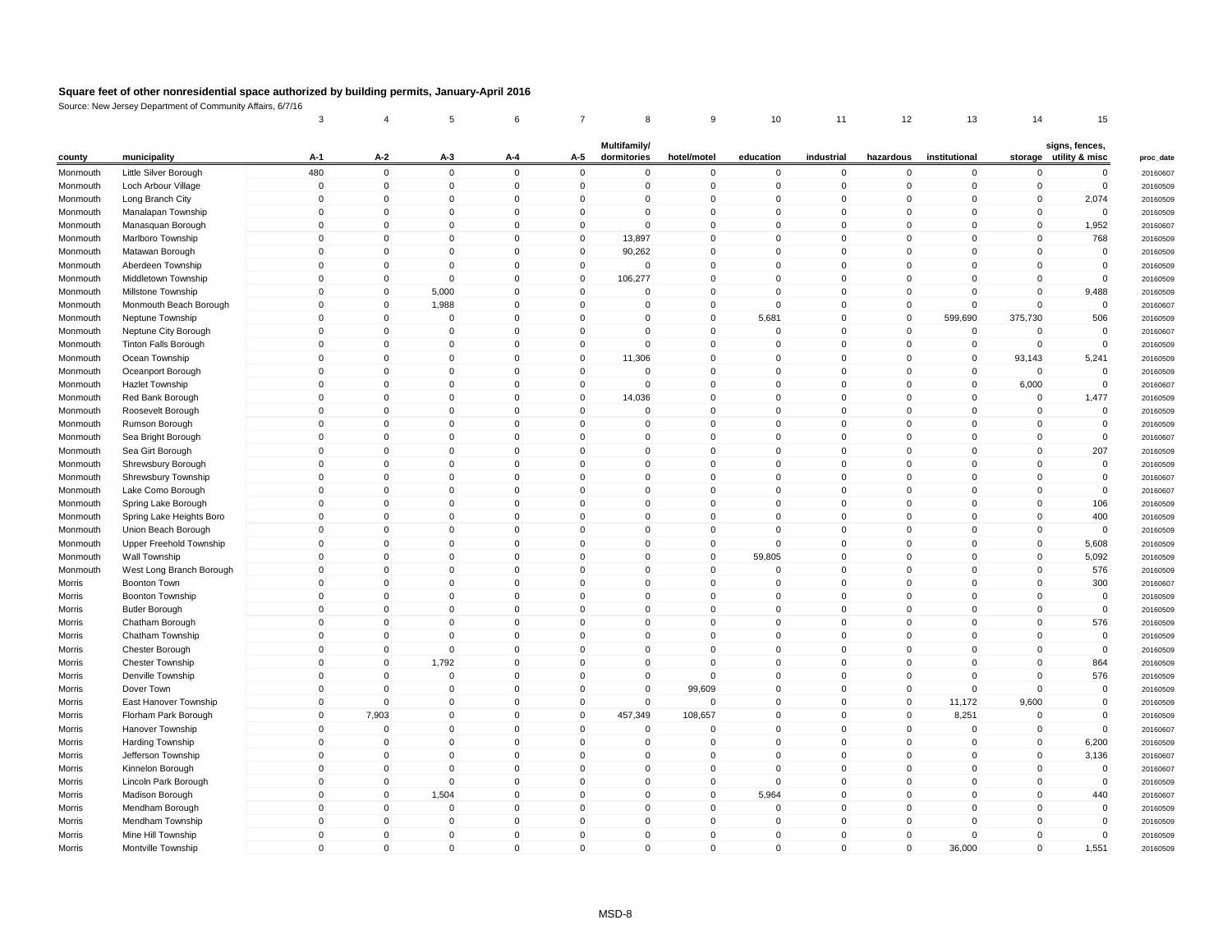| county   | municipality                | A-1                 | A-2                 | $A-3$               | A-4          | A-5         | Multifamily/<br>dormitories | hotel/motel    | education    | industrial          | hazardous           | institutional | storage        | signs, fences,<br>utility & misc |
|----------|-----------------------------|---------------------|---------------------|---------------------|--------------|-------------|-----------------------------|----------------|--------------|---------------------|---------------------|---------------|----------------|----------------------------------|
| Monmouth | Little Silver Borough       | 480                 | $\mathbf 0$         | $\mathbf 0$         | $\mathbf 0$  | $\mathsf 0$ | $\mathbf 0$                 | $\mathbf 0$    | 0            | $\mathbf 0$         | $\mathbf 0$         | $\mathbf 0$   | $\mathbf 0$    | $\mathbf 0$                      |
|          | Loch Arbour Village         | $\mathbf 0$         | $\mathsf 0$         | $\mathbf 0$         | $\mathbf{0}$ | $\mathbf 0$ | $\mathbf 0$                 | $\mathbf 0$    | $\mathbf{0}$ | $\mathbf 0$         | $\mathbf 0$         | $\Omega$      | $\mathbf 0$    | $\mathbf 0$                      |
| Monmouth |                             | $\mathbf 0$         | $\mathbf 0$         | $\mathbf 0$         | $\mathbf 0$  | $\mathbf 0$ | $\mathbf 0$                 | $\Omega$       | $\mathbf 0$  | $\mathbf 0$         | 0                   | $\Omega$      | $\mathbf 0$    | 2,074                            |
| Monmouth | Long Branch City            |                     |                     |                     |              |             |                             |                |              |                     |                     |               |                |                                  |
| Monmouth | Manalapan Township          | $\mathbf 0$         | $\mathbf 0$         | $\mathbf 0$         | $\mathbf 0$  | $\mathbf 0$ | 0                           | $\mathbf 0$    | $\mathbf 0$  | $\mathbf 0$         | 0                   | $\mathbf 0$   | $\mathbf 0$    | $\mathbf 0$                      |
| Monmouth | Manasquan Borough           | $\Omega$            | $\Omega$            | $\Omega$            | $\Omega$     | $\mathbf 0$ | $\mathbf 0$                 | $\Omega$       | $\Omega$     | $\Omega$            | $\Omega$            | $\Omega$      | $\Omega$       | 1,952                            |
| Monmouth | Marlboro Township           | $\mathbf 0$         | $\mathbf 0$         | $\pmb{0}$           | $\mathbf 0$  | $\mathbf 0$ | 13,897                      | $\overline{0}$ | $\mathbf 0$  | $\mathbf 0$         | 0                   | $\mathbf 0$   | $\mathbf 0$    | 768                              |
| Monmouth | Matawan Borough             | $\mathbf 0$         | $\mathbf 0$         | $\pmb{0}$           | $\mathbf 0$  | $\mathbf 0$ | 90,262                      | $\mathbf 0$    | $\mathbf 0$  | $\mathbf 0$         | 0                   | $\mathbf 0$   | $\mathbf 0$    | $\mathbf 0$                      |
| Monmouth | Aberdeen Township           | $\Omega$            | $\Omega$            | $\Omega$            | $\Omega$     | $\mathbf 0$ | $\mathbf{0}$                | $\mathbf{0}$   | $\Omega$     | $\Omega$            | $\Omega$            | $\Omega$      | $\Omega$       | $\mathbf{0}$                     |
| Monmouth | Middletown Township         | $\mathbf 0$         | $\mathbf 0$         | $\mathbf 0$         | $\mathbf 0$  | $\mathbf 0$ | 106,277                     | $\mathbf 0$    | $\mathbf 0$  | $\mathbf 0$         | 0                   | $\Omega$      | $\mathbf 0$    | $\mathsf{O}\xspace$              |
| Monmouth | Millstone Township          | $\Omega$            | $\mathbf 0$         | 5,000               | $\mathbf 0$  | $\mathbf 0$ | $\Omega$                    | $\mathbf 0$    | $\Omega$     | $\mathbf 0$         | $\mathbf 0$         | $\Omega$      | $\Omega$       | 9,488                            |
| Monmouth | Monmouth Beach Borough      | $\mathbf 0$         | $\mathbf 0$         | 1,988               | $\Omega$     | $\mathsf 0$ | $\mathbf 0$                 | $\mathsf 0$    | $\mathbf 0$  | $\mathbf 0$         | $\mathsf{O}\xspace$ | $\Omega$      | $\mathbf 0$    | $\mathsf{O}\xspace$              |
| Monmouth | Neptune Township            | $\mathbf 0$         | $\mathbf 0$         | $\mathbf 0$         | $\mathbf 0$  | $\mathbf 0$ | $\mathbf 0$                 | $\mathbf 0$    | 5,681        | $\mathbf 0$         | 0                   | 599,690       | 375,730        | 506                              |
| Monmouth | Neptune City Borough        | $\mathbf 0$         | $\mathbf 0$         | $\overline{0}$      | $\mathbf{0}$ | $\mathbf 0$ | $\Omega$                    | $\mathbf{0}$   | $\Omega$     | $\mathbf{0}$        | $\mathbf 0$         | $\mathbf 0$   | $\Omega$       | $\mathbf 0$                      |
| Monmouth | <b>Tinton Falls Borough</b> | $\mathbf 0$         | $\mathbf 0$         | $\mathbf 0$         | $\mathbf 0$  | $\mathsf 0$ | $\mathbf 0$                 | $\mathbf 0$    | $\mathbf 0$  | $\mathsf{O}\xspace$ | $\mathsf{O}\xspace$ | $\mathbf 0$   | $\mathbf 0$    | $\mathsf{O}\xspace$              |
| Monmouth | Ocean Township              | $\mathbf 0$         | $\mathbf 0$         | 0                   | $\mathbf 0$  | $\mathbf 0$ | 11,306                      | $\mathbf 0$    | $\mathbf 0$  | $\mathbf 0$         | 0                   | $\mathbf 0$   | 93,143         | 5,241                            |
| Monmouth | Oceanport Borough           | $\Omega$            | $\mathbf 0$         | $\mathbf 0$         | $\mathbf{0}$ | $\mathbf 0$ | $\mathbf 0$                 | $\mathbf{0}$   | $\Omega$     | $\mathbf 0$         | $\Omega$            | $\Omega$      | $\Omega$       | $\mathbf 0$                      |
| Monmouth | Hazlet Township             | $\mathsf{O}\xspace$ | $\mathsf 0$         | $\mathsf{O}\xspace$ | $\mathbf 0$  | $\mathsf 0$ | $\mathbf 0$                 | $\mathbf 0$    | $\mathbf 0$  | $\mathbf 0$         | $\mathbf 0$         | $\mathbf 0$   | 6,000          | $\mathsf{O}\xspace$              |
| Monmouth | Red Bank Borough            | $\mathbf 0$         | $\mathbf 0$         | $\mathbf 0$         | $\mathbf 0$  | $\mathsf 0$ | 14,036                      | $\Omega$       | $\mathbf 0$  | $\mathbf 0$         | $\Omega$            | $\Omega$      | $\mathbf 0$    | 1,477                            |
| Monmouth | Roosevelt Borough           | $\mathbf 0$         | $\mathsf 0$         | $\mathbf 0$         | $\mathbf{0}$ | $\mathbf 0$ | $\mathbf 0$                 | $\mathbf{0}$   | $\Omega$     | $\mathbf 0$         | $\Omega$            | $\Omega$      | $\mathbf 0$    | $\mathbf 0$                      |
| Monmouth | Rumson Borough              | $\mathbf 0$         | $\Omega$            | $\mathsf 0$         | $\mathbf 0$  | $\mathbf 0$ | 0                           | $\Omega$       | $\Omega$     | $\mathbf 0$         | $\Omega$            | $\Omega$      | $\mathbf 0$    | $\mathbf 0$                      |
| Monmouth | Sea Bright Borough          | $\mathbf 0$         | $\mathbf 0$         | $\mathbf 0$         | $\mathbf 0$  | $\mathbf 0$ | $\mathbf 0$                 | $\mathbf{0}$   | $\mathbf 0$  | $\mathsf{O}\xspace$ | $\Omega$            | $\Omega$      | $\mathbf 0$    | $\mathsf{O}\xspace$              |
| Monmouth | Sea Girt Borough            | $\mathbf 0$         | $\mathbf 0$         | $\mathbf 0$         | $\mathbf 0$  | $\mathbf 0$ | $\mathbf 0$                 | $\mathbf 0$    | $\mathbf 0$  | $\mathbf 0$         | 0                   | $\mathbf 0$   | $\mathbf 0$    | 207                              |
| Monmouth | Shrewsbury Borough          | $\Omega$            | $\Omega$            | $\Omega$            | $\Omega$     | $\mathbf 0$ | $\mathbf{0}$                | $\Omega$       | $\Omega$     | $\Omega$            | $\Omega$            | $\Omega$      | $\mathbf 0$    | $\mathbf 0$                      |
| Monmouth | Shrewsbury Township         | $\mathbf 0$         | $\Omega$            | $\mathbf 0$         | $\mathbf{0}$ | $\mathbf 0$ | $\mathbf 0$                 | $\mathbf{0}$   | $\mathbf 0$  | $\mathbf 0$         | $\Omega$            | $\Omega$      | $\mathbf 0$    | $\mathbf 0$                      |
| Monmouth | Lake Como Borough           | $\mathbf 0$         | $\mathbf 0$         | $\pmb{0}$           | $\mathbf 0$  | $\mathsf 0$ | $\mathsf{O}\xspace$         | $\mathbf 0$    | 0            | $\mathbf 0$         | 0                   | $\mathbf 0$   | $\mathbf 0$    | $\mathsf{O}\xspace$              |
| Monmouth | Spring Lake Borough         | $\Omega$            | $\mathbf 0$         | $\mathbf 0$         | $\mathbf{0}$ | $\mathbf 0$ | $\mathbf{0}$                | $\overline{0}$ | $\Omega$     | $\mathbf{0}$        | $\Omega$            | $\Omega$      | $\mathbf 0$    | 106                              |
| Monmouth | Spring Lake Heights Boro    | $\mathbf 0$         | $\mathbf 0$         | $\mathbf 0$         | $\Omega$     | $\Omega$    | $\mathbf 0$                 | $\mathbf{0}$   | $\Omega$     | $\mathbf 0$         | $\Omega$            | $\Omega$      | $\mathbf 0$    | 400                              |
| Monmouth |                             | $\mathbf 0$         | $\mathbf 0$         | $\mathbf 0$         | $\mathbf 0$  | $\mathsf 0$ | $\mathsf{O}\xspace$         | $\mathbf{0}$   | $\mathbf 0$  | $\mathsf 0$         | $\mathsf{O}\xspace$ | $\mathbf 0$   | $\mathbf 0$    | $\mathsf{O}\xspace$              |
|          | Union Beach Borough         | $\mathbf 0$         | $\mathbf 0$         | $\mathbf 0$         | $\mathbf 0$  | $\mathbf 0$ |                             |                | $\mathbf 0$  | $\mathbf 0$         | 0                   | $\mathbf 0$   | $\overline{0}$ |                                  |
| Monmouth | Upper Freehold Township     |                     |                     |                     | $\Omega$     | $\Omega$    | $\mathbf 0$                 | $\mathbf 0$    |              |                     |                     | $\Omega$      |                | 5,608                            |
| Monmouth | Wall Township               | $\mathbf 0$         | $\mathbf 0$         | $\mathbf 0$         |              |             | $\mathbf 0$                 | $\mathbf{0}$   | 59,805       | $\mathbf 0$         | 0                   |               | $\mathbf 0$    | 5,092                            |
| Monmouth | West Long Branch Borough    | $\mathbf 0$         | $\mathsf 0$         | $\mathsf 0$         | $\mathbf 0$  | $\mathbf 0$ | $\mathbf 0$                 | $\mathbf 0$    | $\mathbf 0$  | $\mathbf 0$         | 0                   | $\mathbf 0$   | $\mathbf 0$    | 576                              |
| Morris   | Boonton Town                | $\mathbf 0$         | $\mathbf 0$         | $\pmb{0}$           | $\mathbf 0$  | $\mathbf 0$ | $\mathbf 0$                 | $\mathbf 0$    | $\mathbf 0$  | $\mathbf 0$         | 0                   | $\mathbf 0$   | $\mathbf 0$    | 300                              |
| Morris   | Boonton Township            | $\Omega$            | $\Omega$            | $\mathbf{0}$        | $\Omega$     | $\mathbf 0$ | $\mathbf{0}$                | $\mathbf{0}$   | $\Omega$     | $\mathbf{0}$        | $\Omega$            | $\Omega$      | $\Omega$       | $\mathbf{0}$                     |
| Morris   | <b>Butler Borough</b>       | $\mathbf 0$         | $\mathbf 0$         | $\pmb{0}$           | $\mathbf 0$  | $\mathbf 0$ | $\mathbf 0$                 | $\mathbf 0$    | $\mathbf 0$  | $\mathbf 0$         | 0                   | $\mathbf 0$   | $\mathbf 0$    | $\mathsf{O}\xspace$              |
| Morris   | Chatham Borough             | $\mathbf 0$         | $\mathsf{O}\xspace$ | $\mathbf 0$         | $\mathbf 0$  | $\mathbf 0$ | $\mathbf 0$                 | $\mathbf 0$    | $\mathbf 0$  | $\mathbf 0$         | $\mathbf 0$         | $\mathbf 0$   | $\mathbf 0$    | 576                              |
| Morris   | Chatham Township            | $\mathbf 0$         | $\mathbf 0$         | $\mathbf 0$         | $\Omega$     | $\mathbf 0$ | $\mathbf 0$                 | $\mathbf{0}$   | $\mathbf 0$  | $\mathbf 0$         | $\Omega$            | $\Omega$      | $\overline{0}$ | $\mathsf{O}\xspace$              |
| Morris   | Chester Borough             | $\mathbf 0$         | $\mathsf{O}\xspace$ | $\mathbf 0$         | $\mathbf 0$  | $\mathbf 0$ | 0                           | $\mathbf 0$    | $\mathbf 0$  | $\mathbf 0$         | 0                   | $\mathbf 0$   | $\mathbf 0$    | $\mathsf{O}\xspace$              |
| Morris   | Chester Township            | $\mathbf 0$         | $\mathbf{0}$        | 1,792               | $\mathbf{0}$ | $\Omega$    | $\mathbf{0}$                | $\Omega$       | $\Omega$     | $\mathbf{0}$        | $\Omega$            | $\Omega$      | $\Omega$       | 864                              |
| Morris   | Denville Township           | $\mathbf 0$         | $\mathbf 0$         | $\mathsf 0$         | $\mathbf 0$  | $\mathsf 0$ | $\mathbf 0$                 | $\Omega$       | $\mathbf 0$  | $\mathsf{O}\xspace$ | $\mathsf{O}\xspace$ | $\mathbf 0$   | $\overline{0}$ | 576                              |
| Morris   | Dover Town                  | $\mathbf 0$         | $\mathbf 0$         | 0                   | $\mathbf 0$  | $\mathbf 0$ | $\mathbf 0$                 | 99,609         | $\mathbf 0$  | $\mathbf 0$         | 0                   | $\mathbf 0$   | $\overline{0}$ | $\mathbf 0$                      |
| Morris   | East Hanover Township       | $\mathbf 0$         | $\mathsf 0$         | $\mathbf 0$         | $\mathbf{0}$ | $\mathbf 0$ | $\mathbf{0}$                | $\Omega$       | $\mathbf{0}$ | $\mathbf 0$         | $\mathbf 0$         | 11,172        | 9,600          | $\mathbf 0$                      |
| Morris   | Florham Park Borough        | $\overline{0}$      | 7,903               | $\mathsf{O}\xspace$ | $\mathbf 0$  | $\mathbf 0$ | 457,349                     | 108,657        | $\mathbf 0$  | $\mathbf 0$         | $\mathbf 0$         | 8,251         | $\mathbf 0$    | $\mathsf{O}\xspace$              |
| Morris   | Hanover Township            | $\Omega$            | $\Omega$            | $\mathbf 0$         | $\Omega$     | $\mathbf 0$ | $\mathbf 0$                 | $\Omega$       | $\Omega$     | $\mathbf 0$         | $\Omega$            | $\Omega$      | $\overline{0}$ | $\mathsf{O}\xspace$              |
| Morris   | Harding Township            | $\mathbf 0$         | $\mathsf 0$         | $\mathbf 0$         | $\mathbf{0}$ | $\Omega$    | $\mathbf 0$                 | $\mathbf 0$    | $\mathbf 0$  | $\mathbf 0$         | 0                   | $\Omega$      | $\mathbf 0$    | 6,200                            |
| Morris   | Jefferson Township          | $\mathbf 0$         | $\mathbf 0$         | 0                   | $\mathbf 0$  | $\mathbf 0$ | $\mathbf 0$                 | $\mathbf 0$    | $\mathbf 0$  | $\mathbf 0$         | 0                   | $\mathbf 0$   | $\mathbf 0$    | 3,136                            |
| Morris   | Kinnelon Borough            | $\mathbf 0$         | $\mathbf 0$         | $\mathbf 0$         | $\Omega$     | $\mathbf 0$ | $\mathbf 0$                 | $\mathbf{0}$   | $\mathbf 0$  | $\mathbf 0$         | $\Omega$            | $\Omega$      | $\mathbf 0$    | $\mathbf 0$                      |
| Morris   | Lincoln Park Borough        | $\mathbf 0$         | $\mathbf 0$         | $\mathbf 0$         | $\mathbf 0$  | $\mathbf 0$ | $\mathbf 0$                 | $\mathbf 0$    | $\mathbf 0$  | $\mathbf 0$         | 0                   | $\mathbf 0$   | $\mathbf 0$    | $\mathbf 0$                      |
| Morris   | Madison Borough             | $\mathbf 0$         | $\pmb{0}$           | 1,504               | $\mathbf{0}$ | 0           | 0                           | $\mathbf 0$    | 5,964        | $\mathsf 0$         | $\Omega$            | $\Omega$      | $\overline{0}$ | 440                              |
| Morris   | Mendham Borough             | $\mathbf 0$         | $\Omega$            | $\mathbf 0$         | $\Omega$     | $\mathbf 0$ | $\mathbf 0$                 | $\mathbf{0}$   | $\Omega$     | $\mathbf 0$         | $\Omega$            | $\Omega$      | $\mathbf 0$    | $\mathbf 0$                      |
|          | Mendham Township            | $\mathsf 0$         | $\mathsf 0$         | $\pmb{0}$           | $\mathbf 0$  | $\mathbf 0$ | 0                           | $\mathbf 0$    | $\mathbf 0$  | $\mathbf 0$         | 0                   | $\mathbf 0$   | $\mathbf 0$    | $\mathsf{O}\xspace$              |
| Morris   | Mine Hill Township          | $\mathbf 0$         | $\mathbf 0$         | $\mathbf 0$         | $\Omega$     | $\mathbf 0$ | $\mathbf 0$                 | $\overline{0}$ | $\mathbf 0$  | $\Omega$            | $\Omega$            | $\Omega$      | $\mathbf 0$    | $\mathbf 0$                      |
| Morris   |                             | $\Omega$            | $\mathbf 0$         | $\mathbf 0$         | $\Omega$     | $\Omega$    | 0                           | $\Omega$       | $\mathbf{0}$ | $\Omega$            | $\Omega$            | 36,000        | $\Omega$       | 1,551                            |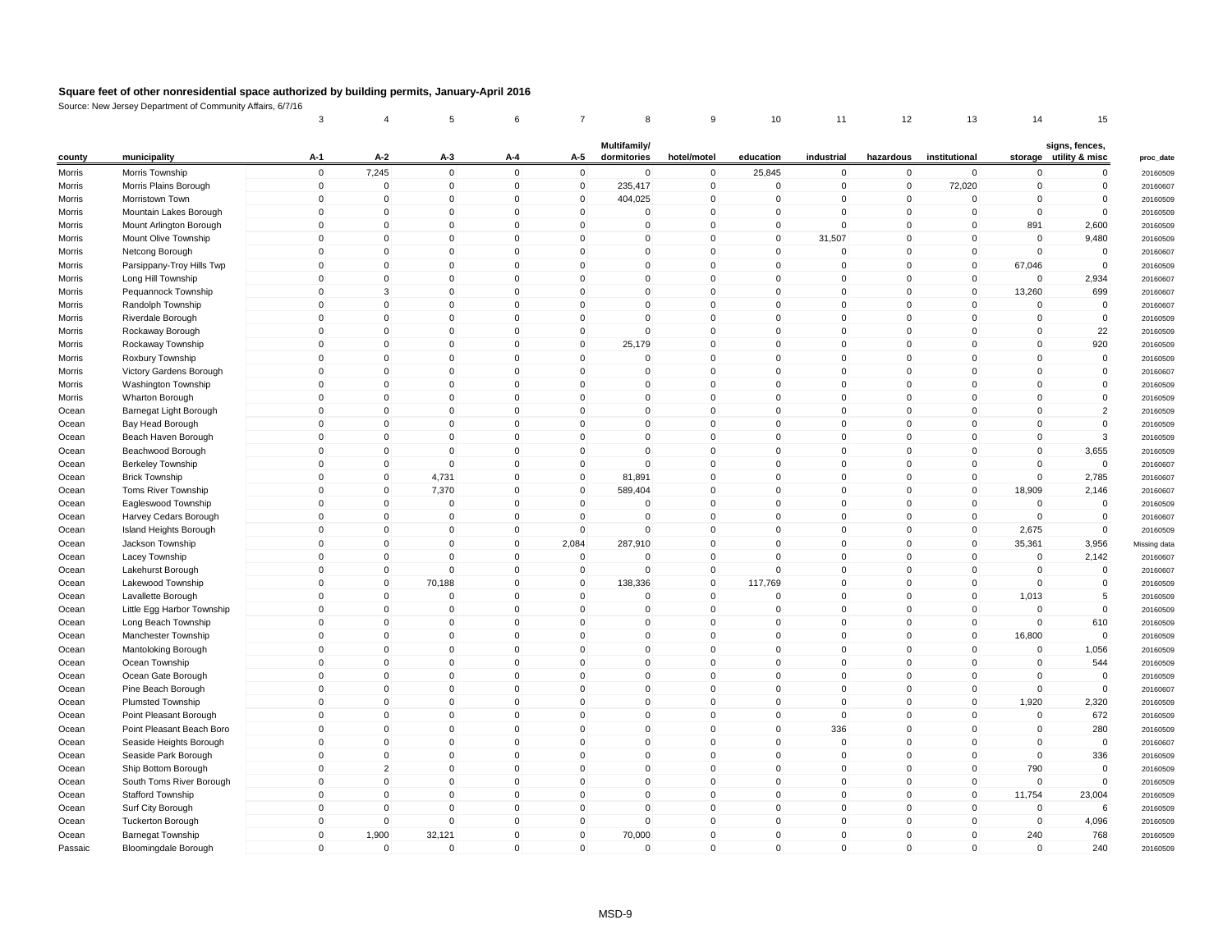| Multifamily/<br>signs, fences,<br>dormitories<br>institutional<br>municipality<br>A-1<br>A-2<br>A-3<br>A-4<br>A-5<br>hotel/motel<br>education<br>industrial<br>hazardous<br>storage utility & misc<br>county<br>$\mathsf 0$<br>$\mathbf{0}$<br>7,245<br>$\mathbf{0}$<br>25,845<br>$\mathbf 0$<br>Morris<br>Morris Township<br>$\mathbf{0}$<br>$\mathbf{0}$<br>$\mathbf 0$<br>$\mathbf 0$<br>$\mathbf{0}$<br>$\mathbf 0$<br>$\Omega$<br>Morris Plains Borough<br>$\mathbf 0$<br>$\mathbf 0$<br>$\mathbf 0$<br>$\mathbf 0$<br>$\mathbf 0$<br>235,417<br>$\mathsf 0$<br>$\mathbf 0$<br>$\mathbf 0$<br>72,020<br>$\mathbf 0$<br>Morris<br>$\mathbf 0$<br>$\mathbf 0$<br>$\mathbf 0$<br>$\mathbf 0$<br>$\mathbf 0$<br>$\mathbf 0$<br>$\mathbf 0$<br>404,025<br>$\mathsf 0$<br>$\mathbf 0$<br>$\mathbf 0$<br>$\overline{0}$<br>$\mathbf 0$<br>Morris<br>Morristown Town<br>$\mathbf 0$<br>$\mathbf 0$<br>$\mathbf 0$<br>$\Omega$<br>$\mathbf 0$<br>Mountain Lakes Borough<br>$\mathbf 0$<br>$\mathbf 0$<br>$\Omega$<br>$\mathbf 0$<br>$\mathbf 0$<br>$\mathbf 0$<br>$\mathbf 0$<br>$\mathbf 0$<br>$\Omega$<br>$\mathbf 0$<br>Morris<br>$\mathbf 0$<br>$\mathbf 0$<br>$\mathbf 0$<br>$\Omega$<br>$\Omega$<br>$\mathsf 0$<br>$\mathsf 0$<br>$\mathbf 0$<br>$\mathsf{O}\xspace$<br>$\Omega$<br>891<br>2,600<br>Mount Arlington Borough<br>$\Omega$<br>Morris<br>$\mathbf 0$<br>31,507<br>$\mathbf 0$<br>$\mathbf 0$<br>$\mathbf 0$<br>$\mathbf 0$<br>$\mathbf 0$<br>$\mathbf 0$<br>$\mathbf 0$<br>$\mathbf 0$<br>$\overline{0}$<br>9,480<br>Morris<br>Mount Olive Township<br>$\mathbf 0$<br>$\mathbf 0$<br>$\overline{0}$<br>$\mathbf 0$<br>$\mathbf 0$<br>$\mathbf 0$<br>$\mathbf 0$<br>$\overline{0}$<br>$\mathbf 0$<br>$\mathbf 0$<br>$\mathbf 0$<br>$\mathbf 0$<br>$\mathbf 0$<br>$\mathbf 0$<br>Morris<br>Netcong Borough<br>$\mathsf{O}\xspace$<br>$\Omega$<br>$\mathbf 0$<br>$\Omega$<br>$\mathbf 0$<br>$\Omega$<br>$\mathbf 0$<br>Parsippany-Troy Hills Twp<br>$\Omega$<br>$\mathbf 0$<br>$\Omega$<br>$\mathbf 0$<br>$\Omega$<br>67,046<br>Morris<br>$\mathbf 0$<br>$\mathbf 0$<br>$\mathbf 0$<br>$\mathbf 0$<br>$\mathbf 0$<br>$\mathbf 0$<br>0<br>2,934<br>Morris<br>Long Hill Township<br>$\mathbf 0$<br>$\mathbf 0$<br>$\mathbf 0$<br>$\mathbf 0$<br>$\overline{0}$<br>$\mathbf 0$<br>$\mathsf{O}\xspace$<br>Pequannock Township<br>$\mathbf 0$<br>3<br>$\mathbf 0$<br>$\mathbf 0$<br>$\mathbf 0$<br>$\mathsf 0$<br>$\mathbf 0$<br>$\mathbf 0$<br>$\mathbf 0$<br>13,260<br>699<br>Morris<br>$\Omega$<br>$\mathbf 0$<br>$\Omega$<br>$\mathbf 0$<br>Randolph Township<br>$\mathbf{0}$<br>$\Omega$<br>$\mathbf 0$<br>$\Omega$<br>$\mathbf 0$<br>$\Omega$<br>$\mathbf 0$<br>0<br>Morris<br>$\Omega$<br>$\Omega$<br>$\mathbf 0$<br>$\Omega$<br>$\Omega$<br>$\Omega$<br>$\Omega$<br>$\mathbf 0$<br>Morris<br>Riverdale Borough<br>$\mathbf 0$<br>$\Omega$<br>$\Omega$<br>$\mathbf 0$<br>$\Omega$<br>0<br>$\mathsf{O}\xspace$<br>$\mathbf 0$<br>$\mathbf 0$<br>$\mathbf 0$<br>$\mathbf 0$<br>$\mathbf 0$<br>$\mathbf 0$<br>$\mathsf 0$<br>$\mathbf 0$<br>$\mathbf 0$<br>$\Omega$<br>$\mathsf 0$<br>22<br>Morris<br>Rockaway Borough<br>$\overline{0}$<br>$\mathbf 0$<br>$\overline{0}$<br>$\mathbf 0$<br>$\mathsf 0$<br>920<br>$\mathbf 0$<br>$\mathbf 0$<br>25,179<br>$\mathbf 0$<br>$\mathbf 0$<br>$\Omega$<br>Morris<br>Rockaway Township<br>$\Omega$<br>$\mathbf{0}$<br>$\Omega$<br>$\Omega$<br>$\mathbf 0$<br>Morris<br>Roxbury Township<br>$\mathbf{0}$<br>$\Omega$<br>$\mathbf 0$<br>$\Omega$<br>$\mathbf 0$<br>$\Omega$<br>$\Omega$<br>0<br>$\mathbf 0$<br>$\mathbf 0$<br>$\mathbf 0$<br>$\mathbf 0$<br>$\mathbf 0$<br>$\mathbf 0$<br>$\mathbf 0$<br>$\mathsf 0$<br>$\mathbf 0$<br>$\mathbf 0$<br>$\mathbf 0$<br>$\mathsf 0$<br>$\mathbf 0$<br>Victory Gardens Borough<br>$\Omega$<br>Morris<br>$\overline{0}$<br>$\mathbf 0$<br>$\mathsf 0$<br>Washington Township<br>$\mathbf 0$<br>$\mathbf 0$<br>$\mathbf 0$<br>$\mathbf 0$<br>$\mathbf 0$<br>$\mathbf 0$<br>0<br>$\mathbf 0$<br>Morris<br>$\mathbf 0$<br>$\mathbf 0$<br>$\mathbf{0}$<br>Morris<br>Wharton Borough<br>$\mathbf{0}$<br>$\mathbf{0}$<br>$\mathbf 0$<br>$\Omega$<br>$\mathbf{0}$<br>$\mathbf 0$<br>$\mathbf{0}$<br>$\mathbf 0$<br>$\Omega$<br>$\Omega$<br>$\mathbf 0$<br>0<br>$\mathbf 0$<br>$\mathbf 0$<br>$\mathbf 0$<br>$\mathsf 0$<br>$\overline{2}$<br>$\mathbf 0$<br>$\mathbf 0$<br>$\mathbf 0$<br>$\mathbf 0$<br>$\mathbf 0$<br>$\mathsf 0$<br>$\mathbf 0$<br>Barnegat Light Borough<br>$\mathbf 0$<br>Ocean<br>$\mathbf 0$<br>$\mathbf 0$<br>$\mathbf 0$<br>$\mathbf 0$<br>$\mathbf 0$<br>$\mathbf 0$<br>Ocean<br>Bay Head Borough<br>$\mathbf 0$<br>$\mathbf 0$<br>$\mathbf 0$<br>$\mathbf 0$<br>$\mathbf 0$<br>0<br>$\mathbf 0$<br>$\Omega$<br>3<br>Beach Haven Borough<br>$\mathbf{0}$<br>$\mathbf{0}$<br>$\mathbf 0$<br>$\Omega$<br>$\Omega$<br>$\mathbf 0$<br>$\mathbf{0}$<br>$\mathbf 0$<br>$\Omega$<br>$\Omega$<br>$\mathbf 0$<br>Ocean<br>$\mathbf 0$<br>$\mathsf{O}\xspace$<br>$\mathbf{0}$<br>$\mathbf 0$<br>$\Omega$<br>$\mathbf 0$<br>$\Omega$<br>$\mathbf 0$<br>$\mathbf 0$<br>$\Omega$<br>$\mathsf 0$<br>3,655<br>Beachwood Borough<br>$\Omega$<br>Ocean<br>$\mathbf 0$<br>$\mathbf 0$<br>$\mathbf 0$<br>$\mathbf 0$<br>$\mathbf 0$<br>Ocean<br>Berkeley Township<br>$\mathbf 0$<br>$\mathbf 0$<br>$\mathbf 0$<br>$\mathbf 0$<br>0<br>$\mathbf 0$<br>$\overline{0}$<br>0<br>2,785<br><b>Brick Township</b><br>$\mathbf 0$<br>$\mathbf 0$<br>4,731<br>$\Omega$<br>$\mathbf 0$<br>81,891<br>$\mathsf 0$<br>$\mathbf 0$<br>$\mathbf 0$<br>$\mathbf 0$<br>$\mathbf 0$<br>Ocean<br>$\Omega$<br>$\mathbf 0$<br>$\Omega$<br>7,370<br>$\Omega$<br>$\mathbf 0$<br>$\mathsf 0$<br>$\mathbf 0$<br>$\Omega$<br><b>Toms River Township</b><br>589,404<br>$\mathbf 0$<br>$\Omega$<br>18,909<br>2,146<br>Ocean<br>$\mathbf 0$<br>$\mathbf 0$<br>$\mathbf 0$<br>$\overline{0}$<br>Ocean<br>Eagleswood Township<br>$\mathbf 0$<br>$\mathbf 0$<br>$\mathbf 0$<br>0<br>0<br>$\mathbf 0$<br>$\mathbf 0$<br>$\overline{0}$<br>0<br>$\mathbf 0$<br>$\mathbf 0$<br>$\mathbf 0$<br>$\mathbf 0$<br>$\mathbf 0$<br>$\mathbf 0$<br>$\mathsf 0$<br>$\mathbf 0$<br>$\mathbf 0$<br>$\mathbf 0$<br>$\overline{0}$<br>$\mathbf 0$<br>Ocean<br>Harvey Cedars Borough<br>$\Omega$<br>$\mathsf{O}\xspace$<br>$\mathbf{0}$<br>$\mathbf 0$<br>$\mathsf{O}\xspace$<br>$\mathbf 0$<br>$\mathbf 0$<br>$\mathbf 0$<br>$\mathbf 0$<br>$\Omega$<br>$\mathbf 0$<br>$\mathbf 0$<br>$\Omega$<br>2,675<br>Ocean<br>Island Heights Borough<br>$\mathsf 0$<br>$\mathbf 0$<br>2,084<br>$\Omega$<br>$\overline{0}$<br>35,361<br>Ocean<br>Jackson Township<br>$\mathbf 0$<br>$\Omega$<br>287,910<br>0<br>0<br>$\Omega$<br>3,956<br>$\mathbf 0$<br>$\mathbf 0$<br>$\mathbf 0$<br>$\mathbf 0$<br>$\mathsf 0$<br>$\mathbf 0$<br>$\mathbf 0$<br>0<br>$\mathbf 0$<br>2,142<br>Ocean<br>Lacey Township<br>$\mathbf 0$<br>$\mathbf 0$<br>$\mathbf 0$<br>$\mathsf 0$<br>$\mathbf 0$<br>$\mathsf 0$<br>$\mathbf 0$<br>$\Omega$<br>$\mathbf 0$<br>$\mathbf 0$<br>$\Omega$<br>$\mathbf 0$<br>$\mathbf 0$<br>$\mathbf 0$<br>$\mathbf 0$<br>Ocean<br>Lakehurst Borough<br>$\Omega$<br>$\mathbf 0$<br>70,188<br>$\mathbf 0$<br>117,769<br>$\mathbf 0$<br>Lakewood Township<br>$\mathbf 0$<br>$\mathbf 0$<br>138,336<br>$\mathbf 0$<br>$\mathbf 0$<br>$\Omega$<br>$\mathbf 0$<br>0<br>Ocean<br>$\mathbf 0$<br>$\mathbf 0$<br>$\mathbf 0$<br>$\mathbf 0$<br>1,013<br>5<br>Ocean<br>Lavallette Borough<br>$\mathbf 0$<br>$\mathbf 0$<br>$\mathbf 0$<br>$\mathbf 0$<br>$\mathbf 0$<br>$\mathbf 0$<br>$\mathbf 0$<br>$\overline{0}$<br>$\mathbf 0$<br>$\mathbf 0$<br>$\mathbf 0$<br>$\Omega$<br>$\mathbf 0$<br>$\mathbf 0$<br>$\mathsf 0$<br>0<br>$\overline{0}$<br>$\mathbf 0$<br>Ocean<br>Little Egg Harbor Township<br>$\mathbf 0$<br>$\Omega$<br>$\mathbf 0$<br>610<br>Long Beach Township<br>$\mathbf 0$<br>$\mathbf 0$<br>$\mathbf 0$<br>$\mathbf 0$<br>$\mathbf 0$<br>$\mathbf 0$<br>$\mathsf 0$<br>$\mathbf 0$<br>$\mathbf 0$<br>$\mathbf 0$<br>$\mathbf 0$<br>Ocean<br>$\Omega$<br>$\mathbf 0$<br>$\Omega$<br>$\Omega$<br>$\Omega$<br>$\mathbf 0$<br>$\Omega$<br>16,800<br>Ocean<br>$\mathbf{0}$<br>$\mathbf 0$<br>$\Omega$<br>$\Omega$<br>0<br>Manchester Township<br>$\mathbf{0}$<br>$\Omega$<br>$\mathbf 0$<br>$\Omega$<br>$\Omega$<br>$\mathbf 0$<br>$\mathsf 0$<br>$\Omega$<br>$\mathbf 0$<br>$\Omega$<br>$\mathbf 0$<br>1,056<br>Ocean<br>Mantoloking Borough<br>$\Omega$<br>$\mathbf 0$<br>$\mathbf 0$<br>$\mathbf 0$<br>$\mathbf 0$<br>$\mathbf 0$<br>$\mathsf 0$<br>$\mathsf 0$<br>$\mathbf 0$<br>$\overline{0}$<br>$\mathbf 0$<br>$\mathbf 0$<br>$\mathbf 0$<br>544<br>Ocean<br>Ocean Township<br>$\Omega$<br>$\mathbf 0$<br>$\mathbf 0$<br>$\mathbf 0$<br>$\Omega$<br>Ocean<br>Ocean Gate Borough<br>$\mathbf 0$<br>$\mathbf 0$<br>$\mathbf 0$<br>$\mathbf 0$<br>$\mathbf 0$<br>$\overline{0}$<br>$\mathbf 0$<br>$\Omega$<br>$\mathbf 0$<br>$\Omega$<br>$\mathbf 0$<br>$\Omega$<br>$\Omega$<br>$\mathbf 0$<br>$\mathsf 0$<br>$\mathbf 0$<br>$\mathbf 0$<br>$\Omega$<br>$\mathbf 0$<br>$\mathbf 0$<br>Ocean<br>Pine Beach Borough<br>$\Omega$<br>$\mathbf 0$<br>$\mathbf 0$<br>2,320<br>$\mathbf 0$<br>$\mathbf 0$<br>$\mathbf 0$<br>$\mathbf 0$<br>$\mathbf 0$<br>$\mathsf 0$<br>$\mathbf 0$<br>$\mathbf 0$<br>$\mathbf 0$<br>1,920<br>Ocean<br><b>Plumsted Township</b><br>$\mathbf 0$<br>$\mathbf 0$<br>$\mathbf 0$<br>$\mathbf 0$<br>$\mathbf 0$<br>$\mathbf 0$<br>$\mathbf 0$<br>$\mathbf 0$<br>$\mathbf 0$<br>$\mathbf 0$<br>672<br>Ocean<br>Point Pleasant Borough<br>$\mathbf 0$<br>$\mathbf 0$<br>336<br>Point Pleasant Beach Boro<br>$\mathbf{0}$<br>$\Omega$<br>$\Omega$<br>$\Omega$<br>$\Omega$<br>$\Omega$<br>$\mathbf 0$<br>$\Omega$<br>$\Omega$<br>280<br>$\Omega$<br>$\mathbf 0$<br>Ocean<br>$\mathbf 0$<br>Seaside Heights Borough<br>$\mathsf{O}\xspace$<br>$\mathbf 0$<br>$\mathbf 0$<br>$\mathbf 0$<br>$\mathsf 0$<br>$\mathbf 0$<br>$\mathbf 0$<br>$\mathbf 0$<br>0<br>$\overline{0}$<br>$\mathbf 0$<br>Ocean<br>$\mathbf 0$<br>$\mathbf 0$<br>$\mathbf 0$<br>$\mathbf 0$<br>$\mathbf 0$<br>$\mathbf 0$<br>$\mathbf 0$<br>$\mathbf 0$<br>$\overline{0}$<br>Ocean<br>Seaside Park Borough<br>$\mathbf 0$<br>$\mathbf 0$<br>$\mathbf 0$<br>$\Omega$<br>336<br>$\overline{2}$<br>$\Omega$<br>$\mathbf{0}$<br>$\mathbf{0}$<br>$\Omega$<br>790<br>Ship Bottom Borough<br>$\mathbf{0}$<br>$\Omega$<br>$\Omega$<br>$\Omega$<br>$\Omega$<br>$\Omega$<br>$\Omega$<br>Ocean<br>$\mathbf 0$<br>$\mathsf{O}\xspace$<br>$\mathsf 0$<br>$\mathbf 0$<br>$\mathsf 0$<br>$\mathbf 0$<br>$\mathbf 0$<br>$\mathbf 0$<br>$\overline{0}$<br>$\mathbf 0$<br>Ocean<br>South Toms River Borough<br>$\mathbf 0$<br>$\mathbf 0$<br>$\mathbf 0$<br>Stafford Township<br>$\mathbf 0$<br>$\mathbf 0$<br>$\mathbf 0$<br>$\mathbf 0$<br>$\mathbf 0$<br>$\mathbf 0$<br>$\mathbf 0$<br>$\mathbf 0$<br>11,754<br>23,004<br>Ocean<br>$\mathbf 0$<br>$\mathbf 0$<br>$\mathbf 0$<br>$\mathbf 0$<br>Ocean<br>Surf City Borough<br>$\mathbf{0}$<br>$\mathbf{0}$<br>$\Omega$<br>$\Omega$<br>$\mathbf 0$<br>$\Omega$<br>$\mathbf{0}$<br>$\mathbf 0$<br>$\Omega$<br>$\Omega$<br>$\mathbf 0$<br>6<br>$\mathbf{0}$<br>$\Omega$<br>$\mathbf 0$<br>$\mathbf{0}$<br>$\mathbf 0$<br>$\mathbf 0$<br>$\Omega$<br>Ocean<br>0<br>$\Omega$<br>$\Omega$<br>$\Omega$<br>$\mathbf 0$<br>4,096<br><b>Tuckerton Borough</b><br>$\mathbf 0$<br>1,900<br>32,121<br>$\mathbf 0$<br>70,000<br>$\mathbf 0$<br>$\mathbf 0$<br>$\mathbf 0$<br>240<br>768<br>Ocean<br>Barnegat Township<br>$\Omega$<br>$\mathbf 0$<br>$\mathbf 0$<br>Passaic<br>Bloomingdale Borough<br>$\mathbf{0}$<br>$\mathbf{0}$<br>$\Omega$<br>$\Omega$<br>$\Omega$<br>$\mathbf 0$<br>$\mathbf 0$<br>$\mathbf{0}$<br>$\Omega$<br>$\Omega$<br>$\Omega$<br>$\mathbf 0$<br>240 |  | 3 | 5 |  | 8 | 9 | 10 | 11 | 12 | 13 | 14 | 15 |              |
|---------------------------------------------------------------------------------------------------------------------------------------------------------------------------------------------------------------------------------------------------------------------------------------------------------------------------------------------------------------------------------------------------------------------------------------------------------------------------------------------------------------------------------------------------------------------------------------------------------------------------------------------------------------------------------------------------------------------------------------------------------------------------------------------------------------------------------------------------------------------------------------------------------------------------------------------------------------------------------------------------------------------------------------------------------------------------------------------------------------------------------------------------------------------------------------------------------------------------------------------------------------------------------------------------------------------------------------------------------------------------------------------------------------------------------------------------------------------------------------------------------------------------------------------------------------------------------------------------------------------------------------------------------------------------------------------------------------------------------------------------------------------------------------------------------------------------------------------------------------------------------------------------------------------------------------------------------------------------------------------------------------------------------------------------------------------------------------------------------------------------------------------------------------------------------------------------------------------------------------------------------------------------------------------------------------------------------------------------------------------------------------------------------------------------------------------------------------------------------------------------------------------------------------------------------------------------------------------------------------------------------------------------------------------------------------------------------------------------------------------------------------------------------------------------------------------------------------------------------------------------------------------------------------------------------------------------------------------------------------------------------------------------------------------------------------------------------------------------------------------------------------------------------------------------------------------------------------------------------------------------------------------------------------------------------------------------------------------------------------------------------------------------------------------------------------------------------------------------------------------------------------------------------------------------------------------------------------------------------------------------------------------------------------------------------------------------------------------------------------------------------------------------------------------------------------------------------------------------------------------------------------------------------------------------------------------------------------------------------------------------------------------------------------------------------------------------------------------------------------------------------------------------------------------------------------------------------------------------------------------------------------------------------------------------------------------------------------------------------------------------------------------------------------------------------------------------------------------------------------------------------------------------------------------------------------------------------------------------------------------------------------------------------------------------------------------------------------------------------------------------------------------------------------------------------------------------------------------------------------------------------------------------------------------------------------------------------------------------------------------------------------------------------------------------------------------------------------------------------------------------------------------------------------------------------------------------------------------------------------------------------------------------------------------------------------------------------------------------------------------------------------------------------------------------------------------------------------------------------------------------------------------------------------------------------------------------------------------------------------------------------------------------------------------------------------------------------------------------------------------------------------------------------------------------------------------------------------------------------------------------------------------------------------------------------------------------------------------------------------------------------------------------------------------------------------------------------------------------------------------------------------------------------------------------------------------------------------------------------------------------------------------------------------------------------------------------------------------------------------------------------------------------------------------------------------------------------------------------------------------------------------------------------------------------------------------------------------------------------------------------------------------------------------------------------------------------------------------------------------------------------------------------------------------------------------------------------------------------------------------------------------------------------------------------------------------------------------------------------------------------------------------------------------------------------------------------------------------------------------------------------------------------------------------------------------------------------------------------------------------------------------------------------------------------------------------------------------------------------------------------------------------------------------------------------------------------------------------------------------------------------------------------------------------------------------------------------------------------------------------------------------------------------------------------------------------------------------------------------------------------------------------------------------------------------------------------------------------------------------------------------------------------------------------------------------------------------------------------------------------------------------------------------------------------------------------------------------------------------------------------------------------------------------------------------------------------------------------------------------------------------------------------------------------------------------------------------------------------------------------------------------------------------------------------------------------------------------------------------------------------------------------------------------------------------------------------------------------------------------------------------------------------------------------------------------------------------------------------------------------------------------------------------------------------------------------------------------------------------------------------------------------------------------------------------------------------------------------------------------------------------------------------------------------------------------------------------------------------------------------------------------------------------------------------------------------------------------------------------------------------------------------------------------------------------------------------------------------------------------------------------------------------------------------------------------------------------------------------------------------------------------------------------------------------------------------------------------------------------------------------------------------------------------------------------------------------------------------------------------------------------------------------------------------------------------------------------------------------------------------------------------------------------------------------------------------------------------------------------------------------------------------------------------------------------------------------------------------------------------------------------------------------------------------------------------------------------------------------------------------------------------------------------------------------------------------------------------------------------------------------------------------------------------------------------------------------------------------------------------------------------------------------------------------------------------------------------------------------------------------------------------------------------------------------------------------------------------------------------------------------------------------------------------------------------------------------------------------------------------------------------------------------------------------------------------------------------------------------------------------------------------------------------------------------------------------------------------------------------------------------------------------------------------------------------------------------------------------------------------------------------------------------------------------------------------------------------------------------------------------------------------------------------------------------------------------------------------------------------------------------------------------------------------------------------------------------------------------------------------------------------------------------------------------------------------------------------------------------------------------|--|---|---|--|---|---|----|----|----|----|----|----|--------------|
|                                                                                                                                                                                                                                                                                                                                                                                                                                                                                                                                                                                                                                                                                                                                                                                                                                                                                                                                                                                                                                                                                                                                                                                                                                                                                                                                                                                                                                                                                                                                                                                                                                                                                                                                                                                                                                                                                                                                                                                                                                                                                                                                                                                                                                                                                                                                                                                                                                                                                                                                                                                                                                                                                                                                                                                                                                                                                                                                                                                                                                                                                                                                                                                                                                                                                                                                                                                                                                                                                                                                                                                                                                                                                                                                                                                                                                                                                                                                                                                                                                                                                                                                                                                                                                                                                                                                                                                                                                                                                                                                                                                                                                                                                                                                                                                                                                                                                                                                                                                                                                                                                                                                                                                                                                                                                                                                                                                                                                                                                                                                                                                                                                                                                                                                                                                                                                                                                                                                                                                                                                                                                                                                                                                                                                                                                                                                                                                                                                                                                                                                                                                                                                                                                                                                                                                                                                                                                                                                                                                                                                                                                                                                                                                                                                                                                                                                                                                                                                                                                                                                                                                                                                                                                                                                                                                                                                                                                                                                                                                                                                                                                                                                                                                                                                                                                                                                                                                                                                                                                                                                                                                                                                                                                                                                                                                                                                                                                                                                                                                                                                                                                                                                                                                                                                                                                                                                                                                                                                                                                                                                                                                                                                                                                                                                                                                                                                                                                                                                                                                                                                                                                                                                                                                                                                                                                                                                                                                                                                                                                                                                                                                                                                                                                                                                                                                                                                                                                                                                                                                                                                                                                                                                                                                                                                                                                                                                                                                                                                                                                                                                                                                                                                                                                                                                             |  |   |   |  |   |   |    |    |    |    |    |    |              |
|                                                                                                                                                                                                                                                                                                                                                                                                                                                                                                                                                                                                                                                                                                                                                                                                                                                                                                                                                                                                                                                                                                                                                                                                                                                                                                                                                                                                                                                                                                                                                                                                                                                                                                                                                                                                                                                                                                                                                                                                                                                                                                                                                                                                                                                                                                                                                                                                                                                                                                                                                                                                                                                                                                                                                                                                                                                                                                                                                                                                                                                                                                                                                                                                                                                                                                                                                                                                                                                                                                                                                                                                                                                                                                                                                                                                                                                                                                                                                                                                                                                                                                                                                                                                                                                                                                                                                                                                                                                                                                                                                                                                                                                                                                                                                                                                                                                                                                                                                                                                                                                                                                                                                                                                                                                                                                                                                                                                                                                                                                                                                                                                                                                                                                                                                                                                                                                                                                                                                                                                                                                                                                                                                                                                                                                                                                                                                                                                                                                                                                                                                                                                                                                                                                                                                                                                                                                                                                                                                                                                                                                                                                                                                                                                                                                                                                                                                                                                                                                                                                                                                                                                                                                                                                                                                                                                                                                                                                                                                                                                                                                                                                                                                                                                                                                                                                                                                                                                                                                                                                                                                                                                                                                                                                                                                                                                                                                                                                                                                                                                                                                                                                                                                                                                                                                                                                                                                                                                                                                                                                                                                                                                                                                                                                                                                                                                                                                                                                                                                                                                                                                                                                                                                                                                                                                                                                                                                                                                                                                                                                                                                                                                                                                                                                                                                                                                                                                                                                                                                                                                                                                                                                                                                                                                                                                                                                                                                                                                                                                                                                                                                                                                                                                                                                                                             |  |   |   |  |   |   |    |    |    |    |    |    | proc_date    |
|                                                                                                                                                                                                                                                                                                                                                                                                                                                                                                                                                                                                                                                                                                                                                                                                                                                                                                                                                                                                                                                                                                                                                                                                                                                                                                                                                                                                                                                                                                                                                                                                                                                                                                                                                                                                                                                                                                                                                                                                                                                                                                                                                                                                                                                                                                                                                                                                                                                                                                                                                                                                                                                                                                                                                                                                                                                                                                                                                                                                                                                                                                                                                                                                                                                                                                                                                                                                                                                                                                                                                                                                                                                                                                                                                                                                                                                                                                                                                                                                                                                                                                                                                                                                                                                                                                                                                                                                                                                                                                                                                                                                                                                                                                                                                                                                                                                                                                                                                                                                                                                                                                                                                                                                                                                                                                                                                                                                                                                                                                                                                                                                                                                                                                                                                                                                                                                                                                                                                                                                                                                                                                                                                                                                                                                                                                                                                                                                                                                                                                                                                                                                                                                                                                                                                                                                                                                                                                                                                                                                                                                                                                                                                                                                                                                                                                                                                                                                                                                                                                                                                                                                                                                                                                                                                                                                                                                                                                                                                                                                                                                                                                                                                                                                                                                                                                                                                                                                                                                                                                                                                                                                                                                                                                                                                                                                                                                                                                                                                                                                                                                                                                                                                                                                                                                                                                                                                                                                                                                                                                                                                                                                                                                                                                                                                                                                                                                                                                                                                                                                                                                                                                                                                                                                                                                                                                                                                                                                                                                                                                                                                                                                                                                                                                                                                                                                                                                                                                                                                                                                                                                                                                                                                                                                                                                                                                                                                                                                                                                                                                                                                                                                                                                                                                                                             |  |   |   |  |   |   |    |    |    |    |    |    | 20160509     |
|                                                                                                                                                                                                                                                                                                                                                                                                                                                                                                                                                                                                                                                                                                                                                                                                                                                                                                                                                                                                                                                                                                                                                                                                                                                                                                                                                                                                                                                                                                                                                                                                                                                                                                                                                                                                                                                                                                                                                                                                                                                                                                                                                                                                                                                                                                                                                                                                                                                                                                                                                                                                                                                                                                                                                                                                                                                                                                                                                                                                                                                                                                                                                                                                                                                                                                                                                                                                                                                                                                                                                                                                                                                                                                                                                                                                                                                                                                                                                                                                                                                                                                                                                                                                                                                                                                                                                                                                                                                                                                                                                                                                                                                                                                                                                                                                                                                                                                                                                                                                                                                                                                                                                                                                                                                                                                                                                                                                                                                                                                                                                                                                                                                                                                                                                                                                                                                                                                                                                                                                                                                                                                                                                                                                                                                                                                                                                                                                                                                                                                                                                                                                                                                                                                                                                                                                                                                                                                                                                                                                                                                                                                                                                                                                                                                                                                                                                                                                                                                                                                                                                                                                                                                                                                                                                                                                                                                                                                                                                                                                                                                                                                                                                                                                                                                                                                                                                                                                                                                                                                                                                                                                                                                                                                                                                                                                                                                                                                                                                                                                                                                                                                                                                                                                                                                                                                                                                                                                                                                                                                                                                                                                                                                                                                                                                                                                                                                                                                                                                                                                                                                                                                                                                                                                                                                                                                                                                                                                                                                                                                                                                                                                                                                                                                                                                                                                                                                                                                                                                                                                                                                                                                                                                                                                                                                                                                                                                                                                                                                                                                                                                                                                                                                                                                                                             |  |   |   |  |   |   |    |    |    |    |    |    | 20160607     |
|                                                                                                                                                                                                                                                                                                                                                                                                                                                                                                                                                                                                                                                                                                                                                                                                                                                                                                                                                                                                                                                                                                                                                                                                                                                                                                                                                                                                                                                                                                                                                                                                                                                                                                                                                                                                                                                                                                                                                                                                                                                                                                                                                                                                                                                                                                                                                                                                                                                                                                                                                                                                                                                                                                                                                                                                                                                                                                                                                                                                                                                                                                                                                                                                                                                                                                                                                                                                                                                                                                                                                                                                                                                                                                                                                                                                                                                                                                                                                                                                                                                                                                                                                                                                                                                                                                                                                                                                                                                                                                                                                                                                                                                                                                                                                                                                                                                                                                                                                                                                                                                                                                                                                                                                                                                                                                                                                                                                                                                                                                                                                                                                                                                                                                                                                                                                                                                                                                                                                                                                                                                                                                                                                                                                                                                                                                                                                                                                                                                                                                                                                                                                                                                                                                                                                                                                                                                                                                                                                                                                                                                                                                                                                                                                                                                                                                                                                                                                                                                                                                                                                                                                                                                                                                                                                                                                                                                                                                                                                                                                                                                                                                                                                                                                                                                                                                                                                                                                                                                                                                                                                                                                                                                                                                                                                                                                                                                                                                                                                                                                                                                                                                                                                                                                                                                                                                                                                                                                                                                                                                                                                                                                                                                                                                                                                                                                                                                                                                                                                                                                                                                                                                                                                                                                                                                                                                                                                                                                                                                                                                                                                                                                                                                                                                                                                                                                                                                                                                                                                                                                                                                                                                                                                                                                                                                                                                                                                                                                                                                                                                                                                                                                                                                                                                                                             |  |   |   |  |   |   |    |    |    |    |    |    | 20160509     |
|                                                                                                                                                                                                                                                                                                                                                                                                                                                                                                                                                                                                                                                                                                                                                                                                                                                                                                                                                                                                                                                                                                                                                                                                                                                                                                                                                                                                                                                                                                                                                                                                                                                                                                                                                                                                                                                                                                                                                                                                                                                                                                                                                                                                                                                                                                                                                                                                                                                                                                                                                                                                                                                                                                                                                                                                                                                                                                                                                                                                                                                                                                                                                                                                                                                                                                                                                                                                                                                                                                                                                                                                                                                                                                                                                                                                                                                                                                                                                                                                                                                                                                                                                                                                                                                                                                                                                                                                                                                                                                                                                                                                                                                                                                                                                                                                                                                                                                                                                                                                                                                                                                                                                                                                                                                                                                                                                                                                                                                                                                                                                                                                                                                                                                                                                                                                                                                                                                                                                                                                                                                                                                                                                                                                                                                                                                                                                                                                                                                                                                                                                                                                                                                                                                                                                                                                                                                                                                                                                                                                                                                                                                                                                                                                                                                                                                                                                                                                                                                                                                                                                                                                                                                                                                                                                                                                                                                                                                                                                                                                                                                                                                                                                                                                                                                                                                                                                                                                                                                                                                                                                                                                                                                                                                                                                                                                                                                                                                                                                                                                                                                                                                                                                                                                                                                                                                                                                                                                                                                                                                                                                                                                                                                                                                                                                                                                                                                                                                                                                                                                                                                                                                                                                                                                                                                                                                                                                                                                                                                                                                                                                                                                                                                                                                                                                                                                                                                                                                                                                                                                                                                                                                                                                                                                                                                                                                                                                                                                                                                                                                                                                                                                                                                                                                                                             |  |   |   |  |   |   |    |    |    |    |    |    | 20160509     |
|                                                                                                                                                                                                                                                                                                                                                                                                                                                                                                                                                                                                                                                                                                                                                                                                                                                                                                                                                                                                                                                                                                                                                                                                                                                                                                                                                                                                                                                                                                                                                                                                                                                                                                                                                                                                                                                                                                                                                                                                                                                                                                                                                                                                                                                                                                                                                                                                                                                                                                                                                                                                                                                                                                                                                                                                                                                                                                                                                                                                                                                                                                                                                                                                                                                                                                                                                                                                                                                                                                                                                                                                                                                                                                                                                                                                                                                                                                                                                                                                                                                                                                                                                                                                                                                                                                                                                                                                                                                                                                                                                                                                                                                                                                                                                                                                                                                                                                                                                                                                                                                                                                                                                                                                                                                                                                                                                                                                                                                                                                                                                                                                                                                                                                                                                                                                                                                                                                                                                                                                                                                                                                                                                                                                                                                                                                                                                                                                                                                                                                                                                                                                                                                                                                                                                                                                                                                                                                                                                                                                                                                                                                                                                                                                                                                                                                                                                                                                                                                                                                                                                                                                                                                                                                                                                                                                                                                                                                                                                                                                                                                                                                                                                                                                                                                                                                                                                                                                                                                                                                                                                                                                                                                                                                                                                                                                                                                                                                                                                                                                                                                                                                                                                                                                                                                                                                                                                                                                                                                                                                                                                                                                                                                                                                                                                                                                                                                                                                                                                                                                                                                                                                                                                                                                                                                                                                                                                                                                                                                                                                                                                                                                                                                                                                                                                                                                                                                                                                                                                                                                                                                                                                                                                                                                                                                                                                                                                                                                                                                                                                                                                                                                                                                                                                                                             |  |   |   |  |   |   |    |    |    |    |    |    | 20160509     |
|                                                                                                                                                                                                                                                                                                                                                                                                                                                                                                                                                                                                                                                                                                                                                                                                                                                                                                                                                                                                                                                                                                                                                                                                                                                                                                                                                                                                                                                                                                                                                                                                                                                                                                                                                                                                                                                                                                                                                                                                                                                                                                                                                                                                                                                                                                                                                                                                                                                                                                                                                                                                                                                                                                                                                                                                                                                                                                                                                                                                                                                                                                                                                                                                                                                                                                                                                                                                                                                                                                                                                                                                                                                                                                                                                                                                                                                                                                                                                                                                                                                                                                                                                                                                                                                                                                                                                                                                                                                                                                                                                                                                                                                                                                                                                                                                                                                                                                                                                                                                                                                                                                                                                                                                                                                                                                                                                                                                                                                                                                                                                                                                                                                                                                                                                                                                                                                                                                                                                                                                                                                                                                                                                                                                                                                                                                                                                                                                                                                                                                                                                                                                                                                                                                                                                                                                                                                                                                                                                                                                                                                                                                                                                                                                                                                                                                                                                                                                                                                                                                                                                                                                                                                                                                                                                                                                                                                                                                                                                                                                                                                                                                                                                                                                                                                                                                                                                                                                                                                                                                                                                                                                                                                                                                                                                                                                                                                                                                                                                                                                                                                                                                                                                                                                                                                                                                                                                                                                                                                                                                                                                                                                                                                                                                                                                                                                                                                                                                                                                                                                                                                                                                                                                                                                                                                                                                                                                                                                                                                                                                                                                                                                                                                                                                                                                                                                                                                                                                                                                                                                                                                                                                                                                                                                                                                                                                                                                                                                                                                                                                                                                                                                                                                                                                                                             |  |   |   |  |   |   |    |    |    |    |    |    | 20160509     |
|                                                                                                                                                                                                                                                                                                                                                                                                                                                                                                                                                                                                                                                                                                                                                                                                                                                                                                                                                                                                                                                                                                                                                                                                                                                                                                                                                                                                                                                                                                                                                                                                                                                                                                                                                                                                                                                                                                                                                                                                                                                                                                                                                                                                                                                                                                                                                                                                                                                                                                                                                                                                                                                                                                                                                                                                                                                                                                                                                                                                                                                                                                                                                                                                                                                                                                                                                                                                                                                                                                                                                                                                                                                                                                                                                                                                                                                                                                                                                                                                                                                                                                                                                                                                                                                                                                                                                                                                                                                                                                                                                                                                                                                                                                                                                                                                                                                                                                                                                                                                                                                                                                                                                                                                                                                                                                                                                                                                                                                                                                                                                                                                                                                                                                                                                                                                                                                                                                                                                                                                                                                                                                                                                                                                                                                                                                                                                                                                                                                                                                                                                                                                                                                                                                                                                                                                                                                                                                                                                                                                                                                                                                                                                                                                                                                                                                                                                                                                                                                                                                                                                                                                                                                                                                                                                                                                                                                                                                                                                                                                                                                                                                                                                                                                                                                                                                                                                                                                                                                                                                                                                                                                                                                                                                                                                                                                                                                                                                                                                                                                                                                                                                                                                                                                                                                                                                                                                                                                                                                                                                                                                                                                                                                                                                                                                                                                                                                                                                                                                                                                                                                                                                                                                                                                                                                                                                                                                                                                                                                                                                                                                                                                                                                                                                                                                                                                                                                                                                                                                                                                                                                                                                                                                                                                                                                                                                                                                                                                                                                                                                                                                                                                                                                                                                                                             |  |   |   |  |   |   |    |    |    |    |    |    | 20160607     |
|                                                                                                                                                                                                                                                                                                                                                                                                                                                                                                                                                                                                                                                                                                                                                                                                                                                                                                                                                                                                                                                                                                                                                                                                                                                                                                                                                                                                                                                                                                                                                                                                                                                                                                                                                                                                                                                                                                                                                                                                                                                                                                                                                                                                                                                                                                                                                                                                                                                                                                                                                                                                                                                                                                                                                                                                                                                                                                                                                                                                                                                                                                                                                                                                                                                                                                                                                                                                                                                                                                                                                                                                                                                                                                                                                                                                                                                                                                                                                                                                                                                                                                                                                                                                                                                                                                                                                                                                                                                                                                                                                                                                                                                                                                                                                                                                                                                                                                                                                                                                                                                                                                                                                                                                                                                                                                                                                                                                                                                                                                                                                                                                                                                                                                                                                                                                                                                                                                                                                                                                                                                                                                                                                                                                                                                                                                                                                                                                                                                                                                                                                                                                                                                                                                                                                                                                                                                                                                                                                                                                                                                                                                                                                                                                                                                                                                                                                                                                                                                                                                                                                                                                                                                                                                                                                                                                                                                                                                                                                                                                                                                                                                                                                                                                                                                                                                                                                                                                                                                                                                                                                                                                                                                                                                                                                                                                                                                                                                                                                                                                                                                                                                                                                                                                                                                                                                                                                                                                                                                                                                                                                                                                                                                                                                                                                                                                                                                                                                                                                                                                                                                                                                                                                                                                                                                                                                                                                                                                                                                                                                                                                                                                                                                                                                                                                                                                                                                                                                                                                                                                                                                                                                                                                                                                                                                                                                                                                                                                                                                                                                                                                                                                                                                                                                                                             |  |   |   |  |   |   |    |    |    |    |    |    | 20160509     |
|                                                                                                                                                                                                                                                                                                                                                                                                                                                                                                                                                                                                                                                                                                                                                                                                                                                                                                                                                                                                                                                                                                                                                                                                                                                                                                                                                                                                                                                                                                                                                                                                                                                                                                                                                                                                                                                                                                                                                                                                                                                                                                                                                                                                                                                                                                                                                                                                                                                                                                                                                                                                                                                                                                                                                                                                                                                                                                                                                                                                                                                                                                                                                                                                                                                                                                                                                                                                                                                                                                                                                                                                                                                                                                                                                                                                                                                                                                                                                                                                                                                                                                                                                                                                                                                                                                                                                                                                                                                                                                                                                                                                                                                                                                                                                                                                                                                                                                                                                                                                                                                                                                                                                                                                                                                                                                                                                                                                                                                                                                                                                                                                                                                                                                                                                                                                                                                                                                                                                                                                                                                                                                                                                                                                                                                                                                                                                                                                                                                                                                                                                                                                                                                                                                                                                                                                                                                                                                                                                                                                                                                                                                                                                                                                                                                                                                                                                                                                                                                                                                                                                                                                                                                                                                                                                                                                                                                                                                                                                                                                                                                                                                                                                                                                                                                                                                                                                                                                                                                                                                                                                                                                                                                                                                                                                                                                                                                                                                                                                                                                                                                                                                                                                                                                                                                                                                                                                                                                                                                                                                                                                                                                                                                                                                                                                                                                                                                                                                                                                                                                                                                                                                                                                                                                                                                                                                                                                                                                                                                                                                                                                                                                                                                                                                                                                                                                                                                                                                                                                                                                                                                                                                                                                                                                                                                                                                                                                                                                                                                                                                                                                                                                                                                                                                                                             |  |   |   |  |   |   |    |    |    |    |    |    | 20160607     |
|                                                                                                                                                                                                                                                                                                                                                                                                                                                                                                                                                                                                                                                                                                                                                                                                                                                                                                                                                                                                                                                                                                                                                                                                                                                                                                                                                                                                                                                                                                                                                                                                                                                                                                                                                                                                                                                                                                                                                                                                                                                                                                                                                                                                                                                                                                                                                                                                                                                                                                                                                                                                                                                                                                                                                                                                                                                                                                                                                                                                                                                                                                                                                                                                                                                                                                                                                                                                                                                                                                                                                                                                                                                                                                                                                                                                                                                                                                                                                                                                                                                                                                                                                                                                                                                                                                                                                                                                                                                                                                                                                                                                                                                                                                                                                                                                                                                                                                                                                                                                                                                                                                                                                                                                                                                                                                                                                                                                                                                                                                                                                                                                                                                                                                                                                                                                                                                                                                                                                                                                                                                                                                                                                                                                                                                                                                                                                                                                                                                                                                                                                                                                                                                                                                                                                                                                                                                                                                                                                                                                                                                                                                                                                                                                                                                                                                                                                                                                                                                                                                                                                                                                                                                                                                                                                                                                                                                                                                                                                                                                                                                                                                                                                                                                                                                                                                                                                                                                                                                                                                                                                                                                                                                                                                                                                                                                                                                                                                                                                                                                                                                                                                                                                                                                                                                                                                                                                                                                                                                                                                                                                                                                                                                                                                                                                                                                                                                                                                                                                                                                                                                                                                                                                                                                                                                                                                                                                                                                                                                                                                                                                                                                                                                                                                                                                                                                                                                                                                                                                                                                                                                                                                                                                                                                                                                                                                                                                                                                                                                                                                                                                                                                                                                                                                                                             |  |   |   |  |   |   |    |    |    |    |    |    | 20160607     |
|                                                                                                                                                                                                                                                                                                                                                                                                                                                                                                                                                                                                                                                                                                                                                                                                                                                                                                                                                                                                                                                                                                                                                                                                                                                                                                                                                                                                                                                                                                                                                                                                                                                                                                                                                                                                                                                                                                                                                                                                                                                                                                                                                                                                                                                                                                                                                                                                                                                                                                                                                                                                                                                                                                                                                                                                                                                                                                                                                                                                                                                                                                                                                                                                                                                                                                                                                                                                                                                                                                                                                                                                                                                                                                                                                                                                                                                                                                                                                                                                                                                                                                                                                                                                                                                                                                                                                                                                                                                                                                                                                                                                                                                                                                                                                                                                                                                                                                                                                                                                                                                                                                                                                                                                                                                                                                                                                                                                                                                                                                                                                                                                                                                                                                                                                                                                                                                                                                                                                                                                                                                                                                                                                                                                                                                                                                                                                                                                                                                                                                                                                                                                                                                                                                                                                                                                                                                                                                                                                                                                                                                                                                                                                                                                                                                                                                                                                                                                                                                                                                                                                                                                                                                                                                                                                                                                                                                                                                                                                                                                                                                                                                                                                                                                                                                                                                                                                                                                                                                                                                                                                                                                                                                                                                                                                                                                                                                                                                                                                                                                                                                                                                                                                                                                                                                                                                                                                                                                                                                                                                                                                                                                                                                                                                                                                                                                                                                                                                                                                                                                                                                                                                                                                                                                                                                                                                                                                                                                                                                                                                                                                                                                                                                                                                                                                                                                                                                                                                                                                                                                                                                                                                                                                                                                                                                                                                                                                                                                                                                                                                                                                                                                                                                                                                                                             |  |   |   |  |   |   |    |    |    |    |    |    | 20160607     |
|                                                                                                                                                                                                                                                                                                                                                                                                                                                                                                                                                                                                                                                                                                                                                                                                                                                                                                                                                                                                                                                                                                                                                                                                                                                                                                                                                                                                                                                                                                                                                                                                                                                                                                                                                                                                                                                                                                                                                                                                                                                                                                                                                                                                                                                                                                                                                                                                                                                                                                                                                                                                                                                                                                                                                                                                                                                                                                                                                                                                                                                                                                                                                                                                                                                                                                                                                                                                                                                                                                                                                                                                                                                                                                                                                                                                                                                                                                                                                                                                                                                                                                                                                                                                                                                                                                                                                                                                                                                                                                                                                                                                                                                                                                                                                                                                                                                                                                                                                                                                                                                                                                                                                                                                                                                                                                                                                                                                                                                                                                                                                                                                                                                                                                                                                                                                                                                                                                                                                                                                                                                                                                                                                                                                                                                                                                                                                                                                                                                                                                                                                                                                                                                                                                                                                                                                                                                                                                                                                                                                                                                                                                                                                                                                                                                                                                                                                                                                                                                                                                                                                                                                                                                                                                                                                                                                                                                                                                                                                                                                                                                                                                                                                                                                                                                                                                                                                                                                                                                                                                                                                                                                                                                                                                                                                                                                                                                                                                                                                                                                                                                                                                                                                                                                                                                                                                                                                                                                                                                                                                                                                                                                                                                                                                                                                                                                                                                                                                                                                                                                                                                                                                                                                                                                                                                                                                                                                                                                                                                                                                                                                                                                                                                                                                                                                                                                                                                                                                                                                                                                                                                                                                                                                                                                                                                                                                                                                                                                                                                                                                                                                                                                                                                                                                                                             |  |   |   |  |   |   |    |    |    |    |    |    | 20160509     |
|                                                                                                                                                                                                                                                                                                                                                                                                                                                                                                                                                                                                                                                                                                                                                                                                                                                                                                                                                                                                                                                                                                                                                                                                                                                                                                                                                                                                                                                                                                                                                                                                                                                                                                                                                                                                                                                                                                                                                                                                                                                                                                                                                                                                                                                                                                                                                                                                                                                                                                                                                                                                                                                                                                                                                                                                                                                                                                                                                                                                                                                                                                                                                                                                                                                                                                                                                                                                                                                                                                                                                                                                                                                                                                                                                                                                                                                                                                                                                                                                                                                                                                                                                                                                                                                                                                                                                                                                                                                                                                                                                                                                                                                                                                                                                                                                                                                                                                                                                                                                                                                                                                                                                                                                                                                                                                                                                                                                                                                                                                                                                                                                                                                                                                                                                                                                                                                                                                                                                                                                                                                                                                                                                                                                                                                                                                                                                                                                                                                                                                                                                                                                                                                                                                                                                                                                                                                                                                                                                                                                                                                                                                                                                                                                                                                                                                                                                                                                                                                                                                                                                                                                                                                                                                                                                                                                                                                                                                                                                                                                                                                                                                                                                                                                                                                                                                                                                                                                                                                                                                                                                                                                                                                                                                                                                                                                                                                                                                                                                                                                                                                                                                                                                                                                                                                                                                                                                                                                                                                                                                                                                                                                                                                                                                                                                                                                                                                                                                                                                                                                                                                                                                                                                                                                                                                                                                                                                                                                                                                                                                                                                                                                                                                                                                                                                                                                                                                                                                                                                                                                                                                                                                                                                                                                                                                                                                                                                                                                                                                                                                                                                                                                                                                                                                                                             |  |   |   |  |   |   |    |    |    |    |    |    | 20160509     |
|                                                                                                                                                                                                                                                                                                                                                                                                                                                                                                                                                                                                                                                                                                                                                                                                                                                                                                                                                                                                                                                                                                                                                                                                                                                                                                                                                                                                                                                                                                                                                                                                                                                                                                                                                                                                                                                                                                                                                                                                                                                                                                                                                                                                                                                                                                                                                                                                                                                                                                                                                                                                                                                                                                                                                                                                                                                                                                                                                                                                                                                                                                                                                                                                                                                                                                                                                                                                                                                                                                                                                                                                                                                                                                                                                                                                                                                                                                                                                                                                                                                                                                                                                                                                                                                                                                                                                                                                                                                                                                                                                                                                                                                                                                                                                                                                                                                                                                                                                                                                                                                                                                                                                                                                                                                                                                                                                                                                                                                                                                                                                                                                                                                                                                                                                                                                                                                                                                                                                                                                                                                                                                                                                                                                                                                                                                                                                                                                                                                                                                                                                                                                                                                                                                                                                                                                                                                                                                                                                                                                                                                                                                                                                                                                                                                                                                                                                                                                                                                                                                                                                                                                                                                                                                                                                                                                                                                                                                                                                                                                                                                                                                                                                                                                                                                                                                                                                                                                                                                                                                                                                                                                                                                                                                                                                                                                                                                                                                                                                                                                                                                                                                                                                                                                                                                                                                                                                                                                                                                                                                                                                                                                                                                                                                                                                                                                                                                                                                                                                                                                                                                                                                                                                                                                                                                                                                                                                                                                                                                                                                                                                                                                                                                                                                                                                                                                                                                                                                                                                                                                                                                                                                                                                                                                                                                                                                                                                                                                                                                                                                                                                                                                                                                                                                                                             |  |   |   |  |   |   |    |    |    |    |    |    | 20160509     |
|                                                                                                                                                                                                                                                                                                                                                                                                                                                                                                                                                                                                                                                                                                                                                                                                                                                                                                                                                                                                                                                                                                                                                                                                                                                                                                                                                                                                                                                                                                                                                                                                                                                                                                                                                                                                                                                                                                                                                                                                                                                                                                                                                                                                                                                                                                                                                                                                                                                                                                                                                                                                                                                                                                                                                                                                                                                                                                                                                                                                                                                                                                                                                                                                                                                                                                                                                                                                                                                                                                                                                                                                                                                                                                                                                                                                                                                                                                                                                                                                                                                                                                                                                                                                                                                                                                                                                                                                                                                                                                                                                                                                                                                                                                                                                                                                                                                                                                                                                                                                                                                                                                                                                                                                                                                                                                                                                                                                                                                                                                                                                                                                                                                                                                                                                                                                                                                                                                                                                                                                                                                                                                                                                                                                                                                                                                                                                                                                                                                                                                                                                                                                                                                                                                                                                                                                                                                                                                                                                                                                                                                                                                                                                                                                                                                                                                                                                                                                                                                                                                                                                                                                                                                                                                                                                                                                                                                                                                                                                                                                                                                                                                                                                                                                                                                                                                                                                                                                                                                                                                                                                                                                                                                                                                                                                                                                                                                                                                                                                                                                                                                                                                                                                                                                                                                                                                                                                                                                                                                                                                                                                                                                                                                                                                                                                                                                                                                                                                                                                                                                                                                                                                                                                                                                                                                                                                                                                                                                                                                                                                                                                                                                                                                                                                                                                                                                                                                                                                                                                                                                                                                                                                                                                                                                                                                                                                                                                                                                                                                                                                                                                                                                                                                                                                                                             |  |   |   |  |   |   |    |    |    |    |    |    | 20160509     |
|                                                                                                                                                                                                                                                                                                                                                                                                                                                                                                                                                                                                                                                                                                                                                                                                                                                                                                                                                                                                                                                                                                                                                                                                                                                                                                                                                                                                                                                                                                                                                                                                                                                                                                                                                                                                                                                                                                                                                                                                                                                                                                                                                                                                                                                                                                                                                                                                                                                                                                                                                                                                                                                                                                                                                                                                                                                                                                                                                                                                                                                                                                                                                                                                                                                                                                                                                                                                                                                                                                                                                                                                                                                                                                                                                                                                                                                                                                                                                                                                                                                                                                                                                                                                                                                                                                                                                                                                                                                                                                                                                                                                                                                                                                                                                                                                                                                                                                                                                                                                                                                                                                                                                                                                                                                                                                                                                                                                                                                                                                                                                                                                                                                                                                                                                                                                                                                                                                                                                                                                                                                                                                                                                                                                                                                                                                                                                                                                                                                                                                                                                                                                                                                                                                                                                                                                                                                                                                                                                                                                                                                                                                                                                                                                                                                                                                                                                                                                                                                                                                                                                                                                                                                                                                                                                                                                                                                                                                                                                                                                                                                                                                                                                                                                                                                                                                                                                                                                                                                                                                                                                                                                                                                                                                                                                                                                                                                                                                                                                                                                                                                                                                                                                                                                                                                                                                                                                                                                                                                                                                                                                                                                                                                                                                                                                                                                                                                                                                                                                                                                                                                                                                                                                                                                                                                                                                                                                                                                                                                                                                                                                                                                                                                                                                                                                                                                                                                                                                                                                                                                                                                                                                                                                                                                                                                                                                                                                                                                                                                                                                                                                                                                                                                                                                                                             |  |   |   |  |   |   |    |    |    |    |    |    | 20160607     |
|                                                                                                                                                                                                                                                                                                                                                                                                                                                                                                                                                                                                                                                                                                                                                                                                                                                                                                                                                                                                                                                                                                                                                                                                                                                                                                                                                                                                                                                                                                                                                                                                                                                                                                                                                                                                                                                                                                                                                                                                                                                                                                                                                                                                                                                                                                                                                                                                                                                                                                                                                                                                                                                                                                                                                                                                                                                                                                                                                                                                                                                                                                                                                                                                                                                                                                                                                                                                                                                                                                                                                                                                                                                                                                                                                                                                                                                                                                                                                                                                                                                                                                                                                                                                                                                                                                                                                                                                                                                                                                                                                                                                                                                                                                                                                                                                                                                                                                                                                                                                                                                                                                                                                                                                                                                                                                                                                                                                                                                                                                                                                                                                                                                                                                                                                                                                                                                                                                                                                                                                                                                                                                                                                                                                                                                                                                                                                                                                                                                                                                                                                                                                                                                                                                                                                                                                                                                                                                                                                                                                                                                                                                                                                                                                                                                                                                                                                                                                                                                                                                                                                                                                                                                                                                                                                                                                                                                                                                                                                                                                                                                                                                                                                                                                                                                                                                                                                                                                                                                                                                                                                                                                                                                                                                                                                                                                                                                                                                                                                                                                                                                                                                                                                                                                                                                                                                                                                                                                                                                                                                                                                                                                                                                                                                                                                                                                                                                                                                                                                                                                                                                                                                                                                                                                                                                                                                                                                                                                                                                                                                                                                                                                                                                                                                                                                                                                                                                                                                                                                                                                                                                                                                                                                                                                                                                                                                                                                                                                                                                                                                                                                                                                                                                                                                                                             |  |   |   |  |   |   |    |    |    |    |    |    | 20160509     |
|                                                                                                                                                                                                                                                                                                                                                                                                                                                                                                                                                                                                                                                                                                                                                                                                                                                                                                                                                                                                                                                                                                                                                                                                                                                                                                                                                                                                                                                                                                                                                                                                                                                                                                                                                                                                                                                                                                                                                                                                                                                                                                                                                                                                                                                                                                                                                                                                                                                                                                                                                                                                                                                                                                                                                                                                                                                                                                                                                                                                                                                                                                                                                                                                                                                                                                                                                                                                                                                                                                                                                                                                                                                                                                                                                                                                                                                                                                                                                                                                                                                                                                                                                                                                                                                                                                                                                                                                                                                                                                                                                                                                                                                                                                                                                                                                                                                                                                                                                                                                                                                                                                                                                                                                                                                                                                                                                                                                                                                                                                                                                                                                                                                                                                                                                                                                                                                                                                                                                                                                                                                                                                                                                                                                                                                                                                                                                                                                                                                                                                                                                                                                                                                                                                                                                                                                                                                                                                                                                                                                                                                                                                                                                                                                                                                                                                                                                                                                                                                                                                                                                                                                                                                                                                                                                                                                                                                                                                                                                                                                                                                                                                                                                                                                                                                                                                                                                                                                                                                                                                                                                                                                                                                                                                                                                                                                                                                                                                                                                                                                                                                                                                                                                                                                                                                                                                                                                                                                                                                                                                                                                                                                                                                                                                                                                                                                                                                                                                                                                                                                                                                                                                                                                                                                                                                                                                                                                                                                                                                                                                                                                                                                                                                                                                                                                                                                                                                                                                                                                                                                                                                                                                                                                                                                                                                                                                                                                                                                                                                                                                                                                                                                                                                                                                                                             |  |   |   |  |   |   |    |    |    |    |    |    | 20160509     |
|                                                                                                                                                                                                                                                                                                                                                                                                                                                                                                                                                                                                                                                                                                                                                                                                                                                                                                                                                                                                                                                                                                                                                                                                                                                                                                                                                                                                                                                                                                                                                                                                                                                                                                                                                                                                                                                                                                                                                                                                                                                                                                                                                                                                                                                                                                                                                                                                                                                                                                                                                                                                                                                                                                                                                                                                                                                                                                                                                                                                                                                                                                                                                                                                                                                                                                                                                                                                                                                                                                                                                                                                                                                                                                                                                                                                                                                                                                                                                                                                                                                                                                                                                                                                                                                                                                                                                                                                                                                                                                                                                                                                                                                                                                                                                                                                                                                                                                                                                                                                                                                                                                                                                                                                                                                                                                                                                                                                                                                                                                                                                                                                                                                                                                                                                                                                                                                                                                                                                                                                                                                                                                                                                                                                                                                                                                                                                                                                                                                                                                                                                                                                                                                                                                                                                                                                                                                                                                                                                                                                                                                                                                                                                                                                                                                                                                                                                                                                                                                                                                                                                                                                                                                                                                                                                                                                                                                                                                                                                                                                                                                                                                                                                                                                                                                                                                                                                                                                                                                                                                                                                                                                                                                                                                                                                                                                                                                                                                                                                                                                                                                                                                                                                                                                                                                                                                                                                                                                                                                                                                                                                                                                                                                                                                                                                                                                                                                                                                                                                                                                                                                                                                                                                                                                                                                                                                                                                                                                                                                                                                                                                                                                                                                                                                                                                                                                                                                                                                                                                                                                                                                                                                                                                                                                                                                                                                                                                                                                                                                                                                                                                                                                                                                                                                                                             |  |   |   |  |   |   |    |    |    |    |    |    | 20160509     |
|                                                                                                                                                                                                                                                                                                                                                                                                                                                                                                                                                                                                                                                                                                                                                                                                                                                                                                                                                                                                                                                                                                                                                                                                                                                                                                                                                                                                                                                                                                                                                                                                                                                                                                                                                                                                                                                                                                                                                                                                                                                                                                                                                                                                                                                                                                                                                                                                                                                                                                                                                                                                                                                                                                                                                                                                                                                                                                                                                                                                                                                                                                                                                                                                                                                                                                                                                                                                                                                                                                                                                                                                                                                                                                                                                                                                                                                                                                                                                                                                                                                                                                                                                                                                                                                                                                                                                                                                                                                                                                                                                                                                                                                                                                                                                                                                                                                                                                                                                                                                                                                                                                                                                                                                                                                                                                                                                                                                                                                                                                                                                                                                                                                                                                                                                                                                                                                                                                                                                                                                                                                                                                                                                                                                                                                                                                                                                                                                                                                                                                                                                                                                                                                                                                                                                                                                                                                                                                                                                                                                                                                                                                                                                                                                                                                                                                                                                                                                                                                                                                                                                                                                                                                                                                                                                                                                                                                                                                                                                                                                                                                                                                                                                                                                                                                                                                                                                                                                                                                                                                                                                                                                                                                                                                                                                                                                                                                                                                                                                                                                                                                                                                                                                                                                                                                                                                                                                                                                                                                                                                                                                                                                                                                                                                                                                                                                                                                                                                                                                                                                                                                                                                                                                                                                                                                                                                                                                                                                                                                                                                                                                                                                                                                                                                                                                                                                                                                                                                                                                                                                                                                                                                                                                                                                                                                                                                                                                                                                                                                                                                                                                                                                                                                                                                                                             |  |   |   |  |   |   |    |    |    |    |    |    | 20160509     |
|                                                                                                                                                                                                                                                                                                                                                                                                                                                                                                                                                                                                                                                                                                                                                                                                                                                                                                                                                                                                                                                                                                                                                                                                                                                                                                                                                                                                                                                                                                                                                                                                                                                                                                                                                                                                                                                                                                                                                                                                                                                                                                                                                                                                                                                                                                                                                                                                                                                                                                                                                                                                                                                                                                                                                                                                                                                                                                                                                                                                                                                                                                                                                                                                                                                                                                                                                                                                                                                                                                                                                                                                                                                                                                                                                                                                                                                                                                                                                                                                                                                                                                                                                                                                                                                                                                                                                                                                                                                                                                                                                                                                                                                                                                                                                                                                                                                                                                                                                                                                                                                                                                                                                                                                                                                                                                                                                                                                                                                                                                                                                                                                                                                                                                                                                                                                                                                                                                                                                                                                                                                                                                                                                                                                                                                                                                                                                                                                                                                                                                                                                                                                                                                                                                                                                                                                                                                                                                                                                                                                                                                                                                                                                                                                                                                                                                                                                                                                                                                                                                                                                                                                                                                                                                                                                                                                                                                                                                                                                                                                                                                                                                                                                                                                                                                                                                                                                                                                                                                                                                                                                                                                                                                                                                                                                                                                                                                                                                                                                                                                                                                                                                                                                                                                                                                                                                                                                                                                                                                                                                                                                                                                                                                                                                                                                                                                                                                                                                                                                                                                                                                                                                                                                                                                                                                                                                                                                                                                                                                                                                                                                                                                                                                                                                                                                                                                                                                                                                                                                                                                                                                                                                                                                                                                                                                                                                                                                                                                                                                                                                                                                                                                                                                                                                                                             |  |   |   |  |   |   |    |    |    |    |    |    | 20160509     |
|                                                                                                                                                                                                                                                                                                                                                                                                                                                                                                                                                                                                                                                                                                                                                                                                                                                                                                                                                                                                                                                                                                                                                                                                                                                                                                                                                                                                                                                                                                                                                                                                                                                                                                                                                                                                                                                                                                                                                                                                                                                                                                                                                                                                                                                                                                                                                                                                                                                                                                                                                                                                                                                                                                                                                                                                                                                                                                                                                                                                                                                                                                                                                                                                                                                                                                                                                                                                                                                                                                                                                                                                                                                                                                                                                                                                                                                                                                                                                                                                                                                                                                                                                                                                                                                                                                                                                                                                                                                                                                                                                                                                                                                                                                                                                                                                                                                                                                                                                                                                                                                                                                                                                                                                                                                                                                                                                                                                                                                                                                                                                                                                                                                                                                                                                                                                                                                                                                                                                                                                                                                                                                                                                                                                                                                                                                                                                                                                                                                                                                                                                                                                                                                                                                                                                                                                                                                                                                                                                                                                                                                                                                                                                                                                                                                                                                                                                                                                                                                                                                                                                                                                                                                                                                                                                                                                                                                                                                                                                                                                                                                                                                                                                                                                                                                                                                                                                                                                                                                                                                                                                                                                                                                                                                                                                                                                                                                                                                                                                                                                                                                                                                                                                                                                                                                                                                                                                                                                                                                                                                                                                                                                                                                                                                                                                                                                                                                                                                                                                                                                                                                                                                                                                                                                                                                                                                                                                                                                                                                                                                                                                                                                                                                                                                                                                                                                                                                                                                                                                                                                                                                                                                                                                                                                                                                                                                                                                                                                                                                                                                                                                                                                                                                                                                                                             |  |   |   |  |   |   |    |    |    |    |    |    | 20160509     |
|                                                                                                                                                                                                                                                                                                                                                                                                                                                                                                                                                                                                                                                                                                                                                                                                                                                                                                                                                                                                                                                                                                                                                                                                                                                                                                                                                                                                                                                                                                                                                                                                                                                                                                                                                                                                                                                                                                                                                                                                                                                                                                                                                                                                                                                                                                                                                                                                                                                                                                                                                                                                                                                                                                                                                                                                                                                                                                                                                                                                                                                                                                                                                                                                                                                                                                                                                                                                                                                                                                                                                                                                                                                                                                                                                                                                                                                                                                                                                                                                                                                                                                                                                                                                                                                                                                                                                                                                                                                                                                                                                                                                                                                                                                                                                                                                                                                                                                                                                                                                                                                                                                                                                                                                                                                                                                                                                                                                                                                                                                                                                                                                                                                                                                                                                                                                                                                                                                                                                                                                                                                                                                                                                                                                                                                                                                                                                                                                                                                                                                                                                                                                                                                                                                                                                                                                                                                                                                                                                                                                                                                                                                                                                                                                                                                                                                                                                                                                                                                                                                                                                                                                                                                                                                                                                                                                                                                                                                                                                                                                                                                                                                                                                                                                                                                                                                                                                                                                                                                                                                                                                                                                                                                                                                                                                                                                                                                                                                                                                                                                                                                                                                                                                                                                                                                                                                                                                                                                                                                                                                                                                                                                                                                                                                                                                                                                                                                                                                                                                                                                                                                                                                                                                                                                                                                                                                                                                                                                                                                                                                                                                                                                                                                                                                                                                                                                                                                                                                                                                                                                                                                                                                                                                                                                                                                                                                                                                                                                                                                                                                                                                                                                                                                                                                                                             |  |   |   |  |   |   |    |    |    |    |    |    | 20160607     |
|                                                                                                                                                                                                                                                                                                                                                                                                                                                                                                                                                                                                                                                                                                                                                                                                                                                                                                                                                                                                                                                                                                                                                                                                                                                                                                                                                                                                                                                                                                                                                                                                                                                                                                                                                                                                                                                                                                                                                                                                                                                                                                                                                                                                                                                                                                                                                                                                                                                                                                                                                                                                                                                                                                                                                                                                                                                                                                                                                                                                                                                                                                                                                                                                                                                                                                                                                                                                                                                                                                                                                                                                                                                                                                                                                                                                                                                                                                                                                                                                                                                                                                                                                                                                                                                                                                                                                                                                                                                                                                                                                                                                                                                                                                                                                                                                                                                                                                                                                                                                                                                                                                                                                                                                                                                                                                                                                                                                                                                                                                                                                                                                                                                                                                                                                                                                                                                                                                                                                                                                                                                                                                                                                                                                                                                                                                                                                                                                                                                                                                                                                                                                                                                                                                                                                                                                                                                                                                                                                                                                                                                                                                                                                                                                                                                                                                                                                                                                                                                                                                                                                                                                                                                                                                                                                                                                                                                                                                                                                                                                                                                                                                                                                                                                                                                                                                                                                                                                                                                                                                                                                                                                                                                                                                                                                                                                                                                                                                                                                                                                                                                                                                                                                                                                                                                                                                                                                                                                                                                                                                                                                                                                                                                                                                                                                                                                                                                                                                                                                                                                                                                                                                                                                                                                                                                                                                                                                                                                                                                                                                                                                                                                                                                                                                                                                                                                                                                                                                                                                                                                                                                                                                                                                                                                                                                                                                                                                                                                                                                                                                                                                                                                                                                                                                                                             |  |   |   |  |   |   |    |    |    |    |    |    | 20160607     |
|                                                                                                                                                                                                                                                                                                                                                                                                                                                                                                                                                                                                                                                                                                                                                                                                                                                                                                                                                                                                                                                                                                                                                                                                                                                                                                                                                                                                                                                                                                                                                                                                                                                                                                                                                                                                                                                                                                                                                                                                                                                                                                                                                                                                                                                                                                                                                                                                                                                                                                                                                                                                                                                                                                                                                                                                                                                                                                                                                                                                                                                                                                                                                                                                                                                                                                                                                                                                                                                                                                                                                                                                                                                                                                                                                                                                                                                                                                                                                                                                                                                                                                                                                                                                                                                                                                                                                                                                                                                                                                                                                                                                                                                                                                                                                                                                                                                                                                                                                                                                                                                                                                                                                                                                                                                                                                                                                                                                                                                                                                                                                                                                                                                                                                                                                                                                                                                                                                                                                                                                                                                                                                                                                                                                                                                                                                                                                                                                                                                                                                                                                                                                                                                                                                                                                                                                                                                                                                                                                                                                                                                                                                                                                                                                                                                                                                                                                                                                                                                                                                                                                                                                                                                                                                                                                                                                                                                                                                                                                                                                                                                                                                                                                                                                                                                                                                                                                                                                                                                                                                                                                                                                                                                                                                                                                                                                                                                                                                                                                                                                                                                                                                                                                                                                                                                                                                                                                                                                                                                                                                                                                                                                                                                                                                                                                                                                                                                                                                                                                                                                                                                                                                                                                                                                                                                                                                                                                                                                                                                                                                                                                                                                                                                                                                                                                                                                                                                                                                                                                                                                                                                                                                                                                                                                                                                                                                                                                                                                                                                                                                                                                                                                                                                                                                                                             |  |   |   |  |   |   |    |    |    |    |    |    | 20160607     |
|                                                                                                                                                                                                                                                                                                                                                                                                                                                                                                                                                                                                                                                                                                                                                                                                                                                                                                                                                                                                                                                                                                                                                                                                                                                                                                                                                                                                                                                                                                                                                                                                                                                                                                                                                                                                                                                                                                                                                                                                                                                                                                                                                                                                                                                                                                                                                                                                                                                                                                                                                                                                                                                                                                                                                                                                                                                                                                                                                                                                                                                                                                                                                                                                                                                                                                                                                                                                                                                                                                                                                                                                                                                                                                                                                                                                                                                                                                                                                                                                                                                                                                                                                                                                                                                                                                                                                                                                                                                                                                                                                                                                                                                                                                                                                                                                                                                                                                                                                                                                                                                                                                                                                                                                                                                                                                                                                                                                                                                                                                                                                                                                                                                                                                                                                                                                                                                                                                                                                                                                                                                                                                                                                                                                                                                                                                                                                                                                                                                                                                                                                                                                                                                                                                                                                                                                                                                                                                                                                                                                                                                                                                                                                                                                                                                                                                                                                                                                                                                                                                                                                                                                                                                                                                                                                                                                                                                                                                                                                                                                                                                                                                                                                                                                                                                                                                                                                                                                                                                                                                                                                                                                                                                                                                                                                                                                                                                                                                                                                                                                                                                                                                                                                                                                                                                                                                                                                                                                                                                                                                                                                                                                                                                                                                                                                                                                                                                                                                                                                                                                                                                                                                                                                                                                                                                                                                                                                                                                                                                                                                                                                                                                                                                                                                                                                                                                                                                                                                                                                                                                                                                                                                                                                                                                                                                                                                                                                                                                                                                                                                                                                                                                                                                                                                                                             |  |   |   |  |   |   |    |    |    |    |    |    | 20160509     |
|                                                                                                                                                                                                                                                                                                                                                                                                                                                                                                                                                                                                                                                                                                                                                                                                                                                                                                                                                                                                                                                                                                                                                                                                                                                                                                                                                                                                                                                                                                                                                                                                                                                                                                                                                                                                                                                                                                                                                                                                                                                                                                                                                                                                                                                                                                                                                                                                                                                                                                                                                                                                                                                                                                                                                                                                                                                                                                                                                                                                                                                                                                                                                                                                                                                                                                                                                                                                                                                                                                                                                                                                                                                                                                                                                                                                                                                                                                                                                                                                                                                                                                                                                                                                                                                                                                                                                                                                                                                                                                                                                                                                                                                                                                                                                                                                                                                                                                                                                                                                                                                                                                                                                                                                                                                                                                                                                                                                                                                                                                                                                                                                                                                                                                                                                                                                                                                                                                                                                                                                                                                                                                                                                                                                                                                                                                                                                                                                                                                                                                                                                                                                                                                                                                                                                                                                                                                                                                                                                                                                                                                                                                                                                                                                                                                                                                                                                                                                                                                                                                                                                                                                                                                                                                                                                                                                                                                                                                                                                                                                                                                                                                                                                                                                                                                                                                                                                                                                                                                                                                                                                                                                                                                                                                                                                                                                                                                                                                                                                                                                                                                                                                                                                                                                                                                                                                                                                                                                                                                                                                                                                                                                                                                                                                                                                                                                                                                                                                                                                                                                                                                                                                                                                                                                                                                                                                                                                                                                                                                                                                                                                                                                                                                                                                                                                                                                                                                                                                                                                                                                                                                                                                                                                                                                                                                                                                                                                                                                                                                                                                                                                                                                                                                                                                                                             |  |   |   |  |   |   |    |    |    |    |    |    | 20160607     |
|                                                                                                                                                                                                                                                                                                                                                                                                                                                                                                                                                                                                                                                                                                                                                                                                                                                                                                                                                                                                                                                                                                                                                                                                                                                                                                                                                                                                                                                                                                                                                                                                                                                                                                                                                                                                                                                                                                                                                                                                                                                                                                                                                                                                                                                                                                                                                                                                                                                                                                                                                                                                                                                                                                                                                                                                                                                                                                                                                                                                                                                                                                                                                                                                                                                                                                                                                                                                                                                                                                                                                                                                                                                                                                                                                                                                                                                                                                                                                                                                                                                                                                                                                                                                                                                                                                                                                                                                                                                                                                                                                                                                                                                                                                                                                                                                                                                                                                                                                                                                                                                                                                                                                                                                                                                                                                                                                                                                                                                                                                                                                                                                                                                                                                                                                                                                                                                                                                                                                                                                                                                                                                                                                                                                                                                                                                                                                                                                                                                                                                                                                                                                                                                                                                                                                                                                                                                                                                                                                                                                                                                                                                                                                                                                                                                                                                                                                                                                                                                                                                                                                                                                                                                                                                                                                                                                                                                                                                                                                                                                                                                                                                                                                                                                                                                                                                                                                                                                                                                                                                                                                                                                                                                                                                                                                                                                                                                                                                                                                                                                                                                                                                                                                                                                                                                                                                                                                                                                                                                                                                                                                                                                                                                                                                                                                                                                                                                                                                                                                                                                                                                                                                                                                                                                                                                                                                                                                                                                                                                                                                                                                                                                                                                                                                                                                                                                                                                                                                                                                                                                                                                                                                                                                                                                                                                                                                                                                                                                                                                                                                                                                                                                                                                                                                                                             |  |   |   |  |   |   |    |    |    |    |    |    | 20160509     |
|                                                                                                                                                                                                                                                                                                                                                                                                                                                                                                                                                                                                                                                                                                                                                                                                                                                                                                                                                                                                                                                                                                                                                                                                                                                                                                                                                                                                                                                                                                                                                                                                                                                                                                                                                                                                                                                                                                                                                                                                                                                                                                                                                                                                                                                                                                                                                                                                                                                                                                                                                                                                                                                                                                                                                                                                                                                                                                                                                                                                                                                                                                                                                                                                                                                                                                                                                                                                                                                                                                                                                                                                                                                                                                                                                                                                                                                                                                                                                                                                                                                                                                                                                                                                                                                                                                                                                                                                                                                                                                                                                                                                                                                                                                                                                                                                                                                                                                                                                                                                                                                                                                                                                                                                                                                                                                                                                                                                                                                                                                                                                                                                                                                                                                                                                                                                                                                                                                                                                                                                                                                                                                                                                                                                                                                                                                                                                                                                                                                                                                                                                                                                                                                                                                                                                                                                                                                                                                                                                                                                                                                                                                                                                                                                                                                                                                                                                                                                                                                                                                                                                                                                                                                                                                                                                                                                                                                                                                                                                                                                                                                                                                                                                                                                                                                                                                                                                                                                                                                                                                                                                                                                                                                                                                                                                                                                                                                                                                                                                                                                                                                                                                                                                                                                                                                                                                                                                                                                                                                                                                                                                                                                                                                                                                                                                                                                                                                                                                                                                                                                                                                                                                                                                                                                                                                                                                                                                                                                                                                                                                                                                                                                                                                                                                                                                                                                                                                                                                                                                                                                                                                                                                                                                                                                                                                                                                                                                                                                                                                                                                                                                                                                                                                                                                                                             |  |   |   |  |   |   |    |    |    |    |    |    | Missing data |
|                                                                                                                                                                                                                                                                                                                                                                                                                                                                                                                                                                                                                                                                                                                                                                                                                                                                                                                                                                                                                                                                                                                                                                                                                                                                                                                                                                                                                                                                                                                                                                                                                                                                                                                                                                                                                                                                                                                                                                                                                                                                                                                                                                                                                                                                                                                                                                                                                                                                                                                                                                                                                                                                                                                                                                                                                                                                                                                                                                                                                                                                                                                                                                                                                                                                                                                                                                                                                                                                                                                                                                                                                                                                                                                                                                                                                                                                                                                                                                                                                                                                                                                                                                                                                                                                                                                                                                                                                                                                                                                                                                                                                                                                                                                                                                                                                                                                                                                                                                                                                                                                                                                                                                                                                                                                                                                                                                                                                                                                                                                                                                                                                                                                                                                                                                                                                                                                                                                                                                                                                                                                                                                                                                                                                                                                                                                                                                                                                                                                                                                                                                                                                                                                                                                                                                                                                                                                                                                                                                                                                                                                                                                                                                                                                                                                                                                                                                                                                                                                                                                                                                                                                                                                                                                                                                                                                                                                                                                                                                                                                                                                                                                                                                                                                                                                                                                                                                                                                                                                                                                                                                                                                                                                                                                                                                                                                                                                                                                                                                                                                                                                                                                                                                                                                                                                                                                                                                                                                                                                                                                                                                                                                                                                                                                                                                                                                                                                                                                                                                                                                                                                                                                                                                                                                                                                                                                                                                                                                                                                                                                                                                                                                                                                                                                                                                                                                                                                                                                                                                                                                                                                                                                                                                                                                                                                                                                                                                                                                                                                                                                                                                                                                                                                                                                                             |  |   |   |  |   |   |    |    |    |    |    |    | 20160607     |
|                                                                                                                                                                                                                                                                                                                                                                                                                                                                                                                                                                                                                                                                                                                                                                                                                                                                                                                                                                                                                                                                                                                                                                                                                                                                                                                                                                                                                                                                                                                                                                                                                                                                                                                                                                                                                                                                                                                                                                                                                                                                                                                                                                                                                                                                                                                                                                                                                                                                                                                                                                                                                                                                                                                                                                                                                                                                                                                                                                                                                                                                                                                                                                                                                                                                                                                                                                                                                                                                                                                                                                                                                                                                                                                                                                                                                                                                                                                                                                                                                                                                                                                                                                                                                                                                                                                                                                                                                                                                                                                                                                                                                                                                                                                                                                                                                                                                                                                                                                                                                                                                                                                                                                                                                                                                                                                                                                                                                                                                                                                                                                                                                                                                                                                                                                                                                                                                                                                                                                                                                                                                                                                                                                                                                                                                                                                                                                                                                                                                                                                                                                                                                                                                                                                                                                                                                                                                                                                                                                                                                                                                                                                                                                                                                                                                                                                                                                                                                                                                                                                                                                                                                                                                                                                                                                                                                                                                                                                                                                                                                                                                                                                                                                                                                                                                                                                                                                                                                                                                                                                                                                                                                                                                                                                                                                                                                                                                                                                                                                                                                                                                                                                                                                                                                                                                                                                                                                                                                                                                                                                                                                                                                                                                                                                                                                                                                                                                                                                                                                                                                                                                                                                                                                                                                                                                                                                                                                                                                                                                                                                                                                                                                                                                                                                                                                                                                                                                                                                                                                                                                                                                                                                                                                                                                                                                                                                                                                                                                                                                                                                                                                                                                                                                                                                                             |  |   |   |  |   |   |    |    |    |    |    |    | 20160607     |
|                                                                                                                                                                                                                                                                                                                                                                                                                                                                                                                                                                                                                                                                                                                                                                                                                                                                                                                                                                                                                                                                                                                                                                                                                                                                                                                                                                                                                                                                                                                                                                                                                                                                                                                                                                                                                                                                                                                                                                                                                                                                                                                                                                                                                                                                                                                                                                                                                                                                                                                                                                                                                                                                                                                                                                                                                                                                                                                                                                                                                                                                                                                                                                                                                                                                                                                                                                                                                                                                                                                                                                                                                                                                                                                                                                                                                                                                                                                                                                                                                                                                                                                                                                                                                                                                                                                                                                                                                                                                                                                                                                                                                                                                                                                                                                                                                                                                                                                                                                                                                                                                                                                                                                                                                                                                                                                                                                                                                                                                                                                                                                                                                                                                                                                                                                                                                                                                                                                                                                                                                                                                                                                                                                                                                                                                                                                                                                                                                                                                                                                                                                                                                                                                                                                                                                                                                                                                                                                                                                                                                                                                                                                                                                                                                                                                                                                                                                                                                                                                                                                                                                                                                                                                                                                                                                                                                                                                                                                                                                                                                                                                                                                                                                                                                                                                                                                                                                                                                                                                                                                                                                                                                                                                                                                                                                                                                                                                                                                                                                                                                                                                                                                                                                                                                                                                                                                                                                                                                                                                                                                                                                                                                                                                                                                                                                                                                                                                                                                                                                                                                                                                                                                                                                                                                                                                                                                                                                                                                                                                                                                                                                                                                                                                                                                                                                                                                                                                                                                                                                                                                                                                                                                                                                                                                                                                                                                                                                                                                                                                                                                                                                                                                                                                                                                                             |  |   |   |  |   |   |    |    |    |    |    |    | 20160509     |
|                                                                                                                                                                                                                                                                                                                                                                                                                                                                                                                                                                                                                                                                                                                                                                                                                                                                                                                                                                                                                                                                                                                                                                                                                                                                                                                                                                                                                                                                                                                                                                                                                                                                                                                                                                                                                                                                                                                                                                                                                                                                                                                                                                                                                                                                                                                                                                                                                                                                                                                                                                                                                                                                                                                                                                                                                                                                                                                                                                                                                                                                                                                                                                                                                                                                                                                                                                                                                                                                                                                                                                                                                                                                                                                                                                                                                                                                                                                                                                                                                                                                                                                                                                                                                                                                                                                                                                                                                                                                                                                                                                                                                                                                                                                                                                                                                                                                                                                                                                                                                                                                                                                                                                                                                                                                                                                                                                                                                                                                                                                                                                                                                                                                                                                                                                                                                                                                                                                                                                                                                                                                                                                                                                                                                                                                                                                                                                                                                                                                                                                                                                                                                                                                                                                                                                                                                                                                                                                                                                                                                                                                                                                                                                                                                                                                                                                                                                                                                                                                                                                                                                                                                                                                                                                                                                                                                                                                                                                                                                                                                                                                                                                                                                                                                                                                                                                                                                                                                                                                                                                                                                                                                                                                                                                                                                                                                                                                                                                                                                                                                                                                                                                                                                                                                                                                                                                                                                                                                                                                                                                                                                                                                                                                                                                                                                                                                                                                                                                                                                                                                                                                                                                                                                                                                                                                                                                                                                                                                                                                                                                                                                                                                                                                                                                                                                                                                                                                                                                                                                                                                                                                                                                                                                                                                                                                                                                                                                                                                                                                                                                                                                                                                                                                                                                                             |  |   |   |  |   |   |    |    |    |    |    |    | 20160509     |
|                                                                                                                                                                                                                                                                                                                                                                                                                                                                                                                                                                                                                                                                                                                                                                                                                                                                                                                                                                                                                                                                                                                                                                                                                                                                                                                                                                                                                                                                                                                                                                                                                                                                                                                                                                                                                                                                                                                                                                                                                                                                                                                                                                                                                                                                                                                                                                                                                                                                                                                                                                                                                                                                                                                                                                                                                                                                                                                                                                                                                                                                                                                                                                                                                                                                                                                                                                                                                                                                                                                                                                                                                                                                                                                                                                                                                                                                                                                                                                                                                                                                                                                                                                                                                                                                                                                                                                                                                                                                                                                                                                                                                                                                                                                                                                                                                                                                                                                                                                                                                                                                                                                                                                                                                                                                                                                                                                                                                                                                                                                                                                                                                                                                                                                                                                                                                                                                                                                                                                                                                                                                                                                                                                                                                                                                                                                                                                                                                                                                                                                                                                                                                                                                                                                                                                                                                                                                                                                                                                                                                                                                                                                                                                                                                                                                                                                                                                                                                                                                                                                                                                                                                                                                                                                                                                                                                                                                                                                                                                                                                                                                                                                                                                                                                                                                                                                                                                                                                                                                                                                                                                                                                                                                                                                                                                                                                                                                                                                                                                                                                                                                                                                                                                                                                                                                                                                                                                                                                                                                                                                                                                                                                                                                                                                                                                                                                                                                                                                                                                                                                                                                                                                                                                                                                                                                                                                                                                                                                                                                                                                                                                                                                                                                                                                                                                                                                                                                                                                                                                                                                                                                                                                                                                                                                                                                                                                                                                                                                                                                                                                                                                                                                                                                                                                                             |  |   |   |  |   |   |    |    |    |    |    |    | 20160509     |
|                                                                                                                                                                                                                                                                                                                                                                                                                                                                                                                                                                                                                                                                                                                                                                                                                                                                                                                                                                                                                                                                                                                                                                                                                                                                                                                                                                                                                                                                                                                                                                                                                                                                                                                                                                                                                                                                                                                                                                                                                                                                                                                                                                                                                                                                                                                                                                                                                                                                                                                                                                                                                                                                                                                                                                                                                                                                                                                                                                                                                                                                                                                                                                                                                                                                                                                                                                                                                                                                                                                                                                                                                                                                                                                                                                                                                                                                                                                                                                                                                                                                                                                                                                                                                                                                                                                                                                                                                                                                                                                                                                                                                                                                                                                                                                                                                                                                                                                                                                                                                                                                                                                                                                                                                                                                                                                                                                                                                                                                                                                                                                                                                                                                                                                                                                                                                                                                                                                                                                                                                                                                                                                                                                                                                                                                                                                                                                                                                                                                                                                                                                                                                                                                                                                                                                                                                                                                                                                                                                                                                                                                                                                                                                                                                                                                                                                                                                                                                                                                                                                                                                                                                                                                                                                                                                                                                                                                                                                                                                                                                                                                                                                                                                                                                                                                                                                                                                                                                                                                                                                                                                                                                                                                                                                                                                                                                                                                                                                                                                                                                                                                                                                                                                                                                                                                                                                                                                                                                                                                                                                                                                                                                                                                                                                                                                                                                                                                                                                                                                                                                                                                                                                                                                                                                                                                                                                                                                                                                                                                                                                                                                                                                                                                                                                                                                                                                                                                                                                                                                                                                                                                                                                                                                                                                                                                                                                                                                                                                                                                                                                                                                                                                                                                                                                                             |  |   |   |  |   |   |    |    |    |    |    |    | 20160509     |
|                                                                                                                                                                                                                                                                                                                                                                                                                                                                                                                                                                                                                                                                                                                                                                                                                                                                                                                                                                                                                                                                                                                                                                                                                                                                                                                                                                                                                                                                                                                                                                                                                                                                                                                                                                                                                                                                                                                                                                                                                                                                                                                                                                                                                                                                                                                                                                                                                                                                                                                                                                                                                                                                                                                                                                                                                                                                                                                                                                                                                                                                                                                                                                                                                                                                                                                                                                                                                                                                                                                                                                                                                                                                                                                                                                                                                                                                                                                                                                                                                                                                                                                                                                                                                                                                                                                                                                                                                                                                                                                                                                                                                                                                                                                                                                                                                                                                                                                                                                                                                                                                                                                                                                                                                                                                                                                                                                                                                                                                                                                                                                                                                                                                                                                                                                                                                                                                                                                                                                                                                                                                                                                                                                                                                                                                                                                                                                                                                                                                                                                                                                                                                                                                                                                                                                                                                                                                                                                                                                                                                                                                                                                                                                                                                                                                                                                                                                                                                                                                                                                                                                                                                                                                                                                                                                                                                                                                                                                                                                                                                                                                                                                                                                                                                                                                                                                                                                                                                                                                                                                                                                                                                                                                                                                                                                                                                                                                                                                                                                                                                                                                                                                                                                                                                                                                                                                                                                                                                                                                                                                                                                                                                                                                                                                                                                                                                                                                                                                                                                                                                                                                                                                                                                                                                                                                                                                                                                                                                                                                                                                                                                                                                                                                                                                                                                                                                                                                                                                                                                                                                                                                                                                                                                                                                                                                                                                                                                                                                                                                                                                                                                                                                                                                                                                                             |  |   |   |  |   |   |    |    |    |    |    |    | 20160509     |
|                                                                                                                                                                                                                                                                                                                                                                                                                                                                                                                                                                                                                                                                                                                                                                                                                                                                                                                                                                                                                                                                                                                                                                                                                                                                                                                                                                                                                                                                                                                                                                                                                                                                                                                                                                                                                                                                                                                                                                                                                                                                                                                                                                                                                                                                                                                                                                                                                                                                                                                                                                                                                                                                                                                                                                                                                                                                                                                                                                                                                                                                                                                                                                                                                                                                                                                                                                                                                                                                                                                                                                                                                                                                                                                                                                                                                                                                                                                                                                                                                                                                                                                                                                                                                                                                                                                                                                                                                                                                                                                                                                                                                                                                                                                                                                                                                                                                                                                                                                                                                                                                                                                                                                                                                                                                                                                                                                                                                                                                                                                                                                                                                                                                                                                                                                                                                                                                                                                                                                                                                                                                                                                                                                                                                                                                                                                                                                                                                                                                                                                                                                                                                                                                                                                                                                                                                                                                                                                                                                                                                                                                                                                                                                                                                                                                                                                                                                                                                                                                                                                                                                                                                                                                                                                                                                                                                                                                                                                                                                                                                                                                                                                                                                                                                                                                                                                                                                                                                                                                                                                                                                                                                                                                                                                                                                                                                                                                                                                                                                                                                                                                                                                                                                                                                                                                                                                                                                                                                                                                                                                                                                                                                                                                                                                                                                                                                                                                                                                                                                                                                                                                                                                                                                                                                                                                                                                                                                                                                                                                                                                                                                                                                                                                                                                                                                                                                                                                                                                                                                                                                                                                                                                                                                                                                                                                                                                                                                                                                                                                                                                                                                                                                                                                                                                                             |  |   |   |  |   |   |    |    |    |    |    |    | 20160509     |
|                                                                                                                                                                                                                                                                                                                                                                                                                                                                                                                                                                                                                                                                                                                                                                                                                                                                                                                                                                                                                                                                                                                                                                                                                                                                                                                                                                                                                                                                                                                                                                                                                                                                                                                                                                                                                                                                                                                                                                                                                                                                                                                                                                                                                                                                                                                                                                                                                                                                                                                                                                                                                                                                                                                                                                                                                                                                                                                                                                                                                                                                                                                                                                                                                                                                                                                                                                                                                                                                                                                                                                                                                                                                                                                                                                                                                                                                                                                                                                                                                                                                                                                                                                                                                                                                                                                                                                                                                                                                                                                                                                                                                                                                                                                                                                                                                                                                                                                                                                                                                                                                                                                                                                                                                                                                                                                                                                                                                                                                                                                                                                                                                                                                                                                                                                                                                                                                                                                                                                                                                                                                                                                                                                                                                                                                                                                                                                                                                                                                                                                                                                                                                                                                                                                                                                                                                                                                                                                                                                                                                                                                                                                                                                                                                                                                                                                                                                                                                                                                                                                                                                                                                                                                                                                                                                                                                                                                                                                                                                                                                                                                                                                                                                                                                                                                                                                                                                                                                                                                                                                                                                                                                                                                                                                                                                                                                                                                                                                                                                                                                                                                                                                                                                                                                                                                                                                                                                                                                                                                                                                                                                                                                                                                                                                                                                                                                                                                                                                                                                                                                                                                                                                                                                                                                                                                                                                                                                                                                                                                                                                                                                                                                                                                                                                                                                                                                                                                                                                                                                                                                                                                                                                                                                                                                                                                                                                                                                                                                                                                                                                                                                                                                                                                                                                                             |  |   |   |  |   |   |    |    |    |    |    |    | 20160509     |
|                                                                                                                                                                                                                                                                                                                                                                                                                                                                                                                                                                                                                                                                                                                                                                                                                                                                                                                                                                                                                                                                                                                                                                                                                                                                                                                                                                                                                                                                                                                                                                                                                                                                                                                                                                                                                                                                                                                                                                                                                                                                                                                                                                                                                                                                                                                                                                                                                                                                                                                                                                                                                                                                                                                                                                                                                                                                                                                                                                                                                                                                                                                                                                                                                                                                                                                                                                                                                                                                                                                                                                                                                                                                                                                                                                                                                                                                                                                                                                                                                                                                                                                                                                                                                                                                                                                                                                                                                                                                                                                                                                                                                                                                                                                                                                                                                                                                                                                                                                                                                                                                                                                                                                                                                                                                                                                                                                                                                                                                                                                                                                                                                                                                                                                                                                                                                                                                                                                                                                                                                                                                                                                                                                                                                                                                                                                                                                                                                                                                                                                                                                                                                                                                                                                                                                                                                                                                                                                                                                                                                                                                                                                                                                                                                                                                                                                                                                                                                                                                                                                                                                                                                                                                                                                                                                                                                                                                                                                                                                                                                                                                                                                                                                                                                                                                                                                                                                                                                                                                                                                                                                                                                                                                                                                                                                                                                                                                                                                                                                                                                                                                                                                                                                                                                                                                                                                                                                                                                                                                                                                                                                                                                                                                                                                                                                                                                                                                                                                                                                                                                                                                                                                                                                                                                                                                                                                                                                                                                                                                                                                                                                                                                                                                                                                                                                                                                                                                                                                                                                                                                                                                                                                                                                                                                                                                                                                                                                                                                                                                                                                                                                                                                                                                                                                                             |  |   |   |  |   |   |    |    |    |    |    |    | 20160509     |
|                                                                                                                                                                                                                                                                                                                                                                                                                                                                                                                                                                                                                                                                                                                                                                                                                                                                                                                                                                                                                                                                                                                                                                                                                                                                                                                                                                                                                                                                                                                                                                                                                                                                                                                                                                                                                                                                                                                                                                                                                                                                                                                                                                                                                                                                                                                                                                                                                                                                                                                                                                                                                                                                                                                                                                                                                                                                                                                                                                                                                                                                                                                                                                                                                                                                                                                                                                                                                                                                                                                                                                                                                                                                                                                                                                                                                                                                                                                                                                                                                                                                                                                                                                                                                                                                                                                                                                                                                                                                                                                                                                                                                                                                                                                                                                                                                                                                                                                                                                                                                                                                                                                                                                                                                                                                                                                                                                                                                                                                                                                                                                                                                                                                                                                                                                                                                                                                                                                                                                                                                                                                                                                                                                                                                                                                                                                                                                                                                                                                                                                                                                                                                                                                                                                                                                                                                                                                                                                                                                                                                                                                                                                                                                                                                                                                                                                                                                                                                                                                                                                                                                                                                                                                                                                                                                                                                                                                                                                                                                                                                                                                                                                                                                                                                                                                                                                                                                                                                                                                                                                                                                                                                                                                                                                                                                                                                                                                                                                                                                                                                                                                                                                                                                                                                                                                                                                                                                                                                                                                                                                                                                                                                                                                                                                                                                                                                                                                                                                                                                                                                                                                                                                                                                                                                                                                                                                                                                                                                                                                                                                                                                                                                                                                                                                                                                                                                                                                                                                                                                                                                                                                                                                                                                                                                                                                                                                                                                                                                                                                                                                                                                                                                                                                                                                                             |  |   |   |  |   |   |    |    |    |    |    |    | 20160607     |
|                                                                                                                                                                                                                                                                                                                                                                                                                                                                                                                                                                                                                                                                                                                                                                                                                                                                                                                                                                                                                                                                                                                                                                                                                                                                                                                                                                                                                                                                                                                                                                                                                                                                                                                                                                                                                                                                                                                                                                                                                                                                                                                                                                                                                                                                                                                                                                                                                                                                                                                                                                                                                                                                                                                                                                                                                                                                                                                                                                                                                                                                                                                                                                                                                                                                                                                                                                                                                                                                                                                                                                                                                                                                                                                                                                                                                                                                                                                                                                                                                                                                                                                                                                                                                                                                                                                                                                                                                                                                                                                                                                                                                                                                                                                                                                                                                                                                                                                                                                                                                                                                                                                                                                                                                                                                                                                                                                                                                                                                                                                                                                                                                                                                                                                                                                                                                                                                                                                                                                                                                                                                                                                                                                                                                                                                                                                                                                                                                                                                                                                                                                                                                                                                                                                                                                                                                                                                                                                                                                                                                                                                                                                                                                                                                                                                                                                                                                                                                                                                                                                                                                                                                                                                                                                                                                                                                                                                                                                                                                                                                                                                                                                                                                                                                                                                                                                                                                                                                                                                                                                                                                                                                                                                                                                                                                                                                                                                                                                                                                                                                                                                                                                                                                                                                                                                                                                                                                                                                                                                                                                                                                                                                                                                                                                                                                                                                                                                                                                                                                                                                                                                                                                                                                                                                                                                                                                                                                                                                                                                                                                                                                                                                                                                                                                                                                                                                                                                                                                                                                                                                                                                                                                                                                                                                                                                                                                                                                                                                                                                                                                                                                                                                                                                                                                                             |  |   |   |  |   |   |    |    |    |    |    |    | 20160509     |
|                                                                                                                                                                                                                                                                                                                                                                                                                                                                                                                                                                                                                                                                                                                                                                                                                                                                                                                                                                                                                                                                                                                                                                                                                                                                                                                                                                                                                                                                                                                                                                                                                                                                                                                                                                                                                                                                                                                                                                                                                                                                                                                                                                                                                                                                                                                                                                                                                                                                                                                                                                                                                                                                                                                                                                                                                                                                                                                                                                                                                                                                                                                                                                                                                                                                                                                                                                                                                                                                                                                                                                                                                                                                                                                                                                                                                                                                                                                                                                                                                                                                                                                                                                                                                                                                                                                                                                                                                                                                                                                                                                                                                                                                                                                                                                                                                                                                                                                                                                                                                                                                                                                                                                                                                                                                                                                                                                                                                                                                                                                                                                                                                                                                                                                                                                                                                                                                                                                                                                                                                                                                                                                                                                                                                                                                                                                                                                                                                                                                                                                                                                                                                                                                                                                                                                                                                                                                                                                                                                                                                                                                                                                                                                                                                                                                                                                                                                                                                                                                                                                                                                                                                                                                                                                                                                                                                                                                                                                                                                                                                                                                                                                                                                                                                                                                                                                                                                                                                                                                                                                                                                                                                                                                                                                                                                                                                                                                                                                                                                                                                                                                                                                                                                                                                                                                                                                                                                                                                                                                                                                                                                                                                                                                                                                                                                                                                                                                                                                                                                                                                                                                                                                                                                                                                                                                                                                                                                                                                                                                                                                                                                                                                                                                                                                                                                                                                                                                                                                                                                                                                                                                                                                                                                                                                                                                                                                                                                                                                                                                                                                                                                                                                                                                                                                                             |  |   |   |  |   |   |    |    |    |    |    |    | 20160509     |
|                                                                                                                                                                                                                                                                                                                                                                                                                                                                                                                                                                                                                                                                                                                                                                                                                                                                                                                                                                                                                                                                                                                                                                                                                                                                                                                                                                                                                                                                                                                                                                                                                                                                                                                                                                                                                                                                                                                                                                                                                                                                                                                                                                                                                                                                                                                                                                                                                                                                                                                                                                                                                                                                                                                                                                                                                                                                                                                                                                                                                                                                                                                                                                                                                                                                                                                                                                                                                                                                                                                                                                                                                                                                                                                                                                                                                                                                                                                                                                                                                                                                                                                                                                                                                                                                                                                                                                                                                                                                                                                                                                                                                                                                                                                                                                                                                                                                                                                                                                                                                                                                                                                                                                                                                                                                                                                                                                                                                                                                                                                                                                                                                                                                                                                                                                                                                                                                                                                                                                                                                                                                                                                                                                                                                                                                                                                                                                                                                                                                                                                                                                                                                                                                                                                                                                                                                                                                                                                                                                                                                                                                                                                                                                                                                                                                                                                                                                                                                                                                                                                                                                                                                                                                                                                                                                                                                                                                                                                                                                                                                                                                                                                                                                                                                                                                                                                                                                                                                                                                                                                                                                                                                                                                                                                                                                                                                                                                                                                                                                                                                                                                                                                                                                                                                                                                                                                                                                                                                                                                                                                                                                                                                                                                                                                                                                                                                                                                                                                                                                                                                                                                                                                                                                                                                                                                                                                                                                                                                                                                                                                                                                                                                                                                                                                                                                                                                                                                                                                                                                                                                                                                                                                                                                                                                                                                                                                                                                                                                                                                                                                                                                                                                                                                                                                                             |  |   |   |  |   |   |    |    |    |    |    |    | 20160509     |
|                                                                                                                                                                                                                                                                                                                                                                                                                                                                                                                                                                                                                                                                                                                                                                                                                                                                                                                                                                                                                                                                                                                                                                                                                                                                                                                                                                                                                                                                                                                                                                                                                                                                                                                                                                                                                                                                                                                                                                                                                                                                                                                                                                                                                                                                                                                                                                                                                                                                                                                                                                                                                                                                                                                                                                                                                                                                                                                                                                                                                                                                                                                                                                                                                                                                                                                                                                                                                                                                                                                                                                                                                                                                                                                                                                                                                                                                                                                                                                                                                                                                                                                                                                                                                                                                                                                                                                                                                                                                                                                                                                                                                                                                                                                                                                                                                                                                                                                                                                                                                                                                                                                                                                                                                                                                                                                                                                                                                                                                                                                                                                                                                                                                                                                                                                                                                                                                                                                                                                                                                                                                                                                                                                                                                                                                                                                                                                                                                                                                                                                                                                                                                                                                                                                                                                                                                                                                                                                                                                                                                                                                                                                                                                                                                                                                                                                                                                                                                                                                                                                                                                                                                                                                                                                                                                                                                                                                                                                                                                                                                                                                                                                                                                                                                                                                                                                                                                                                                                                                                                                                                                                                                                                                                                                                                                                                                                                                                                                                                                                                                                                                                                                                                                                                                                                                                                                                                                                                                                                                                                                                                                                                                                                                                                                                                                                                                                                                                                                                                                                                                                                                                                                                                                                                                                                                                                                                                                                                                                                                                                                                                                                                                                                                                                                                                                                                                                                                                                                                                                                                                                                                                                                                                                                                                                                                                                                                                                                                                                                                                                                                                                                                                                                                                                                                             |  |   |   |  |   |   |    |    |    |    |    |    | 20160607     |
|                                                                                                                                                                                                                                                                                                                                                                                                                                                                                                                                                                                                                                                                                                                                                                                                                                                                                                                                                                                                                                                                                                                                                                                                                                                                                                                                                                                                                                                                                                                                                                                                                                                                                                                                                                                                                                                                                                                                                                                                                                                                                                                                                                                                                                                                                                                                                                                                                                                                                                                                                                                                                                                                                                                                                                                                                                                                                                                                                                                                                                                                                                                                                                                                                                                                                                                                                                                                                                                                                                                                                                                                                                                                                                                                                                                                                                                                                                                                                                                                                                                                                                                                                                                                                                                                                                                                                                                                                                                                                                                                                                                                                                                                                                                                                                                                                                                                                                                                                                                                                                                                                                                                                                                                                                                                                                                                                                                                                                                                                                                                                                                                                                                                                                                                                                                                                                                                                                                                                                                                                                                                                                                                                                                                                                                                                                                                                                                                                                                                                                                                                                                                                                                                                                                                                                                                                                                                                                                                                                                                                                                                                                                                                                                                                                                                                                                                                                                                                                                                                                                                                                                                                                                                                                                                                                                                                                                                                                                                                                                                                                                                                                                                                                                                                                                                                                                                                                                                                                                                                                                                                                                                                                                                                                                                                                                                                                                                                                                                                                                                                                                                                                                                                                                                                                                                                                                                                                                                                                                                                                                                                                                                                                                                                                                                                                                                                                                                                                                                                                                                                                                                                                                                                                                                                                                                                                                                                                                                                                                                                                                                                                                                                                                                                                                                                                                                                                                                                                                                                                                                                                                                                                                                                                                                                                                                                                                                                                                                                                                                                                                                                                                                                                                                                                                                             |  |   |   |  |   |   |    |    |    |    |    |    | 20160509     |
|                                                                                                                                                                                                                                                                                                                                                                                                                                                                                                                                                                                                                                                                                                                                                                                                                                                                                                                                                                                                                                                                                                                                                                                                                                                                                                                                                                                                                                                                                                                                                                                                                                                                                                                                                                                                                                                                                                                                                                                                                                                                                                                                                                                                                                                                                                                                                                                                                                                                                                                                                                                                                                                                                                                                                                                                                                                                                                                                                                                                                                                                                                                                                                                                                                                                                                                                                                                                                                                                                                                                                                                                                                                                                                                                                                                                                                                                                                                                                                                                                                                                                                                                                                                                                                                                                                                                                                                                                                                                                                                                                                                                                                                                                                                                                                                                                                                                                                                                                                                                                                                                                                                                                                                                                                                                                                                                                                                                                                                                                                                                                                                                                                                                                                                                                                                                                                                                                                                                                                                                                                                                                                                                                                                                                                                                                                                                                                                                                                                                                                                                                                                                                                                                                                                                                                                                                                                                                                                                                                                                                                                                                                                                                                                                                                                                                                                                                                                                                                                                                                                                                                                                                                                                                                                                                                                                                                                                                                                                                                                                                                                                                                                                                                                                                                                                                                                                                                                                                                                                                                                                                                                                                                                                                                                                                                                                                                                                                                                                                                                                                                                                                                                                                                                                                                                                                                                                                                                                                                                                                                                                                                                                                                                                                                                                                                                                                                                                                                                                                                                                                                                                                                                                                                                                                                                                                                                                                                                                                                                                                                                                                                                                                                                                                                                                                                                                                                                                                                                                                                                                                                                                                                                                                                                                                                                                                                                                                                                                                                                                                                                                                                                                                                                                                                                                             |  |   |   |  |   |   |    |    |    |    |    |    | 20160509     |
|                                                                                                                                                                                                                                                                                                                                                                                                                                                                                                                                                                                                                                                                                                                                                                                                                                                                                                                                                                                                                                                                                                                                                                                                                                                                                                                                                                                                                                                                                                                                                                                                                                                                                                                                                                                                                                                                                                                                                                                                                                                                                                                                                                                                                                                                                                                                                                                                                                                                                                                                                                                                                                                                                                                                                                                                                                                                                                                                                                                                                                                                                                                                                                                                                                                                                                                                                                                                                                                                                                                                                                                                                                                                                                                                                                                                                                                                                                                                                                                                                                                                                                                                                                                                                                                                                                                                                                                                                                                                                                                                                                                                                                                                                                                                                                                                                                                                                                                                                                                                                                                                                                                                                                                                                                                                                                                                                                                                                                                                                                                                                                                                                                                                                                                                                                                                                                                                                                                                                                                                                                                                                                                                                                                                                                                                                                                                                                                                                                                                                                                                                                                                                                                                                                                                                                                                                                                                                                                                                                                                                                                                                                                                                                                                                                                                                                                                                                                                                                                                                                                                                                                                                                                                                                                                                                                                                                                                                                                                                                                                                                                                                                                                                                                                                                                                                                                                                                                                                                                                                                                                                                                                                                                                                                                                                                                                                                                                                                                                                                                                                                                                                                                                                                                                                                                                                                                                                                                                                                                                                                                                                                                                                                                                                                                                                                                                                                                                                                                                                                                                                                                                                                                                                                                                                                                                                                                                                                                                                                                                                                                                                                                                                                                                                                                                                                                                                                                                                                                                                                                                                                                                                                                                                                                                                                                                                                                                                                                                                                                                                                                                                                                                                                                                                                                                             |  |   |   |  |   |   |    |    |    |    |    |    | 20160509     |
|                                                                                                                                                                                                                                                                                                                                                                                                                                                                                                                                                                                                                                                                                                                                                                                                                                                                                                                                                                                                                                                                                                                                                                                                                                                                                                                                                                                                                                                                                                                                                                                                                                                                                                                                                                                                                                                                                                                                                                                                                                                                                                                                                                                                                                                                                                                                                                                                                                                                                                                                                                                                                                                                                                                                                                                                                                                                                                                                                                                                                                                                                                                                                                                                                                                                                                                                                                                                                                                                                                                                                                                                                                                                                                                                                                                                                                                                                                                                                                                                                                                                                                                                                                                                                                                                                                                                                                                                                                                                                                                                                                                                                                                                                                                                                                                                                                                                                                                                                                                                                                                                                                                                                                                                                                                                                                                                                                                                                                                                                                                                                                                                                                                                                                                                                                                                                                                                                                                                                                                                                                                                                                                                                                                                                                                                                                                                                                                                                                                                                                                                                                                                                                                                                                                                                                                                                                                                                                                                                                                                                                                                                                                                                                                                                                                                                                                                                                                                                                                                                                                                                                                                                                                                                                                                                                                                                                                                                                                                                                                                                                                                                                                                                                                                                                                                                                                                                                                                                                                                                                                                                                                                                                                                                                                                                                                                                                                                                                                                                                                                                                                                                                                                                                                                                                                                                                                                                                                                                                                                                                                                                                                                                                                                                                                                                                                                                                                                                                                                                                                                                                                                                                                                                                                                                                                                                                                                                                                                                                                                                                                                                                                                                                                                                                                                                                                                                                                                                                                                                                                                                                                                                                                                                                                                                                                                                                                                                                                                                                                                                                                                                                                                                                                                                                                                             |  |   |   |  |   |   |    |    |    |    |    |    | 20160509     |
|                                                                                                                                                                                                                                                                                                                                                                                                                                                                                                                                                                                                                                                                                                                                                                                                                                                                                                                                                                                                                                                                                                                                                                                                                                                                                                                                                                                                                                                                                                                                                                                                                                                                                                                                                                                                                                                                                                                                                                                                                                                                                                                                                                                                                                                                                                                                                                                                                                                                                                                                                                                                                                                                                                                                                                                                                                                                                                                                                                                                                                                                                                                                                                                                                                                                                                                                                                                                                                                                                                                                                                                                                                                                                                                                                                                                                                                                                                                                                                                                                                                                                                                                                                                                                                                                                                                                                                                                                                                                                                                                                                                                                                                                                                                                                                                                                                                                                                                                                                                                                                                                                                                                                                                                                                                                                                                                                                                                                                                                                                                                                                                                                                                                                                                                                                                                                                                                                                                                                                                                                                                                                                                                                                                                                                                                                                                                                                                                                                                                                                                                                                                                                                                                                                                                                                                                                                                                                                                                                                                                                                                                                                                                                                                                                                                                                                                                                                                                                                                                                                                                                                                                                                                                                                                                                                                                                                                                                                                                                                                                                                                                                                                                                                                                                                                                                                                                                                                                                                                                                                                                                                                                                                                                                                                                                                                                                                                                                                                                                                                                                                                                                                                                                                                                                                                                                                                                                                                                                                                                                                                                                                                                                                                                                                                                                                                                                                                                                                                                                                                                                                                                                                                                                                                                                                                                                                                                                                                                                                                                                                                                                                                                                                                                                                                                                                                                                                                                                                                                                                                                                                                                                                                                                                                                                                                                                                                                                                                                                                                                                                                                                                                                                                                                                                                                             |  |   |   |  |   |   |    |    |    |    |    |    | 20160509     |
|                                                                                                                                                                                                                                                                                                                                                                                                                                                                                                                                                                                                                                                                                                                                                                                                                                                                                                                                                                                                                                                                                                                                                                                                                                                                                                                                                                                                                                                                                                                                                                                                                                                                                                                                                                                                                                                                                                                                                                                                                                                                                                                                                                                                                                                                                                                                                                                                                                                                                                                                                                                                                                                                                                                                                                                                                                                                                                                                                                                                                                                                                                                                                                                                                                                                                                                                                                                                                                                                                                                                                                                                                                                                                                                                                                                                                                                                                                                                                                                                                                                                                                                                                                                                                                                                                                                                                                                                                                                                                                                                                                                                                                                                                                                                                                                                                                                                                                                                                                                                                                                                                                                                                                                                                                                                                                                                                                                                                                                                                                                                                                                                                                                                                                                                                                                                                                                                                                                                                                                                                                                                                                                                                                                                                                                                                                                                                                                                                                                                                                                                                                                                                                                                                                                                                                                                                                                                                                                                                                                                                                                                                                                                                                                                                                                                                                                                                                                                                                                                                                                                                                                                                                                                                                                                                                                                                                                                                                                                                                                                                                                                                                                                                                                                                                                                                                                                                                                                                                                                                                                                                                                                                                                                                                                                                                                                                                                                                                                                                                                                                                                                                                                                                                                                                                                                                                                                                                                                                                                                                                                                                                                                                                                                                                                                                                                                                                                                                                                                                                                                                                                                                                                                                                                                                                                                                                                                                                                                                                                                                                                                                                                                                                                                                                                                                                                                                                                                                                                                                                                                                                                                                                                                                                                                                                                                                                                                                                                                                                                                                                                                                                                                                                                                                                                                             |  |   |   |  |   |   |    |    |    |    |    |    | 20160509     |
|                                                                                                                                                                                                                                                                                                                                                                                                                                                                                                                                                                                                                                                                                                                                                                                                                                                                                                                                                                                                                                                                                                                                                                                                                                                                                                                                                                                                                                                                                                                                                                                                                                                                                                                                                                                                                                                                                                                                                                                                                                                                                                                                                                                                                                                                                                                                                                                                                                                                                                                                                                                                                                                                                                                                                                                                                                                                                                                                                                                                                                                                                                                                                                                                                                                                                                                                                                                                                                                                                                                                                                                                                                                                                                                                                                                                                                                                                                                                                                                                                                                                                                                                                                                                                                                                                                                                                                                                                                                                                                                                                                                                                                                                                                                                                                                                                                                                                                                                                                                                                                                                                                                                                                                                                                                                                                                                                                                                                                                                                                                                                                                                                                                                                                                                                                                                                                                                                                                                                                                                                                                                                                                                                                                                                                                                                                                                                                                                                                                                                                                                                                                                                                                                                                                                                                                                                                                                                                                                                                                                                                                                                                                                                                                                                                                                                                                                                                                                                                                                                                                                                                                                                                                                                                                                                                                                                                                                                                                                                                                                                                                                                                                                                                                                                                                                                                                                                                                                                                                                                                                                                                                                                                                                                                                                                                                                                                                                                                                                                                                                                                                                                                                                                                                                                                                                                                                                                                                                                                                                                                                                                                                                                                                                                                                                                                                                                                                                                                                                                                                                                                                                                                                                                                                                                                                                                                                                                                                                                                                                                                                                                                                                                                                                                                                                                                                                                                                                                                                                                                                                                                                                                                                                                                                                                                                                                                                                                                                                                                                                                                                                                                                                                                                                                                                                             |  |   |   |  |   |   |    |    |    |    |    |    | 20160509     |
|                                                                                                                                                                                                                                                                                                                                                                                                                                                                                                                                                                                                                                                                                                                                                                                                                                                                                                                                                                                                                                                                                                                                                                                                                                                                                                                                                                                                                                                                                                                                                                                                                                                                                                                                                                                                                                                                                                                                                                                                                                                                                                                                                                                                                                                                                                                                                                                                                                                                                                                                                                                                                                                                                                                                                                                                                                                                                                                                                                                                                                                                                                                                                                                                                                                                                                                                                                                                                                                                                                                                                                                                                                                                                                                                                                                                                                                                                                                                                                                                                                                                                                                                                                                                                                                                                                                                                                                                                                                                                                                                                                                                                                                                                                                                                                                                                                                                                                                                                                                                                                                                                                                                                                                                                                                                                                                                                                                                                                                                                                                                                                                                                                                                                                                                                                                                                                                                                                                                                                                                                                                                                                                                                                                                                                                                                                                                                                                                                                                                                                                                                                                                                                                                                                                                                                                                                                                                                                                                                                                                                                                                                                                                                                                                                                                                                                                                                                                                                                                                                                                                                                                                                                                                                                                                                                                                                                                                                                                                                                                                                                                                                                                                                                                                                                                                                                                                                                                                                                                                                                                                                                                                                                                                                                                                                                                                                                                                                                                                                                                                                                                                                                                                                                                                                                                                                                                                                                                                                                                                                                                                                                                                                                                                                                                                                                                                                                                                                                                                                                                                                                                                                                                                                                                                                                                                                                                                                                                                                                                                                                                                                                                                                                                                                                                                                                                                                                                                                                                                                                                                                                                                                                                                                                                                                                                                                                                                                                                                                                                                                                                                                                                                                                                                                                                                             |  |   |   |  |   |   |    |    |    |    |    |    | 20160509     |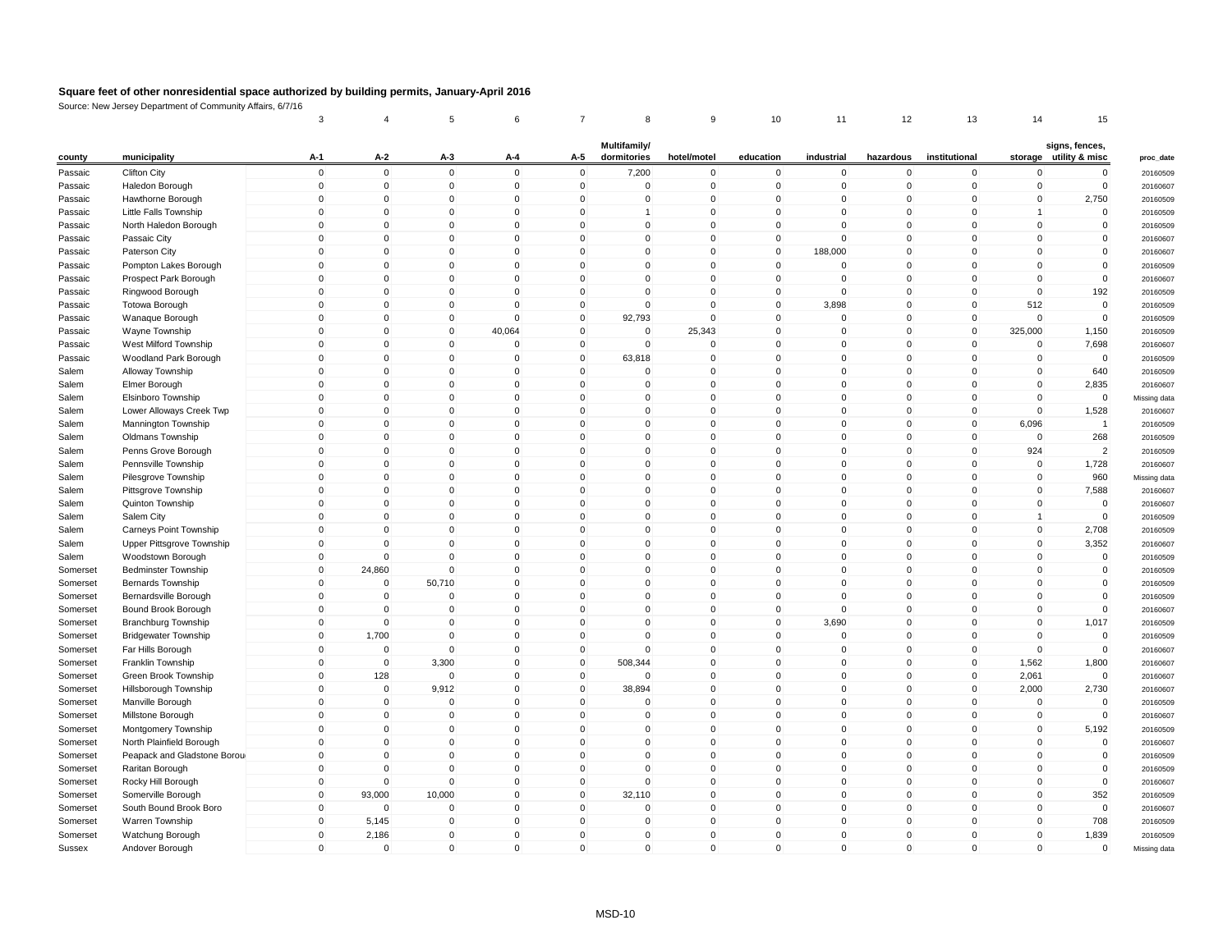|          | oddice. New Jersey Department or Community | Alialio, U/1/1<br>3 | $\overline{\mathbf{4}}$ | 5                   | 6            | $\overline{7}$ | 8                           | <b>q</b>     | 10                  | 11                  | 12          | 13            | 14             | 15                                       |              |
|----------|--------------------------------------------|---------------------|-------------------------|---------------------|--------------|----------------|-----------------------------|--------------|---------------------|---------------------|-------------|---------------|----------------|------------------------------------------|--------------|
| county   | municipality                               | A-1                 | A-2                     | $A-3$               | A-4          | A-5            | Multifamily/<br>dormitories | hotel/motel  | education           | industrial          | hazardous   | institutional |                | signs, fences,<br>storage utility & misc | proc_date    |
| Passaic  | <b>Clifton City</b>                        | $\mathbf{0}$        | $\mathbf{0}$            | $\mathbf{0}$        | $\mathbf{0}$ | $\mathsf 0$    | 7,200                       | $\Omega$     | $\mathbf 0$         | $\mathbf 0$         | $\Omega$    | $\Omega$      | 0              | $\Omega$                                 | 20160509     |
|          |                                            | $\mathbf 0$         | $\mathbf 0$             | $\mathsf{O}\xspace$ | $\mathbf 0$  | $\mathsf 0$    | $\mathbf 0$                 | $\mathbf 0$  | $\overline{0}$      | $\mathbf 0$         | $\pmb{0}$   | $\mathbf 0$   | $\mathsf 0$    | $\mathbf 0$                              | 20160607     |
| Passaic  | Haledon Borough                            | $\mathbf 0$         | $\mathbf 0$             |                     | $\mathbf 0$  | $\mathbf 0$    |                             | $\mathbf 0$  | $\mathsf 0$         | $\mathbf 0$         | $\mathbf 0$ | $\mathbf 0$   | $\overline{0}$ |                                          |              |
| Passaic  | Hawthorne Borough                          |                     |                         | $\mathsf{O}\xspace$ |              |                | $\mathsf{O}\xspace$         |              |                     |                     |             |               |                | 2,750                                    | 20160509     |
| Passaic  | <b>Little Falls Township</b>               | $\Omega$            | $\mathbf{0}$            | $\mathbf 0$         | $\mathbf{0}$ | $\mathbf 0$    | $\overline{1}$              | $\Omega$     | $\Omega$            | $\mathbf 0$         | $\Omega$    | $\Omega$      | $\overline{1}$ | $\Omega$                                 | 20160509     |
| Passaic  | North Haledon Borough                      | $\mathbf 0$         | $\mathbf 0$             | $\mathsf{O}\xspace$ | $\mathbf 0$  | $\mathbf 0$    | $\mathbf 0$                 | $\mathbf 0$  | $\mathsf{O}\xspace$ | $\mathsf 0$         | $\mathbf 0$ | $\mathbf 0$   | $\mathsf 0$    | $\mathbf 0$                              | 20160509     |
| Passaic  | Passaic City                               | $\mathbf{0}$        | $\mathbf{0}$            | $\mathbf{0}$        | $\Omega$     | $\mathbf 0$    | $\mathbf 0$                 | $\Omega$     | $\mathbf 0$         | $\mathsf 0$         | $\Omega$    | $\Omega$      | $\mathsf 0$    | $\mathbf 0$                              | 20160607     |
| Passaic  | Paterson City                              | $\mathbf 0$         | $\mathbf 0$             | $\mathsf{O}\xspace$ | $\mathbf 0$  | $\mathbf 0$    | $\mathbf 0$                 | $\mathbf 0$  | $\mathbf 0$         | 188,000             | $\mathbf 0$ | $\mathbf 0$   | $\overline{0}$ | $\mathbf 0$                              | 20160607     |
| Passaic  | Pompton Lakes Borough                      | $\mathbf 0$         | $\mathbf 0$             | $\mathsf{O}\xspace$ | $\mathbf 0$  | $\mathsf 0$    | $\mathbf 0$                 | $\Omega$     | $\mathbf 0$         | $\mathsf 0$         | $\mathbf 0$ | $\Omega$      | $\mathsf 0$    | $\mathbf 0$                              | 20160509     |
| Passaic  | Prospect Park Borough                      | $\Omega$            | $\mathbf{0}$            | $\mathsf{O}\xspace$ | $\Omega$     | $\mathbf 0$    | $\mathbf 0$                 | $\Omega$     | $\mathbf 0$         | $\mathsf 0$         | $\Omega$    | $\Omega$      | $\mathsf 0$    | $\mathbf 0$                              | 20160607     |
| Passaic  | Ringwood Borough                           | $\mathbf 0$         | $\mathbf 0$             | $\mathsf{O}\xspace$ | $\mathbf{0}$ | $\mathsf 0$    | $\mathbf 0$                 | $\mathbf{0}$ | $\mathbf 0$         | $\mathsf 0$         | $\mathbf 0$ | $\Omega$      | $\mathsf 0$    | 192                                      | 20160509     |
| Passaic  | <b>Totowa Borough</b>                      | $\mathbf 0$         | $\mathbf 0$             | $\mathbf 0$         | $\Omega$     | $\mathbf 0$    | $\mathbf 0$                 | $\Omega$     | $\mathbf 0$         | 3,898               | 0           | $\mathbf 0$   | 512            | $\mathbf 0$                              | 20160509     |
| Passaic  | Wanaque Borough                            | $\Omega$            | $\mathbf{0}$            | $\mathbf 0$         | $\Omega$     | $\mathbf 0$    | 92,793                      | $\Omega$     | $\Omega$            | $\mathbf 0$         | $\Omega$    | $\Omega$      | $\mathsf 0$    | $\mathbf 0$                              | 20160509     |
| Passaic  | Wayne Township                             | $\mathbf 0$         | $\mathbf 0$             | $\mathbf 0$         | 40,064       | $\mathbf 0$    | $\mathbf 0$                 | 25,343       | $\mathbf 0$         | $\pmb{0}$           | $\mathbf 0$ | $\mathbf 0$   | 325,000        | 1,150                                    | 20160509     |
| Passaic  | West Milford Township                      | $\Omega$            | $\Omega$                | 0                   | $\Omega$     | $\mathsf 0$    | $\mathbf{0}$                | $\Omega$     | $\Omega$            | $\Omega$            | $\Omega$    | $\Omega$      | 0              | 7,698                                    | 20160607     |
| Passaic  | Woodland Park Borough                      | $\Omega$            | $\mathbf{0}$            | $\mathsf{O}\xspace$ | $\Omega$     | $\Omega$       | 63,818                      | $\Omega$     | $\mathbf 0$         | $\mathsf 0$         | $\Omega$    | $\Omega$      | $\mathsf 0$    | $\mathbf 0$                              | 20160509     |
| Salem    | Alloway Township                           | $\Omega$            | $\mathsf{O}\xspace$     | $\mathsf{O}\xspace$ | $\Omega$     | $\mathsf 0$    | 0                           | $\Omega$     | $\mathsf 0$         | $\mathsf 0$         | 0           | $\Omega$      | $\mathsf 0$    | 640                                      | 20160509     |
| Salem    | Elmer Borough                              | $\mathbf 0$         | $\mathbf 0$             | $\mathsf{O}\xspace$ | $\mathbf 0$  | $\mathsf 0$    | $\mathbf 0$                 | $\Omega$     | $\mathbf 0$         | $\mathsf 0$         | $\mathbf 0$ | $\mathbf 0$   | $\mathsf 0$    | 2,835                                    | 20160607     |
| Salem    | Elsinboro Township                         | $\mathbf 0$         | $\Omega$                | $\mathbf 0$         | $\Omega$     | $\Omega$       | $\mathbf 0$                 | $\Omega$     | $\mathbf 0$         | $\mathbf 0$         | $\Omega$    | $\Omega$      | $\mathsf 0$    | $\mathbf 0$                              | Missing data |
| Salem    | Lower Alloways Creek Twp                   | $\mathbf 0$         | $\mathbf 0$             | $\mathsf{O}\xspace$ | $\mathbf 0$  | $\mathsf 0$    | $\mathsf{O}\xspace$         | $\mathbf{0}$ | $\mathbf 0$         | $\mathsf 0$         | $\mathbf 0$ | $\mathbf 0$   | $\mathsf 0$    | 1,528                                    | 20160607     |
| Salem    | Mannington Township                        | $\mathbf 0$         | $\mathbf 0$             | $\mathsf{O}\xspace$ | $\mathbf 0$  | $\mathbf 0$    | $\mathbf 0$                 | $\mathbf 0$  | $\mathbf 0$         | $\mathsf 0$         | $\mathbf 0$ | $\mathbf 0$   | 6,096          | $\mathbf{1}$                             | 20160509     |
| Salem    | <b>Oldmans Township</b>                    | $\Omega$            | $\Omega$                | $\mathbf{0}$        | $\Omega$     | $\mathbf 0$    | $\mathbf{0}$                | $\Omega$     | $\Omega$            | $\mathbf 0$         | $\Omega$    | $\Omega$      | $\mathbf 0$    | 268                                      | 20160509     |
| Salem    | Penns Grove Borough                        | $\mathbf 0$         | $\mathsf{O}\xspace$     | $\mathsf{O}\xspace$ | $\mathbf 0$  | $\mathsf 0$    | $\mathsf{O}\xspace$         | $\mathbf 0$  | $\mathsf 0$         | $\mathsf 0$         | 0           | $\mathbf 0$   | 924            | $\overline{2}$                           | 20160509     |
| Salem    | Pennsville Township                        | $\Omega$            | $\mathbf{0}$            | $\mathsf{O}\xspace$ | $\Omega$     | $\mathbf 0$    | $\mathbf 0$                 | $\Omega$     | $\mathbf 0$         | $\mathsf 0$         | $\Omega$    | $\Omega$      | $\mathsf 0$    | 1,728                                    | 20160607     |
| Salem    | Pilesgrove Township                        | $\mathbf 0$         | $\mathbf 0$             | $\mathsf{O}\xspace$ | $\mathbf 0$  | $\mathsf 0$    | $\mathbf 0$                 | $\Omega$     | $\mathbf 0$         | $\mathsf 0$         | $\mathbf 0$ | $\mathbf 0$   | $\mathsf 0$    | 960                                      | Missing data |
| Salem    | Pittsgrove Township                        | $\Omega$            | $\mathbf 0$             | $\mathbf 0$         | $\mathbf{0}$ | $\mathbf 0$    | $\mathbf 0$                 | $\Omega$     | $\mathbf 0$         | $\mathsf{O}\xspace$ | $\mathbf 0$ | $\mathbf 0$   | $\mathbf 0$    | 7,588                                    | 20160607     |
| Salem    | Quinton Township                           | $\mathbf 0$         | $\mathbf 0$             | $\mathsf{O}\xspace$ | $\mathbf 0$  | $\mathsf 0$    | $\mathbf 0$                 | $\Omega$     | $\mathbf 0$         | $\mathsf 0$         | $\mathbf 0$ | $\mathbf 0$   | $\mathsf 0$    | $\mathbf 0$                              | 20160607     |
| Salem    | Salem City                                 | $\mathbf{0}$        | $\Omega$                | $\mathsf{O}\xspace$ | $\mathbf{0}$ | $\mathbf 0$    | $\mathbf{0}$                | $\mathbf{0}$ | $\mathbf 0$         | $\mathsf 0$         | $\Omega$    | $\Omega$      | $\overline{1}$ | 0                                        | 20160509     |
| Salem    | Carneys Point Township                     | $\mathbf 0$         | $\mathbf 0$             | $\mathbf 0$         | $\Omega$     | $\mathbf 0$    | $\mathbf 0$                 | $\Omega$     | $\mathbf 0$         | $\mathbf 0$         | $\mathbf 0$ | $\Omega$      | $\mathsf 0$    | 2,708                                    | 20160509     |
| Salem    | Upper Pittsgrove Township                  | $\mathbf 0$         | $\Omega$                | $\mathbf 0$         | $\mathbf 0$  | $\mathbf 0$    | $\mathbf 0$                 | $\mathbf 0$  | $\mathsf 0$         | $\mathsf 0$         | $\Omega$    | $\Omega$      | $\mathsf 0$    | 3,352                                    | 20160607     |
|          |                                            | $\mathbf 0$         | $\mathbf 0$             | $\mathsf{O}\xspace$ | $\Omega$     | $\mathsf 0$    | $\mathbf 0$                 | $\Omega$     | $\mathbf 0$         | $\mathsf 0$         | $\mathbf 0$ | $\Omega$      | $\mathsf 0$    | $\mathbf 0$                              |              |
| Salem    | Woodstown Borough                          | $\mathbf 0$         |                         | $\mathbf 0$         | $\mathbf 0$  |                |                             | $\mathbf 0$  | $\mathbf 0$         |                     | 0           |               |                | $\mathbf{0}$                             | 20160509     |
| Somerset | <b>Bedminster Township</b>                 |                     | 24,860                  |                     |              | $\mathbf 0$    | $\mathbf 0$                 |              |                     | $\mathsf 0$         | $\Omega$    | 0<br>$\Omega$ | 0              |                                          | 20160509     |
| Somerset | <b>Bernards Township</b>                   | $\mathbf{0}$        | $\mathbf 0$             | 50,710              | $\mathbf{0}$ | $\mathbf 0$    | $\mathbf 0$                 | $\mathbf{0}$ | $\mathbf 0$         | $\mathbf 0$         |             |               | $\mathsf 0$    | $\mathbf 0$                              | 20160509     |
| Somerset | Bernardsville Borough                      | $\mathbf 0$         | $\mathbf 0$             | $\mathsf 0$         | $\mathbf 0$  | $\mathbf 0$    | $\mathbf 0$                 | $\mathbf 0$  | $\mathbf 0$         | $\mathsf 0$         | $\mathbf 0$ | $\mathbf 0$   | $\mathsf 0$    | $\mathbf 0$                              | 20160509     |
| Somerset | Bound Brook Borough                        | $\mathbf 0$         | $\mathbf 0$             | $\mathbf 0$         | $\mathbf 0$  | $\mathbf 0$    | $\mathbf 0$                 | $\Omega$     | $\mathbf 0$         | $\mathsf 0$         | $\Omega$    | $\mathbf 0$   | $\mathsf 0$    | $\mathbf 0$                              | 20160607     |
| Somerset | <b>Branchburg Township</b>                 | $\mathbf 0$         | $\mathbf 0$             | $\mathbf 0$         | $\mathbf{0}$ | $\Omega$       | $\mathbf 0$                 | $\mathbf{0}$ | $\mathbf 0$         | 3,690               | $\Omega$    | $\Omega$      | $\mathsf 0$    | 1,017                                    | 20160509     |
| Somerset | <b>Bridgewater Township</b>                | $\mathbf 0$         | 1,700                   | $\mathsf{O}\xspace$ | $\mathsf 0$  | $\mathsf 0$    | $\mathsf{O}\xspace$         | $\mathbf{0}$ | $\mathbf 0$         | $\mathsf 0$         | $\mathbf 0$ | $\mathbf 0$   | $\mathsf 0$    | $\mathbf 0$                              | 20160509     |
| Somerset | Far Hills Borough                          | $\mathbf 0$         | $\mathbf 0$             | $\mathbf 0$         | $\mathbf 0$  | $\mathbf 0$    | $\mathbf 0$                 | $\mathbf 0$  | $\mathbf 0$         | $\mathsf 0$         | 0           | $\mathbf 0$   | $\mathsf 0$    | $\mathbf 0$                              | 20160607     |
| Somerset | Franklin Township                          | $\Omega$            | $\mathbf 0$             | 3,300               | $\Omega$     | $\mathbf 0$    | 508,344                     | $\Omega$     | $\Omega$            | $\mathbf 0$         | $\Omega$    | $\Omega$      | 1,562          | 1,800                                    | 20160607     |
| Somerset | Green Brook Township                       | $\mathbf 0$         | 128                     | $\mathbf 0$         | $\mathbf 0$  | $\mathbf 0$    | $\mathbf 0$                 | $\mathbf 0$  | $\mathbf 0$         | $\mathsf{O}\xspace$ | $\mathbf 0$ | $\Omega$      | 2,061          | $\mathbf 0$                              | 20160607     |
| Somerset | Hillsborough Township                      | $\Omega$            | $\Omega$                | 9,912               | $\Omega$     | $\mathbf 0$    | 38,894                      | $\Omega$     | $\mathbf 0$         | $\pmb{0}$           | $\Omega$    | $\Omega$      | 2,000          | 2,730                                    | 20160607     |
| Somerset | Manville Borough                           | $\Omega$            | $\mathbf 0$             | 0                   | $\Omega$     | $\Omega$       | $\Omega$                    | $\Omega$     | $\mathbf 0$         | $\mathsf 0$         | $\Omega$    | $\Omega$      | $\mathsf 0$    | $\mathbf{0}$                             | 20160509     |
| Somerset | Millstone Borough                          | $\Omega$            | $\Omega$                | $\mathbf 0$         | $\mathbf{0}$ | $\mathbf 0$    | $\mathbf{0}$                | $\Omega$     | $\Omega$            | $\mathbf{0}$        | $\Omega$    | $\Omega$      | $\mathsf 0$    | 0                                        | 20160607     |
| Somerset | Montgomery Township                        | $\Omega$            | $\Omega$                | $\mathsf{O}\xspace$ | $\Omega$     | $\mathbf 0$    | $\mathbf 0$                 | $\Omega$     | $\mathbf 0$         | $\mathsf 0$         | $\Omega$    | $\mathbf 0$   | $\mathsf 0$    | 5,192                                    | 20160509     |
| Somerset | North Plainfield Borough                   | $\mathbf 0$         | $\mathbf 0$             | $\mathbf 0$         | $\mathbf 0$  | $\mathbf 0$    | $\mathbf 0$                 | $\mathbf 0$  | $\mathbf 0$         | $\mathsf 0$         | 0           | $\mathbf 0$   | $\mathsf 0$    | $\mathbf 0$                              | 20160607     |
| Somerset | Peapack and Gladstone Borou                | $\Omega$            | $\Omega$                | $\mathbf 0$         | $\Omega$     | $\mathbf 0$    | $\mathbf 0$                 | $\Omega$     | $\mathbf 0$         | $\mathsf 0$         | $\Omega$    | $\Omega$      | $\mathsf 0$    | $\mathbf 0$                              | 20160509     |
| Somerset | Raritan Borough                            | $\mathbf 0$         | $\mathbf 0$             | $\mathsf{O}\xspace$ | $\mathbf 0$  | $\mathbf 0$    | $\mathbf 0$                 | $\Omega$     | $\mathbf 0$         | $\mathsf{O}\xspace$ | $\Omega$    | $\mathbf 0$   | $\mathsf 0$    | $\mathbf 0$                              | 20160509     |
| Somerset | Rocky Hill Borough                         | $\mathbf 0$         | $\mathbf 0$             | $\mathsf{O}\xspace$ | $\mathbf 0$  | $\mathsf 0$    | $\mathsf{O}\xspace$         | $\mathbf{0}$ | $\mathbf 0$         | $\mathsf 0$         | $\mathbf 0$ | $\mathbf 0$   | $\mathsf 0$    | $\mathbf 0$                              | 20160607     |
| Somerset | Somerville Borough                         | $\mathbf 0$         | 93,000                  | 10,000              | $\mathbf 0$  | $\mathbf 0$    | 32,110                      | $\mathbf 0$  | $\mathbf 0$         | $\mathbf 0$         | 0           | $\mathbf 0$   | $\mathsf 0$    | 352                                      | 20160509     |
| Somerset | South Bound Brook Boro                     | $\mathbf{0}$        | $\Omega$                | $\mathbf 0$         | $\Omega$     | $\mathbf 0$    | $\mathbf{0}$                | $\Omega$     | $\mathbf{0}$        | $\mathbf 0$         | $\Omega$    | $\Omega$      | $\mathsf 0$    | $\mathbf 0$                              | 20160607     |
| Somerset | Warren Township                            | $\mathbf 0$         | 5,145                   | $\mathbf 0$         | $\mathbf 0$  | $\mathbf 0$    | $\mathsf{O}\xspace$         | $\mathbf 0$  | $\mathsf 0$         | $\pmb{0}$           | $\mathbf 0$ | $\mathbf 0$   | $\mathsf 0$    | 708                                      | 20160509     |
| Somerset | Watchung Borough                           | $\Omega$            | 2,186                   | $\Omega$            | $\Omega$     | $\mathbf 0$    | $\mathbf 0$                 | $\Omega$     | $\mathbf 0$         | $\mathbf 0$         | $\Omega$    | $\Omega$      | $\mathsf 0$    | 1,839                                    | 20160509     |
| Sussex   | Andover Borough                            | $\Omega$            | $\Omega$                | $\mathbf 0$         | $\Omega$     | $\Omega$       | $\mathbf 0$                 | $\Omega$     | $\mathbf{0}$        | $\Omega$            | $\Omega$    | $\Omega$      | $\mathbf 0$    | $\mathbf 0$                              | Missing data |
|          |                                            |                     |                         |                     |              |                |                             |              |                     |                     |             |               |                |                                          |              |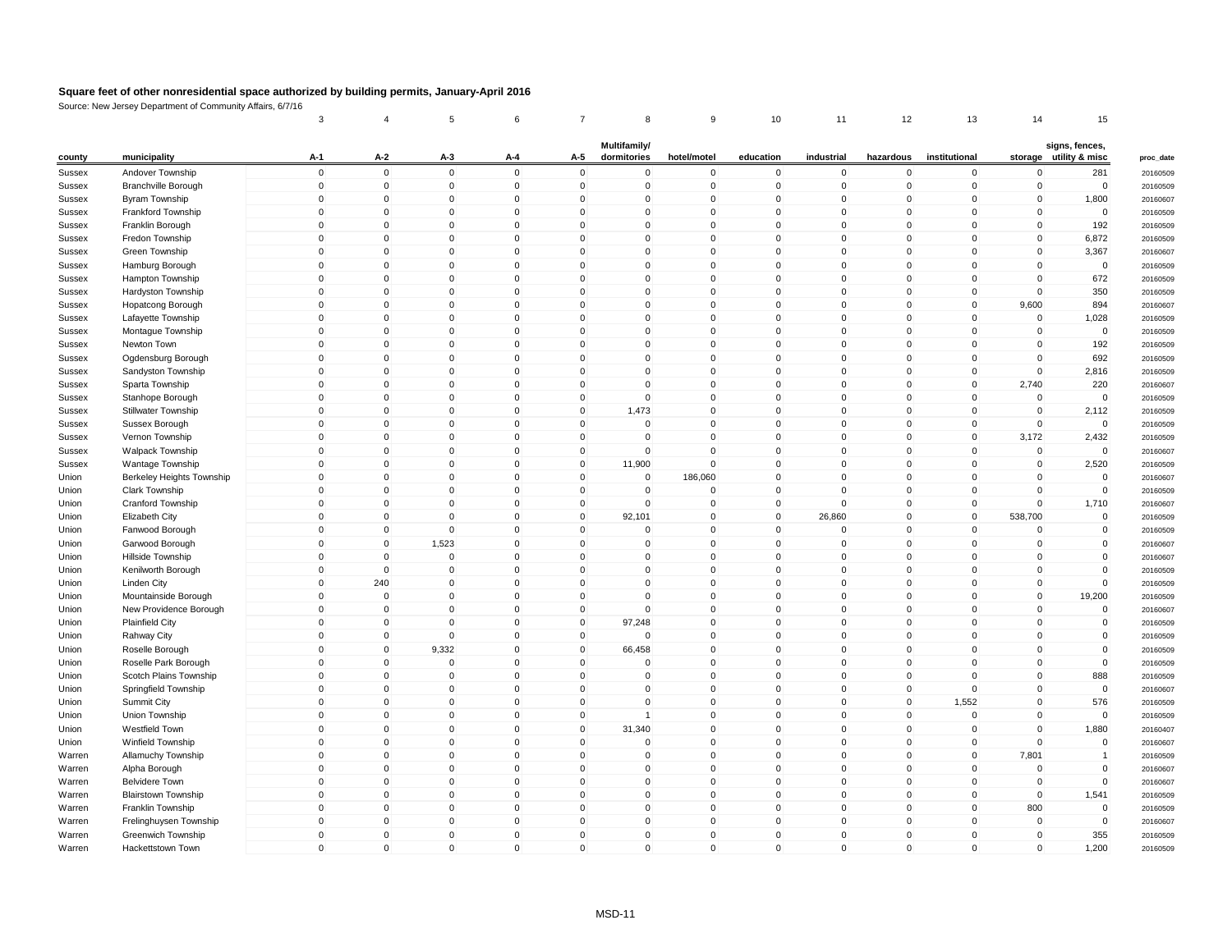| Multifamily/<br>signs, fences,<br>A-5<br>dormitories<br>hotel/motel<br>education<br>industrial<br>hazardous<br>institutional<br>storage utility & misc<br>municipality<br>A-1<br>A-2<br>$A-3$<br>A-4<br>$\mathsf{O}\xspace$<br>$\mathsf{O}\xspace$<br>$\mathsf 0$<br>$\mathbf 0$<br>$\mathbf 0$<br>$\mathbf 0$<br>$\mathsf 0$<br>$\mathbf 0$<br>$\mathbf 0$<br>Andover Township<br>0<br>$\mathbf 0$<br>$\mathbf 0$<br>281<br>$\mathbf 0$<br>$\mathbf 0$<br>$\mathbf 0$<br>$\mathsf 0$<br>$\mathbf 0$<br>$\Omega$<br>$\mathbf 0$<br>$\mathbf 0$<br>$\mathbf 0$<br>$\overline{0}$<br><b>Branchville Borough</b><br>$\mathbf 0$<br>$\mathbf 0$<br>$\mathbf 0$<br>$\mathbf 0$<br>$\mathsf{O}\xspace$<br>$\mathbf 0$<br>$\mathsf 0$<br>$\overline{0}$<br>1,800<br>$\mathbf 0$<br>$\mathbf 0$<br>$\mathsf 0$<br>$\mathbf 0$<br>$\Omega$<br>$\mathbf 0$<br>$\mathbf 0$<br><b>Byram Township</b><br>$\overline{0}$<br>$\mathbf 0$<br>$\mathbf 0$<br>$\overline{0}$<br>$\mathbf 0$<br>$\mathbf 0$<br>$\mathbf 0$<br>Frankford Township<br>$\mathbf 0$<br>$\mathbf 0$<br>0<br>$\Omega$<br>$\mathbf 0$<br>$\mathbf 0$<br>$\Omega$<br>$\mathsf 0$<br>$\mathbf 0$<br>Franklin Borough<br>$\Omega$<br>$\Omega$<br>$\Omega$<br>$\mathbf 0$<br>$\Omega$<br>$\Omega$<br>$\Omega$<br>$\Omega$<br>$\Omega$<br>192<br>$\mathbf 0$<br>$\mathbf 0$<br>$\mathbf 0$<br>$\mathbf 0$<br>$\pmb{0}$<br>$\mathbf 0$<br>$\mathsf 0$<br>$\mathbf 0$<br>$\mathbf 0$<br>$\mathbf 0$<br>$\mathbf 0$<br>$\mathbf 0$<br>6,872<br>Fredon Township<br>$\pmb{0}$<br>$\pmb{0}$<br>$\mathbf 0$<br>$\mathbf 0$<br>$\mathbf 0$<br>$\mathsf 0$<br>$\mathbf 0$<br>$\mathbf 0$<br>$\mathbf 0$<br>3,367<br>Green Township<br>$\mathbf 0$<br>$\mathbf 0$<br>$\mathbf 0$<br>$\mathbf{0}$<br>$\mathbf 0$<br>$\mathbf{0}$<br>Hamburg Borough<br>$\Omega$<br>$\Omega$<br>$\mathbf{0}$<br>$\mathbf 0$<br>$\mathbf{0}$<br>$\Omega$<br>$\Omega$<br>$\mathbf{0}$<br>$\Omega$<br>$\mathbf{0}$<br>$\mathbf 0$<br>$\mathbf 0$<br>$\pmb{0}$<br>$\mathsf 0$<br>$\mathbf 0$<br>$\mathbf 0$<br>$\mathsf 0$<br>$\mathbf 0$<br>672<br>Sussex<br>Hampton Township<br>$\mathbf 0$<br>$\mathbf 0$<br>$\mathbf 0$<br>$\mathbf 0$<br>$\Omega$<br>$\mathbf 0$<br>$\pmb{0}$<br>$\mathbf 0$<br>$\mathsf 0$<br>$\mathbf 0$<br>$\mathsf 0$<br>$\mathsf 0$<br>$\mathbf 0$<br>$\Omega$<br>350<br>Hardyston Township<br>$\Omega$<br>$\mathbf 0$<br>Sussex<br>$\mathbf 0$<br>$\mathbf 0$<br>$\mathbf 0$<br>$\mathsf 0$<br>$\mathsf 0$<br>$\mathsf 0$<br>$\mathbf 0$<br>$\mathbf 0$<br>$\mathbf 0$<br>$\Omega$<br>9,600<br>894<br><b>Hopatcong Borough</b><br>$\Omega$<br>$\mathbf 0$<br>$\mathbf 0$<br>$\mathbf 0$<br>Lafayette Township<br>$\mathbf 0$<br>$\mathbf 0$<br>$\mathbf 0$<br>$\mathbf 0$<br>0<br>$\mathbf 0$<br>$\mathbf 0$<br>$\mathbf 0$<br>$\mathbf 0$<br>1,028<br>$\mathbf 0$<br>$\mathbf 0$<br>$\mathsf 0$<br>Montague Township<br>$\Omega$<br>$\mathbf{0}$<br>$\mathbf{0}$<br>$\mathbf 0$<br>$\Omega$<br>$\Omega$<br>$\Omega$<br>$\Omega$<br>$\Omega$<br>$\mathbf 0$<br>$\mathbf 0$<br>$\mathbf 0$<br>$\mathbf 0$<br>$\mathsf 0$<br>$\overline{0}$<br>$\mathbf 0$<br>$\mathbf 0$<br>$\mathsf 0$<br>$\mathbf 0$<br>$\mathbf 0$<br>$\mathbf 0$<br>$\mathbf 0$<br>192<br>Newton Town<br>$\mathbf 0$<br>$\mathbf 0$<br>$\mathsf 0$<br>692<br>Ogdensburg Borough<br>$\mathbf 0$<br>0<br>$\mathbf 0$<br>$\mathbf 0$<br>0<br>$\mathbf 0$<br>$\mathbf 0$<br>$\mathbf 0$<br>$\mathbf 0$<br>Sandyston Township<br>$\Omega$<br>$\mathbf 0$<br>0<br>$\mathbf{0}$<br>$\mathbf 0$<br>$\Omega$<br>$\Omega$<br>$\overline{0}$<br>$\mathbf 0$<br>$\mathbf 0$<br>$\Omega$<br>2,816<br>$\Omega$<br>$\mathsf 0$<br>$\mathbf 0$<br>$\mathsf 0$<br>$\mathbf 0$<br>$\mathsf 0$<br>$\mathbf 0$<br>$\mathbf 0$<br>$\mathsf 0$<br>$\mathsf 0$<br>$\mathbf 0$<br>2,740<br>220<br>Sparta Township<br>$\mathbf 0$<br>$\Omega$<br>$\mathbf 0$<br>$\mathsf 0$<br>$\mathsf 0$<br>$\mathbf 0$<br>$\Omega$<br>$\Omega$<br>$\mathsf 0$<br>$\mathbf 0$<br>$\Omega$<br>$\Omega$<br>$\Omega$<br>Stanhope Borough<br>$\Omega$<br>Stillwater Township<br>$\mathbf 0$<br>$\mathbf 0$<br>$\mathbf 0$<br>$\mathbf{0}$<br>$\mathsf 0$<br>1,473<br>$\Omega$<br>$\overline{0}$<br>$\mathbf 0$<br>$\mathbf 0$<br>2,112<br>$\Omega$<br>$\Omega$<br>$\Omega$<br>$\mathsf 0$<br>$\mathbf 0$<br>$\mathsf 0$<br>Sussex Borough<br>$\Omega$<br>$\mathbf 0$<br>$\mathbf 0$<br>$\Omega$<br>$\Omega$<br>$\Omega$<br>$\Omega$<br>$\Omega$<br>$\overline{0}$<br>$\mathbf 0$<br>$\mathbf 0$<br>$\mathbf 0$<br>$\mathsf 0$<br>3,172<br>2,432<br>Vernon Township<br>$\mathbf 0$<br>$\mathbf 0$<br>$\mathbf 0$<br>$\mathbf 0$<br>$\Omega$<br>$\Omega$<br>Sussex<br>$\mathbf 0$<br>$\mathbf 0$<br>$\mathbf 0$<br>$\mathsf 0$<br>$\mathbf 0$<br>$\mathsf 0$<br>$\mathbf 0$<br>$\mathbf 0$<br>$\mathbf 0$<br>Sussex<br><b>Walpack Township</b><br>$\mathbf 0$<br>$\mathbf 0$<br>$\Omega$<br>$\mathbf 0$<br>$\mathbf 0$<br>$\overline{0}$<br>Wantage Township<br>$\Omega$<br>$\Omega$<br>$\mathbf 0$<br>$\Omega$<br>$\mathsf 0$<br>11,900<br>$\mathbf 0$<br>$\Omega$<br>$\Omega$<br>$\mathbf 0$<br>2,520<br>Sussex<br>$\Omega$<br>Berkeley Heights Township<br>$\mathbf 0$<br>$\mathbf 0$<br>$\mathbf 0$<br>$\mathbf{0}$<br>$\mathbf 0$<br>$\Omega$<br>186,060<br>$\mathbf 0$<br>$\mathbf 0$<br>$\Omega$<br>$\mathbf{0}$<br>$\mathbf 0$<br>$\mathbf 0$<br>$\pmb{0}$<br>$\mathsf 0$<br>$\mathbf 0$<br>$\mathbf 0$<br>$\mathsf 0$<br>$\mathbf 0$<br>$\mathsf 0$<br>$\mathbf 0$<br>$\mathbf 0$<br>$\mathsf{O}\xspace$<br>Clark Township<br>$\mathbf 0$<br>$\mathbf 0$<br>$\mathbf 0$<br>$\overline{0}$<br><b>Cranford Township</b><br>$\mathbf 0$<br>$\mathbf 0$<br>$\mathbf 0$<br>$\mathbf 0$<br>$\mathsf 0$<br>$\Omega$<br>$\mathbf 0$<br>$\mathbf 0$<br>$\mathbf 0$<br>$\mathbf 0$<br>1,710<br>$\Omega$<br>$\Omega$<br>$\Omega$<br>$\mathbf 0$<br>$\mathbf 0$<br>92,101<br>$\mathsf 0$<br>26,860<br>$\Omega$<br>538,700<br>$\mathbf 0$<br><b>Elizabeth City</b><br>$\mathbf{0}$<br>$\Omega$<br>$\mathbf{0}$<br>$\mathbf 0$<br>$\mathsf{O}\xspace$<br>$\mathbf 0$<br>$\mathsf{O}\xspace$<br>$\mathsf 0$<br>$\mathbf 0$<br>$\mathsf 0$<br>0<br>Fanwood Borough<br>$\mathbf 0$<br>$\Omega$<br>$\mathbf 0$<br>$\mathbf 0$<br>$\Omega$<br>$\mathbf 0$<br>$\mathbf 0$<br>$\mathbf 0$<br>1,523<br>$\mathsf 0$<br>$\mathbf 0$<br>$\mathbf 0$<br>$\mathbf 0$<br>0<br>Garwood Borough<br>$\mathbf 0$<br>0<br>$\mathbf 0$<br>$\mathbf 0$<br>$\mathbf 0$<br>$\mathbf 0$<br>$\overline{0}$<br>$\mathbf 0$<br>$\mathbf 0$<br>$\mathbf 0$<br>$\mathbf 0$<br>$\Omega$<br>$\overline{0}$<br>Hillside Township<br>$\mathbf{0}$<br>$\mathbf 0$<br>$\Omega$<br>$\Omega$<br>$\mathbf 0$<br>Kenilworth Borough<br>$\mathbf 0$<br>$\mathbf 0$<br>$\mathsf 0$<br>$\mathbf 0$<br>$\mathsf 0$<br>$\mathbf 0$<br>$\mathbf 0$<br>$\mathsf 0$<br>$\mathbf 0$<br>$\mathbf 0$<br>$\mathbf 0$<br>$\overline{0}$<br>$\mathbf 0$<br>$\mathsf 0$<br>$\mathbf 0$<br>240<br>$\mathbf 0$<br>$\mathbf 0$<br>$\mathsf 0$<br>$\mathbf 0$<br>$\mathbf 0$<br>$\mathbf 0$<br>0<br><b>Linden City</b><br>$\mathbf 0$<br>$\mathbf 0$<br>$\Omega$<br>$\Omega$<br>$\mathbf 0$<br>$\mathbf 0$<br>$\mathbf{0}$<br>$\Omega$<br>$\Omega$<br>Mountainside Borough<br>$\Omega$<br>$\mathbf{0}$<br>$\Omega$<br>$\Omega$<br>$\Omega$<br>19,200<br>$\mathbf 0$<br>$\mathbf 0$<br>$\mathsf 0$<br>$\mathbf{0}$<br>$\mathbf 0$<br>$\mathsf 0$<br>$\mathbf 0$<br>New Providence Borough<br>$\mathbf 0$<br>$\mathbf 0$<br>$\Omega$<br>$\mathbf 0$<br>$\mathbf 0$<br>$\mathbf 0$<br>$\mathbf 0$<br>$\mathbf 0$<br>$\mathbf 0$<br>$\mathbf 0$<br>$\mathsf 0$<br>97,248<br>$\mathbf 0$<br>$\mathsf 0$<br>$\mathsf 0$<br>$\mathbf 0$<br>$\mathbf 0$<br>$\mathsf{O}\xspace$<br><b>Plainfield City</b><br>$\mathbf 0$<br>Union<br>$\mathbf 0$<br>$\mathbf 0$<br>$\mathsf 0$<br>$\mathsf 0$<br>$\mathbf 0$<br>$\overline{0}$<br>$\mathbf{O}$<br>$\mathbf 0$<br>$\mathbf 0$<br>$\mathsf 0$<br>$\Omega$<br>Union<br>Rahway City<br>0<br>$\mathbf 0$<br>$\mathbf 0$<br>9,332<br>$\mathsf 0$<br>66,458<br>$\mathbf 0$<br>$\mathsf 0$<br>$\mathbf 0$<br>$\overline{0}$<br>Roselle Borough<br>$\mathbf 0$<br>$\mathbf 0$<br>$\mathbf 0$<br>$\mathbf 0$<br>$\mathbf 0$<br>$\mathsf 0$<br>$\mathsf 0$<br>Roselle Park Borough<br>$\Omega$<br>$\mathbf 0$<br>$\mathbf 0$<br>$\mathbf{0}$<br>$\mathbf 0$<br>$\Omega$<br>$\mathbf{0}$<br>$\Omega$<br>$\Omega$<br>$\Omega$<br>$\overline{0}$<br>$\mathbf 0$<br>$\mathbf 0$<br>$\mathsf 0$<br>$\mathsf 0$<br>$\mathbf 0$<br>$\mathsf 0$<br>$\mathsf 0$<br>$\overline{0}$<br>Scotch Plains Township<br>$\mathbf 0$<br>$\mathbf 0$<br>$\mathbf 0$<br>888<br>$\mathbf 0$<br>$\mathbf 0$<br>0<br>$\mathsf 0$<br>$\mathbf 0$<br>$\mathsf 0$<br>$\mathbf 0$<br>$\mathsf{O}\xspace$<br>Springfield Township<br>$\mathbf 0$<br>$\mathbf 0$<br>0<br>$\mathbf 0$<br>$\mathbf 0$<br>$\mathbf 0$<br>$\mathbf 0$<br>$\mathsf 0$<br>$\mathsf 0$<br>1,552<br>576<br>Summit City<br>$\mathbf 0$<br>$\mathbf 0$<br>$\mathbf{0}$<br>$\mathbf 0$<br>$\Omega$<br>$\Omega$<br>$\mathbf 0$<br>$\Omega$<br>$\mathbf 0$<br>$\mathbf 0$<br>$\mathsf{O}\xspace$<br>$\mathbf 0$<br>$\mathsf 0$<br>$\mathbf 0$<br>$\mathsf 0$<br>$\mathsf 0$<br>$\mathbf 0$<br>$\mathbf 0$<br>$\mathbf 0$<br>$\overline{0}$<br>Union Township<br>$\mathbf{1}$<br>$\mathbf 0$<br>$\mathbf 0$<br>$\mathsf 0$<br>$\overline{0}$<br>$\mathsf 0$<br>$\Omega$<br>Westfield Town<br>$\mathbf 0$<br>$\mathbf 0$<br>31,340<br>$\Omega$<br>$\Omega$<br>1,880<br>0<br>Winfield Township<br>$\mathbf 0$<br>$\mathbf 0$<br>$\mathbf 0$<br>$\mathbf{0}$<br>$\mathsf 0$<br>$\Omega$<br>$\mathsf 0$<br>$\mathbf 0$<br>$\mathbf 0$<br>$\Omega$<br>$\Omega$<br>$\mathbf 0$<br>0<br>$\mathbf 0$<br>$\mathbf 0$<br>$\pmb{0}$<br>$\mathsf 0$<br>$\mathbf 0$<br>$\mathsf 0$<br>7,801<br>Allamuchy Township<br>$\mathbf 0$<br>$\mathbf 0$<br>$\mathbf 0$<br>$\mathbf 0$<br>$\mathbf 0$<br>$\mathbf{1}$<br>$\mathbf 0$<br>$\mathbf 0$<br>$\mathsf 0$<br>$\mathsf 0$<br>$\mathbf 0$<br>Alpha Borough<br>$\mathbf 0$<br>$\mathbf 0$<br>$\mathbf 0$<br>$\mathbf 0$<br>$\Omega$<br>$\mathbf 0$<br>$\Omega$<br>$\mathbf 0$<br>$\mathsf 0$<br>$\mathbf 0$<br>$\mathbf 0$<br>$\mathbf 0$<br>$\mathsf 0$<br>$\mathbf 0$<br>$\mathsf 0$<br>$\mathbf 0$<br>$\mathbf 0$<br>0<br>Warren<br><b>Belvidere Town</b><br>$\mathbf 0$<br>$\mathbf 0$<br>$\mathbf 0$<br>$\mathsf 0$<br>$\mathbf 0$<br>$\mathbf 0$<br>$\mathsf 0$<br>$\Omega$<br>Warren<br><b>Blairstown Township</b><br>$\mathbf 0$<br>$\mathbf 0$<br>0<br>$\Omega$<br>$\Omega$<br>$\mathbf 0$<br>$\Omega$<br>1,541<br>Franklin Township<br>$\Omega$<br>$\mathbf{0}$<br>$\mathbf 0$<br>$\mathbf{0}$<br>$\mathbf 0$<br>$\mathbf{0}$<br>$\Omega$<br>$\mathbf 0$<br>$\mathbf 0$<br>$\Omega$<br>$\mathbf{0}$<br>800<br>$\mathbf 0$<br>Warren<br>$\mathsf 0$<br>$\mathbf 0$<br>$\pmb{0}$<br>$\mathsf 0$<br>$\mathbf 0$<br>$\mathsf 0$<br>$\mathbf 0$<br>$\mathsf{O}\xspace$<br>Frelinghuysen Township<br>0<br>$\mathbf 0$<br>$\mathbf 0$<br>$\mathbf 0$<br>$\mathbf 0$<br>$\overline{0}$<br>Greenwich Township<br>$\Omega$<br>$\mathbf 0$<br>$\mathbf 0$<br>$\Omega$<br>$\mathsf 0$<br>$\mathbf{0}$<br>$\mathbf 0$<br>$\mathbf 0$<br>$\Omega$<br>$\Omega$<br>355<br>$\Omega$<br>Hackettstown Town<br>$\Omega$<br>$\mathbf 0$<br>$\mathbf 0$<br>$\mathsf 0$<br>$\Omega$<br>$\mathbf{0}$<br>$\mathbf 0$<br>$\Omega$<br>$\Omega$<br>$\mathbf{0}$<br>$\Omega$<br>1,200<br>$\Omega$ |        | Source: New Jersey Department or Community | Affairs, 6/7/16<br>3 | $\overline{4}$ | $\overline{5}$ | 6 | $\overline{7}$ | 8 | 9 | 10 | 11 | 12 | 13 | 14 | 15 |
|-----------------------------------------------------------------------------------------------------------------------------------------------------------------------------------------------------------------------------------------------------------------------------------------------------------------------------------------------------------------------------------------------------------------------------------------------------------------------------------------------------------------------------------------------------------------------------------------------------------------------------------------------------------------------------------------------------------------------------------------------------------------------------------------------------------------------------------------------------------------------------------------------------------------------------------------------------------------------------------------------------------------------------------------------------------------------------------------------------------------------------------------------------------------------------------------------------------------------------------------------------------------------------------------------------------------------------------------------------------------------------------------------------------------------------------------------------------------------------------------------------------------------------------------------------------------------------------------------------------------------------------------------------------------------------------------------------------------------------------------------------------------------------------------------------------------------------------------------------------------------------------------------------------------------------------------------------------------------------------------------------------------------------------------------------------------------------------------------------------------------------------------------------------------------------------------------------------------------------------------------------------------------------------------------------------------------------------------------------------------------------------------------------------------------------------------------------------------------------------------------------------------------------------------------------------------------------------------------------------------------------------------------------------------------------------------------------------------------------------------------------------------------------------------------------------------------------------------------------------------------------------------------------------------------------------------------------------------------------------------------------------------------------------------------------------------------------------------------------------------------------------------------------------------------------------------------------------------------------------------------------------------------------------------------------------------------------------------------------------------------------------------------------------------------------------------------------------------------------------------------------------------------------------------------------------------------------------------------------------------------------------------------------------------------------------------------------------------------------------------------------------------------------------------------------------------------------------------------------------------------------------------------------------------------------------------------------------------------------------------------------------------------------------------------------------------------------------------------------------------------------------------------------------------------------------------------------------------------------------------------------------------------------------------------------------------------------------------------------------------------------------------------------------------------------------------------------------------------------------------------------------------------------------------------------------------------------------------------------------------------------------------------------------------------------------------------------------------------------------------------------------------------------------------------------------------------------------------------------------------------------------------------------------------------------------------------------------------------------------------------------------------------------------------------------------------------------------------------------------------------------------------------------------------------------------------------------------------------------------------------------------------------------------------------------------------------------------------------------------------------------------------------------------------------------------------------------------------------------------------------------------------------------------------------------------------------------------------------------------------------------------------------------------------------------------------------------------------------------------------------------------------------------------------------------------------------------------------------------------------------------------------------------------------------------------------------------------------------------------------------------------------------------------------------------------------------------------------------------------------------------------------------------------------------------------------------------------------------------------------------------------------------------------------------------------------------------------------------------------------------------------------------------------------------------------------------------------------------------------------------------------------------------------------------------------------------------------------------------------------------------------------------------------------------------------------------------------------------------------------------------------------------------------------------------------------------------------------------------------------------------------------------------------------------------------------------------------------------------------------------------------------------------------------------------------------------------------------------------------------------------------------------------------------------------------------------------------------------------------------------------------------------------------------------------------------------------------------------------------------------------------------------------------------------------------------------------------------------------------------------------------------------------------------------------------------------------------------------------------------------------------------------------------------------------------------------------------------------------------------------------------------------------------------------------------------------------------------------------------------------------------------------------------------------------------------------------------------------------------------------------------------------------------------------------------------------------------------------------------------------------------------------------------------------------------------------------------------------------------------------------------------------------------------------------------------------------------------------------------------------------------------------------------------------------------------------------------------------------------------------------------------------------------------------------------------------------------------------------------------------------------------------------------------------------------------------------------------------------------------------------------------------------------------------------------------------------------------------------------------------------------------------------------------------------------------------------------------------------------------------------------------------------------------------------------------------------------------------------------------------------------------------------------------------------------------------------------------------------------------------------------------------------------------------------------------------------------------------------------------------------------------------------------------------------------------------------------------------------------------------------------------------------------------------------------------------------------------------------------------------------------------------------------------------------------------------------------------------------------------------------------------------------------------------------------------------------------------------------------------------------------------------------------------------------------------------------------------------------------------------------------------------------------------------------------------------------------------------------------------------------------------------------------------------------------------------------------------------------------------------------------------------------------------------------------------------------------------------------------------------------------------------------------------------------------------------------------------------------------------------------------------------------------------------------------------------------------------------------------------------------------------------------------------------------------------------------------------------------------------------------------------------------------------------------------------------------------------------------------------------------------------------------------------------------------------------------------------------------------------------------------------------------------------------------------------------------------------------------------------------------------------------------------------------------------------------------------------------------------------------------------------------------------------------------------------------------------------------------------------------------------|--------|--------------------------------------------|----------------------|----------------|----------------|---|----------------|---|---|----|----|----|----|----|----|
|                                                                                                                                                                                                                                                                                                                                                                                                                                                                                                                                                                                                                                                                                                                                                                                                                                                                                                                                                                                                                                                                                                                                                                                                                                                                                                                                                                                                                                                                                                                                                                                                                                                                                                                                                                                                                                                                                                                                                                                                                                                                                                                                                                                                                                                                                                                                                                                                                                                                                                                                                                                                                                                                                                                                                                                                                                                                                                                                                                                                                                                                                                                                                                                                                                                                                                                                                                                                                                                                                                                                                                                                                                                                                                                                                                                                                                                                                                                                                                                                                                                                                                                                                                                                                                                                                                                                                                                                                                                                                                                                                                                                                                                                                                                                                                                                                                                                                                                                                                                                                                                                                                                                                                                                                                                                                                                                                                                                                                                                                                                                                                                                                                                                                                                                                                                                                                                                                                                                                                                                                                                                                                                                                                                                                                                                                                                                                                                                                                                                                                                                                                                                                                                                                                                                                                                                                                                                                                                                                                                                                                                                                                                                                                                                                                                                                                                                                                                                                                                                                                                                                                                                                                                                                                                                                                                                                                                                                                                                                                                                                                                                                                                                                                                                                                                                                                                                                                                                                                                                                                                                                                                                                                                                                                                                                                                                                                                                                                                                                                                                                                                                                                                                                                                                                                                                                                                                                                                                                                                                                                                                                                                                                                                                                                                                                                                                                                                                                                                                                                                                                                                                                                                                                                                                                                                                                                                                                                                                                                                                                                                                                                                                                                                                                                                                                                                                                                                                                                                                                                                                                                                                                                                                                                                                                                                                                                                                                                                   |        |                                            |                      |                |                |   |                |   |   |    |    |    |    |    |    |
|                                                                                                                                                                                                                                                                                                                                                                                                                                                                                                                                                                                                                                                                                                                                                                                                                                                                                                                                                                                                                                                                                                                                                                                                                                                                                                                                                                                                                                                                                                                                                                                                                                                                                                                                                                                                                                                                                                                                                                                                                                                                                                                                                                                                                                                                                                                                                                                                                                                                                                                                                                                                                                                                                                                                                                                                                                                                                                                                                                                                                                                                                                                                                                                                                                                                                                                                                                                                                                                                                                                                                                                                                                                                                                                                                                                                                                                                                                                                                                                                                                                                                                                                                                                                                                                                                                                                                                                                                                                                                                                                                                                                                                                                                                                                                                                                                                                                                                                                                                                                                                                                                                                                                                                                                                                                                                                                                                                                                                                                                                                                                                                                                                                                                                                                                                                                                                                                                                                                                                                                                                                                                                                                                                                                                                                                                                                                                                                                                                                                                                                                                                                                                                                                                                                                                                                                                                                                                                                                                                                                                                                                                                                                                                                                                                                                                                                                                                                                                                                                                                                                                                                                                                                                                                                                                                                                                                                                                                                                                                                                                                                                                                                                                                                                                                                                                                                                                                                                                                                                                                                                                                                                                                                                                                                                                                                                                                                                                                                                                                                                                                                                                                                                                                                                                                                                                                                                                                                                                                                                                                                                                                                                                                                                                                                                                                                                                                                                                                                                                                                                                                                                                                                                                                                                                                                                                                                                                                                                                                                                                                                                                                                                                                                                                                                                                                                                                                                                                                                                                                                                                                                                                                                                                                                                                                                                                                                                                                                   | county |                                            |                      |                |                |   |                |   |   |    |    |    |    |    |    |
|                                                                                                                                                                                                                                                                                                                                                                                                                                                                                                                                                                                                                                                                                                                                                                                                                                                                                                                                                                                                                                                                                                                                                                                                                                                                                                                                                                                                                                                                                                                                                                                                                                                                                                                                                                                                                                                                                                                                                                                                                                                                                                                                                                                                                                                                                                                                                                                                                                                                                                                                                                                                                                                                                                                                                                                                                                                                                                                                                                                                                                                                                                                                                                                                                                                                                                                                                                                                                                                                                                                                                                                                                                                                                                                                                                                                                                                                                                                                                                                                                                                                                                                                                                                                                                                                                                                                                                                                                                                                                                                                                                                                                                                                                                                                                                                                                                                                                                                                                                                                                                                                                                                                                                                                                                                                                                                                                                                                                                                                                                                                                                                                                                                                                                                                                                                                                                                                                                                                                                                                                                                                                                                                                                                                                                                                                                                                                                                                                                                                                                                                                                                                                                                                                                                                                                                                                                                                                                                                                                                                                                                                                                                                                                                                                                                                                                                                                                                                                                                                                                                                                                                                                                                                                                                                                                                                                                                                                                                                                                                                                                                                                                                                                                                                                                                                                                                                                                                                                                                                                                                                                                                                                                                                                                                                                                                                                                                                                                                                                                                                                                                                                                                                                                                                                                                                                                                                                                                                                                                                                                                                                                                                                                                                                                                                                                                                                                                                                                                                                                                                                                                                                                                                                                                                                                                                                                                                                                                                                                                                                                                                                                                                                                                                                                                                                                                                                                                                                                                                                                                                                                                                                                                                                                                                                                                                                                                                                                                   | Sussex |                                            |                      |                |                |   |                |   |   |    |    |    |    |    |    |
|                                                                                                                                                                                                                                                                                                                                                                                                                                                                                                                                                                                                                                                                                                                                                                                                                                                                                                                                                                                                                                                                                                                                                                                                                                                                                                                                                                                                                                                                                                                                                                                                                                                                                                                                                                                                                                                                                                                                                                                                                                                                                                                                                                                                                                                                                                                                                                                                                                                                                                                                                                                                                                                                                                                                                                                                                                                                                                                                                                                                                                                                                                                                                                                                                                                                                                                                                                                                                                                                                                                                                                                                                                                                                                                                                                                                                                                                                                                                                                                                                                                                                                                                                                                                                                                                                                                                                                                                                                                                                                                                                                                                                                                                                                                                                                                                                                                                                                                                                                                                                                                                                                                                                                                                                                                                                                                                                                                                                                                                                                                                                                                                                                                                                                                                                                                                                                                                                                                                                                                                                                                                                                                                                                                                                                                                                                                                                                                                                                                                                                                                                                                                                                                                                                                                                                                                                                                                                                                                                                                                                                                                                                                                                                                                                                                                                                                                                                                                                                                                                                                                                                                                                                                                                                                                                                                                                                                                                                                                                                                                                                                                                                                                                                                                                                                                                                                                                                                                                                                                                                                                                                                                                                                                                                                                                                                                                                                                                                                                                                                                                                                                                                                                                                                                                                                                                                                                                                                                                                                                                                                                                                                                                                                                                                                                                                                                                                                                                                                                                                                                                                                                                                                                                                                                                                                                                                                                                                                                                                                                                                                                                                                                                                                                                                                                                                                                                                                                                                                                                                                                                                                                                                                                                                                                                                                                                                                                                                                   | Sussex |                                            |                      |                |                |   |                |   |   |    |    |    |    |    |    |
|                                                                                                                                                                                                                                                                                                                                                                                                                                                                                                                                                                                                                                                                                                                                                                                                                                                                                                                                                                                                                                                                                                                                                                                                                                                                                                                                                                                                                                                                                                                                                                                                                                                                                                                                                                                                                                                                                                                                                                                                                                                                                                                                                                                                                                                                                                                                                                                                                                                                                                                                                                                                                                                                                                                                                                                                                                                                                                                                                                                                                                                                                                                                                                                                                                                                                                                                                                                                                                                                                                                                                                                                                                                                                                                                                                                                                                                                                                                                                                                                                                                                                                                                                                                                                                                                                                                                                                                                                                                                                                                                                                                                                                                                                                                                                                                                                                                                                                                                                                                                                                                                                                                                                                                                                                                                                                                                                                                                                                                                                                                                                                                                                                                                                                                                                                                                                                                                                                                                                                                                                                                                                                                                                                                                                                                                                                                                                                                                                                                                                                                                                                                                                                                                                                                                                                                                                                                                                                                                                                                                                                                                                                                                                                                                                                                                                                                                                                                                                                                                                                                                                                                                                                                                                                                                                                                                                                                                                                                                                                                                                                                                                                                                                                                                                                                                                                                                                                                                                                                                                                                                                                                                                                                                                                                                                                                                                                                                                                                                                                                                                                                                                                                                                                                                                                                                                                                                                                                                                                                                                                                                                                                                                                                                                                                                                                                                                                                                                                                                                                                                                                                                                                                                                                                                                                                                                                                                                                                                                                                                                                                                                                                                                                                                                                                                                                                                                                                                                                                                                                                                                                                                                                                                                                                                                                                                                                                                                                                   | Sussex |                                            |                      |                |                |   |                |   |   |    |    |    |    |    |    |
|                                                                                                                                                                                                                                                                                                                                                                                                                                                                                                                                                                                                                                                                                                                                                                                                                                                                                                                                                                                                                                                                                                                                                                                                                                                                                                                                                                                                                                                                                                                                                                                                                                                                                                                                                                                                                                                                                                                                                                                                                                                                                                                                                                                                                                                                                                                                                                                                                                                                                                                                                                                                                                                                                                                                                                                                                                                                                                                                                                                                                                                                                                                                                                                                                                                                                                                                                                                                                                                                                                                                                                                                                                                                                                                                                                                                                                                                                                                                                                                                                                                                                                                                                                                                                                                                                                                                                                                                                                                                                                                                                                                                                                                                                                                                                                                                                                                                                                                                                                                                                                                                                                                                                                                                                                                                                                                                                                                                                                                                                                                                                                                                                                                                                                                                                                                                                                                                                                                                                                                                                                                                                                                                                                                                                                                                                                                                                                                                                                                                                                                                                                                                                                                                                                                                                                                                                                                                                                                                                                                                                                                                                                                                                                                                                                                                                                                                                                                                                                                                                                                                                                                                                                                                                                                                                                                                                                                                                                                                                                                                                                                                                                                                                                                                                                                                                                                                                                                                                                                                                                                                                                                                                                                                                                                                                                                                                                                                                                                                                                                                                                                                                                                                                                                                                                                                                                                                                                                                                                                                                                                                                                                                                                                                                                                                                                                                                                                                                                                                                                                                                                                                                                                                                                                                                                                                                                                                                                                                                                                                                                                                                                                                                                                                                                                                                                                                                                                                                                                                                                                                                                                                                                                                                                                                                                                                                                                                                                                   | Sussex |                                            |                      |                |                |   |                |   |   |    |    |    |    |    |    |
|                                                                                                                                                                                                                                                                                                                                                                                                                                                                                                                                                                                                                                                                                                                                                                                                                                                                                                                                                                                                                                                                                                                                                                                                                                                                                                                                                                                                                                                                                                                                                                                                                                                                                                                                                                                                                                                                                                                                                                                                                                                                                                                                                                                                                                                                                                                                                                                                                                                                                                                                                                                                                                                                                                                                                                                                                                                                                                                                                                                                                                                                                                                                                                                                                                                                                                                                                                                                                                                                                                                                                                                                                                                                                                                                                                                                                                                                                                                                                                                                                                                                                                                                                                                                                                                                                                                                                                                                                                                                                                                                                                                                                                                                                                                                                                                                                                                                                                                                                                                                                                                                                                                                                                                                                                                                                                                                                                                                                                                                                                                                                                                                                                                                                                                                                                                                                                                                                                                                                                                                                                                                                                                                                                                                                                                                                                                                                                                                                                                                                                                                                                                                                                                                                                                                                                                                                                                                                                                                                                                                                                                                                                                                                                                                                                                                                                                                                                                                                                                                                                                                                                                                                                                                                                                                                                                                                                                                                                                                                                                                                                                                                                                                                                                                                                                                                                                                                                                                                                                                                                                                                                                                                                                                                                                                                                                                                                                                                                                                                                                                                                                                                                                                                                                                                                                                                                                                                                                                                                                                                                                                                                                                                                                                                                                                                                                                                                                                                                                                                                                                                                                                                                                                                                                                                                                                                                                                                                                                                                                                                                                                                                                                                                                                                                                                                                                                                                                                                                                                                                                                                                                                                                                                                                                                                                                                                                                                                                                   | Sussex |                                            |                      |                |                |   |                |   |   |    |    |    |    |    |    |
|                                                                                                                                                                                                                                                                                                                                                                                                                                                                                                                                                                                                                                                                                                                                                                                                                                                                                                                                                                                                                                                                                                                                                                                                                                                                                                                                                                                                                                                                                                                                                                                                                                                                                                                                                                                                                                                                                                                                                                                                                                                                                                                                                                                                                                                                                                                                                                                                                                                                                                                                                                                                                                                                                                                                                                                                                                                                                                                                                                                                                                                                                                                                                                                                                                                                                                                                                                                                                                                                                                                                                                                                                                                                                                                                                                                                                                                                                                                                                                                                                                                                                                                                                                                                                                                                                                                                                                                                                                                                                                                                                                                                                                                                                                                                                                                                                                                                                                                                                                                                                                                                                                                                                                                                                                                                                                                                                                                                                                                                                                                                                                                                                                                                                                                                                                                                                                                                                                                                                                                                                                                                                                                                                                                                                                                                                                                                                                                                                                                                                                                                                                                                                                                                                                                                                                                                                                                                                                                                                                                                                                                                                                                                                                                                                                                                                                                                                                                                                                                                                                                                                                                                                                                                                                                                                                                                                                                                                                                                                                                                                                                                                                                                                                                                                                                                                                                                                                                                                                                                                                                                                                                                                                                                                                                                                                                                                                                                                                                                                                                                                                                                                                                                                                                                                                                                                                                                                                                                                                                                                                                                                                                                                                                                                                                                                                                                                                                                                                                                                                                                                                                                                                                                                                                                                                                                                                                                                                                                                                                                                                                                                                                                                                                                                                                                                                                                                                                                                                                                                                                                                                                                                                                                                                                                                                                                                                                                                                                   | Sussex |                                            |                      |                |                |   |                |   |   |    |    |    |    |    |    |
|                                                                                                                                                                                                                                                                                                                                                                                                                                                                                                                                                                                                                                                                                                                                                                                                                                                                                                                                                                                                                                                                                                                                                                                                                                                                                                                                                                                                                                                                                                                                                                                                                                                                                                                                                                                                                                                                                                                                                                                                                                                                                                                                                                                                                                                                                                                                                                                                                                                                                                                                                                                                                                                                                                                                                                                                                                                                                                                                                                                                                                                                                                                                                                                                                                                                                                                                                                                                                                                                                                                                                                                                                                                                                                                                                                                                                                                                                                                                                                                                                                                                                                                                                                                                                                                                                                                                                                                                                                                                                                                                                                                                                                                                                                                                                                                                                                                                                                                                                                                                                                                                                                                                                                                                                                                                                                                                                                                                                                                                                                                                                                                                                                                                                                                                                                                                                                                                                                                                                                                                                                                                                                                                                                                                                                                                                                                                                                                                                                                                                                                                                                                                                                                                                                                                                                                                                                                                                                                                                                                                                                                                                                                                                                                                                                                                                                                                                                                                                                                                                                                                                                                                                                                                                                                                                                                                                                                                                                                                                                                                                                                                                                                                                                                                                                                                                                                                                                                                                                                                                                                                                                                                                                                                                                                                                                                                                                                                                                                                                                                                                                                                                                                                                                                                                                                                                                                                                                                                                                                                                                                                                                                                                                                                                                                                                                                                                                                                                                                                                                                                                                                                                                                                                                                                                                                                                                                                                                                                                                                                                                                                                                                                                                                                                                                                                                                                                                                                                                                                                                                                                                                                                                                                                                                                                                                                                                                                                                                   | Sussex |                                            |                      |                |                |   |                |   |   |    |    |    |    |    |    |
|                                                                                                                                                                                                                                                                                                                                                                                                                                                                                                                                                                                                                                                                                                                                                                                                                                                                                                                                                                                                                                                                                                                                                                                                                                                                                                                                                                                                                                                                                                                                                                                                                                                                                                                                                                                                                                                                                                                                                                                                                                                                                                                                                                                                                                                                                                                                                                                                                                                                                                                                                                                                                                                                                                                                                                                                                                                                                                                                                                                                                                                                                                                                                                                                                                                                                                                                                                                                                                                                                                                                                                                                                                                                                                                                                                                                                                                                                                                                                                                                                                                                                                                                                                                                                                                                                                                                                                                                                                                                                                                                                                                                                                                                                                                                                                                                                                                                                                                                                                                                                                                                                                                                                                                                                                                                                                                                                                                                                                                                                                                                                                                                                                                                                                                                                                                                                                                                                                                                                                                                                                                                                                                                                                                                                                                                                                                                                                                                                                                                                                                                                                                                                                                                                                                                                                                                                                                                                                                                                                                                                                                                                                                                                                                                                                                                                                                                                                                                                                                                                                                                                                                                                                                                                                                                                                                                                                                                                                                                                                                                                                                                                                                                                                                                                                                                                                                                                                                                                                                                                                                                                                                                                                                                                                                                                                                                                                                                                                                                                                                                                                                                                                                                                                                                                                                                                                                                                                                                                                                                                                                                                                                                                                                                                                                                                                                                                                                                                                                                                                                                                                                                                                                                                                                                                                                                                                                                                                                                                                                                                                                                                                                                                                                                                                                                                                                                                                                                                                                                                                                                                                                                                                                                                                                                                                                                                                                                                                                   | Sussex |                                            |                      |                |                |   |                |   |   |    |    |    |    |    |    |
|                                                                                                                                                                                                                                                                                                                                                                                                                                                                                                                                                                                                                                                                                                                                                                                                                                                                                                                                                                                                                                                                                                                                                                                                                                                                                                                                                                                                                                                                                                                                                                                                                                                                                                                                                                                                                                                                                                                                                                                                                                                                                                                                                                                                                                                                                                                                                                                                                                                                                                                                                                                                                                                                                                                                                                                                                                                                                                                                                                                                                                                                                                                                                                                                                                                                                                                                                                                                                                                                                                                                                                                                                                                                                                                                                                                                                                                                                                                                                                                                                                                                                                                                                                                                                                                                                                                                                                                                                                                                                                                                                                                                                                                                                                                                                                                                                                                                                                                                                                                                                                                                                                                                                                                                                                                                                                                                                                                                                                                                                                                                                                                                                                                                                                                                                                                                                                                                                                                                                                                                                                                                                                                                                                                                                                                                                                                                                                                                                                                                                                                                                                                                                                                                                                                                                                                                                                                                                                                                                                                                                                                                                                                                                                                                                                                                                                                                                                                                                                                                                                                                                                                                                                                                                                                                                                                                                                                                                                                                                                                                                                                                                                                                                                                                                                                                                                                                                                                                                                                                                                                                                                                                                                                                                                                                                                                                                                                                                                                                                                                                                                                                                                                                                                                                                                                                                                                                                                                                                                                                                                                                                                                                                                                                                                                                                                                                                                                                                                                                                                                                                                                                                                                                                                                                                                                                                                                                                                                                                                                                                                                                                                                                                                                                                                                                                                                                                                                                                                                                                                                                                                                                                                                                                                                                                                                                                                                                                                                   |        |                                            |                      |                |                |   |                |   |   |    |    |    |    |    |    |
|                                                                                                                                                                                                                                                                                                                                                                                                                                                                                                                                                                                                                                                                                                                                                                                                                                                                                                                                                                                                                                                                                                                                                                                                                                                                                                                                                                                                                                                                                                                                                                                                                                                                                                                                                                                                                                                                                                                                                                                                                                                                                                                                                                                                                                                                                                                                                                                                                                                                                                                                                                                                                                                                                                                                                                                                                                                                                                                                                                                                                                                                                                                                                                                                                                                                                                                                                                                                                                                                                                                                                                                                                                                                                                                                                                                                                                                                                                                                                                                                                                                                                                                                                                                                                                                                                                                                                                                                                                                                                                                                                                                                                                                                                                                                                                                                                                                                                                                                                                                                                                                                                                                                                                                                                                                                                                                                                                                                                                                                                                                                                                                                                                                                                                                                                                                                                                                                                                                                                                                                                                                                                                                                                                                                                                                                                                                                                                                                                                                                                                                                                                                                                                                                                                                                                                                                                                                                                                                                                                                                                                                                                                                                                                                                                                                                                                                                                                                                                                                                                                                                                                                                                                                                                                                                                                                                                                                                                                                                                                                                                                                                                                                                                                                                                                                                                                                                                                                                                                                                                                                                                                                                                                                                                                                                                                                                                                                                                                                                                                                                                                                                                                                                                                                                                                                                                                                                                                                                                                                                                                                                                                                                                                                                                                                                                                                                                                                                                                                                                                                                                                                                                                                                                                                                                                                                                                                                                                                                                                                                                                                                                                                                                                                                                                                                                                                                                                                                                                                                                                                                                                                                                                                                                                                                                                                                                                                                                                                   |        |                                            |                      |                |                |   |                |   |   |    |    |    |    |    |    |
|                                                                                                                                                                                                                                                                                                                                                                                                                                                                                                                                                                                                                                                                                                                                                                                                                                                                                                                                                                                                                                                                                                                                                                                                                                                                                                                                                                                                                                                                                                                                                                                                                                                                                                                                                                                                                                                                                                                                                                                                                                                                                                                                                                                                                                                                                                                                                                                                                                                                                                                                                                                                                                                                                                                                                                                                                                                                                                                                                                                                                                                                                                                                                                                                                                                                                                                                                                                                                                                                                                                                                                                                                                                                                                                                                                                                                                                                                                                                                                                                                                                                                                                                                                                                                                                                                                                                                                                                                                                                                                                                                                                                                                                                                                                                                                                                                                                                                                                                                                                                                                                                                                                                                                                                                                                                                                                                                                                                                                                                                                                                                                                                                                                                                                                                                                                                                                                                                                                                                                                                                                                                                                                                                                                                                                                                                                                                                                                                                                                                                                                                                                                                                                                                                                                                                                                                                                                                                                                                                                                                                                                                                                                                                                                                                                                                                                                                                                                                                                                                                                                                                                                                                                                                                                                                                                                                                                                                                                                                                                                                                                                                                                                                                                                                                                                                                                                                                                                                                                                                                                                                                                                                                                                                                                                                                                                                                                                                                                                                                                                                                                                                                                                                                                                                                                                                                                                                                                                                                                                                                                                                                                                                                                                                                                                                                                                                                                                                                                                                                                                                                                                                                                                                                                                                                                                                                                                                                                                                                                                                                                                                                                                                                                                                                                                                                                                                                                                                                                                                                                                                                                                                                                                                                                                                                                                                                                                                                                                   |        |                                            |                      |                |                |   |                |   |   |    |    |    |    |    |    |
|                                                                                                                                                                                                                                                                                                                                                                                                                                                                                                                                                                                                                                                                                                                                                                                                                                                                                                                                                                                                                                                                                                                                                                                                                                                                                                                                                                                                                                                                                                                                                                                                                                                                                                                                                                                                                                                                                                                                                                                                                                                                                                                                                                                                                                                                                                                                                                                                                                                                                                                                                                                                                                                                                                                                                                                                                                                                                                                                                                                                                                                                                                                                                                                                                                                                                                                                                                                                                                                                                                                                                                                                                                                                                                                                                                                                                                                                                                                                                                                                                                                                                                                                                                                                                                                                                                                                                                                                                                                                                                                                                                                                                                                                                                                                                                                                                                                                                                                                                                                                                                                                                                                                                                                                                                                                                                                                                                                                                                                                                                                                                                                                                                                                                                                                                                                                                                                                                                                                                                                                                                                                                                                                                                                                                                                                                                                                                                                                                                                                                                                                                                                                                                                                                                                                                                                                                                                                                                                                                                                                                                                                                                                                                                                                                                                                                                                                                                                                                                                                                                                                                                                                                                                                                                                                                                                                                                                                                                                                                                                                                                                                                                                                                                                                                                                                                                                                                                                                                                                                                                                                                                                                                                                                                                                                                                                                                                                                                                                                                                                                                                                                                                                                                                                                                                                                                                                                                                                                                                                                                                                                                                                                                                                                                                                                                                                                                                                                                                                                                                                                                                                                                                                                                                                                                                                                                                                                                                                                                                                                                                                                                                                                                                                                                                                                                                                                                                                                                                                                                                                                                                                                                                                                                                                                                                                                                                                                                                                   | Sussex |                                            |                      |                |                |   |                |   |   |    |    |    |    |    |    |
|                                                                                                                                                                                                                                                                                                                                                                                                                                                                                                                                                                                                                                                                                                                                                                                                                                                                                                                                                                                                                                                                                                                                                                                                                                                                                                                                                                                                                                                                                                                                                                                                                                                                                                                                                                                                                                                                                                                                                                                                                                                                                                                                                                                                                                                                                                                                                                                                                                                                                                                                                                                                                                                                                                                                                                                                                                                                                                                                                                                                                                                                                                                                                                                                                                                                                                                                                                                                                                                                                                                                                                                                                                                                                                                                                                                                                                                                                                                                                                                                                                                                                                                                                                                                                                                                                                                                                                                                                                                                                                                                                                                                                                                                                                                                                                                                                                                                                                                                                                                                                                                                                                                                                                                                                                                                                                                                                                                                                                                                                                                                                                                                                                                                                                                                                                                                                                                                                                                                                                                                                                                                                                                                                                                                                                                                                                                                                                                                                                                                                                                                                                                                                                                                                                                                                                                                                                                                                                                                                                                                                                                                                                                                                                                                                                                                                                                                                                                                                                                                                                                                                                                                                                                                                                                                                                                                                                                                                                                                                                                                                                                                                                                                                                                                                                                                                                                                                                                                                                                                                                                                                                                                                                                                                                                                                                                                                                                                                                                                                                                                                                                                                                                                                                                                                                                                                                                                                                                                                                                                                                                                                                                                                                                                                                                                                                                                                                                                                                                                                                                                                                                                                                                                                                                                                                                                                                                                                                                                                                                                                                                                                                                                                                                                                                                                                                                                                                                                                                                                                                                                                                                                                                                                                                                                                                                                                                                                                                                   | Sussex |                                            |                      |                |                |   |                |   |   |    |    |    |    |    |    |
|                                                                                                                                                                                                                                                                                                                                                                                                                                                                                                                                                                                                                                                                                                                                                                                                                                                                                                                                                                                                                                                                                                                                                                                                                                                                                                                                                                                                                                                                                                                                                                                                                                                                                                                                                                                                                                                                                                                                                                                                                                                                                                                                                                                                                                                                                                                                                                                                                                                                                                                                                                                                                                                                                                                                                                                                                                                                                                                                                                                                                                                                                                                                                                                                                                                                                                                                                                                                                                                                                                                                                                                                                                                                                                                                                                                                                                                                                                                                                                                                                                                                                                                                                                                                                                                                                                                                                                                                                                                                                                                                                                                                                                                                                                                                                                                                                                                                                                                                                                                                                                                                                                                                                                                                                                                                                                                                                                                                                                                                                                                                                                                                                                                                                                                                                                                                                                                                                                                                                                                                                                                                                                                                                                                                                                                                                                                                                                                                                                                                                                                                                                                                                                                                                                                                                                                                                                                                                                                                                                                                                                                                                                                                                                                                                                                                                                                                                                                                                                                                                                                                                                                                                                                                                                                                                                                                                                                                                                                                                                                                                                                                                                                                                                                                                                                                                                                                                                                                                                                                                                                                                                                                                                                                                                                                                                                                                                                                                                                                                                                                                                                                                                                                                                                                                                                                                                                                                                                                                                                                                                                                                                                                                                                                                                                                                                                                                                                                                                                                                                                                                                                                                                                                                                                                                                                                                                                                                                                                                                                                                                                                                                                                                                                                                                                                                                                                                                                                                                                                                                                                                                                                                                                                                                                                                                                                                                                                                                                   | Sussex |                                            |                      |                |                |   |                |   |   |    |    |    |    |    |    |
|                                                                                                                                                                                                                                                                                                                                                                                                                                                                                                                                                                                                                                                                                                                                                                                                                                                                                                                                                                                                                                                                                                                                                                                                                                                                                                                                                                                                                                                                                                                                                                                                                                                                                                                                                                                                                                                                                                                                                                                                                                                                                                                                                                                                                                                                                                                                                                                                                                                                                                                                                                                                                                                                                                                                                                                                                                                                                                                                                                                                                                                                                                                                                                                                                                                                                                                                                                                                                                                                                                                                                                                                                                                                                                                                                                                                                                                                                                                                                                                                                                                                                                                                                                                                                                                                                                                                                                                                                                                                                                                                                                                                                                                                                                                                                                                                                                                                                                                                                                                                                                                                                                                                                                                                                                                                                                                                                                                                                                                                                                                                                                                                                                                                                                                                                                                                                                                                                                                                                                                                                                                                                                                                                                                                                                                                                                                                                                                                                                                                                                                                                                                                                                                                                                                                                                                                                                                                                                                                                                                                                                                                                                                                                                                                                                                                                                                                                                                                                                                                                                                                                                                                                                                                                                                                                                                                                                                                                                                                                                                                                                                                                                                                                                                                                                                                                                                                                                                                                                                                                                                                                                                                                                                                                                                                                                                                                                                                                                                                                                                                                                                                                                                                                                                                                                                                                                                                                                                                                                                                                                                                                                                                                                                                                                                                                                                                                                                                                                                                                                                                                                                                                                                                                                                                                                                                                                                                                                                                                                                                                                                                                                                                                                                                                                                                                                                                                                                                                                                                                                                                                                                                                                                                                                                                                                                                                                                                                                                   | Sussex |                                            |                      |                |                |   |                |   |   |    |    |    |    |    |    |
|                                                                                                                                                                                                                                                                                                                                                                                                                                                                                                                                                                                                                                                                                                                                                                                                                                                                                                                                                                                                                                                                                                                                                                                                                                                                                                                                                                                                                                                                                                                                                                                                                                                                                                                                                                                                                                                                                                                                                                                                                                                                                                                                                                                                                                                                                                                                                                                                                                                                                                                                                                                                                                                                                                                                                                                                                                                                                                                                                                                                                                                                                                                                                                                                                                                                                                                                                                                                                                                                                                                                                                                                                                                                                                                                                                                                                                                                                                                                                                                                                                                                                                                                                                                                                                                                                                                                                                                                                                                                                                                                                                                                                                                                                                                                                                                                                                                                                                                                                                                                                                                                                                                                                                                                                                                                                                                                                                                                                                                                                                                                                                                                                                                                                                                                                                                                                                                                                                                                                                                                                                                                                                                                                                                                                                                                                                                                                                                                                                                                                                                                                                                                                                                                                                                                                                                                                                                                                                                                                                                                                                                                                                                                                                                                                                                                                                                                                                                                                                                                                                                                                                                                                                                                                                                                                                                                                                                                                                                                                                                                                                                                                                                                                                                                                                                                                                                                                                                                                                                                                                                                                                                                                                                                                                                                                                                                                                                                                                                                                                                                                                                                                                                                                                                                                                                                                                                                                                                                                                                                                                                                                                                                                                                                                                                                                                                                                                                                                                                                                                                                                                                                                                                                                                                                                                                                                                                                                                                                                                                                                                                                                                                                                                                                                                                                                                                                                                                                                                                                                                                                                                                                                                                                                                                                                                                                                                                                                                                   | Sussex |                                            |                      |                |                |   |                |   |   |    |    |    |    |    |    |
|                                                                                                                                                                                                                                                                                                                                                                                                                                                                                                                                                                                                                                                                                                                                                                                                                                                                                                                                                                                                                                                                                                                                                                                                                                                                                                                                                                                                                                                                                                                                                                                                                                                                                                                                                                                                                                                                                                                                                                                                                                                                                                                                                                                                                                                                                                                                                                                                                                                                                                                                                                                                                                                                                                                                                                                                                                                                                                                                                                                                                                                                                                                                                                                                                                                                                                                                                                                                                                                                                                                                                                                                                                                                                                                                                                                                                                                                                                                                                                                                                                                                                                                                                                                                                                                                                                                                                                                                                                                                                                                                                                                                                                                                                                                                                                                                                                                                                                                                                                                                                                                                                                                                                                                                                                                                                                                                                                                                                                                                                                                                                                                                                                                                                                                                                                                                                                                                                                                                                                                                                                                                                                                                                                                                                                                                                                                                                                                                                                                                                                                                                                                                                                                                                                                                                                                                                                                                                                                                                                                                                                                                                                                                                                                                                                                                                                                                                                                                                                                                                                                                                                                                                                                                                                                                                                                                                                                                                                                                                                                                                                                                                                                                                                                                                                                                                                                                                                                                                                                                                                                                                                                                                                                                                                                                                                                                                                                                                                                                                                                                                                                                                                                                                                                                                                                                                                                                                                                                                                                                                                                                                                                                                                                                                                                                                                                                                                                                                                                                                                                                                                                                                                                                                                                                                                                                                                                                                                                                                                                                                                                                                                                                                                                                                                                                                                                                                                                                                                                                                                                                                                                                                                                                                                                                                                                                                                                                                                                   | Sussex |                                            |                      |                |                |   |                |   |   |    |    |    |    |    |    |
|                                                                                                                                                                                                                                                                                                                                                                                                                                                                                                                                                                                                                                                                                                                                                                                                                                                                                                                                                                                                                                                                                                                                                                                                                                                                                                                                                                                                                                                                                                                                                                                                                                                                                                                                                                                                                                                                                                                                                                                                                                                                                                                                                                                                                                                                                                                                                                                                                                                                                                                                                                                                                                                                                                                                                                                                                                                                                                                                                                                                                                                                                                                                                                                                                                                                                                                                                                                                                                                                                                                                                                                                                                                                                                                                                                                                                                                                                                                                                                                                                                                                                                                                                                                                                                                                                                                                                                                                                                                                                                                                                                                                                                                                                                                                                                                                                                                                                                                                                                                                                                                                                                                                                                                                                                                                                                                                                                                                                                                                                                                                                                                                                                                                                                                                                                                                                                                                                                                                                                                                                                                                                                                                                                                                                                                                                                                                                                                                                                                                                                                                                                                                                                                                                                                                                                                                                                                                                                                                                                                                                                                                                                                                                                                                                                                                                                                                                                                                                                                                                                                                                                                                                                                                                                                                                                                                                                                                                                                                                                                                                                                                                                                                                                                                                                                                                                                                                                                                                                                                                                                                                                                                                                                                                                                                                                                                                                                                                                                                                                                                                                                                                                                                                                                                                                                                                                                                                                                                                                                                                                                                                                                                                                                                                                                                                                                                                                                                                                                                                                                                                                                                                                                                                                                                                                                                                                                                                                                                                                                                                                                                                                                                                                                                                                                                                                                                                                                                                                                                                                                                                                                                                                                                                                                                                                                                                                                                                                                   | Sussex |                                            |                      |                |                |   |                |   |   |    |    |    |    |    |    |
|                                                                                                                                                                                                                                                                                                                                                                                                                                                                                                                                                                                                                                                                                                                                                                                                                                                                                                                                                                                                                                                                                                                                                                                                                                                                                                                                                                                                                                                                                                                                                                                                                                                                                                                                                                                                                                                                                                                                                                                                                                                                                                                                                                                                                                                                                                                                                                                                                                                                                                                                                                                                                                                                                                                                                                                                                                                                                                                                                                                                                                                                                                                                                                                                                                                                                                                                                                                                                                                                                                                                                                                                                                                                                                                                                                                                                                                                                                                                                                                                                                                                                                                                                                                                                                                                                                                                                                                                                                                                                                                                                                                                                                                                                                                                                                                                                                                                                                                                                                                                                                                                                                                                                                                                                                                                                                                                                                                                                                                                                                                                                                                                                                                                                                                                                                                                                                                                                                                                                                                                                                                                                                                                                                                                                                                                                                                                                                                                                                                                                                                                                                                                                                                                                                                                                                                                                                                                                                                                                                                                                                                                                                                                                                                                                                                                                                                                                                                                                                                                                                                                                                                                                                                                                                                                                                                                                                                                                                                                                                                                                                                                                                                                                                                                                                                                                                                                                                                                                                                                                                                                                                                                                                                                                                                                                                                                                                                                                                                                                                                                                                                                                                                                                                                                                                                                                                                                                                                                                                                                                                                                                                                                                                                                                                                                                                                                                                                                                                                                                                                                                                                                                                                                                                                                                                                                                                                                                                                                                                                                                                                                                                                                                                                                                                                                                                                                                                                                                                                                                                                                                                                                                                                                                                                                                                                                                                                                                                                   | Sussex |                                            |                      |                |                |   |                |   |   |    |    |    |    |    |    |
|                                                                                                                                                                                                                                                                                                                                                                                                                                                                                                                                                                                                                                                                                                                                                                                                                                                                                                                                                                                                                                                                                                                                                                                                                                                                                                                                                                                                                                                                                                                                                                                                                                                                                                                                                                                                                                                                                                                                                                                                                                                                                                                                                                                                                                                                                                                                                                                                                                                                                                                                                                                                                                                                                                                                                                                                                                                                                                                                                                                                                                                                                                                                                                                                                                                                                                                                                                                                                                                                                                                                                                                                                                                                                                                                                                                                                                                                                                                                                                                                                                                                                                                                                                                                                                                                                                                                                                                                                                                                                                                                                                                                                                                                                                                                                                                                                                                                                                                                                                                                                                                                                                                                                                                                                                                                                                                                                                                                                                                                                                                                                                                                                                                                                                                                                                                                                                                                                                                                                                                                                                                                                                                                                                                                                                                                                                                                                                                                                                                                                                                                                                                                                                                                                                                                                                                                                                                                                                                                                                                                                                                                                                                                                                                                                                                                                                                                                                                                                                                                                                                                                                                                                                                                                                                                                                                                                                                                                                                                                                                                                                                                                                                                                                                                                                                                                                                                                                                                                                                                                                                                                                                                                                                                                                                                                                                                                                                                                                                                                                                                                                                                                                                                                                                                                                                                                                                                                                                                                                                                                                                                                                                                                                                                                                                                                                                                                                                                                                                                                                                                                                                                                                                                                                                                                                                                                                                                                                                                                                                                                                                                                                                                                                                                                                                                                                                                                                                                                                                                                                                                                                                                                                                                                                                                                                                                                                                                                                                   | Sussex |                                            |                      |                |                |   |                |   |   |    |    |    |    |    |    |
|                                                                                                                                                                                                                                                                                                                                                                                                                                                                                                                                                                                                                                                                                                                                                                                                                                                                                                                                                                                                                                                                                                                                                                                                                                                                                                                                                                                                                                                                                                                                                                                                                                                                                                                                                                                                                                                                                                                                                                                                                                                                                                                                                                                                                                                                                                                                                                                                                                                                                                                                                                                                                                                                                                                                                                                                                                                                                                                                                                                                                                                                                                                                                                                                                                                                                                                                                                                                                                                                                                                                                                                                                                                                                                                                                                                                                                                                                                                                                                                                                                                                                                                                                                                                                                                                                                                                                                                                                                                                                                                                                                                                                                                                                                                                                                                                                                                                                                                                                                                                                                                                                                                                                                                                                                                                                                                                                                                                                                                                                                                                                                                                                                                                                                                                                                                                                                                                                                                                                                                                                                                                                                                                                                                                                                                                                                                                                                                                                                                                                                                                                                                                                                                                                                                                                                                                                                                                                                                                                                                                                                                                                                                                                                                                                                                                                                                                                                                                                                                                                                                                                                                                                                                                                                                                                                                                                                                                                                                                                                                                                                                                                                                                                                                                                                                                                                                                                                                                                                                                                                                                                                                                                                                                                                                                                                                                                                                                                                                                                                                                                                                                                                                                                                                                                                                                                                                                                                                                                                                                                                                                                                                                                                                                                                                                                                                                                                                                                                                                                                                                                                                                                                                                                                                                                                                                                                                                                                                                                                                                                                                                                                                                                                                                                                                                                                                                                                                                                                                                                                                                                                                                                                                                                                                                                                                                                                                                                                                   | Sussex |                                            |                      |                |                |   |                |   |   |    |    |    |    |    |    |
|                                                                                                                                                                                                                                                                                                                                                                                                                                                                                                                                                                                                                                                                                                                                                                                                                                                                                                                                                                                                                                                                                                                                                                                                                                                                                                                                                                                                                                                                                                                                                                                                                                                                                                                                                                                                                                                                                                                                                                                                                                                                                                                                                                                                                                                                                                                                                                                                                                                                                                                                                                                                                                                                                                                                                                                                                                                                                                                                                                                                                                                                                                                                                                                                                                                                                                                                                                                                                                                                                                                                                                                                                                                                                                                                                                                                                                                                                                                                                                                                                                                                                                                                                                                                                                                                                                                                                                                                                                                                                                                                                                                                                                                                                                                                                                                                                                                                                                                                                                                                                                                                                                                                                                                                                                                                                                                                                                                                                                                                                                                                                                                                                                                                                                                                                                                                                                                                                                                                                                                                                                                                                                                                                                                                                                                                                                                                                                                                                                                                                                                                                                                                                                                                                                                                                                                                                                                                                                                                                                                                                                                                                                                                                                                                                                                                                                                                                                                                                                                                                                                                                                                                                                                                                                                                                                                                                                                                                                                                                                                                                                                                                                                                                                                                                                                                                                                                                                                                                                                                                                                                                                                                                                                                                                                                                                                                                                                                                                                                                                                                                                                                                                                                                                                                                                                                                                                                                                                                                                                                                                                                                                                                                                                                                                                                                                                                                                                                                                                                                                                                                                                                                                                                                                                                                                                                                                                                                                                                                                                                                                                                                                                                                                                                                                                                                                                                                                                                                                                                                                                                                                                                                                                                                                                                                                                                                                                                                                                   |        |                                            |                      |                |                |   |                |   |   |    |    |    |    |    |    |
|                                                                                                                                                                                                                                                                                                                                                                                                                                                                                                                                                                                                                                                                                                                                                                                                                                                                                                                                                                                                                                                                                                                                                                                                                                                                                                                                                                                                                                                                                                                                                                                                                                                                                                                                                                                                                                                                                                                                                                                                                                                                                                                                                                                                                                                                                                                                                                                                                                                                                                                                                                                                                                                                                                                                                                                                                                                                                                                                                                                                                                                                                                                                                                                                                                                                                                                                                                                                                                                                                                                                                                                                                                                                                                                                                                                                                                                                                                                                                                                                                                                                                                                                                                                                                                                                                                                                                                                                                                                                                                                                                                                                                                                                                                                                                                                                                                                                                                                                                                                                                                                                                                                                                                                                                                                                                                                                                                                                                                                                                                                                                                                                                                                                                                                                                                                                                                                                                                                                                                                                                                                                                                                                                                                                                                                                                                                                                                                                                                                                                                                                                                                                                                                                                                                                                                                                                                                                                                                                                                                                                                                                                                                                                                                                                                                                                                                                                                                                                                                                                                                                                                                                                                                                                                                                                                                                                                                                                                                                                                                                                                                                                                                                                                                                                                                                                                                                                                                                                                                                                                                                                                                                                                                                                                                                                                                                                                                                                                                                                                                                                                                                                                                                                                                                                                                                                                                                                                                                                                                                                                                                                                                                                                                                                                                                                                                                                                                                                                                                                                                                                                                                                                                                                                                                                                                                                                                                                                                                                                                                                                                                                                                                                                                                                                                                                                                                                                                                                                                                                                                                                                                                                                                                                                                                                                                                                                                                                                                   |        |                                            |                      |                |                |   |                |   |   |    |    |    |    |    |    |
|                                                                                                                                                                                                                                                                                                                                                                                                                                                                                                                                                                                                                                                                                                                                                                                                                                                                                                                                                                                                                                                                                                                                                                                                                                                                                                                                                                                                                                                                                                                                                                                                                                                                                                                                                                                                                                                                                                                                                                                                                                                                                                                                                                                                                                                                                                                                                                                                                                                                                                                                                                                                                                                                                                                                                                                                                                                                                                                                                                                                                                                                                                                                                                                                                                                                                                                                                                                                                                                                                                                                                                                                                                                                                                                                                                                                                                                                                                                                                                                                                                                                                                                                                                                                                                                                                                                                                                                                                                                                                                                                                                                                                                                                                                                                                                                                                                                                                                                                                                                                                                                                                                                                                                                                                                                                                                                                                                                                                                                                                                                                                                                                                                                                                                                                                                                                                                                                                                                                                                                                                                                                                                                                                                                                                                                                                                                                                                                                                                                                                                                                                                                                                                                                                                                                                                                                                                                                                                                                                                                                                                                                                                                                                                                                                                                                                                                                                                                                                                                                                                                                                                                                                                                                                                                                                                                                                                                                                                                                                                                                                                                                                                                                                                                                                                                                                                                                                                                                                                                                                                                                                                                                                                                                                                                                                                                                                                                                                                                                                                                                                                                                                                                                                                                                                                                                                                                                                                                                                                                                                                                                                                                                                                                                                                                                                                                                                                                                                                                                                                                                                                                                                                                                                                                                                                                                                                                                                                                                                                                                                                                                                                                                                                                                                                                                                                                                                                                                                                                                                                                                                                                                                                                                                                                                                                                                                                                                                                                   |        |                                            |                      |                |                |   |                |   |   |    |    |    |    |    |    |
|                                                                                                                                                                                                                                                                                                                                                                                                                                                                                                                                                                                                                                                                                                                                                                                                                                                                                                                                                                                                                                                                                                                                                                                                                                                                                                                                                                                                                                                                                                                                                                                                                                                                                                                                                                                                                                                                                                                                                                                                                                                                                                                                                                                                                                                                                                                                                                                                                                                                                                                                                                                                                                                                                                                                                                                                                                                                                                                                                                                                                                                                                                                                                                                                                                                                                                                                                                                                                                                                                                                                                                                                                                                                                                                                                                                                                                                                                                                                                                                                                                                                                                                                                                                                                                                                                                                                                                                                                                                                                                                                                                                                                                                                                                                                                                                                                                                                                                                                                                                                                                                                                                                                                                                                                                                                                                                                                                                                                                                                                                                                                                                                                                                                                                                                                                                                                                                                                                                                                                                                                                                                                                                                                                                                                                                                                                                                                                                                                                                                                                                                                                                                                                                                                                                                                                                                                                                                                                                                                                                                                                                                                                                                                                                                                                                                                                                                                                                                                                                                                                                                                                                                                                                                                                                                                                                                                                                                                                                                                                                                                                                                                                                                                                                                                                                                                                                                                                                                                                                                                                                                                                                                                                                                                                                                                                                                                                                                                                                                                                                                                                                                                                                                                                                                                                                                                                                                                                                                                                                                                                                                                                                                                                                                                                                                                                                                                                                                                                                                                                                                                                                                                                                                                                                                                                                                                                                                                                                                                                                                                                                                                                                                                                                                                                                                                                                                                                                                                                                                                                                                                                                                                                                                                                                                                                                                                                                                                                                   |        |                                            |                      |                |                |   |                |   |   |    |    |    |    |    |    |
|                                                                                                                                                                                                                                                                                                                                                                                                                                                                                                                                                                                                                                                                                                                                                                                                                                                                                                                                                                                                                                                                                                                                                                                                                                                                                                                                                                                                                                                                                                                                                                                                                                                                                                                                                                                                                                                                                                                                                                                                                                                                                                                                                                                                                                                                                                                                                                                                                                                                                                                                                                                                                                                                                                                                                                                                                                                                                                                                                                                                                                                                                                                                                                                                                                                                                                                                                                                                                                                                                                                                                                                                                                                                                                                                                                                                                                                                                                                                                                                                                                                                                                                                                                                                                                                                                                                                                                                                                                                                                                                                                                                                                                                                                                                                                                                                                                                                                                                                                                                                                                                                                                                                                                                                                                                                                                                                                                                                                                                                                                                                                                                                                                                                                                                                                                                                                                                                                                                                                                                                                                                                                                                                                                                                                                                                                                                                                                                                                                                                                                                                                                                                                                                                                                                                                                                                                                                                                                                                                                                                                                                                                                                                                                                                                                                                                                                                                                                                                                                                                                                                                                                                                                                                                                                                                                                                                                                                                                                                                                                                                                                                                                                                                                                                                                                                                                                                                                                                                                                                                                                                                                                                                                                                                                                                                                                                                                                                                                                                                                                                                                                                                                                                                                                                                                                                                                                                                                                                                                                                                                                                                                                                                                                                                                                                                                                                                                                                                                                                                                                                                                                                                                                                                                                                                                                                                                                                                                                                                                                                                                                                                                                                                                                                                                                                                                                                                                                                                                                                                                                                                                                                                                                                                                                                                                                                                                                                                                                   | Union  |                                            |                      |                |                |   |                |   |   |    |    |    |    |    |    |
|                                                                                                                                                                                                                                                                                                                                                                                                                                                                                                                                                                                                                                                                                                                                                                                                                                                                                                                                                                                                                                                                                                                                                                                                                                                                                                                                                                                                                                                                                                                                                                                                                                                                                                                                                                                                                                                                                                                                                                                                                                                                                                                                                                                                                                                                                                                                                                                                                                                                                                                                                                                                                                                                                                                                                                                                                                                                                                                                                                                                                                                                                                                                                                                                                                                                                                                                                                                                                                                                                                                                                                                                                                                                                                                                                                                                                                                                                                                                                                                                                                                                                                                                                                                                                                                                                                                                                                                                                                                                                                                                                                                                                                                                                                                                                                                                                                                                                                                                                                                                                                                                                                                                                                                                                                                                                                                                                                                                                                                                                                                                                                                                                                                                                                                                                                                                                                                                                                                                                                                                                                                                                                                                                                                                                                                                                                                                                                                                                                                                                                                                                                                                                                                                                                                                                                                                                                                                                                                                                                                                                                                                                                                                                                                                                                                                                                                                                                                                                                                                                                                                                                                                                                                                                                                                                                                                                                                                                                                                                                                                                                                                                                                                                                                                                                                                                                                                                                                                                                                                                                                                                                                                                                                                                                                                                                                                                                                                                                                                                                                                                                                                                                                                                                                                                                                                                                                                                                                                                                                                                                                                                                                                                                                                                                                                                                                                                                                                                                                                                                                                                                                                                                                                                                                                                                                                                                                                                                                                                                                                                                                                                                                                                                                                                                                                                                                                                                                                                                                                                                                                                                                                                                                                                                                                                                                                                                                                                                                   | Union  |                                            |                      |                |                |   |                |   |   |    |    |    |    |    |    |
|                                                                                                                                                                                                                                                                                                                                                                                                                                                                                                                                                                                                                                                                                                                                                                                                                                                                                                                                                                                                                                                                                                                                                                                                                                                                                                                                                                                                                                                                                                                                                                                                                                                                                                                                                                                                                                                                                                                                                                                                                                                                                                                                                                                                                                                                                                                                                                                                                                                                                                                                                                                                                                                                                                                                                                                                                                                                                                                                                                                                                                                                                                                                                                                                                                                                                                                                                                                                                                                                                                                                                                                                                                                                                                                                                                                                                                                                                                                                                                                                                                                                                                                                                                                                                                                                                                                                                                                                                                                                                                                                                                                                                                                                                                                                                                                                                                                                                                                                                                                                                                                                                                                                                                                                                                                                                                                                                                                                                                                                                                                                                                                                                                                                                                                                                                                                                                                                                                                                                                                                                                                                                                                                                                                                                                                                                                                                                                                                                                                                                                                                                                                                                                                                                                                                                                                                                                                                                                                                                                                                                                                                                                                                                                                                                                                                                                                                                                                                                                                                                                                                                                                                                                                                                                                                                                                                                                                                                                                                                                                                                                                                                                                                                                                                                                                                                                                                                                                                                                                                                                                                                                                                                                                                                                                                                                                                                                                                                                                                                                                                                                                                                                                                                                                                                                                                                                                                                                                                                                                                                                                                                                                                                                                                                                                                                                                                                                                                                                                                                                                                                                                                                                                                                                                                                                                                                                                                                                                                                                                                                                                                                                                                                                                                                                                                                                                                                                                                                                                                                                                                                                                                                                                                                                                                                                                                                                                                                                                   | Union  |                                            |                      |                |                |   |                |   |   |    |    |    |    |    |    |
|                                                                                                                                                                                                                                                                                                                                                                                                                                                                                                                                                                                                                                                                                                                                                                                                                                                                                                                                                                                                                                                                                                                                                                                                                                                                                                                                                                                                                                                                                                                                                                                                                                                                                                                                                                                                                                                                                                                                                                                                                                                                                                                                                                                                                                                                                                                                                                                                                                                                                                                                                                                                                                                                                                                                                                                                                                                                                                                                                                                                                                                                                                                                                                                                                                                                                                                                                                                                                                                                                                                                                                                                                                                                                                                                                                                                                                                                                                                                                                                                                                                                                                                                                                                                                                                                                                                                                                                                                                                                                                                                                                                                                                                                                                                                                                                                                                                                                                                                                                                                                                                                                                                                                                                                                                                                                                                                                                                                                                                                                                                                                                                                                                                                                                                                                                                                                                                                                                                                                                                                                                                                                                                                                                                                                                                                                                                                                                                                                                                                                                                                                                                                                                                                                                                                                                                                                                                                                                                                                                                                                                                                                                                                                                                                                                                                                                                                                                                                                                                                                                                                                                                                                                                                                                                                                                                                                                                                                                                                                                                                                                                                                                                                                                                                                                                                                                                                                                                                                                                                                                                                                                                                                                                                                                                                                                                                                                                                                                                                                                                                                                                                                                                                                                                                                                                                                                                                                                                                                                                                                                                                                                                                                                                                                                                                                                                                                                                                                                                                                                                                                                                                                                                                                                                                                                                                                                                                                                                                                                                                                                                                                                                                                                                                                                                                                                                                                                                                                                                                                                                                                                                                                                                                                                                                                                                                                                                                                                                   | Union  |                                            |                      |                |                |   |                |   |   |    |    |    |    |    |    |
|                                                                                                                                                                                                                                                                                                                                                                                                                                                                                                                                                                                                                                                                                                                                                                                                                                                                                                                                                                                                                                                                                                                                                                                                                                                                                                                                                                                                                                                                                                                                                                                                                                                                                                                                                                                                                                                                                                                                                                                                                                                                                                                                                                                                                                                                                                                                                                                                                                                                                                                                                                                                                                                                                                                                                                                                                                                                                                                                                                                                                                                                                                                                                                                                                                                                                                                                                                                                                                                                                                                                                                                                                                                                                                                                                                                                                                                                                                                                                                                                                                                                                                                                                                                                                                                                                                                                                                                                                                                                                                                                                                                                                                                                                                                                                                                                                                                                                                                                                                                                                                                                                                                                                                                                                                                                                                                                                                                                                                                                                                                                                                                                                                                                                                                                                                                                                                                                                                                                                                                                                                                                                                                                                                                                                                                                                                                                                                                                                                                                                                                                                                                                                                                                                                                                                                                                                                                                                                                                                                                                                                                                                                                                                                                                                                                                                                                                                                                                                                                                                                                                                                                                                                                                                                                                                                                                                                                                                                                                                                                                                                                                                                                                                                                                                                                                                                                                                                                                                                                                                                                                                                                                                                                                                                                                                                                                                                                                                                                                                                                                                                                                                                                                                                                                                                                                                                                                                                                                                                                                                                                                                                                                                                                                                                                                                                                                                                                                                                                                                                                                                                                                                                                                                                                                                                                                                                                                                                                                                                                                                                                                                                                                                                                                                                                                                                                                                                                                                                                                                                                                                                                                                                                                                                                                                                                                                                                                                                                   | Union  |                                            |                      |                |                |   |                |   |   |    |    |    |    |    |    |
|                                                                                                                                                                                                                                                                                                                                                                                                                                                                                                                                                                                                                                                                                                                                                                                                                                                                                                                                                                                                                                                                                                                                                                                                                                                                                                                                                                                                                                                                                                                                                                                                                                                                                                                                                                                                                                                                                                                                                                                                                                                                                                                                                                                                                                                                                                                                                                                                                                                                                                                                                                                                                                                                                                                                                                                                                                                                                                                                                                                                                                                                                                                                                                                                                                                                                                                                                                                                                                                                                                                                                                                                                                                                                                                                                                                                                                                                                                                                                                                                                                                                                                                                                                                                                                                                                                                                                                                                                                                                                                                                                                                                                                                                                                                                                                                                                                                                                                                                                                                                                                                                                                                                                                                                                                                                                                                                                                                                                                                                                                                                                                                                                                                                                                                                                                                                                                                                                                                                                                                                                                                                                                                                                                                                                                                                                                                                                                                                                                                                                                                                                                                                                                                                                                                                                                                                                                                                                                                                                                                                                                                                                                                                                                                                                                                                                                                                                                                                                                                                                                                                                                                                                                                                                                                                                                                                                                                                                                                                                                                                                                                                                                                                                                                                                                                                                                                                                                                                                                                                                                                                                                                                                                                                                                                                                                                                                                                                                                                                                                                                                                                                                                                                                                                                                                                                                                                                                                                                                                                                                                                                                                                                                                                                                                                                                                                                                                                                                                                                                                                                                                                                                                                                                                                                                                                                                                                                                                                                                                                                                                                                                                                                                                                                                                                                                                                                                                                                                                                                                                                                                                                                                                                                                                                                                                                                                                                                                                                   | Union  |                                            |                      |                |                |   |                |   |   |    |    |    |    |    |    |
|                                                                                                                                                                                                                                                                                                                                                                                                                                                                                                                                                                                                                                                                                                                                                                                                                                                                                                                                                                                                                                                                                                                                                                                                                                                                                                                                                                                                                                                                                                                                                                                                                                                                                                                                                                                                                                                                                                                                                                                                                                                                                                                                                                                                                                                                                                                                                                                                                                                                                                                                                                                                                                                                                                                                                                                                                                                                                                                                                                                                                                                                                                                                                                                                                                                                                                                                                                                                                                                                                                                                                                                                                                                                                                                                                                                                                                                                                                                                                                                                                                                                                                                                                                                                                                                                                                                                                                                                                                                                                                                                                                                                                                                                                                                                                                                                                                                                                                                                                                                                                                                                                                                                                                                                                                                                                                                                                                                                                                                                                                                                                                                                                                                                                                                                                                                                                                                                                                                                                                                                                                                                                                                                                                                                                                                                                                                                                                                                                                                                                                                                                                                                                                                                                                                                                                                                                                                                                                                                                                                                                                                                                                                                                                                                                                                                                                                                                                                                                                                                                                                                                                                                                                                                                                                                                                                                                                                                                                                                                                                                                                                                                                                                                                                                                                                                                                                                                                                                                                                                                                                                                                                                                                                                                                                                                                                                                                                                                                                                                                                                                                                                                                                                                                                                                                                                                                                                                                                                                                                                                                                                                                                                                                                                                                                                                                                                                                                                                                                                                                                                                                                                                                                                                                                                                                                                                                                                                                                                                                                                                                                                                                                                                                                                                                                                                                                                                                                                                                                                                                                                                                                                                                                                                                                                                                                                                                                                                                                   | Union  |                                            |                      |                |                |   |                |   |   |    |    |    |    |    |    |
|                                                                                                                                                                                                                                                                                                                                                                                                                                                                                                                                                                                                                                                                                                                                                                                                                                                                                                                                                                                                                                                                                                                                                                                                                                                                                                                                                                                                                                                                                                                                                                                                                                                                                                                                                                                                                                                                                                                                                                                                                                                                                                                                                                                                                                                                                                                                                                                                                                                                                                                                                                                                                                                                                                                                                                                                                                                                                                                                                                                                                                                                                                                                                                                                                                                                                                                                                                                                                                                                                                                                                                                                                                                                                                                                                                                                                                                                                                                                                                                                                                                                                                                                                                                                                                                                                                                                                                                                                                                                                                                                                                                                                                                                                                                                                                                                                                                                                                                                                                                                                                                                                                                                                                                                                                                                                                                                                                                                                                                                                                                                                                                                                                                                                                                                                                                                                                                                                                                                                                                                                                                                                                                                                                                                                                                                                                                                                                                                                                                                                                                                                                                                                                                                                                                                                                                                                                                                                                                                                                                                                                                                                                                                                                                                                                                                                                                                                                                                                                                                                                                                                                                                                                                                                                                                                                                                                                                                                                                                                                                                                                                                                                                                                                                                                                                                                                                                                                                                                                                                                                                                                                                                                                                                                                                                                                                                                                                                                                                                                                                                                                                                                                                                                                                                                                                                                                                                                                                                                                                                                                                                                                                                                                                                                                                                                                                                                                                                                                                                                                                                                                                                                                                                                                                                                                                                                                                                                                                                                                                                                                                                                                                                                                                                                                                                                                                                                                                                                                                                                                                                                                                                                                                                                                                                                                                                                                                                                                                   | Union  |                                            |                      |                |                |   |                |   |   |    |    |    |    |    |    |
|                                                                                                                                                                                                                                                                                                                                                                                                                                                                                                                                                                                                                                                                                                                                                                                                                                                                                                                                                                                                                                                                                                                                                                                                                                                                                                                                                                                                                                                                                                                                                                                                                                                                                                                                                                                                                                                                                                                                                                                                                                                                                                                                                                                                                                                                                                                                                                                                                                                                                                                                                                                                                                                                                                                                                                                                                                                                                                                                                                                                                                                                                                                                                                                                                                                                                                                                                                                                                                                                                                                                                                                                                                                                                                                                                                                                                                                                                                                                                                                                                                                                                                                                                                                                                                                                                                                                                                                                                                                                                                                                                                                                                                                                                                                                                                                                                                                                                                                                                                                                                                                                                                                                                                                                                                                                                                                                                                                                                                                                                                                                                                                                                                                                                                                                                                                                                                                                                                                                                                                                                                                                                                                                                                                                                                                                                                                                                                                                                                                                                                                                                                                                                                                                                                                                                                                                                                                                                                                                                                                                                                                                                                                                                                                                                                                                                                                                                                                                                                                                                                                                                                                                                                                                                                                                                                                                                                                                                                                                                                                                                                                                                                                                                                                                                                                                                                                                                                                                                                                                                                                                                                                                                                                                                                                                                                                                                                                                                                                                                                                                                                                                                                                                                                                                                                                                                                                                                                                                                                                                                                                                                                                                                                                                                                                                                                                                                                                                                                                                                                                                                                                                                                                                                                                                                                                                                                                                                                                                                                                                                                                                                                                                                                                                                                                                                                                                                                                                                                                                                                                                                                                                                                                                                                                                                                                                                                                                                                                   | Union  |                                            |                      |                |                |   |                |   |   |    |    |    |    |    |    |
|                                                                                                                                                                                                                                                                                                                                                                                                                                                                                                                                                                                                                                                                                                                                                                                                                                                                                                                                                                                                                                                                                                                                                                                                                                                                                                                                                                                                                                                                                                                                                                                                                                                                                                                                                                                                                                                                                                                                                                                                                                                                                                                                                                                                                                                                                                                                                                                                                                                                                                                                                                                                                                                                                                                                                                                                                                                                                                                                                                                                                                                                                                                                                                                                                                                                                                                                                                                                                                                                                                                                                                                                                                                                                                                                                                                                                                                                                                                                                                                                                                                                                                                                                                                                                                                                                                                                                                                                                                                                                                                                                                                                                                                                                                                                                                                                                                                                                                                                                                                                                                                                                                                                                                                                                                                                                                                                                                                                                                                                                                                                                                                                                                                                                                                                                                                                                                                                                                                                                                                                                                                                                                                                                                                                                                                                                                                                                                                                                                                                                                                                                                                                                                                                                                                                                                                                                                                                                                                                                                                                                                                                                                                                                                                                                                                                                                                                                                                                                                                                                                                                                                                                                                                                                                                                                                                                                                                                                                                                                                                                                                                                                                                                                                                                                                                                                                                                                                                                                                                                                                                                                                                                                                                                                                                                                                                                                                                                                                                                                                                                                                                                                                                                                                                                                                                                                                                                                                                                                                                                                                                                                                                                                                                                                                                                                                                                                                                                                                                                                                                                                                                                                                                                                                                                                                                                                                                                                                                                                                                                                                                                                                                                                                                                                                                                                                                                                                                                                                                                                                                                                                                                                                                                                                                                                                                                                                                                                                                   | Union  |                                            |                      |                |                |   |                |   |   |    |    |    |    |    |    |
|                                                                                                                                                                                                                                                                                                                                                                                                                                                                                                                                                                                                                                                                                                                                                                                                                                                                                                                                                                                                                                                                                                                                                                                                                                                                                                                                                                                                                                                                                                                                                                                                                                                                                                                                                                                                                                                                                                                                                                                                                                                                                                                                                                                                                                                                                                                                                                                                                                                                                                                                                                                                                                                                                                                                                                                                                                                                                                                                                                                                                                                                                                                                                                                                                                                                                                                                                                                                                                                                                                                                                                                                                                                                                                                                                                                                                                                                                                                                                                                                                                                                                                                                                                                                                                                                                                                                                                                                                                                                                                                                                                                                                                                                                                                                                                                                                                                                                                                                                                                                                                                                                                                                                                                                                                                                                                                                                                                                                                                                                                                                                                                                                                                                                                                                                                                                                                                                                                                                                                                                                                                                                                                                                                                                                                                                                                                                                                                                                                                                                                                                                                                                                                                                                                                                                                                                                                                                                                                                                                                                                                                                                                                                                                                                                                                                                                                                                                                                                                                                                                                                                                                                                                                                                                                                                                                                                                                                                                                                                                                                                                                                                                                                                                                                                                                                                                                                                                                                                                                                                                                                                                                                                                                                                                                                                                                                                                                                                                                                                                                                                                                                                                                                                                                                                                                                                                                                                                                                                                                                                                                                                                                                                                                                                                                                                                                                                                                                                                                                                                                                                                                                                                                                                                                                                                                                                                                                                                                                                                                                                                                                                                                                                                                                                                                                                                                                                                                                                                                                                                                                                                                                                                                                                                                                                                                                                                                                                                                   | Union  |                                            |                      |                |                |   |                |   |   |    |    |    |    |    |    |
|                                                                                                                                                                                                                                                                                                                                                                                                                                                                                                                                                                                                                                                                                                                                                                                                                                                                                                                                                                                                                                                                                                                                                                                                                                                                                                                                                                                                                                                                                                                                                                                                                                                                                                                                                                                                                                                                                                                                                                                                                                                                                                                                                                                                                                                                                                                                                                                                                                                                                                                                                                                                                                                                                                                                                                                                                                                                                                                                                                                                                                                                                                                                                                                                                                                                                                                                                                                                                                                                                                                                                                                                                                                                                                                                                                                                                                                                                                                                                                                                                                                                                                                                                                                                                                                                                                                                                                                                                                                                                                                                                                                                                                                                                                                                                                                                                                                                                                                                                                                                                                                                                                                                                                                                                                                                                                                                                                                                                                                                                                                                                                                                                                                                                                                                                                                                                                                                                                                                                                                                                                                                                                                                                                                                                                                                                                                                                                                                                                                                                                                                                                                                                                                                                                                                                                                                                                                                                                                                                                                                                                                                                                                                                                                                                                                                                                                                                                                                                                                                                                                                                                                                                                                                                                                                                                                                                                                                                                                                                                                                                                                                                                                                                                                                                                                                                                                                                                                                                                                                                                                                                                                                                                                                                                                                                                                                                                                                                                                                                                                                                                                                                                                                                                                                                                                                                                                                                                                                                                                                                                                                                                                                                                                                                                                                                                                                                                                                                                                                                                                                                                                                                                                                                                                                                                                                                                                                                                                                                                                                                                                                                                                                                                                                                                                                                                                                                                                                                                                                                                                                                                                                                                                                                                                                                                                                                                                                                                                   |        |                                            |                      |                |                |   |                |   |   |    |    |    |    |    |    |
|                                                                                                                                                                                                                                                                                                                                                                                                                                                                                                                                                                                                                                                                                                                                                                                                                                                                                                                                                                                                                                                                                                                                                                                                                                                                                                                                                                                                                                                                                                                                                                                                                                                                                                                                                                                                                                                                                                                                                                                                                                                                                                                                                                                                                                                                                                                                                                                                                                                                                                                                                                                                                                                                                                                                                                                                                                                                                                                                                                                                                                                                                                                                                                                                                                                                                                                                                                                                                                                                                                                                                                                                                                                                                                                                                                                                                                                                                                                                                                                                                                                                                                                                                                                                                                                                                                                                                                                                                                                                                                                                                                                                                                                                                                                                                                                                                                                                                                                                                                                                                                                                                                                                                                                                                                                                                                                                                                                                                                                                                                                                                                                                                                                                                                                                                                                                                                                                                                                                                                                                                                                                                                                                                                                                                                                                                                                                                                                                                                                                                                                                                                                                                                                                                                                                                                                                                                                                                                                                                                                                                                                                                                                                                                                                                                                                                                                                                                                                                                                                                                                                                                                                                                                                                                                                                                                                                                                                                                                                                                                                                                                                                                                                                                                                                                                                                                                                                                                                                                                                                                                                                                                                                                                                                                                                                                                                                                                                                                                                                                                                                                                                                                                                                                                                                                                                                                                                                                                                                                                                                                                                                                                                                                                                                                                                                                                                                                                                                                                                                                                                                                                                                                                                                                                                                                                                                                                                                                                                                                                                                                                                                                                                                                                                                                                                                                                                                                                                                                                                                                                                                                                                                                                                                                                                                                                                                                                                                                                   |        |                                            |                      |                |                |   |                |   |   |    |    |    |    |    |    |
|                                                                                                                                                                                                                                                                                                                                                                                                                                                                                                                                                                                                                                                                                                                                                                                                                                                                                                                                                                                                                                                                                                                                                                                                                                                                                                                                                                                                                                                                                                                                                                                                                                                                                                                                                                                                                                                                                                                                                                                                                                                                                                                                                                                                                                                                                                                                                                                                                                                                                                                                                                                                                                                                                                                                                                                                                                                                                                                                                                                                                                                                                                                                                                                                                                                                                                                                                                                                                                                                                                                                                                                                                                                                                                                                                                                                                                                                                                                                                                                                                                                                                                                                                                                                                                                                                                                                                                                                                                                                                                                                                                                                                                                                                                                                                                                                                                                                                                                                                                                                                                                                                                                                                                                                                                                                                                                                                                                                                                                                                                                                                                                                                                                                                                                                                                                                                                                                                                                                                                                                                                                                                                                                                                                                                                                                                                                                                                                                                                                                                                                                                                                                                                                                                                                                                                                                                                                                                                                                                                                                                                                                                                                                                                                                                                                                                                                                                                                                                                                                                                                                                                                                                                                                                                                                                                                                                                                                                                                                                                                                                                                                                                                                                                                                                                                                                                                                                                                                                                                                                                                                                                                                                                                                                                                                                                                                                                                                                                                                                                                                                                                                                                                                                                                                                                                                                                                                                                                                                                                                                                                                                                                                                                                                                                                                                                                                                                                                                                                                                                                                                                                                                                                                                                                                                                                                                                                                                                                                                                                                                                                                                                                                                                                                                                                                                                                                                                                                                                                                                                                                                                                                                                                                                                                                                                                                                                                                                                                   |        |                                            |                      |                |                |   |                |   |   |    |    |    |    |    |    |
|                                                                                                                                                                                                                                                                                                                                                                                                                                                                                                                                                                                                                                                                                                                                                                                                                                                                                                                                                                                                                                                                                                                                                                                                                                                                                                                                                                                                                                                                                                                                                                                                                                                                                                                                                                                                                                                                                                                                                                                                                                                                                                                                                                                                                                                                                                                                                                                                                                                                                                                                                                                                                                                                                                                                                                                                                                                                                                                                                                                                                                                                                                                                                                                                                                                                                                                                                                                                                                                                                                                                                                                                                                                                                                                                                                                                                                                                                                                                                                                                                                                                                                                                                                                                                                                                                                                                                                                                                                                                                                                                                                                                                                                                                                                                                                                                                                                                                                                                                                                                                                                                                                                                                                                                                                                                                                                                                                                                                                                                                                                                                                                                                                                                                                                                                                                                                                                                                                                                                                                                                                                                                                                                                                                                                                                                                                                                                                                                                                                                                                                                                                                                                                                                                                                                                                                                                                                                                                                                                                                                                                                                                                                                                                                                                                                                                                                                                                                                                                                                                                                                                                                                                                                                                                                                                                                                                                                                                                                                                                                                                                                                                                                                                                                                                                                                                                                                                                                                                                                                                                                                                                                                                                                                                                                                                                                                                                                                                                                                                                                                                                                                                                                                                                                                                                                                                                                                                                                                                                                                                                                                                                                                                                                                                                                                                                                                                                                                                                                                                                                                                                                                                                                                                                                                                                                                                                                                                                                                                                                                                                                                                                                                                                                                                                                                                                                                                                                                                                                                                                                                                                                                                                                                                                                                                                                                                                                                                                                   | Union  |                                            |                      |                |                |   |                |   |   |    |    |    |    |    |    |
|                                                                                                                                                                                                                                                                                                                                                                                                                                                                                                                                                                                                                                                                                                                                                                                                                                                                                                                                                                                                                                                                                                                                                                                                                                                                                                                                                                                                                                                                                                                                                                                                                                                                                                                                                                                                                                                                                                                                                                                                                                                                                                                                                                                                                                                                                                                                                                                                                                                                                                                                                                                                                                                                                                                                                                                                                                                                                                                                                                                                                                                                                                                                                                                                                                                                                                                                                                                                                                                                                                                                                                                                                                                                                                                                                                                                                                                                                                                                                                                                                                                                                                                                                                                                                                                                                                                                                                                                                                                                                                                                                                                                                                                                                                                                                                                                                                                                                                                                                                                                                                                                                                                                                                                                                                                                                                                                                                                                                                                                                                                                                                                                                                                                                                                                                                                                                                                                                                                                                                                                                                                                                                                                                                                                                                                                                                                                                                                                                                                                                                                                                                                                                                                                                                                                                                                                                                                                                                                                                                                                                                                                                                                                                                                                                                                                                                                                                                                                                                                                                                                                                                                                                                                                                                                                                                                                                                                                                                                                                                                                                                                                                                                                                                                                                                                                                                                                                                                                                                                                                                                                                                                                                                                                                                                                                                                                                                                                                                                                                                                                                                                                                                                                                                                                                                                                                                                                                                                                                                                                                                                                                                                                                                                                                                                                                                                                                                                                                                                                                                                                                                                                                                                                                                                                                                                                                                                                                                                                                                                                                                                                                                                                                                                                                                                                                                                                                                                                                                                                                                                                                                                                                                                                                                                                                                                                                                                                                                                   | Union  |                                            |                      |                |                |   |                |   |   |    |    |    |    |    |    |
|                                                                                                                                                                                                                                                                                                                                                                                                                                                                                                                                                                                                                                                                                                                                                                                                                                                                                                                                                                                                                                                                                                                                                                                                                                                                                                                                                                                                                                                                                                                                                                                                                                                                                                                                                                                                                                                                                                                                                                                                                                                                                                                                                                                                                                                                                                                                                                                                                                                                                                                                                                                                                                                                                                                                                                                                                                                                                                                                                                                                                                                                                                                                                                                                                                                                                                                                                                                                                                                                                                                                                                                                                                                                                                                                                                                                                                                                                                                                                                                                                                                                                                                                                                                                                                                                                                                                                                                                                                                                                                                                                                                                                                                                                                                                                                                                                                                                                                                                                                                                                                                                                                                                                                                                                                                                                                                                                                                                                                                                                                                                                                                                                                                                                                                                                                                                                                                                                                                                                                                                                                                                                                                                                                                                                                                                                                                                                                                                                                                                                                                                                                                                                                                                                                                                                                                                                                                                                                                                                                                                                                                                                                                                                                                                                                                                                                                                                                                                                                                                                                                                                                                                                                                                                                                                                                                                                                                                                                                                                                                                                                                                                                                                                                                                                                                                                                                                                                                                                                                                                                                                                                                                                                                                                                                                                                                                                                                                                                                                                                                                                                                                                                                                                                                                                                                                                                                                                                                                                                                                                                                                                                                                                                                                                                                                                                                                                                                                                                                                                                                                                                                                                                                                                                                                                                                                                                                                                                                                                                                                                                                                                                                                                                                                                                                                                                                                                                                                                                                                                                                                                                                                                                                                                                                                                                                                                                                                                                                   | Union  |                                            |                      |                |                |   |                |   |   |    |    |    |    |    |    |
|                                                                                                                                                                                                                                                                                                                                                                                                                                                                                                                                                                                                                                                                                                                                                                                                                                                                                                                                                                                                                                                                                                                                                                                                                                                                                                                                                                                                                                                                                                                                                                                                                                                                                                                                                                                                                                                                                                                                                                                                                                                                                                                                                                                                                                                                                                                                                                                                                                                                                                                                                                                                                                                                                                                                                                                                                                                                                                                                                                                                                                                                                                                                                                                                                                                                                                                                                                                                                                                                                                                                                                                                                                                                                                                                                                                                                                                                                                                                                                                                                                                                                                                                                                                                                                                                                                                                                                                                                                                                                                                                                                                                                                                                                                                                                                                                                                                                                                                                                                                                                                                                                                                                                                                                                                                                                                                                                                                                                                                                                                                                                                                                                                                                                                                                                                                                                                                                                                                                                                                                                                                                                                                                                                                                                                                                                                                                                                                                                                                                                                                                                                                                                                                                                                                                                                                                                                                                                                                                                                                                                                                                                                                                                                                                                                                                                                                                                                                                                                                                                                                                                                                                                                                                                                                                                                                                                                                                                                                                                                                                                                                                                                                                                                                                                                                                                                                                                                                                                                                                                                                                                                                                                                                                                                                                                                                                                                                                                                                                                                                                                                                                                                                                                                                                                                                                                                                                                                                                                                                                                                                                                                                                                                                                                                                                                                                                                                                                                                                                                                                                                                                                                                                                                                                                                                                                                                                                                                                                                                                                                                                                                                                                                                                                                                                                                                                                                                                                                                                                                                                                                                                                                                                                                                                                                                                                                                                                                                                   | Union  |                                            |                      |                |                |   |                |   |   |    |    |    |    |    |    |
|                                                                                                                                                                                                                                                                                                                                                                                                                                                                                                                                                                                                                                                                                                                                                                                                                                                                                                                                                                                                                                                                                                                                                                                                                                                                                                                                                                                                                                                                                                                                                                                                                                                                                                                                                                                                                                                                                                                                                                                                                                                                                                                                                                                                                                                                                                                                                                                                                                                                                                                                                                                                                                                                                                                                                                                                                                                                                                                                                                                                                                                                                                                                                                                                                                                                                                                                                                                                                                                                                                                                                                                                                                                                                                                                                                                                                                                                                                                                                                                                                                                                                                                                                                                                                                                                                                                                                                                                                                                                                                                                                                                                                                                                                                                                                                                                                                                                                                                                                                                                                                                                                                                                                                                                                                                                                                                                                                                                                                                                                                                                                                                                                                                                                                                                                                                                                                                                                                                                                                                                                                                                                                                                                                                                                                                                                                                                                                                                                                                                                                                                                                                                                                                                                                                                                                                                                                                                                                                                                                                                                                                                                                                                                                                                                                                                                                                                                                                                                                                                                                                                                                                                                                                                                                                                                                                                                                                                                                                                                                                                                                                                                                                                                                                                                                                                                                                                                                                                                                                                                                                                                                                                                                                                                                                                                                                                                                                                                                                                                                                                                                                                                                                                                                                                                                                                                                                                                                                                                                                                                                                                                                                                                                                                                                                                                                                                                                                                                                                                                                                                                                                                                                                                                                                                                                                                                                                                                                                                                                                                                                                                                                                                                                                                                                                                                                                                                                                                                                                                                                                                                                                                                                                                                                                                                                                                                                                                                                                   | Union  |                                            |                      |                |                |   |                |   |   |    |    |    |    |    |    |
|                                                                                                                                                                                                                                                                                                                                                                                                                                                                                                                                                                                                                                                                                                                                                                                                                                                                                                                                                                                                                                                                                                                                                                                                                                                                                                                                                                                                                                                                                                                                                                                                                                                                                                                                                                                                                                                                                                                                                                                                                                                                                                                                                                                                                                                                                                                                                                                                                                                                                                                                                                                                                                                                                                                                                                                                                                                                                                                                                                                                                                                                                                                                                                                                                                                                                                                                                                                                                                                                                                                                                                                                                                                                                                                                                                                                                                                                                                                                                                                                                                                                                                                                                                                                                                                                                                                                                                                                                                                                                                                                                                                                                                                                                                                                                                                                                                                                                                                                                                                                                                                                                                                                                                                                                                                                                                                                                                                                                                                                                                                                                                                                                                                                                                                                                                                                                                                                                                                                                                                                                                                                                                                                                                                                                                                                                                                                                                                                                                                                                                                                                                                                                                                                                                                                                                                                                                                                                                                                                                                                                                                                                                                                                                                                                                                                                                                                                                                                                                                                                                                                                                                                                                                                                                                                                                                                                                                                                                                                                                                                                                                                                                                                                                                                                                                                                                                                                                                                                                                                                                                                                                                                                                                                                                                                                                                                                                                                                                                                                                                                                                                                                                                                                                                                                                                                                                                                                                                                                                                                                                                                                                                                                                                                                                                                                                                                                                                                                                                                                                                                                                                                                                                                                                                                                                                                                                                                                                                                                                                                                                                                                                                                                                                                                                                                                                                                                                                                                                                                                                                                                                                                                                                                                                                                                                                                                                                                                                                   | Union  |                                            |                      |                |                |   |                |   |   |    |    |    |    |    |    |
|                                                                                                                                                                                                                                                                                                                                                                                                                                                                                                                                                                                                                                                                                                                                                                                                                                                                                                                                                                                                                                                                                                                                                                                                                                                                                                                                                                                                                                                                                                                                                                                                                                                                                                                                                                                                                                                                                                                                                                                                                                                                                                                                                                                                                                                                                                                                                                                                                                                                                                                                                                                                                                                                                                                                                                                                                                                                                                                                                                                                                                                                                                                                                                                                                                                                                                                                                                                                                                                                                                                                                                                                                                                                                                                                                                                                                                                                                                                                                                                                                                                                                                                                                                                                                                                                                                                                                                                                                                                                                                                                                                                                                                                                                                                                                                                                                                                                                                                                                                                                                                                                                                                                                                                                                                                                                                                                                                                                                                                                                                                                                                                                                                                                                                                                                                                                                                                                                                                                                                                                                                                                                                                                                                                                                                                                                                                                                                                                                                                                                                                                                                                                                                                                                                                                                                                                                                                                                                                                                                                                                                                                                                                                                                                                                                                                                                                                                                                                                                                                                                                                                                                                                                                                                                                                                                                                                                                                                                                                                                                                                                                                                                                                                                                                                                                                                                                                                                                                                                                                                                                                                                                                                                                                                                                                                                                                                                                                                                                                                                                                                                                                                                                                                                                                                                                                                                                                                                                                                                                                                                                                                                                                                                                                                                                                                                                                                                                                                                                                                                                                                                                                                                                                                                                                                                                                                                                                                                                                                                                                                                                                                                                                                                                                                                                                                                                                                                                                                                                                                                                                                                                                                                                                                                                                                                                                                                                                                                                   | Union  |                                            |                      |                |                |   |                |   |   |    |    |    |    |    |    |
|                                                                                                                                                                                                                                                                                                                                                                                                                                                                                                                                                                                                                                                                                                                                                                                                                                                                                                                                                                                                                                                                                                                                                                                                                                                                                                                                                                                                                                                                                                                                                                                                                                                                                                                                                                                                                                                                                                                                                                                                                                                                                                                                                                                                                                                                                                                                                                                                                                                                                                                                                                                                                                                                                                                                                                                                                                                                                                                                                                                                                                                                                                                                                                                                                                                                                                                                                                                                                                                                                                                                                                                                                                                                                                                                                                                                                                                                                                                                                                                                                                                                                                                                                                                                                                                                                                                                                                                                                                                                                                                                                                                                                                                                                                                                                                                                                                                                                                                                                                                                                                                                                                                                                                                                                                                                                                                                                                                                                                                                                                                                                                                                                                                                                                                                                                                                                                                                                                                                                                                                                                                                                                                                                                                                                                                                                                                                                                                                                                                                                                                                                                                                                                                                                                                                                                                                                                                                                                                                                                                                                                                                                                                                                                                                                                                                                                                                                                                                                                                                                                                                                                                                                                                                                                                                                                                                                                                                                                                                                                                                                                                                                                                                                                                                                                                                                                                                                                                                                                                                                                                                                                                                                                                                                                                                                                                                                                                                                                                                                                                                                                                                                                                                                                                                                                                                                                                                                                                                                                                                                                                                                                                                                                                                                                                                                                                                                                                                                                                                                                                                                                                                                                                                                                                                                                                                                                                                                                                                                                                                                                                                                                                                                                                                                                                                                                                                                                                                                                                                                                                                                                                                                                                                                                                                                                                                                                                                                                                   | Union  |                                            |                      |                |                |   |                |   |   |    |    |    |    |    |    |
|                                                                                                                                                                                                                                                                                                                                                                                                                                                                                                                                                                                                                                                                                                                                                                                                                                                                                                                                                                                                                                                                                                                                                                                                                                                                                                                                                                                                                                                                                                                                                                                                                                                                                                                                                                                                                                                                                                                                                                                                                                                                                                                                                                                                                                                                                                                                                                                                                                                                                                                                                                                                                                                                                                                                                                                                                                                                                                                                                                                                                                                                                                                                                                                                                                                                                                                                                                                                                                                                                                                                                                                                                                                                                                                                                                                                                                                                                                                                                                                                                                                                                                                                                                                                                                                                                                                                                                                                                                                                                                                                                                                                                                                                                                                                                                                                                                                                                                                                                                                                                                                                                                                                                                                                                                                                                                                                                                                                                                                                                                                                                                                                                                                                                                                                                                                                                                                                                                                                                                                                                                                                                                                                                                                                                                                                                                                                                                                                                                                                                                                                                                                                                                                                                                                                                                                                                                                                                                                                                                                                                                                                                                                                                                                                                                                                                                                                                                                                                                                                                                                                                                                                                                                                                                                                                                                                                                                                                                                                                                                                                                                                                                                                                                                                                                                                                                                                                                                                                                                                                                                                                                                                                                                                                                                                                                                                                                                                                                                                                                                                                                                                                                                                                                                                                                                                                                                                                                                                                                                                                                                                                                                                                                                                                                                                                                                                                                                                                                                                                                                                                                                                                                                                                                                                                                                                                                                                                                                                                                                                                                                                                                                                                                                                                                                                                                                                                                                                                                                                                                                                                                                                                                                                                                                                                                                                                                                                                                                   | Warren |                                            |                      |                |                |   |                |   |   |    |    |    |    |    |    |
|                                                                                                                                                                                                                                                                                                                                                                                                                                                                                                                                                                                                                                                                                                                                                                                                                                                                                                                                                                                                                                                                                                                                                                                                                                                                                                                                                                                                                                                                                                                                                                                                                                                                                                                                                                                                                                                                                                                                                                                                                                                                                                                                                                                                                                                                                                                                                                                                                                                                                                                                                                                                                                                                                                                                                                                                                                                                                                                                                                                                                                                                                                                                                                                                                                                                                                                                                                                                                                                                                                                                                                                                                                                                                                                                                                                                                                                                                                                                                                                                                                                                                                                                                                                                                                                                                                                                                                                                                                                                                                                                                                                                                                                                                                                                                                                                                                                                                                                                                                                                                                                                                                                                                                                                                                                                                                                                                                                                                                                                                                                                                                                                                                                                                                                                                                                                                                                                                                                                                                                                                                                                                                                                                                                                                                                                                                                                                                                                                                                                                                                                                                                                                                                                                                                                                                                                                                                                                                                                                                                                                                                                                                                                                                                                                                                                                                                                                                                                                                                                                                                                                                                                                                                                                                                                                                                                                                                                                                                                                                                                                                                                                                                                                                                                                                                                                                                                                                                                                                                                                                                                                                                                                                                                                                                                                                                                                                                                                                                                                                                                                                                                                                                                                                                                                                                                                                                                                                                                                                                                                                                                                                                                                                                                                                                                                                                                                                                                                                                                                                                                                                                                                                                                                                                                                                                                                                                                                                                                                                                                                                                                                                                                                                                                                                                                                                                                                                                                                                                                                                                                                                                                                                                                                                                                                                                                                                                                                                                   | Warren |                                            |                      |                |                |   |                |   |   |    |    |    |    |    |    |
|                                                                                                                                                                                                                                                                                                                                                                                                                                                                                                                                                                                                                                                                                                                                                                                                                                                                                                                                                                                                                                                                                                                                                                                                                                                                                                                                                                                                                                                                                                                                                                                                                                                                                                                                                                                                                                                                                                                                                                                                                                                                                                                                                                                                                                                                                                                                                                                                                                                                                                                                                                                                                                                                                                                                                                                                                                                                                                                                                                                                                                                                                                                                                                                                                                                                                                                                                                                                                                                                                                                                                                                                                                                                                                                                                                                                                                                                                                                                                                                                                                                                                                                                                                                                                                                                                                                                                                                                                                                                                                                                                                                                                                                                                                                                                                                                                                                                                                                                                                                                                                                                                                                                                                                                                                                                                                                                                                                                                                                                                                                                                                                                                                                                                                                                                                                                                                                                                                                                                                                                                                                                                                                                                                                                                                                                                                                                                                                                                                                                                                                                                                                                                                                                                                                                                                                                                                                                                                                                                                                                                                                                                                                                                                                                                                                                                                                                                                                                                                                                                                                                                                                                                                                                                                                                                                                                                                                                                                                                                                                                                                                                                                                                                                                                                                                                                                                                                                                                                                                                                                                                                                                                                                                                                                                                                                                                                                                                                                                                                                                                                                                                                                                                                                                                                                                                                                                                                                                                                                                                                                                                                                                                                                                                                                                                                                                                                                                                                                                                                                                                                                                                                                                                                                                                                                                                                                                                                                                                                                                                                                                                                                                                                                                                                                                                                                                                                                                                                                                                                                                                                                                                                                                                                                                                                                                                                                                                                                                   |        |                                            |                      |                |                |   |                |   |   |    |    |    |    |    |    |
|                                                                                                                                                                                                                                                                                                                                                                                                                                                                                                                                                                                                                                                                                                                                                                                                                                                                                                                                                                                                                                                                                                                                                                                                                                                                                                                                                                                                                                                                                                                                                                                                                                                                                                                                                                                                                                                                                                                                                                                                                                                                                                                                                                                                                                                                                                                                                                                                                                                                                                                                                                                                                                                                                                                                                                                                                                                                                                                                                                                                                                                                                                                                                                                                                                                                                                                                                                                                                                                                                                                                                                                                                                                                                                                                                                                                                                                                                                                                                                                                                                                                                                                                                                                                                                                                                                                                                                                                                                                                                                                                                                                                                                                                                                                                                                                                                                                                                                                                                                                                                                                                                                                                                                                                                                                                                                                                                                                                                                                                                                                                                                                                                                                                                                                                                                                                                                                                                                                                                                                                                                                                                                                                                                                                                                                                                                                                                                                                                                                                                                                                                                                                                                                                                                                                                                                                                                                                                                                                                                                                                                                                                                                                                                                                                                                                                                                                                                                                                                                                                                                                                                                                                                                                                                                                                                                                                                                                                                                                                                                                                                                                                                                                                                                                                                                                                                                                                                                                                                                                                                                                                                                                                                                                                                                                                                                                                                                                                                                                                                                                                                                                                                                                                                                                                                                                                                                                                                                                                                                                                                                                                                                                                                                                                                                                                                                                                                                                                                                                                                                                                                                                                                                                                                                                                                                                                                                                                                                                                                                                                                                                                                                                                                                                                                                                                                                                                                                                                                                                                                                                                                                                                                                                                                                                                                                                                                                                                                                   |        |                                            |                      |                |                |   |                |   |   |    |    |    |    |    |    |
|                                                                                                                                                                                                                                                                                                                                                                                                                                                                                                                                                                                                                                                                                                                                                                                                                                                                                                                                                                                                                                                                                                                                                                                                                                                                                                                                                                                                                                                                                                                                                                                                                                                                                                                                                                                                                                                                                                                                                                                                                                                                                                                                                                                                                                                                                                                                                                                                                                                                                                                                                                                                                                                                                                                                                                                                                                                                                                                                                                                                                                                                                                                                                                                                                                                                                                                                                                                                                                                                                                                                                                                                                                                                                                                                                                                                                                                                                                                                                                                                                                                                                                                                                                                                                                                                                                                                                                                                                                                                                                                                                                                                                                                                                                                                                                                                                                                                                                                                                                                                                                                                                                                                                                                                                                                                                                                                                                                                                                                                                                                                                                                                                                                                                                                                                                                                                                                                                                                                                                                                                                                                                                                                                                                                                                                                                                                                                                                                                                                                                                                                                                                                                                                                                                                                                                                                                                                                                                                                                                                                                                                                                                                                                                                                                                                                                                                                                                                                                                                                                                                                                                                                                                                                                                                                                                                                                                                                                                                                                                                                                                                                                                                                                                                                                                                                                                                                                                                                                                                                                                                                                                                                                                                                                                                                                                                                                                                                                                                                                                                                                                                                                                                                                                                                                                                                                                                                                                                                                                                                                                                                                                                                                                                                                                                                                                                                                                                                                                                                                                                                                                                                                                                                                                                                                                                                                                                                                                                                                                                                                                                                                                                                                                                                                                                                                                                                                                                                                                                                                                                                                                                                                                                                                                                                                                                                                                                                                                                   |        |                                            |                      |                |                |   |                |   |   |    |    |    |    |    |    |
|                                                                                                                                                                                                                                                                                                                                                                                                                                                                                                                                                                                                                                                                                                                                                                                                                                                                                                                                                                                                                                                                                                                                                                                                                                                                                                                                                                                                                                                                                                                                                                                                                                                                                                                                                                                                                                                                                                                                                                                                                                                                                                                                                                                                                                                                                                                                                                                                                                                                                                                                                                                                                                                                                                                                                                                                                                                                                                                                                                                                                                                                                                                                                                                                                                                                                                                                                                                                                                                                                                                                                                                                                                                                                                                                                                                                                                                                                                                                                                                                                                                                                                                                                                                                                                                                                                                                                                                                                                                                                                                                                                                                                                                                                                                                                                                                                                                                                                                                                                                                                                                                                                                                                                                                                                                                                                                                                                                                                                                                                                                                                                                                                                                                                                                                                                                                                                                                                                                                                                                                                                                                                                                                                                                                                                                                                                                                                                                                                                                                                                                                                                                                                                                                                                                                                                                                                                                                                                                                                                                                                                                                                                                                                                                                                                                                                                                                                                                                                                                                                                                                                                                                                                                                                                                                                                                                                                                                                                                                                                                                                                                                                                                                                                                                                                                                                                                                                                                                                                                                                                                                                                                                                                                                                                                                                                                                                                                                                                                                                                                                                                                                                                                                                                                                                                                                                                                                                                                                                                                                                                                                                                                                                                                                                                                                                                                                                                                                                                                                                                                                                                                                                                                                                                                                                                                                                                                                                                                                                                                                                                                                                                                                                                                                                                                                                                                                                                                                                                                                                                                                                                                                                                                                                                                                                                                                                                                                                                                   |        |                                            |                      |                |                |   |                |   |   |    |    |    |    |    |    |
|                                                                                                                                                                                                                                                                                                                                                                                                                                                                                                                                                                                                                                                                                                                                                                                                                                                                                                                                                                                                                                                                                                                                                                                                                                                                                                                                                                                                                                                                                                                                                                                                                                                                                                                                                                                                                                                                                                                                                                                                                                                                                                                                                                                                                                                                                                                                                                                                                                                                                                                                                                                                                                                                                                                                                                                                                                                                                                                                                                                                                                                                                                                                                                                                                                                                                                                                                                                                                                                                                                                                                                                                                                                                                                                                                                                                                                                                                                                                                                                                                                                                                                                                                                                                                                                                                                                                                                                                                                                                                                                                                                                                                                                                                                                                                                                                                                                                                                                                                                                                                                                                                                                                                                                                                                                                                                                                                                                                                                                                                                                                                                                                                                                                                                                                                                                                                                                                                                                                                                                                                                                                                                                                                                                                                                                                                                                                                                                                                                                                                                                                                                                                                                                                                                                                                                                                                                                                                                                                                                                                                                                                                                                                                                                                                                                                                                                                                                                                                                                                                                                                                                                                                                                                                                                                                                                                                                                                                                                                                                                                                                                                                                                                                                                                                                                                                                                                                                                                                                                                                                                                                                                                                                                                                                                                                                                                                                                                                                                                                                                                                                                                                                                                                                                                                                                                                                                                                                                                                                                                                                                                                                                                                                                                                                                                                                                                                                                                                                                                                                                                                                                                                                                                                                                                                                                                                                                                                                                                                                                                                                                                                                                                                                                                                                                                                                                                                                                                                                                                                                                                                                                                                                                                                                                                                                                                                                                                                                                   | Warren |                                            |                      |                |                |   |                |   |   |    |    |    |    |    |    |
|                                                                                                                                                                                                                                                                                                                                                                                                                                                                                                                                                                                                                                                                                                                                                                                                                                                                                                                                                                                                                                                                                                                                                                                                                                                                                                                                                                                                                                                                                                                                                                                                                                                                                                                                                                                                                                                                                                                                                                                                                                                                                                                                                                                                                                                                                                                                                                                                                                                                                                                                                                                                                                                                                                                                                                                                                                                                                                                                                                                                                                                                                                                                                                                                                                                                                                                                                                                                                                                                                                                                                                                                                                                                                                                                                                                                                                                                                                                                                                                                                                                                                                                                                                                                                                                                                                                                                                                                                                                                                                                                                                                                                                                                                                                                                                                                                                                                                                                                                                                                                                                                                                                                                                                                                                                                                                                                                                                                                                                                                                                                                                                                                                                                                                                                                                                                                                                                                                                                                                                                                                                                                                                                                                                                                                                                                                                                                                                                                                                                                                                                                                                                                                                                                                                                                                                                                                                                                                                                                                                                                                                                                                                                                                                                                                                                                                                                                                                                                                                                                                                                                                                                                                                                                                                                                                                                                                                                                                                                                                                                                                                                                                                                                                                                                                                                                                                                                                                                                                                                                                                                                                                                                                                                                                                                                                                                                                                                                                                                                                                                                                                                                                                                                                                                                                                                                                                                                                                                                                                                                                                                                                                                                                                                                                                                                                                                                                                                                                                                                                                                                                                                                                                                                                                                                                                                                                                                                                                                                                                                                                                                                                                                                                                                                                                                                                                                                                                                                                                                                                                                                                                                                                                                                                                                                                                                                                                                                                                   | Warren |                                            |                      |                |                |   |                |   |   |    |    |    |    |    |    |
|                                                                                                                                                                                                                                                                                                                                                                                                                                                                                                                                                                                                                                                                                                                                                                                                                                                                                                                                                                                                                                                                                                                                                                                                                                                                                                                                                                                                                                                                                                                                                                                                                                                                                                                                                                                                                                                                                                                                                                                                                                                                                                                                                                                                                                                                                                                                                                                                                                                                                                                                                                                                                                                                                                                                                                                                                                                                                                                                                                                                                                                                                                                                                                                                                                                                                                                                                                                                                                                                                                                                                                                                                                                                                                                                                                                                                                                                                                                                                                                                                                                                                                                                                                                                                                                                                                                                                                                                                                                                                                                                                                                                                                                                                                                                                                                                                                                                                                                                                                                                                                                                                                                                                                                                                                                                                                                                                                                                                                                                                                                                                                                                                                                                                                                                                                                                                                                                                                                                                                                                                                                                                                                                                                                                                                                                                                                                                                                                                                                                                                                                                                                                                                                                                                                                                                                                                                                                                                                                                                                                                                                                                                                                                                                                                                                                                                                                                                                                                                                                                                                                                                                                                                                                                                                                                                                                                                                                                                                                                                                                                                                                                                                                                                                                                                                                                                                                                                                                                                                                                                                                                                                                                                                                                                                                                                                                                                                                                                                                                                                                                                                                                                                                                                                                                                                                                                                                                                                                                                                                                                                                                                                                                                                                                                                                                                                                                                                                                                                                                                                                                                                                                                                                                                                                                                                                                                                                                                                                                                                                                                                                                                                                                                                                                                                                                                                                                                                                                                                                                                                                                                                                                                                                                                                                                                                                                                                                                                                   | Warren |                                            |                      |                |                |   |                |   |   |    |    |    |    |    |    |